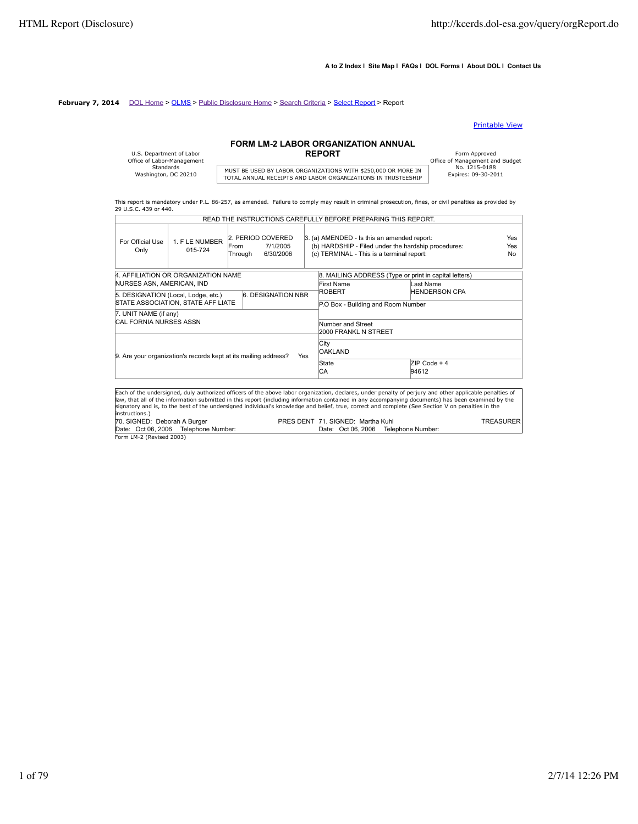#### **A to Z Index | Site Map | FAQs | DOL Forms | About DOL | Contact Us**

#### **February 7, 2014** DOL Home > OLMS > Public Disclosure Home > Search Criteria > Select Report > Report

#### Printable View

## **FORM LM-2 LABOR ORGANIZATION ANNUAL**

| U.S. Department of Labor   |                |
|----------------------------|----------------|
| Office of Labor-Management |                |
| Standards                  | <b>MUST BE</b> |
| Washington, DC 20210       |                |
|                            | TOTAL          |

# MUST BE USED BY LABOR ORGANIZATIONS WITH \$250,000 OR MORE IN FRISTERS: 09-30-2011<br>TOTAL ANNUAL RECEIPTS AND LABOR ORGANIZATIONS IN TRUSTEESHIP

Form Approved<br>
Office of Management and Budget<br>
No. 1215-0188

This report is mandatory under P.L. 86-257, as amended. Failure to comply may result in criminal prosecution, fines, or civil penalties as provided by 29 U.S.C. 439 or 440. READ THE INSTRUCTIONS CAREFULLY BEFORE PREPARING THIS REPORT.

|                               |                                                                 |                                      |                           | READ THE INSTRUCTIONS CAREFULLY BEFORE PREPARING THIS REPORT.                                                                                                                                                                                                                                                                                                                                                                                                      |                                                       |                   |
|-------------------------------|-----------------------------------------------------------------|--------------------------------------|---------------------------|--------------------------------------------------------------------------------------------------------------------------------------------------------------------------------------------------------------------------------------------------------------------------------------------------------------------------------------------------------------------------------------------------------------------------------------------------------------------|-------------------------------------------------------|-------------------|
| For Official Use<br>Only      | 1. F LE NUMBER<br>015-724                                       | 2. PERIOD COVERED<br>From<br>Through | 7/1/2005<br>6/30/2006     | 3. (a) AMENDED - Is this an amended report:<br>(b) HARDSHIP - Filed under the hardship procedures:<br>(c) TERMINAL - This is a terminal report:                                                                                                                                                                                                                                                                                                                    |                                                       | Yes<br>Yes<br>No. |
|                               | 4. AFFILIATION OR ORGANIZATION NAME                             |                                      |                           |                                                                                                                                                                                                                                                                                                                                                                                                                                                                    | 8. MAILING ADDRESS (Type or print in capital letters) |                   |
| NURSES ASN, AMERICAN, IND     |                                                                 |                                      |                           | First Name                                                                                                                                                                                                                                                                                                                                                                                                                                                         | Last Name                                             |                   |
|                               | 5. DESIGNATION (Local, Lodge, etc.)                             |                                      | <b>6. DESIGNATION NBR</b> | ROBERT                                                                                                                                                                                                                                                                                                                                                                                                                                                             | <b>HENDERSON CPA</b>                                  |                   |
|                               | STATE ASSOCIATION, STATE AFF LIATE                              |                                      |                           | P.O Box - Building and Room Number                                                                                                                                                                                                                                                                                                                                                                                                                                 |                                                       |                   |
| 7. UNIT NAME (if any)         |                                                                 |                                      |                           |                                                                                                                                                                                                                                                                                                                                                                                                                                                                    |                                                       |                   |
| <b>CAL FORNIA NURSES ASSN</b> |                                                                 |                                      |                           | Number and Street                                                                                                                                                                                                                                                                                                                                                                                                                                                  |                                                       |                   |
|                               |                                                                 |                                      |                           | 2000 FRANKL N STREET                                                                                                                                                                                                                                                                                                                                                                                                                                               |                                                       |                   |
|                               | 9. Are your organization's records kept at its mailing address? |                                      | Yes                       | City<br><b>OAKLAND</b>                                                                                                                                                                                                                                                                                                                                                                                                                                             |                                                       |                   |
|                               |                                                                 |                                      |                           | State                                                                                                                                                                                                                                                                                                                                                                                                                                                              | $ZIP Code + 4$                                        |                   |
|                               |                                                                 |                                      |                           | СA                                                                                                                                                                                                                                                                                                                                                                                                                                                                 | 94612                                                 |                   |
|                               |                                                                 |                                      |                           |                                                                                                                                                                                                                                                                                                                                                                                                                                                                    |                                                       |                   |
| instructions.)                |                                                                 |                                      |                           | Each of the undersigned, duly authorized officers of the above labor organization, declares, under penalty of perjury and other applicable penalties of<br>law, that all of the information submitted in this report (including information contained in any accompanying documents) has been examined by the<br>signatory and is, to the best of the undersigned individual's knowledge and belief, true, correct and complete (See Section V on penalties in the |                                                       |                   |
| 70. SIGNED: Deborah A Burger  |                                                                 |                                      |                           | PRES DENT 71, SIGNED: Martha Kuhl                                                                                                                                                                                                                                                                                                                                                                                                                                  |                                                       | <b>TREASURER</b>  |
|                               | Date: Oct 06, 2006 Telephone Number:                            |                                      |                           | Date: Oct 06, 2006                                                                                                                                                                                                                                                                                                                                                                                                                                                 | Telephone Number:                                     |                   |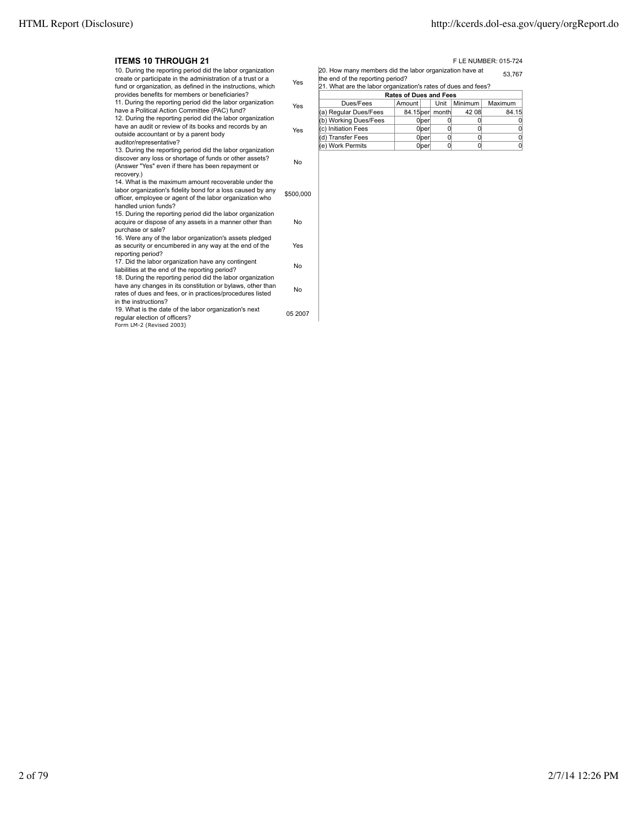| <b>ITEMS 10 THROUGH 21</b>                                                                                                                                                                                    |           |                                                                                                                                                                        |                               |                |                | F LE NUMBER: 015-724 |  |
|---------------------------------------------------------------------------------------------------------------------------------------------------------------------------------------------------------------|-----------|------------------------------------------------------------------------------------------------------------------------------------------------------------------------|-------------------------------|----------------|----------------|----------------------|--|
| 10. During the reporting period did the labor organization<br>create or participate in the administration of a trust or a<br>fund or organization, as defined in the instructions, which                      | Yes       | 20. How many members did the labor organization have at<br>53.767<br>the end of the reporting period?<br>21. What are the labor organization's rates of dues and fees? |                               |                |                |                      |  |
| provides benefits for members or beneficiaries?                                                                                                                                                               |           |                                                                                                                                                                        | <b>Rates of Dues and Fees</b> |                |                |                      |  |
| 11. During the reporting period did the labor organization                                                                                                                                                    | Yes       | Dues/Fees                                                                                                                                                              | Amount                        | Unit           | Minimum        | Maximum              |  |
| have a Political Action Committee (PAC) fund?                                                                                                                                                                 |           | (a) Regular Dues/Fees                                                                                                                                                  | 84.15 per month               |                | 42 08          | 84.15                |  |
| 12. During the reporting period did the labor organization                                                                                                                                                    |           | (b) Working Dues/Fees                                                                                                                                                  | 0 <sub>per</sub>              | $\overline{0}$ |                | 0                    |  |
| have an audit or review of its books and records by an                                                                                                                                                        | Yes       | c) Initiation Fees                                                                                                                                                     | 0 <sub>per</sub>              | 0              | 0              | $\overline{0}$       |  |
| outside accountant or by a parent body                                                                                                                                                                        |           | (d) Transfer Fees                                                                                                                                                      | $0$ <sub>per</sub>            | $\overline{0}$ | $\overline{0}$ | $\overline{0}$       |  |
| auditor/representative?                                                                                                                                                                                       |           | (e) Work Permits                                                                                                                                                       | $0$ <sub>per</sub>            | $\Omega$       | <sub>0</sub>   | 0                    |  |
| 13. During the reporting period did the labor organization<br>discover any loss or shortage of funds or other assets?<br>(Answer "Yes" even if there has been repayment or<br>recovery.)                      | No        |                                                                                                                                                                        |                               |                |                |                      |  |
| 14. What is the maximum amount recoverable under the<br>labor organization's fidelity bond for a loss caused by any<br>officer, employee or agent of the labor organization who<br>handled union funds?       | \$500,000 |                                                                                                                                                                        |                               |                |                |                      |  |
| 15. During the reporting period did the labor organization<br>acquire or dispose of any assets in a manner other than<br>purchase or sale?                                                                    | No        |                                                                                                                                                                        |                               |                |                |                      |  |
| 16. Were any of the labor organization's assets pledged<br>as security or encumbered in any way at the end of the<br>reporting period?                                                                        | Yes       |                                                                                                                                                                        |                               |                |                |                      |  |
| 17. Did the labor organization have any contingent<br>liabilities at the end of the reporting period?                                                                                                         | No        |                                                                                                                                                                        |                               |                |                |                      |  |
| 18. During the reporting period did the labor organization<br>have any changes in its constitution or bylaws, other than<br>rates of dues and fees, or in practices/procedures listed<br>in the instructions? | No        |                                                                                                                                                                        |                               |                |                |                      |  |
| 19. What is the date of the labor organization's next<br>regular election of officers?<br>Form LM-2 (Revised 2003)                                                                                            | 05 2007   |                                                                                                                                                                        |                               |                |                |                      |  |
|                                                                                                                                                                                                               |           |                                                                                                                                                                        |                               |                |                |                      |  |

| $\vert z \vert$ . What are the fabor organization's rates of questand rees? |        |                   |                 |         |         |  |  |
|-----------------------------------------------------------------------------|--------|-------------------|-----------------|---------|---------|--|--|
| <b>Rates of Dues and Fees</b>                                               |        |                   |                 |         |         |  |  |
| Dues/Fees                                                                   | Amount |                   | Unit            | Minimum | Maximum |  |  |
| (a) Regular Dues/Fees                                                       |        |                   | 84.15 per month | 42 08   | 84.15   |  |  |
| (b) Working Dues/Fees                                                       |        | <b>O</b> lper     |                 |         |         |  |  |
| (c) Initiation Fees                                                         |        | 0 <sub>lper</sub> |                 |         |         |  |  |
| (d) Transfer Fees                                                           |        | 0 <sub>lper</sub> |                 |         |         |  |  |
| (e) Work Permits                                                            |        | 0 ber             |                 |         |         |  |  |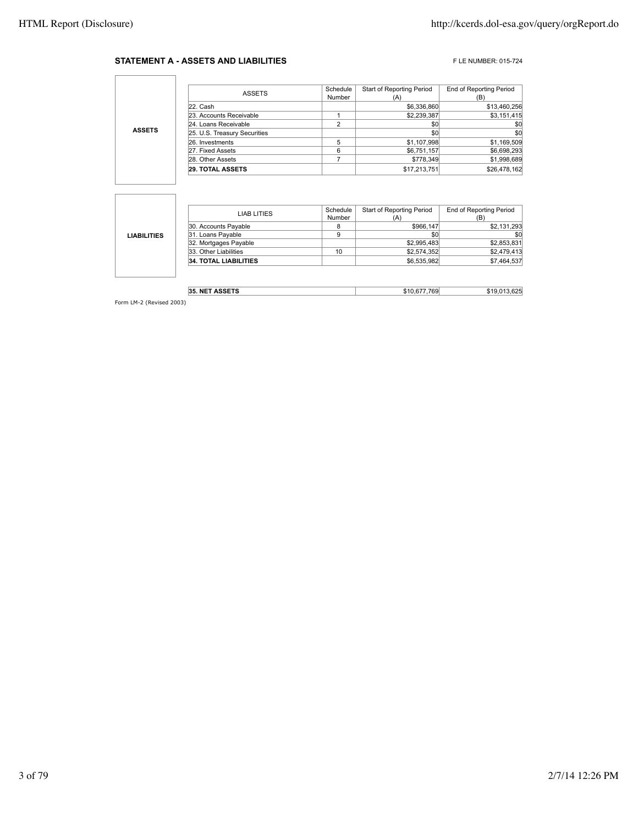#### **STATEMENT A - ASSETS AND LIABILITIES** FLE NUMBER: 015-724

٦

|               | ASSETS                       | Schedule<br>Number | Start of Reporting Period | <b>End of Reporting Period</b> |
|---------------|------------------------------|--------------------|---------------------------|--------------------------------|
|               |                              |                    |                           | (B                             |
|               | 22. Cash                     |                    | \$6,336,860               | \$13,460,256                   |
| <b>ASSETS</b> | 23. Accounts Receivable      |                    | \$2,239,387               | \$3,151,415                    |
|               | 24. Loans Receivable         |                    | \$0                       | \$0                            |
|               | 25. U.S. Treasury Securities |                    | \$0                       | \$0                            |
|               | 26. Investments              |                    | \$1,107,998               | \$1,169,509                    |
|               | 27. Fixed Assets             | 6                  | \$6,751,157               | \$6,698,293                    |
|               | 28. Other Assets             |                    | \$778,349                 | \$1,998,689                    |
|               | <b>29. TOTAL ASSETS</b>      |                    | \$17,213,751              | \$26,478,162                   |

|                    | LIAB LITIES                  | Schedule | Start of Reporting Period | <b>End of Reporting Period</b> |
|--------------------|------------------------------|----------|---------------------------|--------------------------------|
|                    |                              | Number   | (A)                       | (B)                            |
|                    | 30. Accounts Payable         |          | \$966,147                 | \$2,131,293                    |
| <b>LIABILITIES</b> | 31. Loans Payable            | 9        | \$0                       | \$0                            |
|                    | 32. Mortgages Payable        |          | \$2,995,483               | \$2,853,831                    |
|                    | 33. Other Liabilities        | 10       | \$2,574,352               | \$2,479,413                    |
|                    | <b>34. TOTAL LIABILITIES</b> |          | \$6,535,982               | \$7,464,537                    |
|                    |                              |          |                           |                                |
|                    |                              |          |                           |                                |

| - - - - - - -<br>35<br>NE | ñФ | א כ |
|---------------------------|----|-----|
|                           |    |     |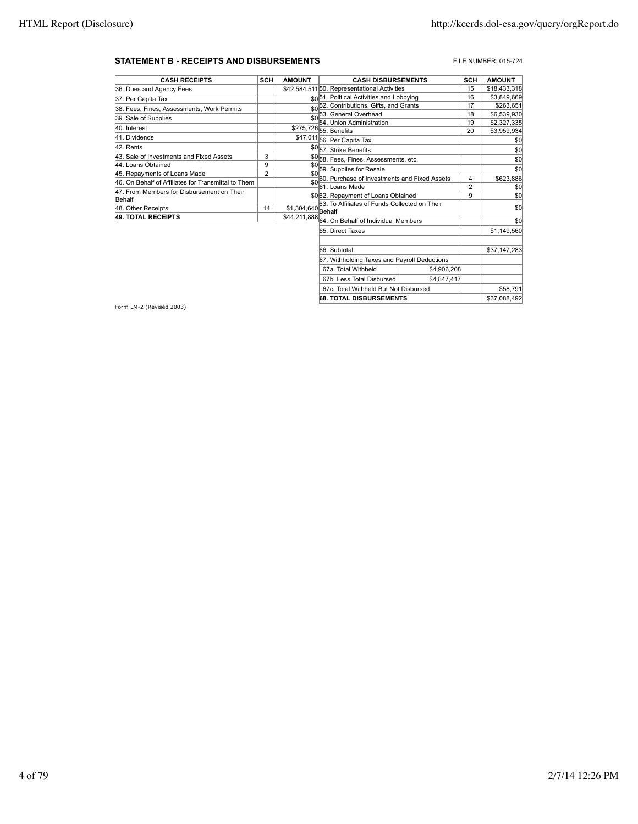#### **STATEMENT B - RECEIPTS AND DISBURSEMENTS** FLE NUMBER: 015-724

| <b>CASH RECEIPTS</b>                                | <b>SCH</b>     | <b>AMOUNT</b>       | <b>CASH DISBURSEMENTS</b>                             | <b>SCH</b>          | <b>AMOUNT</b> |
|-----------------------------------------------------|----------------|---------------------|-------------------------------------------------------|---------------------|---------------|
| 36. Dues and Agency Fees                            |                |                     | \$42.584.51150. Representational Activities           | 15                  | \$18,433,318  |
| 37. Per Capita Tax                                  |                |                     | sol51. Political Activities and Lobbying              | 16                  | \$3,849,669   |
| 38. Fees, Fines, Assessments, Work Permits          |                |                     | \$0 <sup>52</sup> . Contributions, Gifts, and Grants  | 17                  | \$263,651     |
| 39. Sale of Supplies                                |                |                     | 53. General Overhead                                  | 18                  | \$6,539,930   |
| 40. Interest                                        |                |                     | 54. Union Administration                              | 19                  | \$2,327,335   |
|                                                     |                |                     | \$275,726 55. Benefits                                | 20                  | \$3,959,934   |
| 41. Dividends                                       |                |                     | \$47,011 56. Per Capita Tax                           |                     | \$0           |
| 42. Rents                                           |                |                     | \$0 <sub>57.</sub> Strike Benefits                    |                     | \$0           |
| 43. Sale of Investments and Fixed Assets            | 3              |                     | \$0 <sub>58</sub> Fees, Fines, Assessments, etc.      |                     | \$0           |
| 44. Loans Obtained                                  | 9              | \$0                 | 59. Supplies for Resale                               |                     | \$0           |
| 45. Repayments of Loans Made                        | $\overline{2}$ | \$0                 |                                                       |                     |               |
| 46. On Behalf of Affiliates for Transmittal to Them |                | \$0                 | 60. Purchase of Investments and Fixed Assets          | 4<br>$\overline{2}$ | \$623,886     |
| 47. From Members for Disbursement on Their          |                |                     | 61. Loans Made<br>\$0 62. Repayment of Loans Obtained | 9                   | \$0<br>\$0    |
| Behalf                                              |                |                     | 63. To Affiliates of Funds Collected on Their         |                     |               |
| 48. Other Receipts                                  | 14             | $$1,304,640$ Behalf |                                                       |                     | \$0           |
| <b>49. TOTAL RECEIPTS</b>                           |                |                     | \$44,211,888 64. On Behalf of Individual Members      |                     | \$0           |
|                                                     |                |                     | 65. Direct Taxes                                      |                     | \$1,149,560   |
|                                                     |                |                     |                                                       |                     |               |
|                                                     |                |                     | 66. Subtotal                                          |                     | \$37,147,283  |
|                                                     |                |                     | 67. Withholding Taxes and Payroll Deductions          |                     |               |

67a. Total Withheld \$4,906,208 67b. Less Total Disbursed | \$4,847,417 67c. Total Withheld But Not Disbursed \$58,791 **68. TOTAL DISBURSEMENTS** \$37,088,492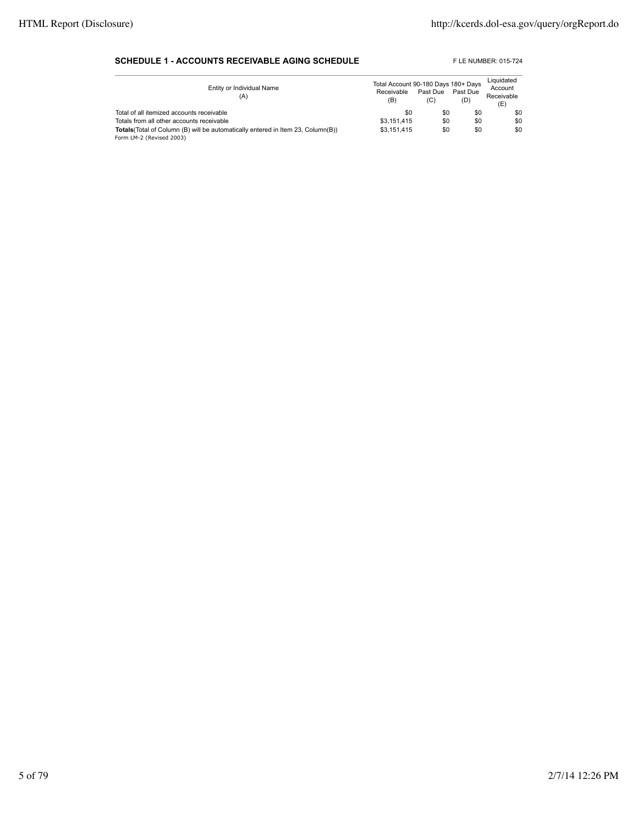#### **SCHEDULE 1 - ACCOUNTS RECEIVABLE AGING SCHEDULE** FLE NUMBER: 015-724

| Entity or Individual Name<br>(A)                                                                                    | Total Account 90-180 Days 180+ Days<br>Receivable<br>(B) | Past Due<br>(C) | Past Due<br>(D) | Liquidated<br>Account<br>Receivable<br>(E) |
|---------------------------------------------------------------------------------------------------------------------|----------------------------------------------------------|-----------------|-----------------|--------------------------------------------|
| Total of all itemized accounts receivable                                                                           | \$0                                                      | \$0             | \$0             | \$0                                        |
| Totals from all other accounts receivable                                                                           | \$3.151.415                                              | \$0             | \$0             | \$0                                        |
| <b>Totals</b> (Total of Column (B) will be automatically entered in Item 23, Column(B))<br>Form LM-2 (Revised 2003) | \$3.151.415                                              | \$0             | \$0             | \$0                                        |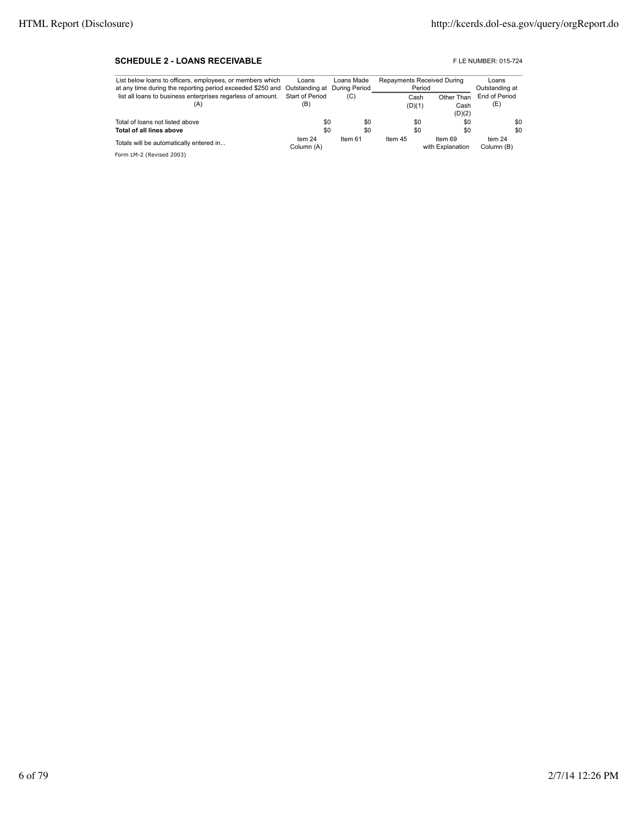#### **SCHEDULE 2 - LOANS RECEIVABLE EXECUTE: DESCRIPTION OF A SCHEDULE 2 - LOANS RECEIVABLE**

| List below loans to officers, employees, or members which                               | Loans      | Loans Made | <b>Repayments Received During</b> |                  | Loans          |
|-----------------------------------------------------------------------------------------|------------|------------|-----------------------------------|------------------|----------------|
| at any time during the reporting period exceeded \$250 and Outstanding at During Period |            |            | Period                            |                  | Outstanding at |
| list all loans to business enterprises regarless of amount. Start of Period             |            | (C)        | Cash                              | Other Than       | End of Period  |
| (A)                                                                                     | (B)        |            | (D)(1)                            | Cash             | (E)            |
|                                                                                         |            |            |                                   | (D)(2)           |                |
| Total of loans not listed above                                                         | \$0        | \$0        | \$0                               | \$0              | \$0            |
| Total of all lines above                                                                | \$0        | \$0        | \$0                               | \$0              | \$0            |
| Totals will be automatically entered in                                                 | tem 24     | Item 61    | Item 45                           | Item 69          | tem 24         |
|                                                                                         | Column (A) |            |                                   | with Explanation | Column (B)     |
| Form LM-2 (Revised 2003)                                                                |            |            |                                   |                  |                |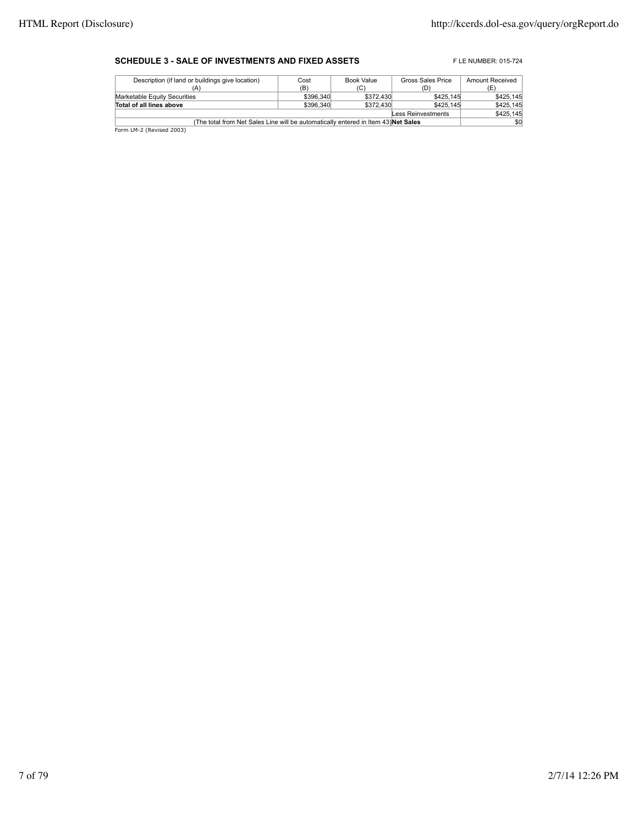#### **SCHEDULE 3 - SALE OF INVESTMENTS AND FIXED ASSETS** FLE NUMBER: 015-724

| Cost                                                                               | Book Value | Gross Sales Price      | Amount Received        |  |  |
|------------------------------------------------------------------------------------|------------|------------------------|------------------------|--|--|
| (B)                                                                                | (C)        | (D)                    | (E)                    |  |  |
|                                                                                    |            | \$425,145              | \$425.145              |  |  |
|                                                                                    |            | \$425.145              | \$425,145              |  |  |
| Less Reinvestments                                                                 |            |                        |                        |  |  |
| (The total from Net Sales Line will be automatically entered in Item 43) Net Sales |            |                        |                        |  |  |
|                                                                                    |            | \$396,340<br>\$396,340 | \$372,430<br>\$372,430 |  |  |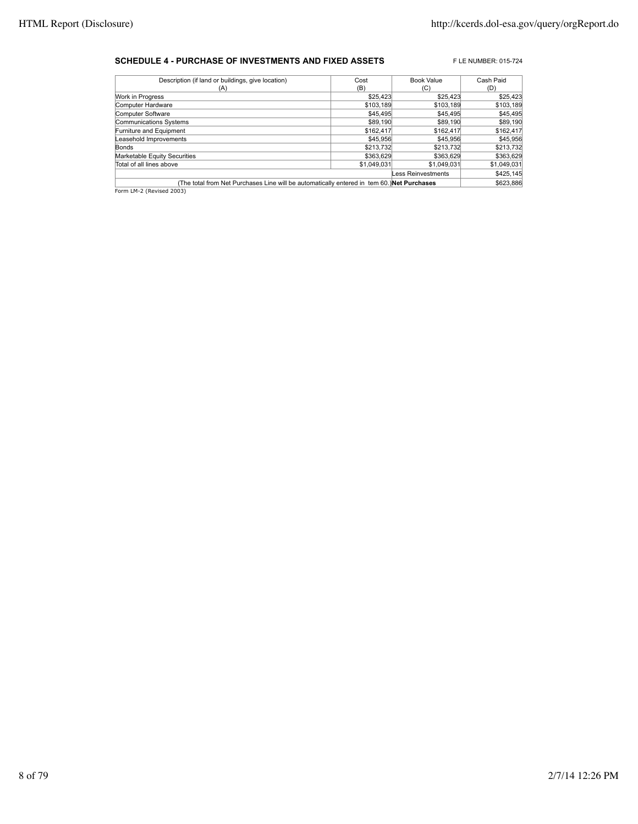#### **SCHEDULE 4 - PURCHASE OF INVESTMENTS AND FIXED ASSETS** FLE NUMBER: 015-724

| Description (if land or buildings, give location)                                          | Cost        | <b>Book Value</b>  | Cash Paid   |  |
|--------------------------------------------------------------------------------------------|-------------|--------------------|-------------|--|
| (A)                                                                                        | (B)         | (C)                | (D)         |  |
| Work in Progress                                                                           | \$25,423    | \$25.423           | \$25,423    |  |
| Computer Hardware                                                                          | \$103,189   | \$103,189          | \$103,189   |  |
| Computer Software                                                                          | \$45,495    | \$45,495           | \$45,495    |  |
| <b>Communications Systems</b>                                                              | \$89,190    | \$89,190           | \$89,190    |  |
| Furniture and Equipment                                                                    | \$162,417   | \$162,417          | \$162,417   |  |
| Leasehold Improvements                                                                     | \$45,956    | \$45,956           | \$45,956    |  |
| Bonds                                                                                      | \$213.732   | \$213.732          | \$213,732   |  |
| Marketable Equity Securities                                                               | \$363.629   | \$363,629          | \$363,629   |  |
| Total of all lines above                                                                   | \$1.049.031 | \$1.049.031        | \$1,049,031 |  |
|                                                                                            |             | Less Reinvestments | \$425,145   |  |
| (The total from Net Purchases Line will be automatically entered in tem 60.) Net Purchases |             |                    |             |  |
| Form LM-2 (Revised 2003)                                                                   |             |                    |             |  |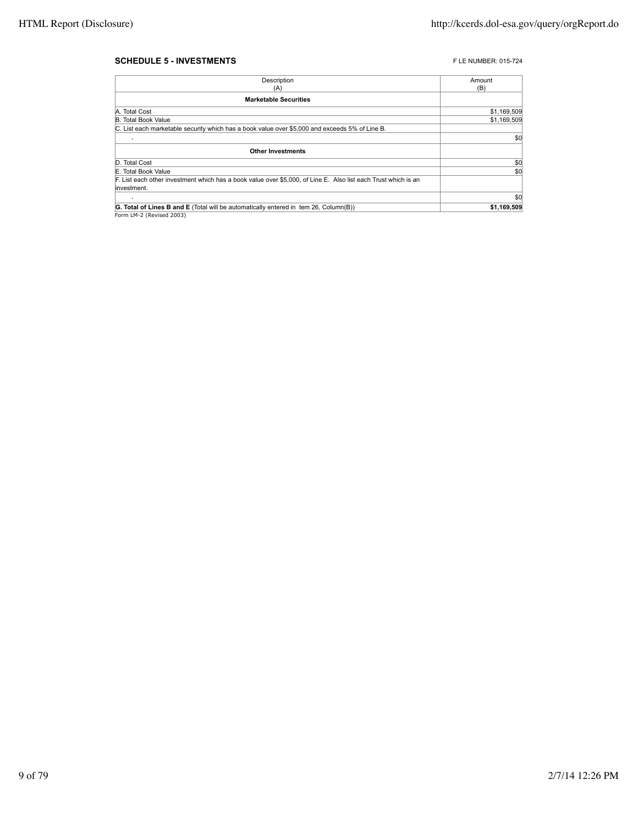#### **SCHEDULE 5 - INVESTMENTS FLE NUMBER: 015-724**

| Description                                                                                                                    | Amount      |
|--------------------------------------------------------------------------------------------------------------------------------|-------------|
| (A)                                                                                                                            | (B)         |
| <b>Marketable Securities</b>                                                                                                   |             |
| A. Total Cost                                                                                                                  | \$1,169,509 |
| <b>B.</b> Total Book Value                                                                                                     | \$1,169,509 |
| C. List each marketable security which has a book value over \$5,000 and exceeds 5% of Line B.                                 |             |
|                                                                                                                                | \$0         |
| <b>Other Investments</b>                                                                                                       |             |
| D. Total Cost                                                                                                                  | \$0         |
| E. Total Book Value                                                                                                            | \$0         |
| F. List each other investment which has a book value over \$5,000, of Line E. Also list each Trust which is an<br>linvestment. |             |
|                                                                                                                                | \$0         |
| <b>G. Total of Lines B and E</b> (Total will be automatically entered in tem 26, Column(B))                                    | \$1,169,509 |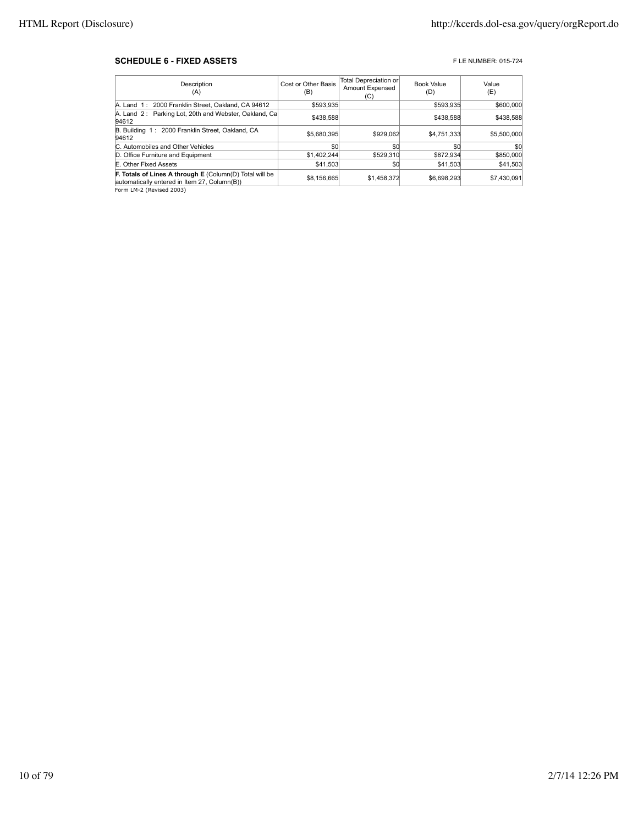#### **SCHEDULE 6 - FIXED ASSETS FIXED ASSETS FIXED ASSETS**

| Description<br>(A)                                                                                      | Cost or Other Basis<br>(B) | Total Depreciation or<br>Amount Expensed<br>(C) | <b>Book Value</b><br>(D) | Value<br>(E) |
|---------------------------------------------------------------------------------------------------------|----------------------------|-------------------------------------------------|--------------------------|--------------|
| A. Land 1: 2000 Franklin Street, Oakland, CA 94612                                                      | \$593.935                  |                                                 | \$593.935                | \$600,000    |
| A. Land 2: Parking Lot, 20th and Webster, Oakland, Ca<br>94612                                          | \$438,588                  |                                                 | \$438,588                | \$438,588    |
| B. Building 1: 2000 Franklin Street, Oakland, CA<br>94612                                               | \$5.680.395                | \$929,062                                       | \$4,751,333              | \$5,500,000  |
| C. Automobiles and Other Vehicles                                                                       | \$0                        | \$0                                             | \$0                      | \$0          |
| D. Office Furniture and Equipment                                                                       | \$1,402,244                | \$529,310                                       | \$872,934                | \$850,000    |
| E. Other Fixed Assets                                                                                   | \$41.503                   | \$0                                             | \$41,503                 | \$41,503     |
| F. Totals of Lines A through E (Column(D) Total will be<br>automatically entered in Item 27, Column(B)) | \$8,156,665                | \$1.458.372                                     | \$6,698,293              | \$7,430,091  |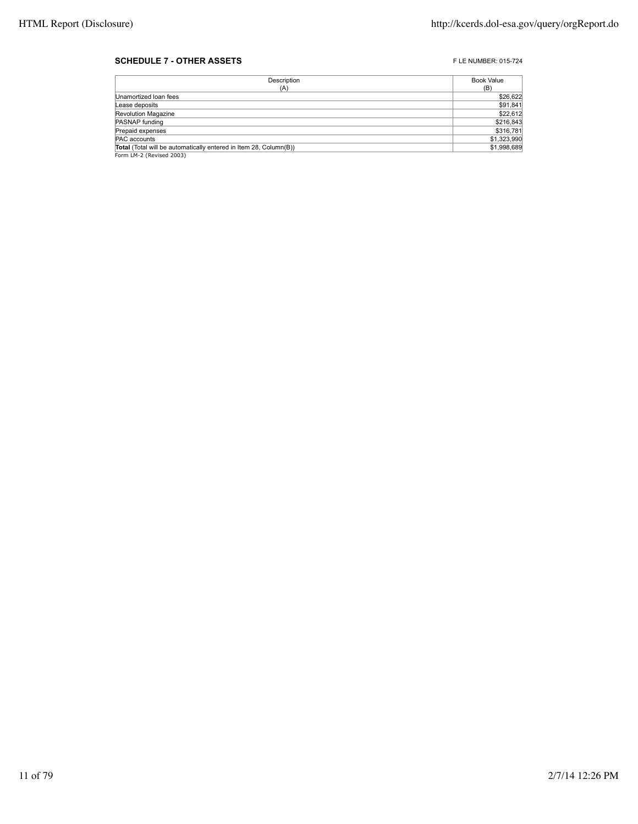#### **SCHEDULE 7 - OTHER ASSETS FLE NUMBER: 015-724**

| Description                                                       | Book Value  |
|-------------------------------------------------------------------|-------------|
| (A)                                                               | (B)         |
| Unamortized Ioan fees                                             | \$26,622    |
| Lease deposits                                                    | \$91,841    |
| Revolution Magazine                                               | \$22,612    |
| PASNAP funding                                                    | \$216,843   |
| Prepaid expenses                                                  | \$316,781   |
| PAC accounts                                                      | \$1,323,990 |
| Total (Total will be automatically entered in Item 28, Column(B)) | \$1,998,689 |
| Form LM-2 (Revised 2003)                                          |             |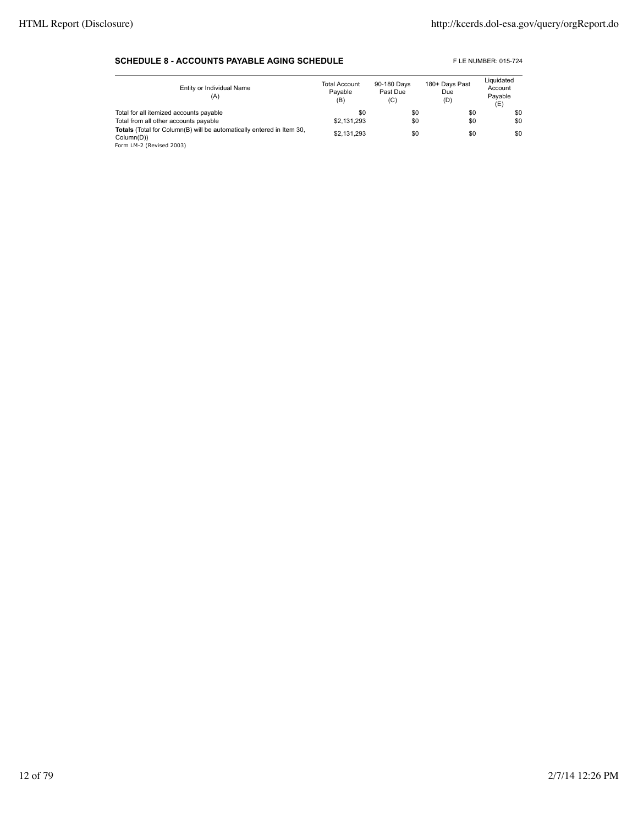#### **SCHEDULE 8 - ACCOUNTS PAYABLE AGING SCHEDULE** FLE NUMBER: 015-724

| Entity or Individual Name<br>(A)                                                                                | <b>Total Account</b><br>Pavable<br>(B) | 90-180 Days<br>Past Due<br>(C) | 180+ Days Past<br>Due<br>(D) | Liquidated<br>Account<br>Payable<br>(E) |
|-----------------------------------------------------------------------------------------------------------------|----------------------------------------|--------------------------------|------------------------------|-----------------------------------------|
| Total for all itemized accounts payable                                                                         | \$0                                    | \$0                            | \$0                          | \$0                                     |
| Total from all other accounts payable                                                                           | \$2,131,293                            | \$0                            | \$0                          | \$0                                     |
| Totals (Total for Column(B) will be automatically entered in Item 30,<br>Column(D))<br>Form LM-2 (Revised 2003) | \$2.131.293                            | \$0                            | \$0                          | \$0                                     |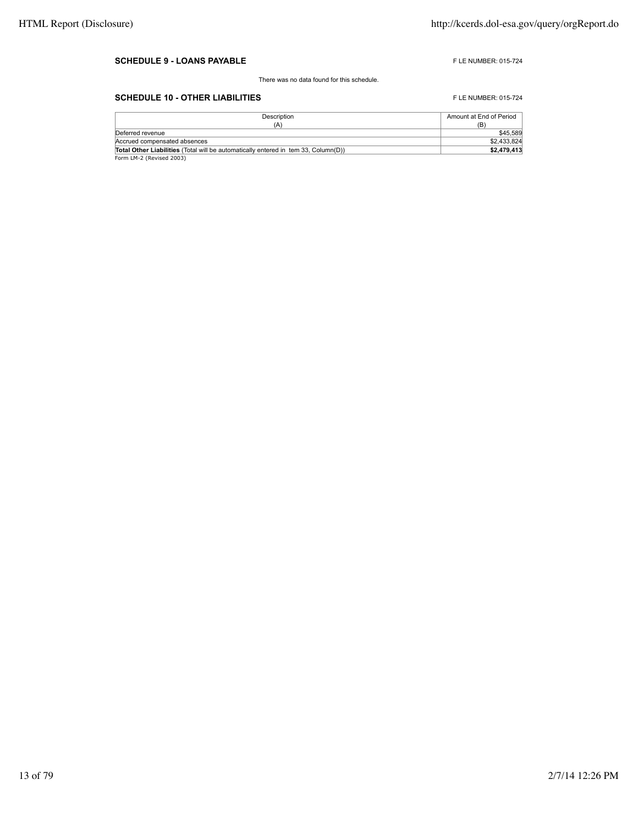#### **SCHEDULE 9 - LOANS PAYABLE FLE NUMBER: 015-724**

There was no data found for this schedule.

### **SCHEDULE 10 - OTHER LIABILITIES** FLE NUMBER: 015-724

| Description                                                                               | Amount at End of Period |
|-------------------------------------------------------------------------------------------|-------------------------|
| (A)                                                                                       | (B)                     |
| Deferred revenue                                                                          | \$45,589                |
| Accrued compensated absences                                                              | \$2.433.824             |
| <b>Total Other Liabilities</b> (Total will be automatically entered in tem 33. Column(D)) | \$2,479,413             |
| Form LM-2 (Revised 2003)                                                                  |                         |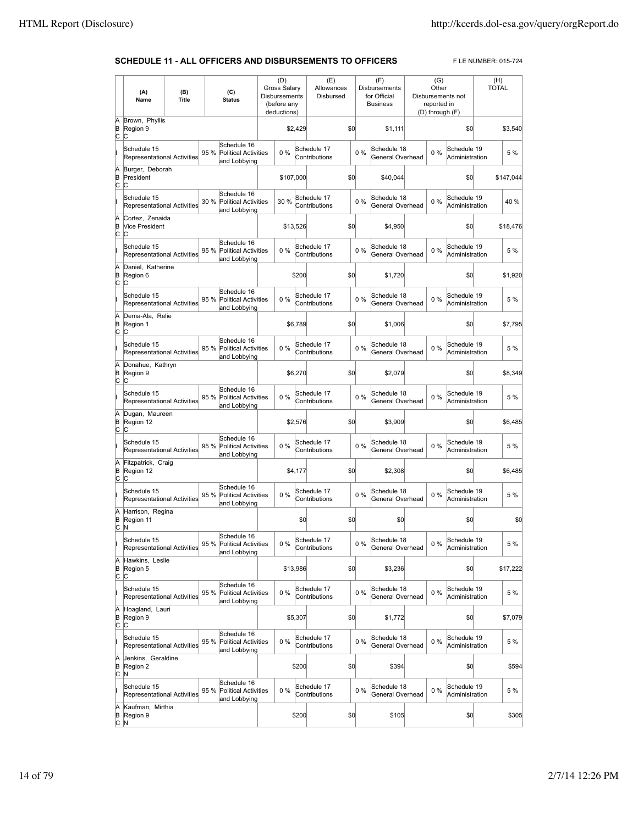#### **SCHEDULE 11 - ALL OFFICERS AND DISBURSEMENTS TO OFFICERS** FLE NUMBER: 015-724

|                 | (A)<br>Name                                            | (B)<br><b>Title</b> |      | (C)<br><b>Status</b>                                       | <b>Gross Salary</b><br>Disbursements<br>(before any<br>deductions) | (D)       |         | (E)<br>Allowances<br>Disbursed |     |       | (F)<br><b>Disbursements</b><br>for Official<br><b>Business</b> | (G)<br>Other<br>reported in<br>(D) through (F) | Disbursements not             | (H)<br><b>TOTAL</b> |
|-----------------|--------------------------------------------------------|---------------------|------|------------------------------------------------------------|--------------------------------------------------------------------|-----------|---------|--------------------------------|-----|-------|----------------------------------------------------------------|------------------------------------------------|-------------------------------|---------------------|
| Ā<br>B<br>c     | Brown, Phyllis<br>Region 9<br>C                        |                     |      |                                                            |                                                                    |           | \$2,429 |                                | \$0 |       | \$1,111                                                        |                                                | \$0                           | \$3,540             |
|                 | Schedule 15<br>Representational Activities             |                     | 95 % | Schedule 16<br><b>Political Activities</b><br>and Lobbying |                                                                    | $0\%$     |         | Schedule 17<br>Contributions   |     | $0\%$ | Schedule 18<br>General Overhead                                | $0\%$                                          | Schedule 19<br>Administration | 5 %                 |
| Ā<br>B<br>C     | Burger, Deborah<br>President<br>C                      |                     |      |                                                            |                                                                    | \$107,000 |         |                                | \$0 |       | \$40,044                                                       |                                                | \$0                           | \$147,044           |
|                 | Schedule 15<br>Representational Activities             |                     | 30 % | Schedule 16<br><b>Political Activities</b><br>and Lobbying |                                                                    | 30 %      |         | Schedule 17<br>Contributions   |     | 0%    | Schedule 18<br>General Overhead                                | $0\%$                                          | Schedule 19<br>Administration | 40 %                |
| A<br>B<br>C     | Cortez, Zenaida<br><b>Vice President</b><br>C          |                     |      |                                                            |                                                                    | \$13,526  |         |                                | \$0 |       | \$4,950                                                        |                                                | \$0                           | \$18,476            |
|                 | Schedule 15<br><b>Representational Activities</b>      |                     | 95 % | Schedule 16<br><b>Political Activities</b>                 |                                                                    | 0%        |         | Schedule 17<br>Contributions   |     | 0%    | Schedule 18<br>General Overhead                                | $0\%$                                          | Schedule 19<br>Administration | 5 %                 |
| A<br>B          | Daniel, Katherine<br>Region 6                          |                     |      | and Lobbying                                               |                                                                    |           | \$200   |                                | \$0 |       | \$1,720                                                        |                                                | \$0                           | \$1,920             |
| C               | C<br>Schedule 15<br><b>Representational Activities</b> |                     | 95 % | Schedule 16<br><b>Political Activities</b><br>and Lobbying |                                                                    | 0%        |         | Schedule 17<br>Contributions   |     | 0%    | Schedule 18<br>General Overhead                                | $0\%$                                          | Schedule 19<br>Administration | 5 %                 |
| A<br>B<br>C     | Dema-Ala, Relie<br>Region 1<br>C                       |                     |      |                                                            |                                                                    |           | \$6,789 |                                | \$0 |       | \$1,006                                                        |                                                | \$0                           | \$7,795             |
|                 | Schedule 15<br><b>Representational Activities</b>      |                     | 95 % | Schedule 16<br><b>Political Activities</b><br>and Lobbying |                                                                    | 0%        |         | Schedule 17<br>Contributions   |     | 0%    | Schedule 18<br>General Overhead                                | $0\%$                                          | Schedule 19<br>Administration | 5 %                 |
| A<br>B<br>c     | Donahue, Kathryn<br>Region 9<br>C                      |                     |      |                                                            |                                                                    |           | \$6,270 |                                | \$0 |       | \$2,079                                                        |                                                | \$0                           | \$8,349             |
|                 | Schedule 15<br>Representational Activities             |                     | 95 % | Schedule 16<br><b>Political Activities</b><br>and Lobbying |                                                                    | 0%        |         | Schedule 17<br>Contributions   |     | $0\%$ | Schedule 18<br>General Overhead                                | $0\%$                                          | Schedule 19<br>Administration | 5 %                 |
| A<br>B<br>c     | Dugan, Maureen<br>Region 12<br>C                       |                     |      |                                                            |                                                                    |           | \$2,576 |                                | \$0 |       | \$3,909                                                        |                                                | \$0                           | \$6,485             |
|                 | Schedule 15<br><b>Representational Activities</b>      |                     | 95 % | Schedule 16<br><b>Political Activities</b><br>and Lobbying |                                                                    | 0%        |         | Schedule 17<br>Contributions   |     | $0\%$ | Schedule 18<br>General Overhead                                | $0\%$                                          | Schedule 19<br>Administration | 5 %                 |
| Ā<br>B<br>C     | Fitzpatrick, Craig<br>Region 12<br>C                   |                     |      |                                                            |                                                                    |           | \$4,177 |                                | \$0 |       | \$2,308                                                        |                                                | \$0                           | \$6,485             |
|                 | Schedule 15<br>Representational Activities             |                     | 95 % | Schedule 16<br><b>Political Activities</b><br>and Lobbying |                                                                    | 0%        |         | Schedule 17<br>Contributions   |     | $0\%$ | Schedule 18<br>General Overhead                                | 0%                                             | Schedule 19<br>Administration | 5 %                 |
| A<br>B<br>C     | Harrison, Regina<br>Region 11<br>N                     |                     |      |                                                            |                                                                    |           | \$0     |                                | \$0 |       | \$0                                                            |                                                | \$0                           | \$0                 |
|                 | Schedule 15<br>Representational Activities             |                     |      | Schedule 16<br>95 % Political Activities<br>and Lobbying   |                                                                    | $0\%$     |         | Schedule 17<br>Contributions   |     | $0\%$ | Schedule 18<br>General Overhead                                | 0 %                                            | Schedule 19<br>Administration | 5 %                 |
| A<br>B<br>C     | Hawkins, Leslie<br>Region 5<br>C                       |                     |      |                                                            |                                                                    | \$13,986  |         |                                | \$0 |       | \$3,236                                                        |                                                | \$0                           | \$17,222            |
|                 | Schedule 15<br>Representational Activities             |                     | 95 % | Schedule 16<br>Political Activities<br>and Lobbying        |                                                                    | 0%        |         | Schedule 17<br>Contributions   |     | 0%    | Schedule 18<br>General Overhead                                | $0\%$                                          | Schedule 19<br>Administration | 5 %                 |
| A<br>B<br>c     | Hoagland, Lauri<br>Region 9<br>C                       |                     |      |                                                            |                                                                    |           | \$5,307 |                                | \$0 |       | \$1,772                                                        |                                                | \$0                           | \$7,079             |
| lï              | Schedule 15<br><b>Representational Activities</b>      |                     | 95 % | Schedule 16<br><b>Political Activities</b><br>and Lobbying |                                                                    | $0\%$     |         | Schedule 17<br>Contributions   |     | $0\%$ | Schedule 18<br>General Overhead                                | $0\%$                                          | Schedule 19<br>Administration | 5 %                 |
| A<br>B<br>C     | Jenkins, Geraldine<br>Region 2<br>N                    |                     |      |                                                            |                                                                    |           | \$200   |                                | \$0 |       | \$394                                                          |                                                | \$0                           | \$594               |
|                 | Schedule 15<br><b>Representational Activities</b>      |                     | 95 % | Schedule 16<br><b>Political Activities</b><br>and Lobbying |                                                                    | 0%        |         | Schedule 17<br>Contributions   |     | 0%    | Schedule 18<br>General Overhead                                | 0%                                             | Schedule 19<br>Administration | 5 %                 |
| A<br>B<br>∣C ∣N | Kaufman, Mirthia<br>Region 9                           |                     |      |                                                            |                                                                    |           | \$200   |                                | \$0 |       | \$105                                                          |                                                | \$0                           | \$305               |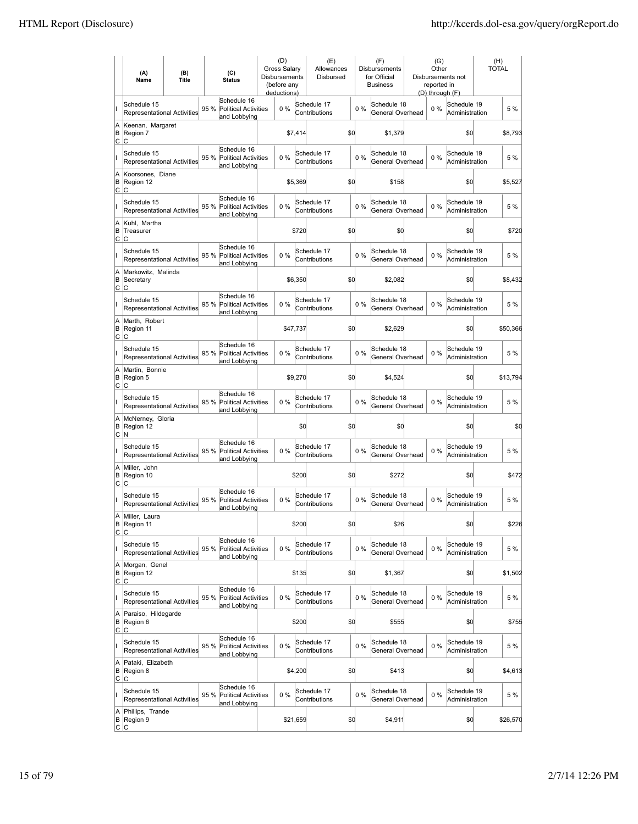|                | (A)<br>Name                                       | (B)<br><b>Title</b> |      | (C)<br><b>Status</b>                                       | (D)<br>Gross Salary<br><b>Disbursements</b><br>(before any<br>deductions) |          | (E)<br>Allowances<br>Disbursed |     |       | (F)<br><b>Disbursements</b><br>for Official<br><b>Business</b> | (G)<br>Other<br>reported in<br>(D) through (F) | Disbursements not             | (H)<br><b>TOTAL</b> |
|----------------|---------------------------------------------------|---------------------|------|------------------------------------------------------------|---------------------------------------------------------------------------|----------|--------------------------------|-----|-------|----------------------------------------------------------------|------------------------------------------------|-------------------------------|---------------------|
| II             | Schedule 15<br><b>Representational Activities</b> |                     | 95 % | Schedule 16<br><b>Political Activities</b><br>and Lobbying | 0%                                                                        |          | Schedule 17<br>Contributions   |     | 0%    | Schedule 18<br>General Overhead                                | $0\%$                                          | Schedule 19<br>Administration | 5 %                 |
| A<br>B<br>C    | Keenan, Margaret<br>Region 7<br>C                 |                     |      |                                                            |                                                                           | \$7,414  |                                | \$0 |       | \$1,379                                                        |                                                | \$0                           | \$8,793             |
| II             | Schedule 15<br>Representational Activities        |                     | 95 % | Schedule 16<br><b>Political Activities</b><br>and Lobbying | 0%                                                                        |          | Schedule 17<br>Contributions   |     | 0%    | Schedule 18<br>General Overhead                                | $0\%$                                          | Schedule 19<br>Administration | 5 %                 |
| A<br>B<br>C    | Koorsones, Diane<br>Region 12<br>C                |                     |      |                                                            |                                                                           | \$5,369  |                                | \$0 |       | \$158                                                          |                                                | \$0                           | \$5,527             |
| I              | Schedule 15<br><b>Representational Activities</b> |                     | 95 % | Schedule 16<br><b>Political Activities</b><br>and Lobbying | 0%                                                                        |          | Schedule 17<br>Contributions   |     | 0%    | Schedule 18<br>General Overhead                                | $0\%$                                          | Schedule 19<br>Administration | 5 %                 |
| A<br>İΒ<br>lc. | Kuhl, Martha<br>Treasurer<br>C                    |                     |      |                                                            |                                                                           | \$720    |                                | \$d |       | \$0                                                            |                                                | \$0                           | \$720               |
| II             | Schedule 15<br><b>Representational Activities</b> |                     | 95 % | Schedule 16<br><b>Political Activities</b><br>and Lobbying | 0%                                                                        |          | Schedule 17<br>Contributions   |     | $0\%$ | Schedule 18<br>General Overhead                                | $0\%$                                          | Schedule 19<br>Administration | 5 %                 |
| A<br>B<br>lc.  | Markowitz, Malinda<br>Secretary<br>С              |                     |      |                                                            |                                                                           | \$6,350  |                                | \$0 |       | \$2,082                                                        |                                                | \$0                           | \$8,432             |
| lı.            | Schedule 15<br>Representational Activities        |                     | 95 % | Schedule 16<br><b>Political Activities</b><br>and Lobbying | 0%                                                                        |          | Schedule 17<br>Contributions   |     | 0%    | Schedule 18<br>General Overhead                                | $0\%$                                          | Schedule 19<br>Administration | 5 %                 |
| A<br>B<br>C    | Marth, Robert<br>Region 11<br>Iс                  |                     |      |                                                            |                                                                           | \$47,737 |                                | \$d |       | \$2,629                                                        |                                                | \$d                           | \$50,366            |
| lı.            | Schedule 15<br><b>Representational Activities</b> |                     | 95 % | Schedule 16<br><b>Political Activities</b><br>and Lobbying | 0%                                                                        |          | Schedule 17<br>Contributions   |     | $0\%$ | Schedule 18<br>General Overhead                                | $0\%$                                          | Schedule 19<br>Administration | 5 %                 |
| A<br>B<br>lc.  | Martin, Bonnie<br>Region 5<br>lc.                 |                     |      |                                                            |                                                                           | \$9,270  |                                | \$d |       | \$4,524                                                        |                                                | \$d                           | \$13,794            |
| lı.            | Schedule 15<br>Representational Activities        |                     | 95 % | Schedule 16<br><b>Political Activities</b><br>and Lobbying | 0%                                                                        |          | Schedule 17<br>Contributions   |     | $0\%$ | Schedule 18<br>General Overhead                                | $0\%$                                          | Schedule 19<br>Administration | 5 %                 |
| A<br>B<br>C    | McNerney, Gloria<br>Region 12<br>N                |                     |      |                                                            |                                                                           | \$d      |                                | \$d |       | \$0                                                            |                                                | \$d                           | \$0                 |
| lı.            | Schedule 15<br>Representational Activities        |                     | 95 % | Schedule 16<br><b>Political Activities</b><br>and Lobbying | 0%                                                                        |          | Schedule 17<br>Contributions   |     | $0\%$ | Schedule 18<br>General Overhead                                | $0\%$                                          | Schedule 19<br>Administration | 5 %                 |
| A<br>B<br>C    | Miller. John<br>Region 10<br>Iс                   |                     |      |                                                            |                                                                           | \$200    |                                | \$d |       | \$272                                                          |                                                | \$d                           | \$472               |
|                | Schedule 15<br>Representational Activities        |                     | 95 % | Schedule 16<br>Political Activities<br>and Lobbying        | 0%                                                                        |          | Schedule 17<br>Contributions   |     | $0\%$ | Schedule 18<br>General Overhead                                | $0\%$                                          | Schedule 19<br>Administration | 5 %                 |
| A<br>C.        | Miller, Laura<br>B Region 11<br>lc.               |                     |      |                                                            |                                                                           | \$200    |                                | \$q |       | \$26                                                           |                                                | \$d                           | \$226               |
| lı.            | Schedule 15<br><b>Representational Activities</b> |                     | 95 % | Schedule 16<br>Political Activities<br>and Lobbying        | $0\%$                                                                     |          | Schedule 17<br>Contributions   |     | 0%    | Schedule 18<br>General Overhead                                | $0\%$                                          | Schedule 19<br>Administration | 5 %                 |
| A<br>B<br>C    | Morgan, Genel<br>Region 12<br>C                   |                     |      |                                                            |                                                                           | \$135    |                                | \$0 |       | \$1,367                                                        |                                                | \$0                           | \$1,502             |
| lı.            | Schedule 15<br><b>Representational Activities</b> |                     | 95 % | Schedule 16<br><b>Political Activities</b><br>and Lobbying | 0%                                                                        |          | Schedule 17<br>Contributions   |     | 0%    | Schedule 18<br>General Overhead                                | 0%                                             | Schedule 19<br>Administration | 5 %                 |
| A<br>B<br>C    | Paraiso, Hildegarde<br>Region 6<br>lc.            |                     |      |                                                            |                                                                           | \$200    |                                | \$d |       | \$555                                                          |                                                | \$0                           | \$755               |
| lı.            | Schedule 15<br>Representational Activities        |                     | 95 % | Schedule 16<br>Political Activities<br>and Lobbying        | 0%                                                                        |          | Schedule 17<br>Contributions   |     | $0\%$ | Schedule 18<br>General Overhead                                | 0%                                             | Schedule 19<br>Administration | 5 %                 |
| A<br>B<br>C    | Pataki, Elizabeth<br>Region 8<br>lc.              |                     |      |                                                            |                                                                           | \$4,200  |                                | \$d |       | \$413                                                          |                                                | \$d                           | \$4,613             |
| L              | Schedule 15<br><b>Representational Activities</b> |                     | 95 % | Schedule 16<br>Political Activities<br>and Lobbying        | $0\%$                                                                     |          | Schedule 17<br>Contributions   |     | $0\%$ | Schedule 18<br>General Overhead                                | 0%                                             | Schedule 19<br>Administration | 5 %                 |
| A<br>В         | Phillips, Trande<br>Region 9<br> C C              |                     |      |                                                            |                                                                           | \$21,659 |                                | \$d |       | \$4,911                                                        |                                                | \$0                           | \$26,570            |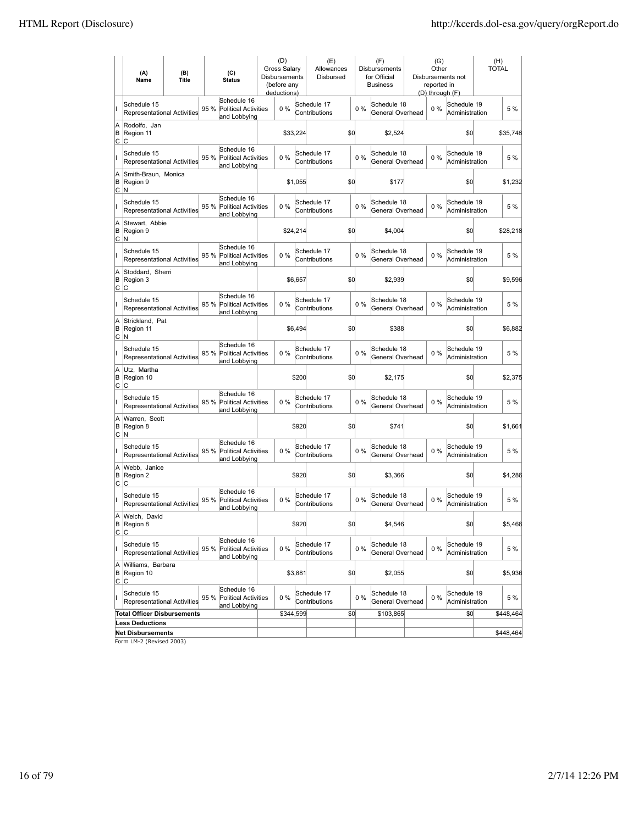|                        | (A)<br>Name                                       | (B)<br>(C)<br>Title<br><b>Status</b> |                                                                    | (D)<br><b>Gross Salary</b><br><b>Disbursements</b><br>(before any<br>deductions) |          | (E)<br>Allowances<br>Disbursed |     |       | (F)<br>Disbursements<br>for Official<br><b>Business</b> | (G)<br>Other<br>reported in<br>(D) through (F) | Disbursements not             | (H)<br><b>TOTAL</b> |
|------------------------|---------------------------------------------------|--------------------------------------|--------------------------------------------------------------------|----------------------------------------------------------------------------------|----------|--------------------------------|-----|-------|---------------------------------------------------------|------------------------------------------------|-------------------------------|---------------------|
|                        | Schedule 15<br><b>Representational Activities</b> |                                      | Schedule 16<br>95 %<br><b>Political Activities</b><br>and Lobbying | 0%                                                                               |          | Schedule 17<br>Contributions   |     | 0%    | Schedule 18<br>General Overhead                         | 0%                                             | Schedule 19<br>Administration | 5 %                 |
| A<br>B<br>C            | Rodolfo, Jan<br>Region 11<br>IС                   |                                      |                                                                    |                                                                                  | \$33,224 |                                | \$0 |       | \$2,524                                                 |                                                | \$0                           | \$35,748            |
|                        | Schedule 15<br><b>Representational Activities</b> |                                      | Schedule 16<br>95 %<br><b>Political Activities</b><br>and Lobbying | 0%                                                                               |          | Schedule 17<br>Contributions   |     | 0%    | Schedule 18<br>General Overhead                         | 0%                                             | Schedule 19<br>Administration | 5 %                 |
| A<br>B<br>C            | Smith-Braun, Monica<br>Region 9<br>N              |                                      |                                                                    |                                                                                  | \$1,055  |                                | \$0 |       | \$177                                                   |                                                | \$0                           | \$1,232             |
|                        | Schedule 15<br><b>Representational Activities</b> |                                      | Schedule 16<br>95 % Political Activities<br>and Lobbying           | 0%                                                                               |          | Schedule 17<br>Contributions   |     | $0\%$ | Schedule 18<br>General Overhead                         | $0\%$                                          | Schedule 19<br>Administration | 5 %                 |
| A<br>B                 | Stewart, Abbie<br>Region 9<br>∣C ∣N               |                                      |                                                                    |                                                                                  | \$24,214 |                                | \$0 |       | \$4,004                                                 |                                                | \$0                           | \$28,218            |
| II                     | Schedule 15<br><b>Representational Activities</b> |                                      | Schedule 16<br>95 % Political Activities<br>and Lobbying           | 0%                                                                               |          | Schedule 17<br>Contributions   |     | $0\%$ | Schedule 18<br>General Overhead                         | $0\%$                                          | Schedule 19<br>Administration | 5 %                 |
| A<br>B<br>C            | Stoddard, Sherri<br>Region 3<br> c                |                                      |                                                                    |                                                                                  | \$6,657  |                                | \$d |       | \$2,939                                                 |                                                | \$d                           | \$9.596             |
| Iı                     | Schedule 15<br><b>Representational Activities</b> |                                      | Schedule 16<br>95 % Political Activities<br>and Lobbying           | 0%                                                                               |          | Schedule 17<br>Contributions   |     | $0\%$ | Schedule 18<br>General Overhead                         | $0\%$                                          | Schedule 19<br>Administration | 5 %                 |
| Ā<br>B<br>C            | Strickland, Pat<br>Region 11<br>M                 |                                      |                                                                    |                                                                                  | \$6,494  |                                | \$0 |       | \$388                                                   |                                                | \$d                           | \$6,882             |
| lı                     | Schedule 15<br><b>Representational Activities</b> |                                      | Schedule 16<br>95 %<br><b>Political Activities</b><br>and Lobbying | 0%                                                                               |          | Schedule 17<br>Contributions   |     | $0\%$ | Schedule 18<br>General Overhead                         | $0\%$                                          | Schedule 19<br>Administration | 5 %                 |
| A<br>B                 | Utz, Martha<br>Region 10<br> C C                  |                                      |                                                                    |                                                                                  | \$200    |                                | \$d |       | \$2,175                                                 |                                                | \$d                           | \$2,375             |
|                        | Schedule 15<br><b>Representational Activities</b> |                                      | Schedule 16<br>95 %<br><b>Political Activities</b><br>and Lobbying | 0%                                                                               |          | Schedule 17<br>Contributions   |     | $0\%$ | Schedule 18<br>General Overhead                         | $0\%$                                          | Schedule 19<br>Administration | 5 %                 |
| A<br>B<br>C            | Warren, Scott<br>Region 8<br>M                    |                                      |                                                                    |                                                                                  | \$920    |                                | \$d |       | \$741                                                   |                                                | \$d                           | \$1,661             |
|                        | Schedule 15<br><b>Representational Activities</b> |                                      | Schedule 16<br>95 %<br><b>Political Activities</b><br>and Lobbying | 0%                                                                               |          | Schedule 17<br>Contributions   |     | $0\%$ | Schedule 18<br>General Overhead                         | $0\%$                                          | Schedule 19<br>Administration | 5 %                 |
| A<br>B<br>Iс           | Webb, Janice<br>Region 2<br>Iс                    |                                      |                                                                    |                                                                                  | \$920    |                                | \$d |       | \$3,366                                                 |                                                | \$d                           | \$4.286             |
|                        | Schedule 15<br><b>Representational Activities</b> |                                      | Schedule 16<br>95 %<br><b>Political Activities</b><br>and Lobbying | 0%                                                                               |          | Schedule 17<br>Contributions   |     | $0\%$ | Schedule 18<br>General Overhead                         | $0\%$                                          | Schedule 19<br>Administration | 5 %                 |
| A<br>B                 | Welch, David<br>Region 8<br>C C                   |                                      |                                                                    |                                                                                  | \$920    |                                | \$q |       | \$4,546                                                 |                                                | \$d                           | \$5,466             |
| II                     | Schedule 15<br><b>Representational Activities</b> |                                      | Schedule 16<br>95 % Political Activities<br>and Lobbying           | $0\%$                                                                            |          | Schedule 17<br>Contributions   |     | $0\%$ | Schedule 18<br>General Overhead                         | $0\%$                                          | Schedule 19<br>Administration | 5 %                 |
| A<br>B<br>$\mathsf{C}$ | Williams, Barbara<br>Region 10<br> C              |                                      |                                                                    |                                                                                  | \$3,881  |                                | \$d |       | \$2,055                                                 |                                                | \$d                           | \$5,936             |
| II                     | Schedule 15<br>Representational Activities        |                                      | Schedule 16<br>95 %<br><b>Political Activities</b><br>and Lobbying | 0%                                                                               |          | Schedule 17<br>Contributions   |     | $0\%$ | Schedule 18<br>General Overhead                         | $0\%$                                          | Schedule 19<br>Administration | 5 %                 |
|                        | <b>Total Officer Disbursements</b>                |                                      |                                                                    | \$344,599                                                                        |          |                                | \$0 |       | \$103,865                                               |                                                | \$0                           | \$448,464           |
|                        | <b>Less Deductions</b>                            |                                      |                                                                    |                                                                                  |          |                                |     |       |                                                         |                                                |                               |                     |
|                        | <b>Net Disbursements</b>                          |                                      |                                                                    |                                                                                  |          |                                |     |       |                                                         |                                                |                               | \$448,464           |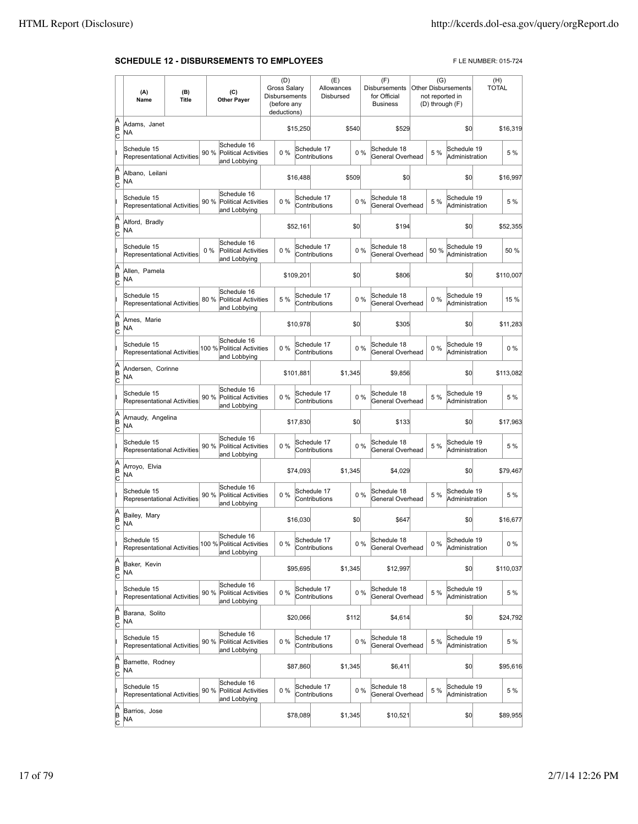#### **SCHEDULE 12 - DISBURSEMENTS TO EMPLOYEES** FLE NUMBER: 015-724

|                          | (A)<br>Name                                       | (B)<br><b>Title</b> | (C)<br><b>Other Payer</b>                                           | (D)<br><b>Gross Salary</b><br>Disbursements<br>(before any<br>deductions) |           | (E)<br>Allowances<br>Disbursed |         |       | (F)<br><b>Disbursements</b><br>for Official<br><b>Business</b> | (G)<br><b>Other Disbursements</b><br>not reported in<br>(D) through (F) |                               | (H)<br><b>TOTAL</b> |           |
|--------------------------|---------------------------------------------------|---------------------|---------------------------------------------------------------------|---------------------------------------------------------------------------|-----------|--------------------------------|---------|-------|----------------------------------------------------------------|-------------------------------------------------------------------------|-------------------------------|---------------------|-----------|
| A<br>B<br>c              | Adams, Janet<br>NA                                |                     |                                                                     |                                                                           | \$15,250  |                                | \$540   |       | \$529                                                          |                                                                         | \$0                           |                     | \$16,319  |
|                          | Schedule 15<br>Representational Activities        |                     | Schedule 16<br>90 %<br>Political Activities<br>and Lobbying         | 0%                                                                        |           | Schedule 17<br>Contributions   |         | 0%    | Schedule 18<br>General Overhead                                | 5 %                                                                     | Schedule 19<br>Administration |                     | 5 %       |
| A<br>B<br>c              | Albano, Leilani<br><b>NA</b>                      |                     |                                                                     |                                                                           | \$16,488  |                                | \$509   |       | \$0                                                            |                                                                         | \$0                           |                     | \$16,997  |
|                          | Schedule 15<br>Representational Activities        |                     | Schedule 16<br>90 %<br><b>Political Activities</b><br>and Lobbying  | 0%                                                                        |           | Schedule 17<br>Contributions   |         | 0%    | Schedule 18<br>General Overhead                                | 5 %                                                                     | Schedule 19<br>Administration |                     | 5 %       |
| A<br>B<br>C              | Alford, Bradly<br>NA                              |                     |                                                                     |                                                                           | \$52,161  |                                | \$0     |       | \$194                                                          |                                                                         | \$0                           |                     | \$52,355  |
|                          | Schedule 15<br><b>Representational Activities</b> |                     | Schedule 16<br>$0\%$<br><b>Political Activities</b><br>and Lobbying | 0%                                                                        |           | Schedule 17<br>Contributions   |         | 0%    | Schedule 18<br>General Overhead                                | 50 %                                                                    | Schedule 19<br>Administration |                     | 50 %      |
| A<br>B<br>c              | Allen, Pamela<br>NA                               |                     |                                                                     |                                                                           | \$109,201 |                                | \$0     |       | \$806                                                          |                                                                         | \$0                           |                     | \$110,007 |
|                          | Schedule 15<br>Representational Activities        |                     | Schedule 16<br>80 %<br>Political Activities<br>and Lobbying         | 5 %                                                                       |           | Schedule 17<br>Contributions   |         | 0%    | Schedule 18<br>General Overhead                                | $0\%$                                                                   | Schedule 19<br>Administration |                     | 15 %      |
| A<br>B<br>c              | Ames, Marie<br>NA                                 |                     |                                                                     |                                                                           | \$10,978  |                                | \$0     |       | \$305                                                          |                                                                         | \$0                           |                     | \$11,283  |
|                          | Schedule 15<br>Representational Activities        |                     | Schedule 16<br>100 % Political Activities<br>and Lobbying           | 0%                                                                        |           | Schedule 17<br>Contributions   |         | 0%    | Schedule 18<br>General Overhead                                | 0%                                                                      | Schedule 19<br>Administration |                     | 0%        |
| A<br>B<br>c              | Andersen, Corinne<br>NA                           |                     |                                                                     |                                                                           | \$101,881 |                                | \$1,345 |       | \$9,856                                                        |                                                                         | \$0                           |                     | \$113,082 |
|                          | Schedule 15<br>Representational Activities        |                     | Schedule 16<br>90 %<br>Political Activities<br>and Lobbying         | 0%                                                                        |           | Schedule 17<br>Contributions   |         | 0%    | Schedule 18<br>General Overhead                                | 5 %                                                                     | Schedule 19<br>Administration |                     | 5 %       |
| A<br>B<br>c              | Arnaudy, Angelina<br>NA                           |                     |                                                                     |                                                                           | \$17,830  |                                | \$0     |       | \$133                                                          |                                                                         | \$0                           |                     | \$17,963  |
|                          | Schedule 15<br>Representational Activities        |                     | Schedule 16<br>90 %<br>Political Activities<br>and Lobbying         | 0%                                                                        |           | Schedule 17<br>Contributions   |         | 0%    | Schedule 18<br>General Overhead                                | 5 %                                                                     | Schedule 19<br>Administration |                     | 5 %       |
| A<br>B<br>c              | Arroyo, Elvia<br>NA                               |                     |                                                                     |                                                                           | \$74,093  |                                | \$1,345 |       | \$4,029                                                        |                                                                         | \$0                           |                     | \$79,467  |
|                          | Schedule 15<br>Representational Activities        |                     | Schedule 16<br>90 %<br><b>Political Activities</b><br>and Lobbying  | 0%                                                                        |           | Schedule 17<br>Contributions   |         | 0%    | Schedule 18<br>General Overhead                                | 5 %                                                                     | Schedule 19<br>Administration |                     | 5 %       |
| A<br>B<br>C              | Bailey, Mary<br>NA                                |                     |                                                                     |                                                                           | \$16,030  |                                | \$0     |       | \$647                                                          |                                                                         | \$0                           |                     | \$16,677  |
|                          | Schedule 15<br>Representational Activities        |                     | Schedule 16<br>100 % Political Activities<br>and Lobbying           | 0%                                                                        |           | Schedule 17<br>Contributions   |         | 0%    | Schedule 18<br>General Overhead                                | 0 %                                                                     | Schedule 19<br>Administration |                     | $0\%$     |
| A<br>B<br>C              | Baker, Kevin<br>NA                                |                     |                                                                     |                                                                           | \$95,695  |                                | \$1,345 |       | \$12,997                                                       |                                                                         | \$0                           |                     | \$110,037 |
|                          | Schedule 15<br><b>Representational Activities</b> |                     | Schedule 16<br>90 %<br><b>Political Activities</b><br>and Lobbying  | 0%                                                                        |           | Schedule 17<br>Contributions   |         | 0%    | Schedule 18<br>General Overhead                                | 5 %                                                                     | Schedule 19<br>Administration |                     | 5 %       |
| A<br>B<br>$\overline{c}$ | Barana, Solito<br>NA.                             |                     |                                                                     |                                                                           | \$20,066  |                                | \$112   |       | \$4,614                                                        |                                                                         | \$0                           |                     | \$24,792  |
|                          | Schedule 15<br>Representational Activities        |                     | Schedule 16<br>90 %<br>Political Activities<br>and Lobbying         | 0%                                                                        |           | Schedule 17<br>Contributions   |         | $0\%$ | Schedule 18<br>General Overhead                                | 5 %                                                                     | Schedule 19<br>Administration |                     | 5 %       |
| A<br>B<br>C              | Barnette, Rodney<br>NA                            |                     |                                                                     |                                                                           | \$87,860  |                                | \$1,345 |       | \$6,411                                                        |                                                                         | \$O                           |                     | \$95,616  |
|                          | Schedule 15<br>Representational Activities        |                     | Schedule 16<br>90 %<br><b>Political Activities</b><br>and Lobbying  | 0%                                                                        |           | Schedule 17<br>Contributions   |         | 0%    | Schedule 18<br>General Overhead                                | 5 %                                                                     | Schedule 19<br>Administration |                     | 5 %       |
| A<br>B<br>C              | Barrios, Jose<br>NA                               |                     |                                                                     |                                                                           | \$78,089  |                                | \$1,345 |       | \$10,521                                                       |                                                                         | \$0                           |                     | \$89,955  |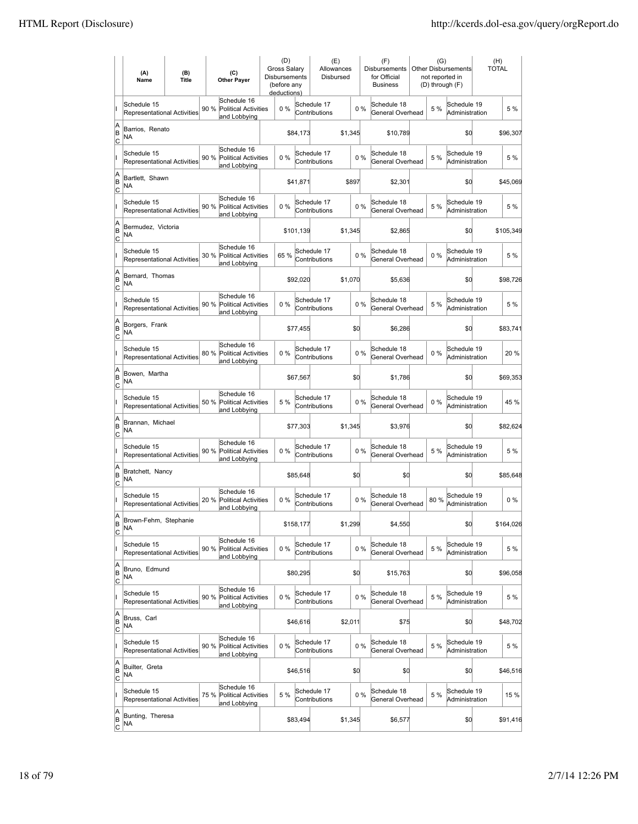|                           | (A)<br>Name                                       | (B)<br><b>Title</b> | (C)<br><b>Other Payer</b>                                          | (D)<br>Gross Salary<br>Disbursements<br>(before any<br>deductions) |           | (E)<br>Allowances<br>Disbursed |         |       | (F)<br>Disbursements<br>for Official<br><b>Business</b> | (G)   | <b>Other Disbursements</b><br>not reported in<br>(D) through (F) | (H)<br><b>TOTAL</b> |           |
|---------------------------|---------------------------------------------------|---------------------|--------------------------------------------------------------------|--------------------------------------------------------------------|-----------|--------------------------------|---------|-------|---------------------------------------------------------|-------|------------------------------------------------------------------|---------------------|-----------|
|                           | Schedule 15<br><b>Representational Activities</b> |                     | Schedule 16<br>90 %<br><b>Political Activities</b><br>and Lobbying | 0%                                                                 |           | Schedule 17<br>Contributions   |         | $0\%$ | Schedule 18<br>General Overhead                         | 5 %   | Schedule 19<br>Administration                                    |                     | 5 %       |
| A<br>ΙB<br> c             | Barrios, Renato<br>NA                             |                     |                                                                    |                                                                    | \$84,173  |                                | \$1,345 |       | \$10,789                                                |       | \$0                                                              |                     | \$96,307  |
|                           | Schedule 15<br><b>Representational Activities</b> |                     | Schedule 16<br>90 %<br><b>Political Activities</b><br>and Lobbying | 0%                                                                 |           | Schedule 17<br>Contributions   |         | 0%    | Schedule 18<br>General Overhead                         | 5 %   | Schedule 19<br>Administration                                    |                     | 5 %       |
| A<br>B<br>C               | Bartlett, Shawn<br>ΝA                             |                     |                                                                    |                                                                    | \$41,871  |                                | \$897   |       | \$2,301                                                 |       | \$0                                                              |                     | \$45,069  |
|                           | Schedule 15<br>Representational Activities        |                     | Schedule 16<br>90 %<br><b>Political Activities</b><br>and Lobbying | 0%                                                                 |           | Schedule 17<br>Contributions   |         | 0%    | Schedule 18<br>General Overhead                         | 5 %   | Schedule 19<br>Administration                                    |                     | 5 %       |
| A<br>B<br> c              | Bermudez, Victoria<br>NA                          |                     |                                                                    |                                                                    | \$101,139 |                                | \$1,345 |       | \$2,865                                                 |       | \$0                                                              |                     | \$105,349 |
|                           | Schedule 15<br><b>Representational Activities</b> |                     | Schedule 16<br>30 %<br><b>Political Activities</b><br>and Lobbying | 65%                                                                |           | Schedule 17<br>Contributions   |         | 0%    | Schedule 18<br>General Overhead                         | $0\%$ | Schedule 19<br>Administration                                    |                     | 5 %       |
| A<br>ΙB<br> c             | Bernard. Thomas<br>NA                             |                     |                                                                    |                                                                    | \$92,020  |                                | \$1.070 |       | \$5,636                                                 |       | \$0                                                              |                     | \$98,726  |
|                           | Schedule 15<br><b>Representational Activities</b> |                     | Schedule 16<br>90 % Political Activities<br>and Lobbying           | $0\%$                                                              |           | Schedule 17<br>Contributions   |         | 0%    | Schedule 18<br>General Overhead                         | 5 %   | Schedule 19<br>Administration                                    |                     | 5 %       |
| A<br>B<br>C               | Borgers, Frank<br>ΝA                              |                     |                                                                    |                                                                    | \$77,455  |                                | \$Q     |       | \$6,286                                                 |       | \$0                                                              |                     | \$83,741  |
|                           | Schedule 15<br>Representational Activities        |                     | Schedule 16<br>80 %<br><b>Political Activities</b><br>and Lobbying | 0%                                                                 |           | Schedule 17<br>Contributions   |         | 0%    | Schedule 18<br>General Overhead                         | $0\%$ | Schedule 19<br>Administration                                    |                     | 20 %      |
| A<br>B<br>C               | Bowen, Martha<br>NA                               |                     |                                                                    |                                                                    | \$67,567  |                                | \$d     |       | \$1,786                                                 |       | \$0                                                              |                     | \$69,353  |
|                           | Schedule 15<br>Representational Activities        |                     | Schedule 16<br>50 %<br><b>Political Activities</b><br>and Lobbying | 5 %                                                                |           | Schedule 17<br>Contributions   |         | 0%    | Schedule 18<br>General Overhead                         | $0\%$ | Schedule 19<br>Administration                                    |                     | 45 %      |
| A<br>B<br>Iс              | Brannan, Michael<br>NA                            |                     |                                                                    |                                                                    | \$77,303  |                                | \$1,345 |       | \$3,976                                                 |       | \$d                                                              |                     | \$82,624  |
|                           | Schedule 15<br><b>Representational Activities</b> |                     | Schedule 16<br>90 %<br><b>Political Activities</b><br>and Lobbying | 0%                                                                 |           | Schedule 17<br>Contributions   |         | 0%    | Schedule 18<br>General Overhead                         | 5 %   | Schedule 19<br>Administration                                    |                     | 5 %       |
| A<br>B<br>C               | Bratchett, Nancy<br>ΝA                            |                     |                                                                    |                                                                    | \$85,648  |                                | \$Q     |       | \$0                                                     |       | \$0                                                              |                     | \$85,648  |
|                           | Schedule 15<br>Representational Activities        |                     | Schedule 16<br>20 %<br><b>Political Activities</b><br>and Lobbying | 0%                                                                 |           | Schedule 17<br>Contributions   |         | 0%    | Schedule 18<br>General Overhead                         | 80%   | Schedule 19<br>Administration                                    |                     | $0\%$     |
| A<br>ΙB<br>$\overline{c}$ | Brown-Fehm, Stephanie<br>ΝA                       |                     |                                                                    |                                                                    | \$158,177 |                                | \$1,299 |       | \$4,550                                                 |       | \$0                                                              |                     | \$164,026 |
|                           | Schedule 15<br>Representational Activities        |                     | Schedule 16<br>90 %<br><b>Political Activities</b><br>and Lobbying | 0%                                                                 |           | Schedule 17<br>Contributions   |         | $0\%$ | Schedule 18<br>General Overhead                         | 5 %   | Schedule 19<br>Administration                                    |                     | 5 %       |
| A<br>B<br>$\overline{c}$  | Bruno, Edmund<br>NA                               |                     |                                                                    |                                                                    | \$80,295  |                                | \$d     |       | \$15,763                                                |       | \$0                                                              |                     | \$96,058  |
|                           | Schedule 15<br><b>Representational Activities</b> |                     | Schedule 16<br>90 % Political Activities<br>and Lobbying           | $0\%$                                                              |           | Schedule 17<br>Contributions   |         | $0\%$ | Schedule 18<br>General Overhead                         | 5 %   | Schedule 19<br>Administration                                    |                     | 5 %       |
| A<br>B<br>$\mathsf{C}$    | Bruss, Carl<br>NA                                 |                     |                                                                    |                                                                    | \$46,616  |                                | \$2,011 |       | \$75                                                    |       | \$0                                                              |                     | \$48,702  |
|                           | Schedule 15<br>Representational Activities        |                     | Schedule 16<br>90 %<br><b>Political Activities</b><br>and Lobbying | 0%                                                                 |           | Schedule 17<br>Contributions   |         | $0\%$ | Schedule 18<br>General Overhead                         | 5 %   | Schedule 19<br>Administration                                    |                     | 5 %       |
| A<br>B<br>C               | Builter, Greta<br>NA                              |                     |                                                                    |                                                                    | \$46,516  |                                | \$0     |       | \$0                                                     |       | \$0                                                              |                     | \$46,516  |
|                           | Schedule 15<br>Representational Activities        |                     | Schedule 16<br>75 %<br><b>Political Activities</b><br>and Lobbying | 5 %                                                                |           | Schedule 17<br>Contributions   |         | 0%    | Schedule 18<br>General Overhead                         | 5 %   | Schedule 19<br>Administration                                    |                     | 15 %      |
| A<br>B<br>$\overline{c}$  | Bunting, Theresa<br>NA                            |                     |                                                                    |                                                                    | \$83,494  |                                | \$1,345 |       | \$6,577                                                 |       | \$0                                                              |                     | \$91,416  |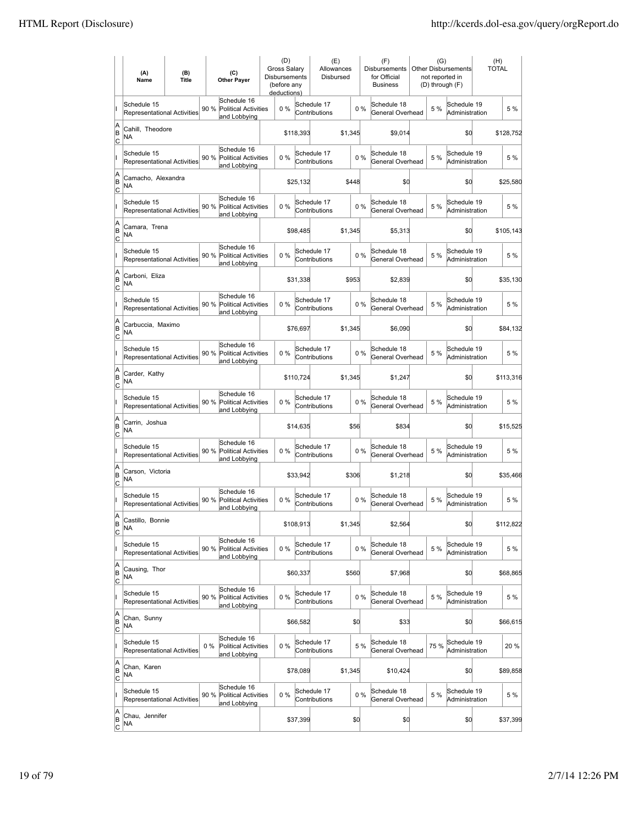|                          | (A)<br>Name                                       | (B)<br><b>Title</b> |       | (C)<br><b>Other Paver</b>                                  | Gross Salarv<br>Disbursements<br>(before any<br>deductions) | (D)   |           | (E)<br>Allowances<br>Disbursed |         |       | (F)<br><b>Disbursements</b><br>for Official<br><b>Business</b> | (G)  | Other Disbursements<br>not reported in<br>(D) through (F) | (H)<br><b>TOTAL</b> |           |
|--------------------------|---------------------------------------------------|---------------------|-------|------------------------------------------------------------|-------------------------------------------------------------|-------|-----------|--------------------------------|---------|-------|----------------------------------------------------------------|------|-----------------------------------------------------------|---------------------|-----------|
|                          | Schedule 15<br>Representational Activities        |                     | 90 %  | Schedule 16<br>Political Activities<br>and Lobbying        |                                                             | 0%    |           | Schedule 17<br>Contributions   |         | $0\%$ | Schedule 18<br>General Overhead                                | 5 %  | Schedule 19<br>Administration                             |                     | 5 %       |
| A<br>B<br>lc             | Cahill, Theodore<br>ΝA                            |                     |       |                                                            |                                                             |       | \$118,393 |                                | \$1,345 |       | \$9,014                                                        |      | \$d                                                       |                     | \$128,752 |
|                          | Schedule 15<br>Representational Activities        |                     | 90 %  | Schedule 16<br>Political Activities<br>and Lobbying        |                                                             | 0%    |           | Schedule 17<br>Contributions   |         | 0%    | Schedule 18<br>General Overhead                                | 5 %  | Schedule 19<br>Administration                             |                     | 5 %       |
| A<br>B<br>C              | Camacho, Alexandra<br>NA                          |                     |       |                                                            |                                                             |       | \$25,132  |                                | \$448   |       | \$0                                                            |      | \$d                                                       |                     | \$25,580  |
|                          | Schedule 15<br>Representational Activities        |                     | 90 %  | Schedule 16<br><b>Political Activities</b><br>and Lobbying |                                                             | 0%    |           | Schedule 17<br>Contributions   |         | 0%    | Schedule 18<br>General Overhead                                | 5 %  | Schedule 19<br>Administration                             |                     | 5 %       |
| A<br>B<br>C              | Camara, Trena<br>NA                               |                     |       |                                                            |                                                             |       | \$98,485  |                                | \$1,345 |       | \$5,313                                                        |      | \$0                                                       |                     | \$105,143 |
|                          | Schedule 15<br>Representational Activities        |                     | 90 %  | Schedule 16<br><b>Political Activities</b><br>and Lobbying |                                                             | $0\%$ |           | Schedule 17<br>Contributions   |         | 0%    | Schedule 18<br>General Overhead                                | 5 %  | Schedule 19<br>Administration                             |                     | 5 %       |
| A<br>B<br>lc             | Carboni, Eliza<br>NA                              |                     |       |                                                            |                                                             |       | \$31,338  |                                | \$953   |       | \$2,839                                                        |      | \$O                                                       |                     | \$35,130  |
|                          | Schedule 15<br>Representational Activities        |                     | 90 %  | Schedule 16<br>Political Activities<br>and Lobbying        |                                                             | 0%    |           | Schedule 17<br>Contributions   |         | 0%    | Schedule 18<br>General Overhead                                | 5 %  | Schedule 19<br>Administration                             |                     | 5 %       |
| A<br>B<br>C              | Carbuccia, Maximo<br>ΝA                           |                     |       |                                                            |                                                             |       | \$76,697  |                                | \$1,345 |       | \$6,090                                                        |      | \$0                                                       |                     | \$84,132  |
|                          | Schedule 15<br>Representational Activities        |                     |       | Schedule 16<br>90 % Political Activities<br>and Lobbying   |                                                             | 0%    |           | Schedule 17<br>Contributions   |         | 0%    | Schedule 18<br>General Overhead                                | 5 %  | Schedule 19<br>Administration                             |                     | 5 %       |
| A<br>B<br>C              | Carder, Kathy<br>NA                               |                     |       |                                                            |                                                             |       | \$110,724 |                                | \$1,345 |       | \$1,247                                                        |      | \$0                                                       |                     | \$113,316 |
|                          | Schedule 15<br><b>Representational Activities</b> |                     | 90 %  | Schedule 16<br><b>Political Activities</b><br>and Lobbying |                                                             | $0\%$ |           | Schedule 17<br>Contributions   |         | 0%    | Schedule 18<br>General Overhead                                | 5 %  | Schedule 19<br>Administration                             |                     | 5 %       |
| A<br>B<br> c             | Carrin, Joshua<br>NA                              |                     |       |                                                            |                                                             |       | \$14,635  |                                | \$56    |       | \$834                                                          |      | \$d                                                       |                     | \$15,525  |
|                          | Schedule 15<br>Representational Activities        |                     | 90 %  | Schedule 16<br><b>Political Activities</b><br>and Lobbying |                                                             | 0%    |           | Schedule 17<br>Contributions   |         | 0%    | Schedule 18<br>General Overhead                                | 5 %  | Schedule 19<br>Administration                             |                     | 5 %       |
| A<br>B<br> c             | Carson. Victoria<br><b>NA</b>                     |                     |       |                                                            |                                                             |       | \$33,942  |                                | \$306   |       | \$1,218                                                        |      | \$d                                                       |                     | \$35,466  |
|                          | Schedule 15<br>Representational Activities        |                     | 90 %  | Schedule 16<br><b>Political Activities</b><br>and Lobbying |                                                             | 0%    |           | Schedule 17<br>Contributions   |         | 0%    | Schedule 18<br>General Overhead                                | 5 %  | Schedule 19<br>Administration                             |                     | 5 %       |
| A<br> B<br>C             | Castillo, Bonnie<br>ΝA                            |                     |       |                                                            |                                                             |       | \$108,913 |                                | \$1,345 |       | \$2,564                                                        |      | \$d                                                       |                     | \$112,822 |
|                          | Schedule 15<br>Representational Activities        |                     | 90 %  | Schedule 16<br><b>Political Activities</b><br>and Lobbying |                                                             | 0%    |           | Schedule 17<br>Contributions   |         | $0\%$ | Schedule 18<br>General Overhead                                | 5 %  | Schedule 19<br>Administration                             |                     | 5 %       |
| A<br>B<br>$\overline{c}$ | Causing, Thor<br>NA                               |                     |       |                                                            |                                                             |       | \$60,337  |                                | \$560   |       | \$7,968                                                        |      | \$d                                                       |                     | \$68,865  |
|                          | Schedule 15<br>Representational Activities        |                     | 90 %  | Schedule 16<br><b>Political Activities</b><br>and Lobbying |                                                             | 0%    |           | Schedule 17<br>Contributions   |         | $0\%$ | Schedule 18<br>General Overhead                                | 5 %  | Schedule 19<br>Administration                             |                     | 5 %       |
| A<br> B<br>$\mathsf{C}$  | Chan, Sunny<br>NA                                 |                     |       |                                                            |                                                             |       | \$66,582  |                                | \$0     |       | \$33                                                           |      | \$0                                                       |                     | \$66,615  |
|                          | Schedule 15<br>Representational Activities        |                     | $0\%$ | Schedule 16<br><b>Political Activities</b><br>and Lobbying |                                                             | 0%    |           | Schedule 17<br>Contributions   |         | 5 %   | Schedule 18<br>General Overhead                                | 75 % | Schedule 19<br>Administration                             |                     | 20 %      |
| A<br>B<br>C              | Chan, Karen<br>NA                                 |                     |       |                                                            |                                                             |       | \$78,089  |                                | \$1,345 |       | \$10,424                                                       |      | \$d                                                       |                     | \$89,858  |
|                          | Schedule 15<br>Representational Activities        |                     | 90 %  | Schedule 16<br>Political Activities<br>and Lobbying        |                                                             | 0%    |           | Schedule 17<br>Contributions   |         | $0\%$ | Schedule 18<br>General Overhead                                | 5 %  | Schedule 19<br>Administration                             |                     | 5 %       |
| A<br>B<br>$\overline{c}$ | Chau, Jennifer<br>NA                              |                     |       |                                                            |                                                             |       | \$37,399  |                                | \$0     |       | \$0                                                            |      | \$0                                                       |                     | \$37,399  |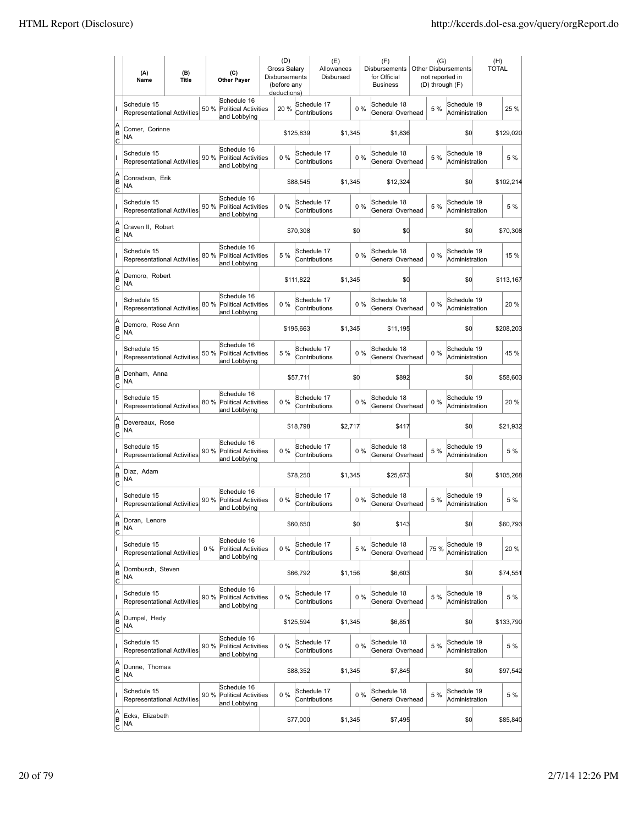|                          | (A)<br>Name                                       | (B)<br><b>Title</b> | (C)<br><b>Other Payer</b>                                          | (D)<br>Gross Salary<br>Disbursements<br>(before any<br>deductions) |           | (E)<br>Allowances<br>Disbursed |         |       | (F)<br>Disbursements<br>for Official<br><b>Business</b> | (G)<br>not reported in | <b>Other Disbursements</b><br>(D) through (F) | (H)<br>TOTAL |           |
|--------------------------|---------------------------------------------------|---------------------|--------------------------------------------------------------------|--------------------------------------------------------------------|-----------|--------------------------------|---------|-------|---------------------------------------------------------|------------------------|-----------------------------------------------|--------------|-----------|
|                          | Schedule 15<br><b>Representational Activities</b> |                     | Schedule 16<br>50 %<br><b>Political Activities</b><br>and Lobbying | 20 %                                                               |           | Schedule 17<br>Contributions   |         | 0%    | Schedule 18<br>General Overhead                         | 5 %                    | Schedule 19<br>Administration                 |              | 25 %      |
| A<br>B<br> c             | Comer, Corinne<br>NA                              |                     |                                                                    |                                                                    | \$125,839 |                                | \$1,345 |       | \$1,836                                                 |                        | \$0                                           |              | \$129,020 |
|                          | Schedule 15<br><b>Representational Activities</b> |                     | Schedule 16<br>90 %<br><b>Political Activities</b><br>and Lobbying | 0%                                                                 |           | Schedule 17<br>Contributions   |         | 0%    | Schedule 18<br>General Overhead                         | 5 %                    | Schedule 19<br>Administration                 |              | 5 %       |
| A<br>B<br>C              | Conradson, Erik<br>NA                             |                     |                                                                    |                                                                    | \$88,545  |                                | \$1,345 |       | \$12,324                                                |                        | \$0                                           |              | \$102,214 |
|                          | Schedule 15<br>Representational Activities        |                     | Schedule 16<br>90 %<br><b>Political Activities</b><br>and Lobbying | 0%                                                                 |           | Schedule 17<br>Contributions   |         | 0%    | Schedule 18<br>General Overhead                         | 5 %                    | Schedule 19<br>Administration                 |              | 5 %       |
| A<br>B<br> c             | Craven II, Robert<br>NA                           |                     |                                                                    |                                                                    | \$70,308  |                                | \$d     |       | \$0                                                     |                        | \$0                                           |              | \$70,308  |
|                          | Schedule 15<br><b>Representational Activities</b> |                     | Schedule 16<br>80 %<br>Political Activities<br>and Lobbying        | 5 %                                                                |           | Schedule 17<br>Contributions   |         | 0%    | Schedule 18<br>General Overhead                         | $0\%$                  | Schedule 19<br>Administration                 |              | 15 %      |
| A<br>B<br>lc             | Demoro, Robert<br>ΝA                              |                     |                                                                    |                                                                    | \$111,822 |                                | \$1,345 |       | \$0                                                     |                        | \$0                                           |              | \$113,167 |
|                          | Schedule 15<br>Representational Activities        |                     | Schedule 16<br>80 % Political Activities<br>and Lobbying           | 0%                                                                 |           | Schedule 17<br>Contributions   |         | $0\%$ | Schedule 18<br>General Overhead                         | $0\%$                  | Schedule 19<br>Administration                 |              | 20%       |
| A<br>B<br>C              | Demoro, Rose Ann<br>NA                            |                     |                                                                    |                                                                    | \$195,663 |                                | \$1,345 |       | \$11,195                                                |                        | \$0                                           |              | \$208,203 |
|                          | Schedule 15<br>Representational Activities        |                     | Schedule 16<br>50 % Political Activities<br>and Lobbying           | 5 %                                                                |           | Schedule 17<br>Contributions   |         | 0%    | Schedule 18<br>General Overhead                         | $0\%$                  | Schedule 19<br>Administration                 |              | 45 %      |
| A<br>B<br>C              | Denham, Anna<br>NA                                |                     |                                                                    |                                                                    | \$57,711  |                                | \$d     |       | \$892                                                   |                        | \$0                                           |              | \$58,603  |
|                          | Schedule 15<br><b>Representational Activities</b> |                     | Schedule 16<br>80 %<br><b>Political Activities</b><br>and Lobbying | $0\%$                                                              |           | Schedule 17<br>Contributions   |         | $0\%$ | Schedule 18<br>General Overhead                         | $0\%$                  | Schedule 19<br>Administration                 |              | 20 %      |
| A<br>B<br> c             | Devereaux, Rose<br><b>NA</b>                      |                     |                                                                    |                                                                    | \$18,798  |                                | \$2,717 |       | \$417                                                   |                        | \$d                                           |              | \$21,932  |
|                          | Schedule 15<br><b>Representational Activities</b> |                     | Schedule 16<br>90 %<br><b>Political Activities</b><br>and Lobbying | 0%                                                                 |           | Schedule 17<br>Contributions   |         | $0\%$ | Schedule 18<br>General Overhead                         | 5 %                    | Schedule 19<br>Administration                 |              | 5 %       |
| A<br>B<br>C              | Diaz, Adam<br><b>NA</b>                           |                     |                                                                    |                                                                    | \$78,250  |                                | \$1,345 |       | \$25,673                                                |                        | \$0                                           |              | \$105,268 |
|                          | Schedule 15<br>Representational Activities        |                     | Schedule 16<br>90 %<br>Political Activities<br>and Lobbying        | 0%                                                                 |           | Schedule 17<br>Contributions   |         | 0%    | Schedule 18<br>General Overhead                         | 5 %                    | Schedule 19<br>Administration                 |              | 5 %       |
| A<br>B<br>C              | Doran, Lenore<br><b>NA</b>                        |                     |                                                                    |                                                                    | \$60,650  |                                | \$d     |       | \$143                                                   |                        | \$0                                           |              | \$60,793  |
|                          | Schedule 15<br>Representational Activities        |                     | Schedule 16<br>$0\%$<br>Political Activities<br>and Lobbying       | 0%                                                                 |           | Schedule 17<br>Contributions   |         | 5 %   | Schedule 18<br>General Overhead                         | 75 %                   | Schedule 19<br>Administration                 |              | 20 %      |
| A<br>B<br><u>lc</u>      | Dornbusch, Steven<br>NA                           |                     |                                                                    |                                                                    | \$66,792  |                                | \$1,156 |       | \$6,603                                                 |                        | \$d                                           |              | \$74,551  |
|                          | Schedule 15<br>Representational Activities        |                     | Schedule 16<br>90 %<br><b>Political Activities</b><br>and Lobbying | 0%                                                                 |           | Schedule 17<br>Contributions   |         | $0\%$ | Schedule 18<br>General Overhead                         | 5 %                    | Schedule 19<br>Administration                 |              | 5 %       |
| A<br>B<br>$\mathsf{C}$   | Dumpel, Hedy<br>NA                                |                     |                                                                    |                                                                    | \$125,594 |                                | \$1,345 |       | \$6,851                                                 |                        | \$0                                           |              | \$133,790 |
|                          | Schedule 15<br>Representational Activities        |                     | Schedule 16<br>90 % Political Activities<br>and Lobbying           | 0%                                                                 |           | Schedule 17<br>Contributions   |         | $0\%$ | Schedule 18<br>General Overhead                         | 5 %                    | Schedule 19<br>Administration                 |              | 5 %       |
| A<br>B<br> c             | Dunne, Thomas<br>NA                               |                     |                                                                    |                                                                    | \$88,352  |                                | \$1,345 |       | \$7,845                                                 |                        | \$0                                           |              | \$97,542  |
|                          | Schedule 15<br>Representational Activities        |                     | Schedule 16<br>90 %<br>Political Activities<br>and Lobbying        | 0%                                                                 |           | Schedule 17<br>Contributions   |         | 0%    | Schedule 18<br>General Overhead                         | 5 %                    | Schedule 19<br>Administration                 |              | 5 %       |
| A<br>B<br>$\overline{c}$ | Ecks, Elizabeth<br>NA                             |                     |                                                                    |                                                                    | \$77,000  |                                | \$1,345 |       | \$7,495                                                 |                        | \$0                                           |              | \$85,840  |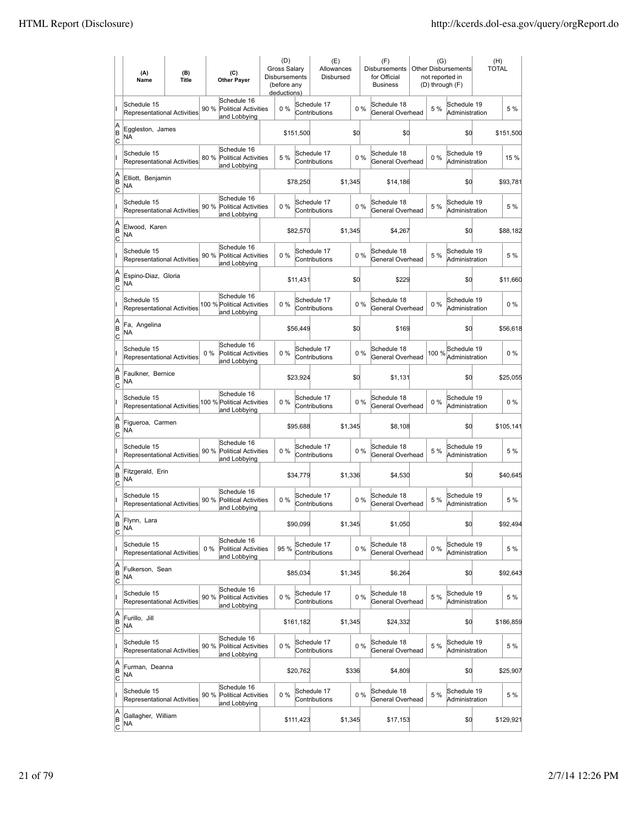|                          | (A)<br>Name                                       | (B)<br><b>Title</b> |       | (C)<br><b>Other Payer</b>                                  | (D)<br><b>Gross Salarv</b><br>Disbursements<br>(before any<br>deductions) |           | (E)<br>Allowances<br>Disbursed |         |       | (F)<br><b>Disbursements</b><br>for Official<br><b>Business</b> | (G)<br>not reported in<br>(D) through (F) | Other Disbursements           | (H)<br><b>TOTAL</b> |           |
|--------------------------|---------------------------------------------------|---------------------|-------|------------------------------------------------------------|---------------------------------------------------------------------------|-----------|--------------------------------|---------|-------|----------------------------------------------------------------|-------------------------------------------|-------------------------------|---------------------|-----------|
|                          | Schedule 15<br><b>Representational Activities</b> |                     | 90 %  | Schedule 16<br>Political Activities<br>and Lobbying        | 0 %                                                                       |           | Schedule 17<br>Contributions   |         | $0\%$ | Schedule 18<br>General Overhead                                | 5 %                                       | Schedule 19<br>Administration |                     | 5 %       |
| A<br>ΙB<br> c            | Eggleston, James<br>NA                            |                     |       |                                                            |                                                                           | \$151,500 |                                | \$d     |       | \$0                                                            |                                           | \$d                           |                     | \$151,500 |
|                          | Schedule 15<br><b>Representational Activities</b> |                     | 80 %  | Schedule 16<br>Political Activities<br>and Lobbying        | 5 %                                                                       |           | Schedule 17<br>Contributions   |         | 0%    | Schedule 18<br>General Overhead                                | $0\%$                                     | Schedule 19<br>Administration |                     | 15 %      |
| A<br>B<br>C              | Elliott, Benjamin<br>ΝA                           |                     |       |                                                            |                                                                           | \$78,250  |                                | \$1,345 |       | \$14,186                                                       |                                           | \$0                           |                     | \$93,781  |
|                          | Schedule 15<br>Representational Activities        |                     | 90 %  | Schedule 16<br><b>Political Activities</b><br>and Lobbying | 0%                                                                        |           | Schedule 17<br>Contributions   |         | 0%    | Schedule 18<br>General Overhead                                | 5 %                                       | Schedule 19<br>Administration |                     | 5 %       |
| A<br>B<br> c             | Elwood, Karen<br>NA                               |                     |       |                                                            |                                                                           | \$82,570  |                                | \$1,345 |       | \$4,267                                                        |                                           | \$0                           |                     | \$88,182  |
|                          | Schedule 15<br>Representational Activities        |                     | 90 %  | Schedule 16<br><b>Political Activities</b><br>and Lobbying | 0%                                                                        |           | Schedule 17<br>Contributions   |         | 0%    | Schedule 18<br>General Overhead                                | 5 %                                       | Schedule 19<br>Administration |                     | 5 %       |
| A<br>B<br> c             | Espino-Diaz, Gloria<br>NA                         |                     |       |                                                            |                                                                           | \$11,431  |                                | \$0     |       | \$229                                                          |                                           | \$0                           |                     | \$11,660  |
|                          | Schedule 15<br><b>Representational Activities</b> |                     |       | Schedule 16<br>100 % Political Activities<br>and Lobbying  | 0%                                                                        |           | Schedule 17<br>Contributions   |         | $0\%$ | Schedule 18<br>General Overhead                                | $0\%$                                     | Schedule 19<br>Administration |                     | $0\%$     |
| A<br>B<br>C              | Fa, Angelina<br>ΝA                                |                     |       |                                                            |                                                                           | \$56,449  |                                | \$0     |       | \$169                                                          |                                           | \$0                           |                     | \$56,618  |
|                          | Schedule 15<br>Representational Activities        |                     | $0\%$ | Schedule 16<br><b>Political Activities</b><br>and Lobbying | 0%                                                                        |           | Schedule 17<br>Contributions   |         | 0%    | Schedule 18<br>General Overhead                                | 100 %                                     | Schedule 19<br>Administration |                     | $0\%$     |
| A<br>B<br>c              | Faulkner, Bernice<br>NA                           |                     |       |                                                            |                                                                           | \$23,924  |                                | \$0     |       | \$1,131                                                        |                                           | \$0                           |                     | \$25,055  |
|                          | Schedule 15<br><b>Representational Activities</b> |                     |       | Schedule 16<br>100 % Political Activities<br>and Lobbying  | 0%                                                                        |           | Schedule 17<br>Contributions   |         | 0%    | Schedule 18<br>General Overhead                                | $0\%$                                     | Schedule 19<br>Administration |                     | $0\%$     |
| A<br>B<br>Iс             | Figueroa, Carmen<br><b>NA</b>                     |                     |       |                                                            |                                                                           | \$95,688  |                                | \$1,345 |       | \$8,108                                                        |                                           | \$d                           |                     | \$105,141 |
|                          | Schedule 15<br>Representational Activities        |                     | 90 %  | Schedule 16<br>Political Activities<br>and Lobbying        | 0%                                                                        |           | Schedule 17<br>Contributions   |         | 0%    | Schedule 18<br>General Overhead                                | 5 %                                       | Schedule 19<br>Administration |                     | 5 %       |
| A<br>B<br>C              | Fitzgerald, Erin<br>ΝA                            |                     |       |                                                            |                                                                           | \$34,779  |                                | \$1,336 |       | \$4,530                                                        |                                           | \$0                           |                     | \$40,645  |
|                          | Schedule 15<br>Representational Activities        |                     | 90 %  | Schedule 16<br><b>Political Activities</b><br>and Lobbying | 0%                                                                        |           | Schedule 17<br>Contributions   |         | 0%    | Schedule 18<br>General Overhead                                | 5 %                                       | Schedule 19<br>Administration |                     | 5 %       |
| A<br> B<br><u>lc</u>     | Flynn, Lara<br><b>NA</b>                          |                     |       |                                                            |                                                                           | \$90,099  |                                | \$1,345 |       | \$1,050                                                        |                                           | \$d                           |                     | \$92,494  |
|                          | Schedule 15<br>Representational Activities        |                     | $0\%$ | Schedule 16<br><b>Political Activities</b><br>and Lobbying | 95 %                                                                      |           | Schedule 17<br>Contributions   |         | $0\%$ | Schedule 18<br>General Overhead                                | $0\%$                                     | Schedule 19<br>Administration |                     | 5 %       |
| A<br>B<br>$\overline{c}$ | Fulkerson, Sean<br>NA                             |                     |       |                                                            |                                                                           | \$85,034  |                                | \$1,345 |       | \$6,264                                                        |                                           | \$d                           |                     | \$92,643  |
|                          | Schedule 15<br>Representational Activities        |                     |       | Schedule 16<br>90 % Political Activities<br>and Lobbying   | $0\%$                                                                     |           | Schedule 17<br>Contributions   |         | $0\%$ | Schedule 18<br>General Overhead                                | 5 %                                       | Schedule 19<br>Administration |                     | 5 %       |
| A<br>B<br>C              | Furillo, Jill<br>NA                               |                     |       |                                                            |                                                                           | \$161,182 |                                | \$1,345 |       | \$24,332                                                       |                                           | \$d                           |                     | \$186,859 |
|                          | Schedule 15<br>Representational Activities        |                     | 90 %  | Schedule 16<br><b>Political Activities</b><br>and Lobbying | 0%                                                                        |           | Schedule 17<br>Contributions   |         | 0%    | Schedule 18<br>General Overhead                                | 5 %                                       | Schedule 19<br>Administration |                     | 5 %       |
| A<br>B<br>C              | Furman, Deanna<br>NA                              |                     |       |                                                            |                                                                           | \$20,762  |                                | \$336   |       | \$4,809                                                        |                                           | \$0                           |                     | \$25,907  |
|                          | Schedule 15<br>Representational Activities        |                     | 90 %  | Schedule 16<br>Political Activities<br>and Lobbying        | 0%                                                                        |           | Schedule 17<br>Contributions   |         | 0%    | Schedule 18<br>General Overhead                                | 5 %                                       | Schedule 19<br>Administration |                     | 5 %       |
| A<br>B<br>$\overline{c}$ | Gallagher, William<br>NA                          |                     |       |                                                            |                                                                           | \$111,423 |                                | \$1,345 |       | \$17,153                                                       |                                           | \$0                           |                     | \$129,921 |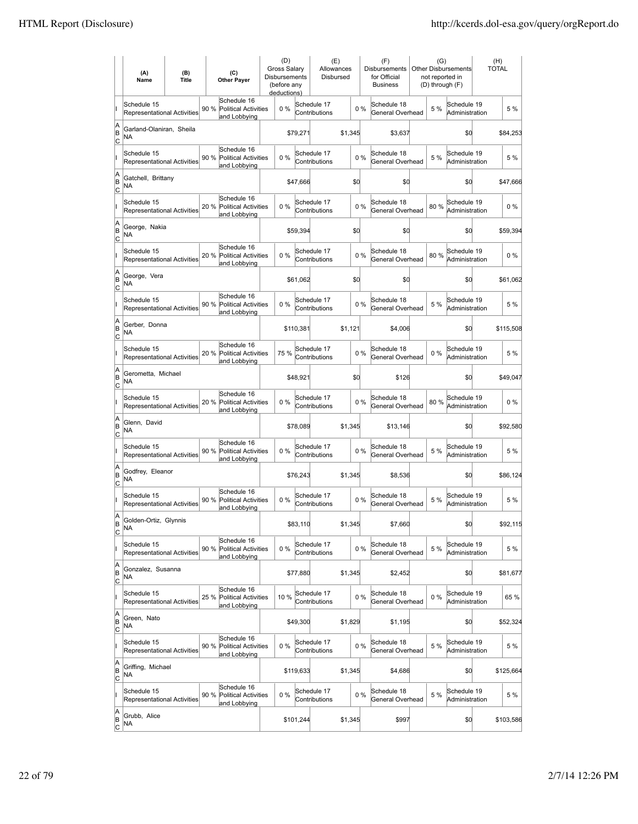|                                    | (A)<br>Name                                       | (B)<br><b>Title</b> | (C)<br><b>Other Payer</b>                                          | (D)<br><b>Gross Salarv</b><br><b>Disbursements</b><br>(before any<br>deductions) |           | (E)<br>Allowances<br>Disbursed |         |       | (F)<br><b>Disbursements</b><br>for Official<br><b>Business</b> | (G)<br>not reported in<br>(D) through (F) | <b>Other Disbursements</b>    | (H)<br><b>TOTAL</b> |
|------------------------------------|---------------------------------------------------|---------------------|--------------------------------------------------------------------|----------------------------------------------------------------------------------|-----------|--------------------------------|---------|-------|----------------------------------------------------------------|-------------------------------------------|-------------------------------|---------------------|
|                                    | Schedule 15<br>Representational Activities        |                     | Schedule 16<br>90 %<br><b>Political Activities</b><br>and Lobbying | 0%                                                                               |           | Schedule 17<br>Contributions   |         | 0%    | Schedule 18<br>General Overhead                                | 5 %                                       | Schedule 19<br>Administration | 5 %                 |
| A<br>B<br>C                        | Garland-Olaniran, Sheila<br>NA                    |                     |                                                                    |                                                                                  | \$79,271  |                                | \$1,345 |       | \$3,637                                                        |                                           | \$0                           | \$84,253            |
|                                    | Schedule 15<br>Representational Activities        |                     | Schedule 16<br>90%<br>Political Activities<br>and Lobbying         | 0%                                                                               |           | Schedule 17<br>Contributions   |         | 0%    | Schedule 18<br>General Overhead                                | 5 %                                       | Schedule 19<br>Administration | 5 %                 |
| A<br>B<br>Iс                       | Gatchell, Brittany<br>NA                          |                     |                                                                    |                                                                                  | \$47,666  |                                | \$0     |       | \$0                                                            |                                           | \$0                           | \$47,666            |
|                                    | Schedule 15<br>Representational Activities        |                     | Schedule 16<br>20%<br><b>Political Activities</b><br>and Lobbying  | 0%                                                                               |           | Schedule 17<br>Contributions   |         | 0%    | Schedule 18<br>General Overhead                                | 80%                                       | Schedule 19<br>Administration | $0\%$               |
| A<br>B<br> c                       | George, Nakia<br>ΝA                               |                     |                                                                    |                                                                                  | \$59,394  |                                | \$0     |       | \$0                                                            |                                           | \$O                           | \$59,394            |
|                                    | Schedule 15<br>Representational Activities        |                     | Schedule 16<br>20%<br>Political Activities<br>and Lobbying         | 0%                                                                               |           | Schedule 17<br>Contributions   |         | 0%    | Schedule 18<br>General Overhead                                | 80%                                       | Schedule 19<br>Administration | $0\%$               |
| A<br>B<br> c                       | George, Vera<br>NA                                |                     |                                                                    |                                                                                  | \$61,062  |                                | \$0     |       | \$0                                                            |                                           | \$0                           | \$61,062            |
|                                    | Schedule 15<br>Representational Activities        |                     | Schedule 16<br>90 %<br><b>Political Activities</b><br>and Lobbying | 0%                                                                               |           | Schedule 17<br>Contributions   |         | 0%    | Schedule 18<br>General Overhead                                | 5 %                                       | Schedule 19<br>Administration | 5 %                 |
| A<br>B<br>Iс                       | Gerber, Donna<br>NA                               |                     |                                                                    |                                                                                  | \$110,381 |                                | \$1,121 |       | \$4,006                                                        |                                           | \$0                           | \$115,508           |
|                                    | Schedule 15<br><b>Representational Activities</b> |                     | Schedule 16<br>20 % Political Activities<br>and Lobbying           | 75 %                                                                             |           | Schedule 17<br>Contributions   |         | 0%    | Schedule 18<br>General Overhead                                | $0\%$                                     | Schedule 19<br>Administration | 5 %                 |
| A<br>B<br>C                        | Gerometta, Michael<br>ΝA                          |                     |                                                                    |                                                                                  | \$48,921  |                                | \$0     |       | \$126                                                          |                                           | \$0                           | \$49,047            |
|                                    | Schedule 15<br>Representational Activities        |                     | Schedule 16<br>20 %<br><b>Political Activities</b><br>and Lobbying | 0%                                                                               |           | Schedule 17<br>Contributions   |         | 0%    | Schedule 18<br>General Overhead                                | 80%                                       | Schedule 19<br>Administration | $0\%$               |
| A<br>B<br>lc                       | Glenn, David<br>NA                                |                     |                                                                    |                                                                                  | \$78,089  |                                | \$1,345 |       | \$13,146                                                       |                                           | \$0                           | \$92,580            |
|                                    | Schedule 15<br>Representational Activities        |                     | Schedule 16<br><b>Political Activities</b><br>90 %<br>and Lobbying | 0%                                                                               |           | Schedule 17<br>Contributions   |         | 0%    | Schedule 18<br>General Overhead                                | 5 %                                       | Schedule 19<br>Administration | 5 %                 |
| A<br>B<br>Iс                       | Godfrey, Eleanor<br>NA                            |                     |                                                                    |                                                                                  | \$76,243  |                                | \$1,345 |       | \$8,536                                                        |                                           | \$0                           | \$86,124            |
|                                    | Schedule 15<br>Representational Activities        |                     | Schedule 16<br>90 %<br><b>Political Activities</b><br>and Lobbying | 0%                                                                               |           | Schedule 17<br>Contributions   |         | 0%    | Schedule 18<br>General Overhead                                | 5 %                                       | Schedule 19<br>Administration | 5 %                 |
| ΙA<br>B<br>$\overline{c}$          | Golden-Ortiz, Glynnis<br>ΝA                       |                     |                                                                    |                                                                                  | \$83,110  |                                | \$1,345 |       | \$7,660                                                        |                                           | \$0                           | \$92,115            |
|                                    | Schedule 15<br>Representational Activities        |                     | Schedule 16<br>90 %<br>Political Activities<br>and Lobbying        | 0%                                                                               |           | Schedule 17<br>Contributions   |         | 0%    | Schedule 18<br>General Overhead                                | 5 %                                       | Schedule 19<br>Administration | 5 %                 |
| A<br> B<br>c                       | Gonzalez, Susanna<br>NA                           |                     |                                                                    |                                                                                  | \$77,880  |                                | \$1,345 |       | \$2,452                                                        |                                           | \$0                           | \$81,677            |
|                                    | Schedule 15<br>Representational Activities        |                     | Schedule 16<br>25 %<br><b>Political Activities</b><br>and Lobbying | 10%                                                                              |           | Schedule 17<br>Contributions   |         | $0\%$ | Schedule 18<br>General Overhead                                | $0\%$                                     | Schedule 19<br>Administration | 65 %                |
| A<br>B<br><u>lc</u>                | Green, Nato<br>NA                                 |                     |                                                                    |                                                                                  | \$49,300  |                                | \$1,829 |       | \$1,195                                                        |                                           | \$0                           | \$52,324            |
|                                    | Schedule 15<br>Representational Activities        |                     | Schedule 16<br>90 % Political Activities<br>and Lobbying           | 0%                                                                               |           | Schedule 17<br>Contributions   |         | $0\%$ | Schedule 18<br>General Overhead                                | 5 %                                       | Schedule 19<br>Administration | 5 %                 |
| A<br>B<br>$\overline{c}$           | Griffing, Michael<br>NA                           |                     |                                                                    |                                                                                  | \$119,633 |                                | \$1,345 |       | \$4,686                                                        |                                           | \$0                           | \$125,664           |
|                                    | Schedule 15<br>Representational Activities        |                     | Schedule 16<br>90 %<br><b>Political Activities</b><br>and Lobbying | 0%                                                                               |           | Schedule 17<br>Contributions   |         | 0%    | Schedule 18<br>General Overhead                                | 5 %                                       | Schedule 19<br>Administration | 5 %                 |
| A<br> B<br>$\overline{\mathsf{c}}$ | Grubb, Alice<br>NA                                |                     |                                                                    |                                                                                  | \$101,244 |                                | \$1,345 |       | \$997                                                          |                                           | \$0                           | \$103,586           |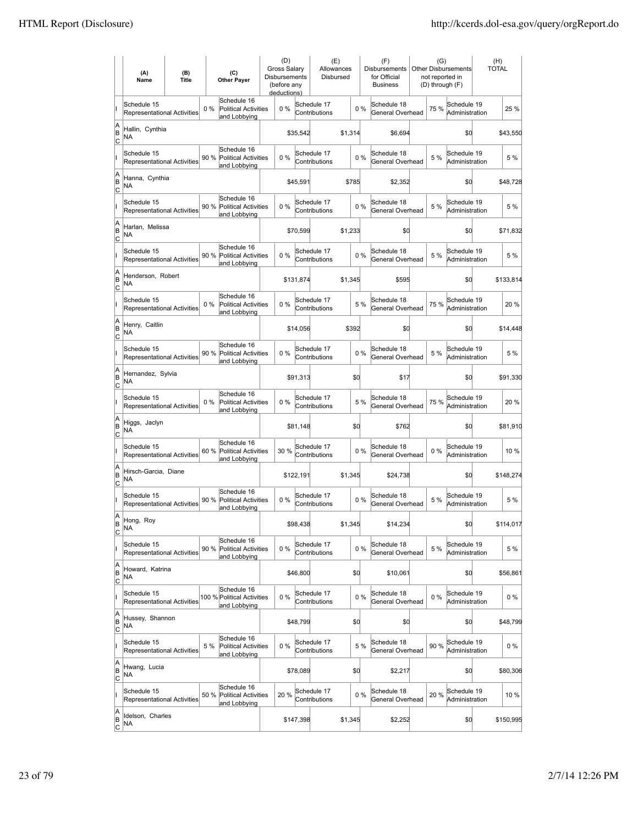|                          | (A)<br>Name                                       | (B)<br><b>Title</b> |       | (C)<br><b>Other Payer</b>                                  | (D)<br><b>Gross Salarv</b><br><b>Disbursements</b><br>(before any<br>deductions) |           | (E)<br>Allowances<br>Disbursed |         |       | (F)<br><b>Disbursements</b><br>for Official<br><b>Business</b> | (G)<br>not reported in<br>(D) through (F) | <b>Other Disbursements</b>    | (H)<br><b>TOTAL</b> |           |
|--------------------------|---------------------------------------------------|---------------------|-------|------------------------------------------------------------|----------------------------------------------------------------------------------|-----------|--------------------------------|---------|-------|----------------------------------------------------------------|-------------------------------------------|-------------------------------|---------------------|-----------|
|                          | Schedule 15<br>Representational Activities        |                     | 0%    | Schedule 16<br><b>Political Activities</b><br>and Lobbying | 0%                                                                               |           | Schedule 17<br>Contributions   |         | 0%    | Schedule 18<br>General Overhead                                | 75%                                       | Schedule 19<br>Administration |                     | 25 %      |
| A<br>B<br> c             | Hallin, Cynthia<br><b>NA</b>                      |                     |       |                                                            |                                                                                  | \$35,542  |                                | \$1,314 |       | \$6,694                                                        |                                           | \$0                           |                     | \$43,550  |
|                          | Schedule 15<br><b>Representational Activities</b> |                     | 90 %  | Schedule 16<br><b>Political Activities</b><br>and Lobbying | 0%                                                                               |           | Schedule 17<br>Contributions   |         | 0%    | Schedule 18<br>General Overhead                                | 5 %                                       | Schedule 19<br>Administration |                     | 5 %       |
| A<br>B<br>C              | Hanna, Cynthia<br>NA                              |                     |       |                                                            |                                                                                  | \$45,591  |                                | \$785   |       | \$2,352                                                        |                                           | \$0                           |                     | \$48,728  |
|                          | Schedule 15<br>Representational Activities        |                     | 90 %  | Schedule 16<br><b>Political Activities</b><br>and Lobbying | 0%                                                                               |           | Schedule 17<br>Contributions   |         | 0%    | Schedule 18<br>General Overhead                                | 5 %                                       | Schedule 19<br>Administration |                     | 5 %       |
| A<br>B<br>C              | Harlan, Melissa<br>NA                             |                     |       |                                                            |                                                                                  | \$70,599  |                                | \$1,233 |       | \$0                                                            |                                           | \$0                           |                     | \$71,832  |
|                          | Schedule 15<br><b>Representational Activities</b> |                     | 90%   | Schedule 16<br>Political Activities<br>and Lobbying        | $0\%$                                                                            |           | Schedule 17<br>Contributions   |         | 0%    | Schedule 18<br>General Overhead                                | 5 %                                       | Schedule 19<br>Administration |                     | 5 %       |
| A<br>B<br>lc             | Henderson, Robert<br>ΝA                           |                     |       |                                                            |                                                                                  | \$131,874 |                                | \$1,345 |       | \$595                                                          |                                           | \$0                           |                     | \$133,814 |
|                          | Schedule 15<br><b>Representational Activities</b> |                     | $0\%$ | Schedule 16<br><b>Political Activities</b><br>and Lobbying | 0%                                                                               |           | Schedule 17<br>Contributions   |         | 5 %   | Schedule 18<br>General Overhead                                | 75 %                                      | Schedule 19<br>Administration |                     | 20%       |
| A<br>B<br>C              | Henry, Caitlin<br>NA                              |                     |       |                                                            |                                                                                  | \$14,056  |                                | \$392   |       | \$0                                                            |                                           | \$0                           |                     | \$14,448  |
|                          | Schedule 15<br>Representational Activities        |                     |       | Schedule 16<br>90 % Political Activities<br>and Lobbying   | 0%                                                                               |           | Schedule 17<br>Contributions   |         | 0%    | Schedule 18<br>General Overhead                                | 5 %                                       | Schedule 19<br>Administration |                     | 5 %       |
| A<br>B<br>C              | Hernandez, Sylvia<br>NA                           |                     |       |                                                            |                                                                                  | \$91,313  |                                |         | \$0   | \$17                                                           |                                           | \$0                           |                     | \$91,330  |
|                          | Schedule 15<br><b>Representational Activities</b> |                     | $0\%$ | Schedule 16<br>Political Activities<br>and Lobbying        | $0\%$                                                                            |           | Schedule 17<br>Contributions   |         | 5 %   | Schedule 18<br>General Overhead                                | 75 %                                      | Schedule 19<br>Administration |                     | 20%       |
| A<br>B<br> c             | Higgs, Jaclyn<br><b>NA</b>                        |                     |       |                                                            |                                                                                  | \$81,148  |                                |         | \$0   | \$762                                                          |                                           | \$d                           |                     | \$81,910  |
|                          | Schedule 15<br>Representational Activities        |                     | 60 %  | Schedule 16<br><b>Political Activities</b><br>and Lobbying | 30 %                                                                             |           | Schedule 17<br>Contributions   |         | 0%    | Schedule 18<br>General Overhead                                | 0%                                        | Schedule 19<br>Administration |                     | 10 %      |
| A<br>B<br> c             | Hirsch-Garcia, Diane<br>NA                        |                     |       |                                                            |                                                                                  | \$122,191 |                                | \$1,345 |       | \$24,738                                                       |                                           | \$0                           |                     | \$148,274 |
|                          | Schedule 15<br>Representational Activities        |                     | 90%   | Schedule 16<br>Political Activities<br>and Lobbying        | 0%                                                                               |           | Schedule 17<br>Contributions   |         | 0%    | Schedule 18<br>General Overhead                                | 5 %                                       | Schedule 19<br>Administration |                     | 5 %       |
| A<br> B<br>C             | Hong, Roy<br>ΝA                                   |                     |       |                                                            |                                                                                  | \$98,438  |                                | \$1,345 |       | \$14,234                                                       |                                           | \$0                           |                     | \$114,017 |
|                          | Schedule 15<br>Representational Activities        |                     | 90%   | Schedule 16<br>Political Activities<br>and Lobbying        | 0%                                                                               |           | Schedule 17<br>Contributions   |         | 0%    | Schedule 18<br>General Overhead                                | 5 %                                       | Schedule 19<br>Administration |                     | 5 %       |
| A<br>B<br><u>lc</u>      | Howard, Katrina<br>NA                             |                     |       |                                                            |                                                                                  | \$46,800  |                                |         | \$0   | \$10,061                                                       |                                           | \$d                           |                     | \$56,861  |
|                          | Schedule 15<br><b>Representational Activities</b> |                     |       | Schedule 16<br>100 % Political Activities<br>and Lobbying  | $0\%$                                                                            |           | Schedule 17<br>Contributions   |         | 0%    | Schedule 18<br>General Overhead                                | $0\%$                                     | Schedule 19<br>Administration |                     | $0\%$     |
| A<br>B<br>$\mathsf{C}$   | Hussey, Shannon<br>NA                             |                     |       |                                                            |                                                                                  | \$48,799  |                                |         | \$0   | \$0                                                            |                                           | \$0                           |                     | \$48,799  |
|                          | Schedule 15<br>Representational Activities        |                     | 5 %   | Schedule 16<br>Political Activities<br>and Lobbying        | 0%                                                                               |           | Schedule 17<br>Contributions   |         | 5 %   | Schedule 18<br>General Overhead                                | 90 %                                      | Schedule 19<br>Administration |                     | 0%        |
| A<br>B<br> c             | Hwang, Lucia<br>NA                                |                     |       |                                                            |                                                                                  | \$78,089  |                                |         | \$0   | \$2,217                                                        |                                           | \$0                           |                     | \$80,306  |
|                          | Schedule 15<br>Representational Activities        |                     | 50 %  | Schedule 16<br>Political Activities<br>and Lobbying        | 20 %                                                                             |           | Schedule 17<br>Contributions   |         | $0\%$ | Schedule 18<br>General Overhead                                | 20 %                                      | Schedule 19<br>Administration |                     | 10 %      |
| A<br>B<br>$\overline{c}$ | Idelson, Charles<br>NA                            |                     |       |                                                            |                                                                                  | \$147,398 |                                | \$1,345 |       | \$2,252                                                        |                                           | \$0                           |                     | \$150,995 |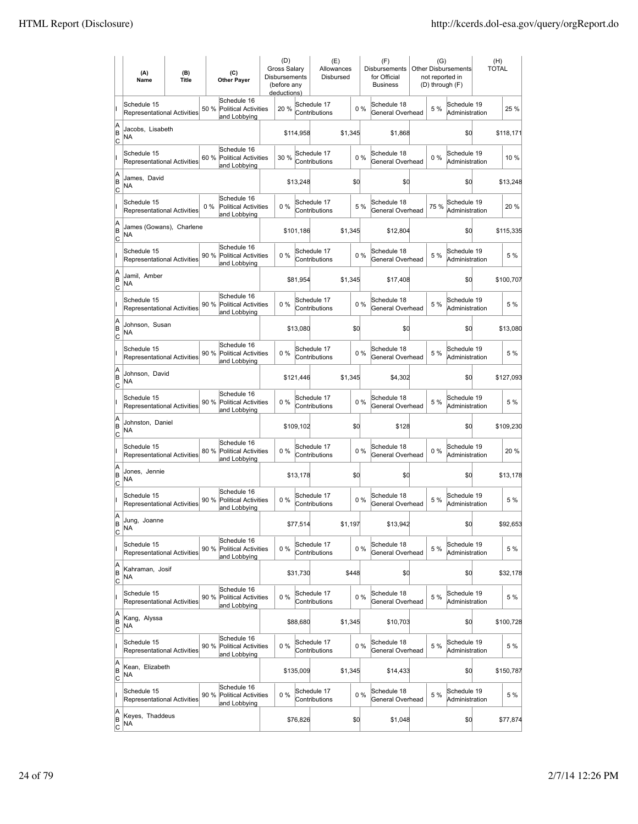|                           | (A)<br>Name                                       | (B)<br><b>Title</b> |       | (C)<br><b>Other Payer</b>                                  | (D)<br>Gross Salary<br><b>Disbursements</b><br>(before any<br>deductions) |           | (E)<br>Allowances<br>Disbursed |         |       | (F)<br><b>Disbursements</b><br>for Official<br><b>Business</b> | (G)<br>not reported in<br>(D) through (F) | <b>Other Disbursements</b>    | (H)<br><b>TOTAL</b> |           |
|---------------------------|---------------------------------------------------|---------------------|-------|------------------------------------------------------------|---------------------------------------------------------------------------|-----------|--------------------------------|---------|-------|----------------------------------------------------------------|-------------------------------------------|-------------------------------|---------------------|-----------|
|                           | Schedule 15<br>Representational Activities        |                     | 50 %  | Schedule 16<br><b>Political Activities</b><br>and Lobbying | 20 %                                                                      |           | Schedule 17<br>Contributions   |         | 0%    | Schedule 18<br>General Overhead                                | 5 %                                       | Schedule 19<br>Administration |                     | 25 %      |
| A<br>B<br>C               | Jacobs, Lisabeth<br>NA                            |                     |       |                                                            |                                                                           | \$114,958 |                                | \$1,345 |       | \$1,868                                                        |                                           | \$0                           |                     | \$118,171 |
|                           | Schedule 15<br>Representational Activities        |                     | 60 %  | Schedule 16<br><b>Political Activities</b><br>and Lobbying | 30 %                                                                      |           | Schedule 17<br>Contributions   |         | $0\%$ | Schedule 18<br>General Overhead                                | 0%                                        | Schedule 19<br>Administration |                     | 10 %      |
| A<br>ΙB<br>C              | James, David<br>ΝA                                |                     |       |                                                            |                                                                           | \$13,248  |                                |         | \$d   | \$0                                                            |                                           | \$0                           |                     | \$13,248  |
|                           | Schedule 15<br><b>Representational Activities</b> |                     | $0\%$ | Schedule 16<br><b>Political Activities</b><br>and Lobbying | 0%                                                                        |           | Schedule 17<br>Contributions   |         | 5 %   | Schedule 18<br>General Overhead                                | 75 %                                      | Schedule 19<br>Administration |                     | 20 %      |
| A<br>B<br>C               | James (Gowans), Charlene<br>NA                    |                     |       |                                                            |                                                                           | \$101,186 |                                | \$1,345 |       | \$12,804                                                       |                                           | \$0                           |                     | \$115,335 |
|                           | Schedule 15<br>Representational Activities        |                     | 90%   | Schedule 16<br><b>Political Activities</b><br>and Lobbying | 0%                                                                        |           | Schedule 17<br>Contributions   |         | 0%    | Schedule 18<br>General Overhead                                | 5 %                                       | Schedule 19<br>Administration |                     | 5 %       |
| A<br>B<br>Ιc              | Jamil, Amber<br>NA                                |                     |       |                                                            |                                                                           | \$81,954  |                                | \$1,345 |       | \$17,408                                                       |                                           | \$0                           |                     | \$100,707 |
|                           | Schedule 15<br>Representational Activities        |                     | 90 %  | Schedule 16<br>Political Activities<br>and Lobbying        | 0%                                                                        |           | Schedule 17<br>Contributions   |         | 0%    | Schedule 18<br>General Overhead                                | 5 %                                       | Schedule 19<br>Administration |                     | 5 %       |
| A<br>ΙB<br> c             | Johnson, Susan<br>NA                              |                     |       |                                                            |                                                                           | \$13,080  |                                |         | \$0   | \$0                                                            |                                           | \$0                           |                     | \$13,080  |
|                           | Schedule 15<br>Representational Activities        |                     |       | Schedule 16<br>90 % Political Activities<br>and Lobbying   | $0\%$                                                                     |           | Schedule 17<br>Contributions   |         | 0%    | Schedule 18<br>General Overhead                                | 5 %                                       | Schedule 19<br>Administration |                     | 5 %       |
| A<br>B<br>C               | Johnson, David<br>NA                              |                     |       |                                                            |                                                                           | \$121,446 |                                | \$1,345 |       | \$4,302                                                        |                                           | \$0                           |                     | \$127,093 |
|                           | Schedule 15<br>Representational Activities        |                     |       | Schedule 16<br>90 % Political Activities<br>and Lobbying   | 0%                                                                        |           | Schedule 17<br>Contributions   |         | 0%    | Schedule 18<br>General Overhead                                | 5 %                                       | Schedule 19<br>Administration |                     | 5 %       |
| A<br>B<br>c               | Johnston, Daniel<br>NA                            |                     |       |                                                            |                                                                           | \$109,102 |                                |         | \$0   | \$128                                                          |                                           | \$0                           |                     | \$109,230 |
|                           | Schedule 15<br>Representational Activities        |                     | 80 %  | Schedule 16<br><b>Political Activities</b><br>and Lobbying | $0\%$                                                                     |           | Schedule 17<br>Contributions   |         | 0%    | Schedule 18<br>General Overhead                                | 0%                                        | Schedule 19<br>Administration |                     | 20%       |
| A<br>B<br> c              | Jones, Jennie<br><b>NA</b>                        |                     |       |                                                            |                                                                           | \$13,178  |                                |         | \$0   | \$O                                                            |                                           | \$0                           |                     | \$13,178  |
|                           | Schedule 15<br><b>Representational Activities</b> |                     | 90 %  | Schedule 16<br><b>Political Activities</b><br>and Lobbying | 0%                                                                        |           | Schedule 17<br>Contributions   |         | 0%    | Schedule 18<br>General Overhead                                | 5 %                                       | Schedule 19<br>Administration |                     | 5 %       |
| lA<br>B<br>$\overline{c}$ | Jung, Joanne<br>ΝA                                |                     |       |                                                            |                                                                           | \$77,514  |                                | \$1,197 |       | \$13,942                                                       |                                           | \$0                           |                     | \$92,653  |
|                           | Schedule 15<br>Representational Activities        |                     | 90%   | Schedule 16<br><b>Political Activities</b><br>and Lobbying | 0%                                                                        |           | Schedule 17<br>Contributions   |         | 0%    | Schedule 18<br>General Overhead                                | 5 %                                       | Schedule 19<br>Administration |                     | 5 %       |
| A<br>B<br>$\overline{c}$  | Kahraman, Josif<br>NA                             |                     |       |                                                            |                                                                           | \$31,730  |                                | \$448   |       | \$0                                                            |                                           | \$0                           |                     | \$32,178  |
|                           | Schedule 15<br><b>Representational Activities</b> |                     | 90%   | Schedule 16<br>Political Activities<br>and Lobbying        | $0\%$                                                                     |           | Schedule 17<br>Contributions   |         | 0%    | Schedule 18<br>General Overhead                                | 5 %                                       | Schedule 19<br>Administration |                     | 5 %       |
| A<br>B<br>$\overline{c}$  | Kang, Alyssa<br>NA                                |                     |       |                                                            |                                                                           | \$88,680  |                                | \$1,345 |       | \$10,703                                                       |                                           | \$0                           |                     | \$100,728 |
|                           | Schedule 15<br>Representational Activities        |                     |       | Schedule 16<br>90 % Political Activities<br>and Lobbying   | 0%                                                                        |           | Schedule 17<br>Contributions   |         | 0%    | Schedule 18<br>General Overhead                                | 5 %                                       | Schedule 19<br>Administration |                     | 5 %       |
| A<br>B<br>C               | Kean, Elizabeth<br><b>NA</b>                      |                     |       |                                                            |                                                                           | \$135,009 |                                | \$1,345 |       | \$14,433                                                       |                                           | \$0                           |                     | \$150,787 |
|                           | Schedule 15<br>Representational Activities        |                     |       | Schedule 16<br>90 % Political Activities<br>and Lobbying   | 0%                                                                        |           | Schedule 17<br>Contributions   |         | 0%    | Schedule 18<br>General Overhead                                | 5 %                                       | Schedule 19<br>Administration |                     | 5 %       |
| A<br>B<br>$\overline{c}$  | Keyes, Thaddeus<br>NA                             |                     |       |                                                            |                                                                           | \$76,826  |                                |         | \$0   | \$1,048                                                        |                                           | \$0                           |                     | \$77,874  |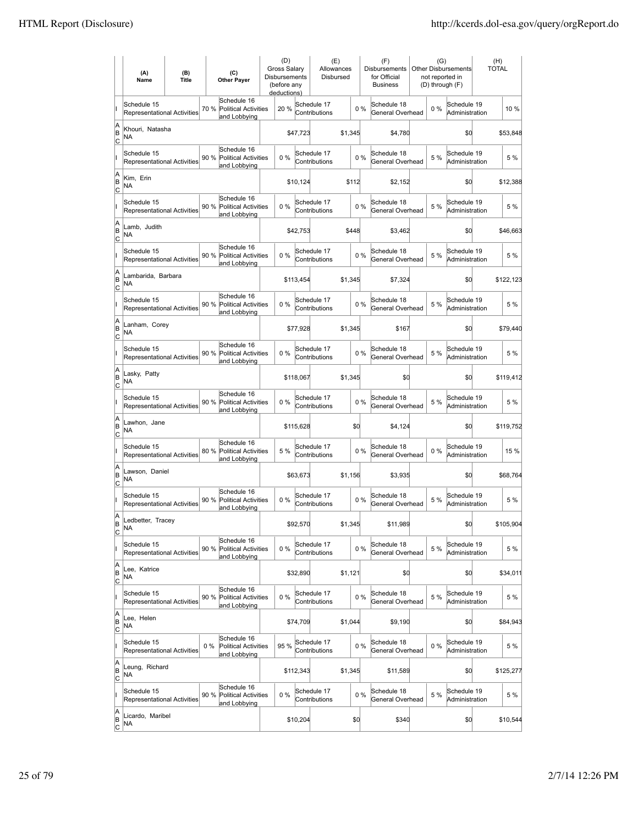|                           | (A)<br>Name                                       | (B)<br><b>Title</b> |       | (C)<br><b>Other Payer</b>                                  | (D)<br>Gross Salary<br><b>Disbursements</b><br>(before any<br>deductions) |           | (E)<br>Allowances<br>Disbursed |         |       | (F)<br>Disbursements<br>for Official<br><b>Business</b> | (G)<br>not reported in<br>(D) through (F) | <b>Other Disbursements</b>    | (H)<br><b>TOTAL</b> |           |
|---------------------------|---------------------------------------------------|---------------------|-------|------------------------------------------------------------|---------------------------------------------------------------------------|-----------|--------------------------------|---------|-------|---------------------------------------------------------|-------------------------------------------|-------------------------------|---------------------|-----------|
|                           | Schedule 15<br>Representational Activities        |                     | 70 %  | Schedule 16<br><b>Political Activities</b><br>and Lobbying | 20 %                                                                      |           | Schedule 17<br>Contributions   |         | 0%    | Schedule 18<br>General Overhead                         | $0\%$                                     | Schedule 19<br>Administration |                     | 10 %      |
| A<br>B<br>C               | Khouri, Natasha<br>NA                             |                     |       |                                                            |                                                                           | \$47,723  |                                | \$1,345 |       | \$4,780                                                 |                                           | \$0                           |                     | \$53,848  |
|                           | Schedule 15<br>Representational Activities        |                     | 90 %  | Schedule 16<br><b>Political Activities</b><br>and Lobbying | $0\%$                                                                     |           | Schedule 17<br>Contributions   |         | $0\%$ | Schedule 18<br>General Overhead                         | 5 %                                       | Schedule 19<br>Administration |                     | 5 %       |
| A<br>ΙB<br>C              | Kim, Erin<br>ΝA                                   |                     |       |                                                            |                                                                           | \$10,124  |                                | \$112   |       | \$2,152                                                 |                                           | \$0                           |                     | \$12,388  |
|                           | Schedule 15<br><b>Representational Activities</b> |                     | 90 %  | Schedule 16<br><b>Political Activities</b><br>and Lobbying | 0%                                                                        |           | Schedule 17<br>Contributions   |         | 0%    | Schedule 18<br>General Overhead                         | 5 %                                       | Schedule 19<br>Administration |                     | 5 %       |
| A<br>B<br>C               | Lamb, Judith<br>NA                                |                     |       |                                                            |                                                                           | \$42,753  |                                | \$448   |       | \$3,462                                                 |                                           | \$0                           |                     | \$46,663  |
|                           | Schedule 15<br><b>Representational Activities</b> |                     | 90%   | Schedule 16<br><b>Political Activities</b><br>and Lobbying | 0%                                                                        |           | Schedule 17<br>Contributions   |         | 0%    | Schedule 18<br>General Overhead                         | 5 %                                       | Schedule 19<br>Administration |                     | 5 %       |
| A<br>B<br>Ιc              | Lambarida, Barbara<br>NA                          |                     |       |                                                            |                                                                           | \$113,454 |                                | \$1,345 |       | \$7,324                                                 |                                           | \$0                           |                     | \$122,123 |
|                           | Schedule 15<br><b>Representational Activities</b> |                     | 90 %  | Schedule 16<br>Political Activities<br>and Lobbying        | $0\%$                                                                     |           | Schedule 17<br>Contributions   |         | 0%    | Schedule 18<br>General Overhead                         | 5 %                                       | Schedule 19<br>Administration |                     | 5 %       |
| A<br>ΙB<br> c             | Lanham, Corey<br>ΝA                               |                     |       |                                                            |                                                                           | \$77,928  |                                | \$1,345 |       | \$167                                                   |                                           | \$0                           |                     | \$79,440  |
|                           | Schedule 15<br><b>Representational Activities</b> |                     |       | Schedule 16<br>90 % Political Activities<br>and Lobbying   | $0\%$                                                                     |           | Schedule 17<br>Contributions   |         | 0%    | Schedule 18<br>General Overhead                         | 5 %                                       | Schedule 19<br>Administration |                     | 5 %       |
| A<br>B<br>C               | Lasky, Patty<br>ΝA                                |                     |       |                                                            |                                                                           | \$118,067 |                                | \$1,345 |       | \$0                                                     |                                           | \$0                           |                     | \$119,412 |
|                           | Schedule 15<br>Representational Activities        |                     |       | Schedule 16<br>90 % Political Activities<br>and Lobbying   | 0%                                                                        |           | Schedule 17<br>Contributions   |         | 0%    | Schedule 18<br>General Overhead                         | 5 %                                       | Schedule 19<br>Administration |                     | 5 %       |
| A<br>B<br>C               | Lawhon, Jane<br>NA                                |                     |       |                                                            |                                                                           | \$115,628 |                                |         | \$0   | \$4,124                                                 |                                           | \$0                           |                     | \$119,752 |
|                           | Schedule 15<br><b>Representational Activities</b> |                     | 80 %  | Schedule 16<br><b>Political Activities</b><br>and Lobbying | 5 %                                                                       |           | Schedule 17<br>Contributions   |         | 0%    | Schedule 18<br>General Overhead                         | 0%                                        | Schedule 19<br>Administration |                     | 15 %      |
| A<br>B<br> c              | Lawson, Daniel<br>ΝA                              |                     |       |                                                            |                                                                           | \$63,673  |                                | \$1,156 |       | \$3,935                                                 |                                           | \$0                           |                     | \$68,764  |
|                           | Schedule 15<br><b>Representational Activities</b> |                     | 90 %  | Schedule 16<br><b>Political Activities</b><br>and Lobbying | 0%                                                                        |           | Schedule 17<br>Contributions   |         | 0%    | Schedule 18<br>General Overhead                         | 5 %                                       | Schedule 19<br>Administration |                     | 5 %       |
| lA<br>B<br>$\overline{c}$ | Ledbetter, Tracey<br>ΝA                           |                     |       |                                                            |                                                                           | \$92,570  |                                | \$1,345 |       | \$11,989                                                |                                           | \$0                           |                     | \$105,904 |
|                           | Schedule 15<br>Representational Activities        |                     | 90%   | Schedule 16<br>Political Activities<br>and Lobbying        | 0%                                                                        |           | Schedule 17<br>Contributions   |         | 0%    | Schedule 18<br>General Overhead                         | 5 %                                       | Schedule 19<br>Administration |                     | 5 %       |
| A<br> B<br>$\overline{c}$ | Lee, Katrice<br>NA                                |                     |       |                                                            |                                                                           | \$32,890  |                                | \$1,121 |       | \$0                                                     |                                           | \$0                           |                     | \$34,011  |
|                           | Schedule 15<br>Representational Activities        |                     | 90%   | Schedule 16<br>Political Activities<br>and Lobbying        | 0%                                                                        |           | Schedule 17<br>Contributions   |         | 0%    | Schedule 18<br>General Overhead                         | 5 %                                       | Schedule 19<br>Administration |                     | 5 %       |
| A<br> B<br>$\overline{c}$ | Lee, Helen<br>NA                                  |                     |       |                                                            |                                                                           | \$74,709  |                                | \$1,044 |       | \$9,190                                                 |                                           | \$0                           |                     | \$84,943  |
|                           | Schedule 15<br>Representational Activities        |                     | $0\%$ | Schedule 16<br>Political Activities<br>and Lobbying        | 95 %                                                                      |           | Schedule 17<br>Contributions   |         | 0%    | Schedule 18<br>General Overhead                         | $0\%$                                     | Schedule 19<br>Administration |                     | 5 %       |
| A<br> B<br>$\overline{c}$ | Leung, Richard<br>NA                              |                     |       |                                                            |                                                                           | \$112,343 |                                | \$1,345 |       | \$11,589                                                |                                           | \$0                           |                     | \$125,277 |
|                           | Schedule 15<br>Representational Activities        |                     | 90 %  | Schedule 16<br><b>Political Activities</b><br>and Lobbying | 0%                                                                        |           | Schedule 17<br>Contributions   |         | 0%    | Schedule 18<br>General Overhead                         | 5 %                                       | Schedule 19<br>Administration |                     | 5 %       |
| A<br> B<br>$\overline{c}$ | Licardo, Maribel<br>NA                            |                     |       |                                                            |                                                                           | \$10,204  |                                |         | \$0   | \$340                                                   |                                           | \$0                           |                     | \$10,544  |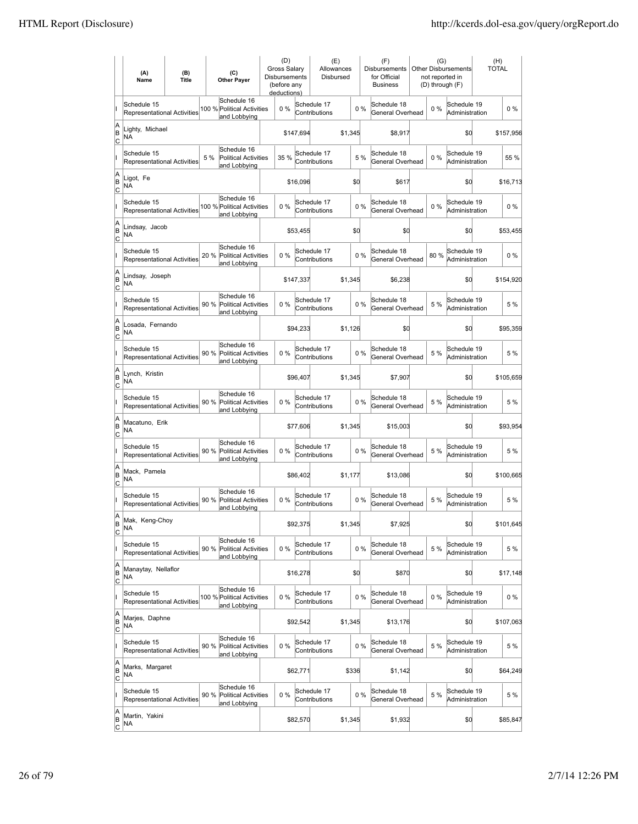|                          | (A)<br>Name                                       | (B)<br><b>Title</b> | (C)<br><b>Other Payer</b>                                          | (D)<br>Gross Salary<br>Disbursements<br>(before any<br>deductions) |           | (E)<br>Allowances<br>Disbursed |         |       | (F)<br>Disbursements<br>for Official<br><b>Business</b> | (G)   | <b>Other Disbursements</b><br>not reported in<br>(D) through (F) | (H)<br><b>TOTAL</b> |           |
|--------------------------|---------------------------------------------------|---------------------|--------------------------------------------------------------------|--------------------------------------------------------------------|-----------|--------------------------------|---------|-------|---------------------------------------------------------|-------|------------------------------------------------------------------|---------------------|-----------|
|                          | Schedule 15<br><b>Representational Activities</b> |                     | Schedule 16<br>100 % Political Activities<br>and Lobbying          | 0%                                                                 |           | Schedule 17<br>Contributions   |         | 0%    | Schedule 18<br>General Overhead                         | $0\%$ | Schedule 19<br>Administration                                    |                     | $0\%$     |
| A<br>B<br>lc             | Lighty, Michael<br>NA                             |                     |                                                                    |                                                                    | \$147,694 |                                | \$1,345 |       | \$8,917                                                 |       | \$0                                                              |                     | \$157,956 |
|                          | Schedule 15<br>Representational Activities        |                     | Schedule 16<br>5 %<br><b>Political Activities</b><br>and Lobbying  | 35 %                                                               |           | Schedule 17<br>Contributions   |         | 5 %   | Schedule 18<br>General Overhead                         | 0%    | Schedule 19<br>Administration                                    |                     | 55 %      |
| A<br>B<br>C              | Ligot, Fe<br>NA                                   |                     |                                                                    |                                                                    | \$16,096  |                                | \$d     |       | \$617                                                   |       | \$0                                                              |                     | \$16,713  |
|                          | Schedule 15<br>Representational Activities        |                     | Schedule 16<br>100 % Political Activities<br>and Lobbying          | 0%                                                                 |           | Schedule 17<br>Contributions   |         | 0%    | Schedule 18<br>General Overhead                         | $0\%$ | Schedule 19<br>Administration                                    |                     | $0\%$     |
| A<br>B<br>C              | Lindsay, Jacob<br>NA                              |                     |                                                                    |                                                                    | \$53,455  |                                | \$d     |       | \$0                                                     |       | \$0                                                              |                     | \$53,455  |
|                          | Schedule 15<br><b>Representational Activities</b> |                     | Schedule 16<br>20 %<br>Political Activities<br>and Lobbying        | $0\%$                                                              |           | Schedule 17<br>Contributions   |         | 0%    | Schedule 18<br>General Overhead                         | 80%   | Schedule 19<br>Administration                                    |                     | $0\%$     |
| A<br>B<br>lc             | Lindsay, Joseph<br>NA                             |                     |                                                                    |                                                                    | \$147,337 |                                | \$1,345 |       | \$6,238                                                 |       | \$0                                                              |                     | \$154,920 |
|                          | Schedule 15<br>Representational Activities        |                     | Schedule 16<br>90 %<br><b>Political Activities</b><br>and Lobbying | 0%                                                                 |           | Schedule 17<br>Contributions   |         | 0%    | Schedule 18<br>General Overhead                         | 5 %   | Schedule 19<br>Administration                                    |                     | 5 %       |
| A<br>B<br>C              | Losada, Fernando<br>NA                            |                     |                                                                    |                                                                    | \$94,233  |                                | \$1,126 |       | \$0                                                     |       | \$0                                                              |                     | \$95,359  |
|                          | Schedule 15<br>Representational Activities        |                     | Schedule 16<br>90 % Political Activities<br>and Lobbying           | 0%                                                                 |           | Schedule 17<br>Contributions   |         | 0%    | Schedule 18<br>General Overhead                         | 5 %   | Schedule 19<br>Administration                                    |                     | 5 %       |
| A<br>B<br>C              | Lynch, Kristin<br><b>NA</b>                       |                     |                                                                    |                                                                    | \$96,407  |                                | \$1,345 |       | \$7,907                                                 |       | \$0                                                              |                     | \$105,659 |
|                          | Schedule 15<br><b>Representational Activities</b> |                     | Schedule 16<br>90 %<br><b>Political Activities</b><br>and Lobbying | $0\%$                                                              |           | Schedule 17<br>Contributions   |         | 0%    | Schedule 18<br>General Overhead                         | 5 %   | Schedule 19<br>Administration                                    |                     | 5 %       |
| A<br>B<br> c             | Macatuno, Erik<br><b>NA</b>                       |                     |                                                                    |                                                                    | \$77,606  |                                | \$1,345 |       | \$15,003                                                |       | \$d                                                              |                     | \$93,954  |
|                          | Schedule 15<br>Representational Activities        |                     | Schedule 16<br>90 %<br><b>Political Activities</b><br>and Lobbying | 0%                                                                 |           | Schedule 17<br>Contributions   |         | $0\%$ | Schedule 18<br>General Overhead                         | 5 %   | Schedule 19<br>Administration                                    |                     | 5 %       |
| A<br>B<br>C              | Mack, Pamela<br>NA                                |                     |                                                                    |                                                                    | \$86,402  |                                | \$1,177 |       | \$13,086                                                |       | \$0                                                              |                     | \$100,665 |
|                          | Schedule 15<br>Representational Activities        |                     | Schedule 16<br>90 %<br>Political Activities<br>and Lobbying        | 0%                                                                 |           | Schedule 17<br>Contributions   |         | 0%    | Schedule 18<br>General Overhead                         | 5 %   | Schedule 19<br>Administration                                    |                     | 5 %       |
| A<br>B<br>$\overline{c}$ | Mak, Keng-Choy<br>NA                              |                     |                                                                    |                                                                    | \$92,375  |                                | \$1,345 |       | \$7,925                                                 |       | \$0                                                              |                     | \$101,645 |
|                          | Schedule 15<br>Representational Activities        |                     | Schedule 16<br>90 %<br>Political Activities<br>and Lobbying        | 0%                                                                 |           | Schedule 17<br>Contributions   |         | 0%    | Schedule 18<br>General Overhead                         | 5 %   | Schedule 19<br>Administration                                    |                     | 5 %       |
| A<br>B<br><u>lc</u>      | Manaytay, Nellaflor<br>NA                         |                     |                                                                    |                                                                    | \$16,278  |                                | \$0     |       | \$870                                                   |       | \$d                                                              |                     | \$17,148  |
|                          | Schedule 15<br>Representational Activities        |                     | Schedule 16<br>100 % Political Activities<br>and Lobbying          | 0%                                                                 |           | Schedule 17<br>Contributions   |         | $0\%$ | Schedule 18<br>General Overhead                         | $0\%$ | Schedule 19<br>Administration                                    |                     | $0\%$     |
| A<br>B<br>$\mathsf{C}$   | Marjes, Daphne<br>NA                              |                     |                                                                    |                                                                    | \$92,542  |                                | \$1,345 |       | \$13,176                                                |       | \$0                                                              |                     | \$107,063 |
|                          | Schedule 15<br>Representational Activities        |                     | Schedule 16<br>90 % Political Activities<br>and Lobbying           | 0%                                                                 |           | Schedule 17<br>Contributions   |         | 0%    | Schedule 18<br>General Overhead                         | 5 %   | Schedule 19<br>Administration                                    |                     | 5 %       |
| A<br>B<br> c             | Marks, Margaret<br>NA                             |                     |                                                                    |                                                                    | \$62,771  |                                | \$336   |       | \$1,142                                                 |       | \$0                                                              |                     | \$64,249  |
|                          | Schedule 15<br>Representational Activities        |                     | Schedule 16<br>90 %<br>Political Activities<br>and Lobbying        | 0%                                                                 |           | Schedule 17<br>Contributions   |         | 0%    | Schedule 18<br>General Overhead                         | 5 %   | Schedule 19<br>Administration                                    |                     | 5 %       |
| A<br>B<br>$\overline{c}$ | Martin, Yakini<br>NA                              |                     |                                                                    |                                                                    | \$82,570  |                                | \$1,345 |       | \$1,932                                                 |       | \$d                                                              |                     | \$85,847  |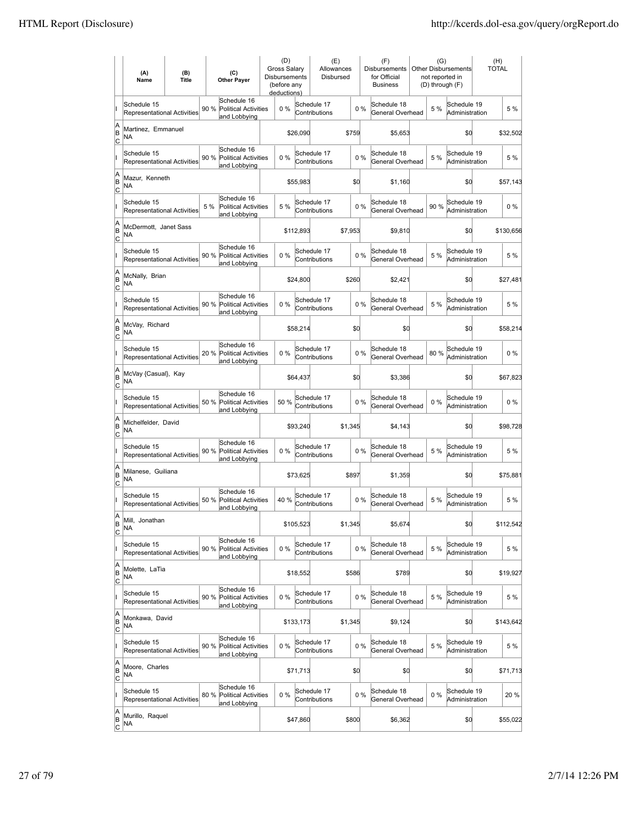|                          | (A)<br>Name                                       | (B)<br><b>Title</b> | (C)<br><b>Other Payer</b>                                          | (D)<br><b>Gross Salarv</b><br><b>Disbursements</b><br>(before any<br>deductions) |           | (E)<br>Allowances<br>Disbursed |         |       | (F)<br><b>Disbursements</b><br>for Official<br><b>Business</b> | (G) | <b>Other Disbursements</b><br>not reported in<br>(D) through (F) | (H)<br><b>TOTAL</b> |
|--------------------------|---------------------------------------------------|---------------------|--------------------------------------------------------------------|----------------------------------------------------------------------------------|-----------|--------------------------------|---------|-------|----------------------------------------------------------------|-----|------------------------------------------------------------------|---------------------|
|                          | Schedule 15<br>Representational Activities        |                     | Schedule 16<br>90 %<br><b>Political Activities</b><br>and Lobbying | 0%                                                                               |           | Schedule 17<br>Contributions   |         | 0%    | Schedule 18<br>General Overhead                                | 5 % | Schedule 19<br>Administration                                    | 5 %                 |
| A<br>B<br> c             | Martinez, Emmanuel<br>NA                          |                     |                                                                    |                                                                                  | \$26,090  |                                | \$759   |       | \$5,653                                                        |     | \$0                                                              | \$32,502            |
|                          | Schedule 15<br>Representational Activities        |                     | Schedule 16<br>90 %<br><b>Political Activities</b><br>and Lobbying | 0%                                                                               |           | Schedule 17<br>Contributions   |         | 0%    | Schedule 18<br>General Overhead                                | 5 % | Schedule 19<br>Administration                                    | 5 %                 |
| A<br>B<br>C              | Mazur, Kenneth<br>NA                              |                     |                                                                    |                                                                                  | \$55,983  |                                | \$d     |       | \$1,160                                                        |     | \$0                                                              | \$57,143            |
|                          | Schedule 15<br>Representational Activities        |                     | Schedule 16<br>5 %<br><b>Political Activities</b><br>and Lobbying  | 5 %                                                                              |           | Schedule 17<br>Contributions   |         | 0%    | Schedule 18<br>General Overhead                                | 90% | Schedule 19<br>Administration                                    | $0\%$               |
| A<br>B<br> c             | McDermott, Janet Sass<br>NA                       |                     |                                                                    |                                                                                  | \$112,893 |                                | \$7,953 |       | \$9,810                                                        |     | \$0                                                              | \$130,656           |
|                          | Schedule 15<br><b>Representational Activities</b> |                     | Schedule 16<br>90 %<br>Political Activities<br>and Lobbying        | $0\%$                                                                            |           | Schedule 17<br>Contributions   |         | 0%    | Schedule 18<br>General Overhead                                | 5 % | Schedule 19<br>Administration                                    | 5 %                 |
| A<br>B<br>lc             | McNally, Brian<br>NA                              |                     |                                                                    |                                                                                  | \$24,800  |                                | \$260   |       | \$2,421                                                        |     | \$0                                                              | \$27,481            |
|                          | Schedule 15<br>Representational Activities        |                     | Schedule 16<br>90 %<br><b>Political Activities</b><br>and Lobbying | 0%                                                                               |           | Schedule 17<br>Contributions   |         | 0%    | Schedule 18<br>General Overhead                                | 5 % | Schedule 19<br>Administration                                    | 5 %                 |
| A<br>B<br>C              | McVay, Richard<br>NA                              |                     |                                                                    |                                                                                  | \$58,214  |                                | \$0     |       | \$0                                                            |     | \$0                                                              | \$58,214            |
|                          | Schedule 15<br>Representational Activities        |                     | Schedule 16<br>20 % Political Activities<br>and Lobbying           | 0%                                                                               |           | Schedule 17<br>Contributions   |         | 0%    | Schedule 18<br>General Overhead                                | 80% | Schedule 19<br>Administration                                    | $0\%$               |
| A<br>B<br>C              | McVay {Casual}, Kay<br>NA                         |                     |                                                                    |                                                                                  | \$64,437  |                                | \$0     |       | \$3,386                                                        |     | \$0                                                              | \$67,823            |
|                          | Schedule 15<br><b>Representational Activities</b> |                     | Schedule 16<br>50 %<br><b>Political Activities</b><br>and Lobbying | 50%                                                                              |           | Schedule 17<br>Contributions   |         | $0\%$ | Schedule 18<br>General Overhead                                | 0%  | Schedule 19<br>Administration                                    | $0\%$               |
| A<br>B<br> c             | Michelfelder, David<br>NA                         |                     |                                                                    |                                                                                  | \$93,240  |                                | \$1,345 |       | \$4,143                                                        |     | \$0                                                              | \$98,728            |
|                          | Schedule 15<br>Representational Activities        |                     | Schedule 16<br>90 %<br><b>Political Activities</b><br>and Lobbying | 0%                                                                               |           | Schedule 17<br>Contributions   |         | 0%    | Schedule 18<br>General Overhead                                | 5 % | Schedule 19<br>Administration                                    | 5 %                 |
| A<br>B<br>C              | Milanese, Guiliana<br>NA                          |                     |                                                                    |                                                                                  | \$73,625  |                                | \$897   |       | \$1,359                                                        |     | \$0                                                              | \$75,881            |
|                          | Schedule 15<br>Representational Activities        |                     | Schedule 16<br>50 %<br><b>Political Activities</b><br>and Lobbying | 40%                                                                              |           | Schedule 17<br>Contributions   |         | 0%    | Schedule 18<br>General Overhead                                | 5 % | Schedule 19<br>Administration                                    | 5 %                 |
| A<br>B<br>$\overline{c}$ | Mill, Jonathan<br>NA                              |                     |                                                                    |                                                                                  | \$105,523 |                                | \$1,345 |       | \$5,674                                                        |     | \$0                                                              | \$112,542           |
|                          | Schedule 15<br>Representational Activities        |                     | Schedule 16<br>90%<br>Political Activities<br>and Lobbying         | 0%                                                                               |           | Schedule 17<br>Contributions   |         | 0%    | Schedule 18<br>General Overhead                                | 5 % | Schedule 19<br>Administration                                    | 5 %                 |
| A<br>B<br><u>lc</u>      | Molette, LaTia<br>NA                              |                     |                                                                    |                                                                                  | \$18,552  |                                | \$586   |       | \$789                                                          |     | \$0                                                              | \$19,927            |
|                          | Schedule 15<br>Representational Activities        |                     | Schedule 16<br>90 %<br><b>Political Activities</b><br>and Lobbying | 0%                                                                               |           | Schedule 17<br>Contributions   |         | 0%    | Schedule 18<br>General Overhead                                | 5 % | Schedule 19<br>Administration                                    | 5 %                 |
| A<br>B<br>$\mathsf{C}$   | Monkawa, David<br>NA                              |                     |                                                                    |                                                                                  | \$133,173 |                                | \$1,345 |       | \$9,124                                                        |     | \$0                                                              | \$143,642           |
|                          | Schedule 15<br>Representational Activities        |                     | Schedule 16<br>90 % Political Activities<br>and Lobbying           | 0%                                                                               |           | Schedule 17<br>Contributions   |         | 0%    | Schedule 18<br>General Overhead                                | 5 % | Schedule 19<br>Administration                                    | 5 %                 |
| A<br>B<br> c             | Moore, Charles<br>NA                              |                     |                                                                    |                                                                                  | \$71,713  |                                | \$0     |       | \$0                                                            |     | \$0                                                              | \$71,713            |
|                          | Schedule 15<br>Representational Activities        |                     | Schedule 16<br>80 %<br>Political Activities<br>and Lobbying        | 0%                                                                               |           | Schedule 17<br>Contributions   |         | 0%    | Schedule 18<br>General Overhead                                | 0%  | Schedule 19<br>Administration                                    | 20 %                |
| A<br>B<br>$\overline{c}$ | Murillo, Raquel<br>NA                             |                     |                                                                    |                                                                                  | \$47,860  |                                | \$800   |       | \$6,362                                                        |     | \$0                                                              | \$55,022            |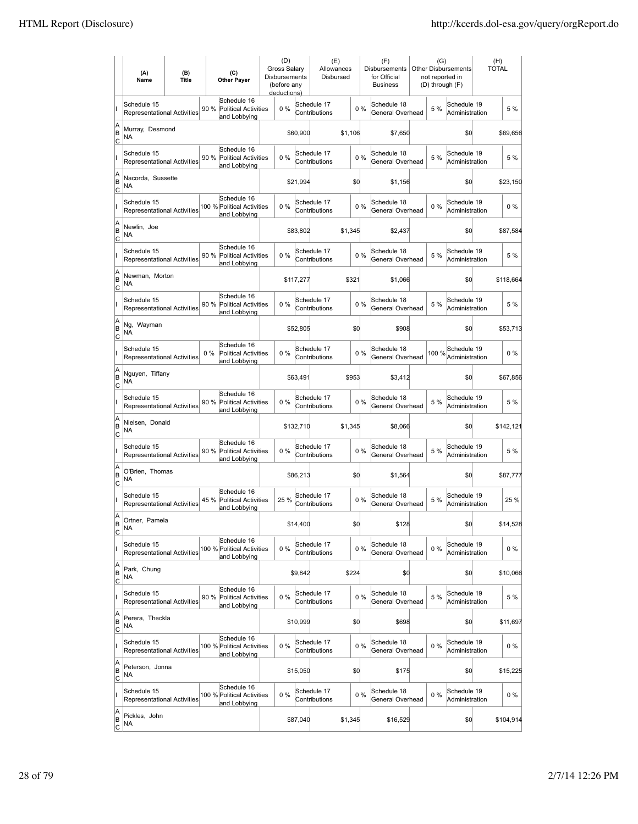|                          | (A)<br>Name                                       | (B)<br><b>Title</b> | (C)<br><b>Other Payer</b>                                           | (D)<br><b>Gross Salarv</b><br><b>Disbursements</b><br>(before any<br>deductions) |           | (E)<br>Allowances<br>Disbursed |         |       | (F)<br><b>Disbursements</b><br>for Official<br><b>Business</b> | (G)<br>not reported in<br>(D) through (F) | <b>Other Disbursements</b>    | (H)<br><b>TOTAL</b> |
|--------------------------|---------------------------------------------------|---------------------|---------------------------------------------------------------------|----------------------------------------------------------------------------------|-----------|--------------------------------|---------|-------|----------------------------------------------------------------|-------------------------------------------|-------------------------------|---------------------|
|                          | Schedule 15<br><b>Representational Activities</b> |                     | Schedule 16<br>90 %<br><b>Political Activities</b><br>and Lobbying  | 0%                                                                               |           | Schedule 17<br>Contributions   |         | 0%    | Schedule 18<br>General Overhead                                | 5 %                                       | Schedule 19<br>Administration | 5 %                 |
| A<br>B<br> c             | Murray, Desmond<br>NA                             |                     |                                                                     |                                                                                  | \$60,900  |                                | \$1,106 |       | \$7,650                                                        |                                           | \$0                           | \$69,656            |
|                          | Schedule 15<br>Representational Activities        |                     | Schedule 16<br>90 %<br><b>Political Activities</b><br>and Lobbying  | 0%                                                                               |           | Schedule 17<br>Contributions   |         | 0%    | Schedule 18<br>General Overhead                                | 5 %                                       | Schedule 19<br>Administration | 5 %                 |
| A<br>B<br>C              | Nacorda, Sussette<br>ΝA                           |                     |                                                                     |                                                                                  | \$21,994  |                                | \$d     |       | \$1,156                                                        |                                           | \$0                           | \$23,150            |
|                          | Schedule 15<br>Representational Activities        |                     | Schedule 16<br>100 % Political Activities<br>and Lobbying           | 0%                                                                               |           | Schedule 17<br>Contributions   |         | 0%    | Schedule 18<br>General Overhead                                | 0%                                        | Schedule 19<br>Administration | $0\%$               |
| A<br>B<br>C              | Newlin, Joe<br>NA                                 |                     |                                                                     |                                                                                  | \$83,802  |                                | \$1,345 |       | \$2,437                                                        |                                           | \$0                           | \$87,584            |
|                          | Schedule 15<br><b>Representational Activities</b> |                     | Schedule 16<br>90%<br><b>Political Activities</b><br>and Lobbying   | $0\%$                                                                            |           | Schedule 17<br>Contributions   |         | 0%    | Schedule 18<br>General Overhead                                | 5 %                                       | Schedule 19<br>Administration | 5 %                 |
| A<br>B<br>lc             | Newman, Morton<br>ΝA                              |                     |                                                                     |                                                                                  | \$117,277 |                                | \$321   |       | \$1,066                                                        |                                           | \$0                           | \$118,664           |
|                          | Schedule 15<br>Representational Activities        |                     | Schedule 16<br>90 %<br><b>Political Activities</b><br>and Lobbying  | 0%                                                                               |           | Schedule 17<br>Contributions   |         | 0%    | Schedule 18<br>General Overhead                                | 5 %                                       | Schedule 19<br>Administration | 5 %                 |
| A<br>B<br>C              | Ng, Wayman<br>ΝA                                  |                     |                                                                     |                                                                                  | \$52,805  |                                | \$0     |       | \$908                                                          |                                           | \$0                           | \$53,713            |
|                          | Schedule 15<br>Representational Activities        |                     | Schedule 16<br>$0\%$<br><b>Political Activities</b><br>and Lobbying | 0%                                                                               |           | Schedule 17<br>Contributions   |         | 0%    | Schedule 18<br>General Overhead                                | 100 %                                     | Schedule 19<br>Administration | $0\%$               |
| A<br>B<br>C              | Nguyen, Tiffany<br>NA                             |                     |                                                                     |                                                                                  | \$63,491  |                                | \$953   |       | \$3,412                                                        |                                           | \$0                           | \$67,856            |
|                          | Schedule 15<br><b>Representational Activities</b> |                     | Schedule 16<br>90%<br><b>Political Activities</b><br>and Lobbying   | $0\%$                                                                            |           | Schedule 17<br>Contributions   |         | $0\%$ | Schedule 18<br>General Overhead                                | 5 %                                       | Schedule 19<br>Administration | 5 %                 |
| A<br>B<br> c             | Nielsen, Donald<br>NA                             |                     |                                                                     |                                                                                  | \$132,710 |                                | \$1,345 |       | \$8,066                                                        |                                           | \$0                           | \$142,121           |
|                          | Schedule 15<br>Representational Activities        |                     | Schedule 16<br>90 %<br><b>Political Activities</b><br>and Lobbying  | 0%                                                                               |           | Schedule 17<br>Contributions   |         | 0%    | Schedule 18<br>General Overhead                                | 5 %                                       | Schedule 19<br>Administration | 5 %                 |
| A<br>B<br>C              | O'Brien, Thomas<br>ΝA                             |                     |                                                                     |                                                                                  | \$86,213  |                                | \$0     |       | \$1,564                                                        |                                           | \$0                           | \$87,777            |
|                          | Schedule 15<br><b>Representational Activities</b> |                     | Schedule 16<br>Political Activities<br>45 %<br>and Lobbying         | 25 %                                                                             |           | Schedule 17<br>Contributions   |         | 0%    | Schedule 18<br>General Overhead                                | 5 %                                       | Schedule 19<br>Administration | 25 %                |
| A<br>B<br>$\overline{c}$ | Ortner, Pamela<br>ΝA                              |                     |                                                                     |                                                                                  | \$14,400  |                                | \$d     |       | \$128                                                          |                                           | \$0                           | \$14,528            |
|                          | Schedule 15<br>Representational Activities        |                     | Schedule 16<br>100 % Political Activities<br>and Lobbying           | 0%                                                                               |           | Schedule 17<br>Contributions   |         | 0%    | Schedule 18<br>General Overhead                                | $0\%$                                     | Schedule 19<br>Administration | $0\%$               |
| A<br>B<br><u>lc</u>      | Park, Chung<br>NA                                 |                     |                                                                     |                                                                                  | \$9,842   |                                | \$224   |       | \$0                                                            |                                           | \$d                           | \$10,066            |
|                          | Schedule 15<br>Representational Activities        |                     | Schedule 16<br>90 %<br><b>Political Activities</b><br>and Lobbying  | 0%                                                                               |           | Schedule 17<br>Contributions   |         | 0%    | Schedule 18<br>General Overhead                                | 5 %                                       | Schedule 19<br>Administration | 5 %                 |
| A<br>B<br>$\mathsf{C}$   | Perera, Theckla<br><b>NA</b>                      |                     |                                                                     |                                                                                  | \$10,999  |                                | \$0     |       | \$698                                                          |                                           | \$0                           | \$11,697            |
|                          | Schedule 15<br>Representational Activities        |                     | Schedule 16<br>100 % Political Activities<br>and Lobbying           | 0%                                                                               |           | Schedule 17<br>Contributions   |         | 0%    | Schedule 18<br>General Overhead                                | $0\%$                                     | Schedule 19<br>Administration | $0\%$               |
| A<br>B<br> c             | Peterson, Jonna<br>NA                             |                     |                                                                     |                                                                                  | \$15,050  |                                | \$0     |       | \$175                                                          |                                           | \$0                           | \$15,225            |
|                          | Schedule 15<br><b>Representational Activities</b> |                     | Schedule 16<br>100 % Political Activities<br>and Lobbying           | 0%                                                                               |           | Schedule 17<br>Contributions   |         | $0\%$ | Schedule 18<br>General Overhead                                | 0%                                        | Schedule 19<br>Administration | $0\%$               |
| A<br>B<br>$\overline{c}$ | Pickles, John<br>NA                               |                     |                                                                     |                                                                                  | \$87,040  |                                | \$1,345 |       | \$16,529                                                       |                                           | \$0                           | \$104,914           |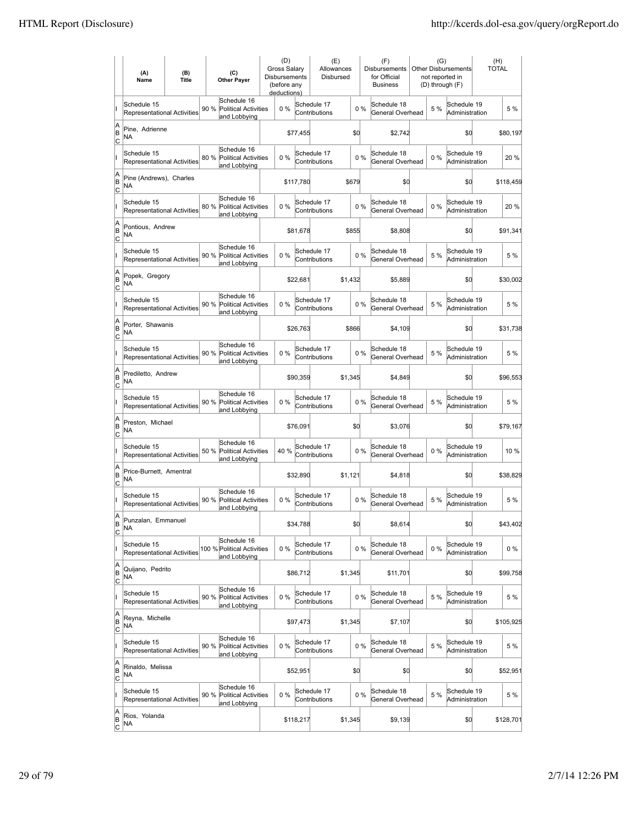|                                    | (A)<br>Name                                       | (B)<br><b>Title</b> | (C)<br><b>Other Payer</b>                                          | (D)<br><b>Gross Salarv</b><br><b>Disbursements</b><br>(before any<br>deductions) |           | (E)<br>Allowances<br>Disbursed |         |       | (F)<br>Disbursements<br>for Official<br><b>Business</b> | (G)   | <b>Other Disbursements</b><br>not reported in<br>(D) through (F) | (H)<br><b>TOTAL</b> |           |
|------------------------------------|---------------------------------------------------|---------------------|--------------------------------------------------------------------|----------------------------------------------------------------------------------|-----------|--------------------------------|---------|-------|---------------------------------------------------------|-------|------------------------------------------------------------------|---------------------|-----------|
|                                    | Schedule 15<br>Representational Activities        |                     | Schedule 16<br>90%<br><b>Political Activities</b><br>and Lobbying  | 0%                                                                               |           | Schedule 17<br>Contributions   |         | 0%    | Schedule 18<br>General Overhead                         | 5 %   | Schedule 19<br>Administration                                    |                     | 5 %       |
| A<br>B<br>C                        | Pine, Adrienne<br>NA                              |                     |                                                                    |                                                                                  | \$77,455  |                                | \$0     |       | \$2,742                                                 |       | \$0                                                              |                     | \$80,197  |
|                                    | Schedule 15<br>Representational Activities        |                     | Schedule 16<br>80%<br>Political Activities<br>and Lobbying         | 0%                                                                               |           | Schedule 17<br>Contributions   |         | 0%    | Schedule 18<br>General Overhead                         | 0%    | Schedule 19<br>Administration                                    |                     | 20 %      |
| A<br>B<br>Iс                       | Pine (Andrews), Charles<br>ΝA                     |                     |                                                                    |                                                                                  | \$117,780 |                                | \$679   |       | \$O                                                     |       | \$0                                                              |                     | \$118,459 |
|                                    | Schedule 15<br><b>Representational Activities</b> |                     | Schedule 16<br>80%<br><b>Political Activities</b><br>and Lobbying  | 0%                                                                               |           | Schedule 17<br>Contributions   |         | 0%    | Schedule 18<br>General Overhead                         | 0%    | Schedule 19<br>Administration                                    |                     | 20 %      |
| A<br>B<br> c                       | Pontious, Andrew<br>ΝA                            |                     |                                                                    |                                                                                  | \$81,678  |                                | \$855   |       | \$8,808                                                 |       | \$0                                                              |                     | \$91,341  |
|                                    | Schedule 15<br>Representational Activities        |                     | Schedule 16<br>90%<br>Political Activities<br>and Lobbying         | 0%                                                                               |           | Schedule 17<br>Contributions   |         | 0%    | Schedule 18<br>General Overhead                         | 5 %   | Schedule 19<br>Administration                                    |                     | 5 %       |
| A<br>B<br> c                       | Popek, Gregory<br>NA                              |                     |                                                                    |                                                                                  | \$22,681  |                                | \$1,432 |       | \$5,889                                                 |       | \$0                                                              |                     | \$30,002  |
|                                    | Schedule 15<br>Representational Activities        |                     | Schedule 16<br>90 %<br><b>Political Activities</b><br>and Lobbying | 0%                                                                               |           | Schedule 17<br>Contributions   |         | 0%    | Schedule 18<br>General Overhead                         | 5 %   | Schedule 19<br>Administration                                    |                     | 5 %       |
| A<br>B<br>C                        | Porter, Shawanis<br>ΝA                            |                     |                                                                    |                                                                                  | \$26,763  |                                | \$866   |       | \$4,109                                                 |       | \$0                                                              |                     | \$31,738  |
|                                    | Schedule 15<br><b>Representational Activities</b> |                     | Schedule 16<br>90 % Political Activities<br>and Lobbying           | 0%                                                                               |           | Schedule 17<br>Contributions   |         | 0%    | Schedule 18<br>General Overhead                         | 5 %   | Schedule 19<br>Administration                                    |                     | 5 %       |
| A<br>B<br>C                        | Prediletto, Andrew<br>ΝA                          |                     |                                                                    |                                                                                  | \$90,359  |                                | \$1,345 |       | \$4,849                                                 |       | \$0                                                              |                     | \$96,553  |
|                                    | Schedule 15<br>Representational Activities        |                     | Schedule 16<br>90 %<br><b>Political Activities</b><br>and Lobbying | 0%                                                                               |           | Schedule 17<br>Contributions   |         | 0%    | Schedule 18<br>General Overhead                         | 5 %   | Schedule 19<br>Administration                                    |                     | 5 %       |
| A<br>B<br>lc                       | Preston, Michael<br>NA                            |                     |                                                                    |                                                                                  | \$76,091  |                                | \$0     |       | \$3,076                                                 |       | \$0                                                              |                     | \$79,167  |
|                                    | Schedule 15<br>Representational Activities        |                     | Schedule 16<br><b>Political Activities</b><br>50 %<br>and Lobbying | 40 %                                                                             |           | Schedule 17<br>Contributions   |         | 0%    | Schedule 18<br>General Overhead                         | 0%    | Schedule 19<br>Administration                                    |                     | 10 %      |
| A<br>B<br>Iс                       | Price-Burnett, Amentral<br>NA                     |                     |                                                                    |                                                                                  | \$32,890  |                                | \$1,121 |       | \$4,818                                                 |       | \$0                                                              |                     | \$38,829  |
|                                    | Schedule 15<br>Representational Activities        |                     | Schedule 16<br>90 %<br><b>Political Activities</b><br>and Lobbying | 0%                                                                               |           | Schedule 17<br>Contributions   |         | 0%    | Schedule 18<br>General Overhead                         | 5 %   | Schedule 19<br>Administration                                    |                     | 5 %       |
| ΙA<br>B<br>$\overline{c}$          | Punzalan, Emmanuel<br>ΝA                          |                     |                                                                    |                                                                                  | \$34,788  |                                | \$0     |       | \$8,614                                                 |       | \$0                                                              |                     | \$43,402  |
|                                    | Schedule 15<br>Representational Activities        |                     | Schedule 16<br>100 % Political Activities<br>and Lobbying          | 0%                                                                               |           | Schedule 17<br>Contributions   |         | 0%    | Schedule 18<br>General Overhead                         | $0\%$ | Schedule 19<br>Administration                                    |                     | $0\%$     |
| A<br>B<br> c                       | Quijano, Pedrito<br>NA                            |                     |                                                                    |                                                                                  | \$86,712  |                                | \$1,345 |       | \$11,701                                                |       | \$0                                                              |                     | \$99,758  |
|                                    | Schedule 15<br>Representational Activities        |                     | Schedule 16<br>90%<br><b>Political Activities</b><br>and Lobbying  | 0%                                                                               |           | Schedule 17<br>Contributions   |         | $0\%$ | Schedule 18<br>General Overhead                         | 5 %   | Schedule 19<br>Administration                                    |                     | 5 %       |
| A<br>B<br><u>lc</u>                | Reyna, Michelle<br>NA                             |                     |                                                                    |                                                                                  | \$97,473  |                                | \$1,345 |       | \$7,107                                                 |       | \$0                                                              |                     | \$105,925 |
|                                    | Schedule 15<br>Representational Activities        |                     | Schedule 16<br>90 % Political Activities<br>and Lobbying           | $0\%$                                                                            |           | Schedule 17<br>Contributions   |         | $0\%$ | Schedule 18<br>General Overhead                         | 5 %   | Schedule 19<br>Administration                                    |                     | 5 %       |
| A<br>B<br>$\overline{c}$           | Rinaldo, Melissa<br>NA                            |                     |                                                                    |                                                                                  | \$52,951  |                                | \$0     |       | \$0                                                     |       | \$0                                                              |                     | \$52,951  |
|                                    | Schedule 15<br>Representational Activities        |                     | Schedule 16<br>90 %<br>Political Activities<br>and Lobbying        | 0%                                                                               |           | Schedule 17<br>Contributions   |         | $0\%$ | Schedule 18<br>General Overhead                         | 5 %   | Schedule 19<br>Administration                                    |                     | 5 %       |
| A<br> B<br>$\overline{\mathsf{c}}$ | Rios, Yolanda<br>NA                               |                     |                                                                    |                                                                                  | \$118,217 |                                | \$1,345 |       | \$9,139                                                 |       | \$0                                                              |                     | \$128,701 |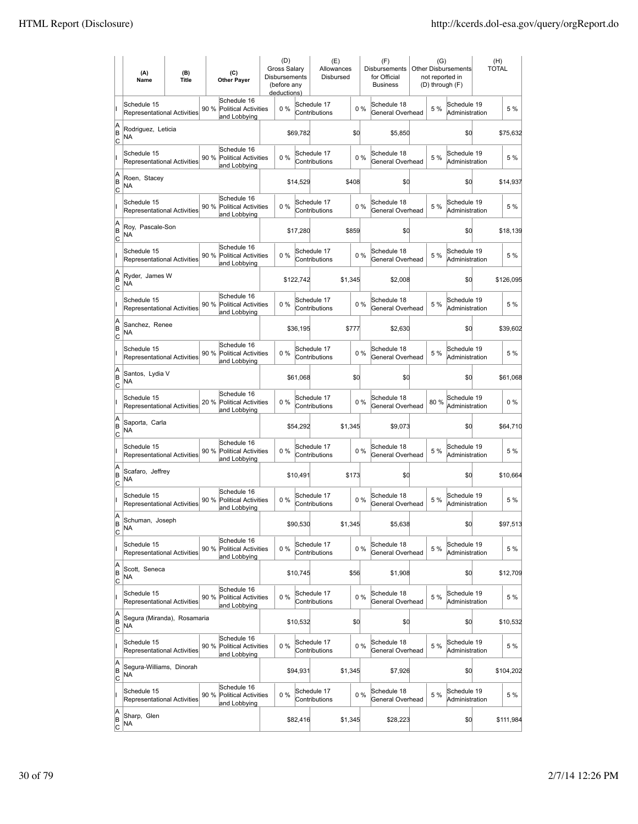|                                    | (A)<br>Name                                       | (B)<br><b>Title</b> | (C)<br><b>Other Payer</b>                                          | Gross Salarv<br>Disbursements | (D)<br>(before any<br>deductions) |           | (E)<br>Allowances<br>Disbursed |         |       | (F)<br><b>Disbursements</b><br>for Official<br><b>Business</b> | (G)<br>not reported in<br>(D) through (F) | <b>Other Disbursements</b>    | (H)<br><b>TOTAL</b> |
|------------------------------------|---------------------------------------------------|---------------------|--------------------------------------------------------------------|-------------------------------|-----------------------------------|-----------|--------------------------------|---------|-------|----------------------------------------------------------------|-------------------------------------------|-------------------------------|---------------------|
|                                    | Schedule 15<br>Representational Activities        |                     | Schedule 16<br>90%<br>Political Activities<br>and Lobbying         |                               | $0\%$                             |           | Schedule 17<br>Contributions   |         | 0%    | Schedule 18<br>General Overhead                                | 5 %                                       | Schedule 19<br>Administration | 5 %                 |
| A<br>B<br>c                        | Rodriguez, Leticia<br>NA                          |                     |                                                                    |                               |                                   | \$69,782  |                                | \$d     |       | \$5,850                                                        |                                           | \$0                           | \$75,632            |
|                                    | Schedule 15<br>Representational Activities        |                     | Schedule 16<br>Political Activities<br>90 %<br>and Lobbying        |                               | 0%                                |           | Schedule 17<br>Contributions   |         | 0%    | Schedule 18<br>General Overhead                                | 5 %                                       | Schedule 19<br>Administration | 5 %                 |
| A<br>B<br>Iс                       | Roen, Stacey<br>NA                                |                     |                                                                    |                               |                                   | \$14,529  |                                | \$408   |       | \$0                                                            |                                           | \$0                           | \$14,937            |
|                                    | Schedule 15<br><b>Representational Activities</b> |                     | Schedule 16<br>90 %<br><b>Political Activities</b><br>and Lobbying |                               | 0%                                |           | Schedule 17<br>Contributions   |         | 0%    | Schedule 18<br>General Overhead                                | 5 %                                       | Schedule 19<br>Administration | 5 %                 |
| A<br>B<br> c                       | Roy, Pascale-Son<br>ΝA                            |                     |                                                                    |                               |                                   | \$17,280  |                                | \$859   |       | \$0                                                            |                                           | \$0                           | \$18,139            |
|                                    | Schedule 15<br>Representational Activities        |                     | Schedule 16<br>90%<br><b>Political Activities</b><br>and Lobbying  |                               | 0%                                |           | Schedule 17<br>Contributions   |         | 0%    | Schedule 18<br>General Overhead                                | 5 %                                       | Schedule 19<br>Administration | 5 %                 |
| A<br>B<br> c                       | Ryder, James W<br>NA                              |                     |                                                                    |                               |                                   | \$122,742 |                                | \$1,345 |       | \$2,008                                                        |                                           | \$0                           | \$126,095           |
|                                    | Schedule 15<br><b>Representational Activities</b> |                     | Schedule 16<br>90 %<br><b>Political Activities</b><br>and Lobbying |                               | $0\%$                             |           | Schedule 17<br>Contributions   |         | 0%    | Schedule 18<br>General Overhead                                | 5 %                                       | Schedule 19<br>Administration | 5 %                 |
| A<br>B<br>Iс                       | Sanchez, Renee<br>ΝA                              |                     |                                                                    |                               |                                   | \$36,195  |                                | \$777   |       | \$2,630                                                        |                                           | \$0                           | \$39,602            |
|                                    | Schedule 15<br>Representational Activities        |                     | Schedule 16<br>90 % Political Activities<br>and Lobbying           |                               | $0\%$                             |           | Schedule 17<br>Contributions   |         | 0%    | Schedule 18<br>General Overhead                                | 5 %                                       | Schedule 19<br>Administration | 5 %                 |
| A<br>B<br>C                        | Santos, Lydia V<br>ΝA                             |                     |                                                                    |                               |                                   | \$61,068  |                                | \$Q     |       | \$0                                                            |                                           | \$0                           | \$61,068            |
|                                    | Schedule 15<br>Representational Activities        |                     | Schedule 16<br>20 %<br><b>Political Activities</b><br>and Lobbying |                               | 0%                                |           | Schedule 17<br>Contributions   |         | 0%    | Schedule 18<br>General Overhead                                | 80%                                       | Schedule 19<br>Administration | $0\%$               |
| A<br>B<br>lc                       | Saporta, Carla<br>NA                              |                     |                                                                    |                               |                                   | \$54,292  |                                | \$1,345 |       | \$9,073                                                        |                                           | \$0                           | \$64,710            |
|                                    | Schedule 15<br>Representational Activities        |                     | Schedule 16<br>90 %<br><b>Political Activities</b><br>and Lobbying |                               | 0%                                |           | Schedule 17<br>Contributions   |         | 0%    | Schedule 18<br>General Overhead                                | 5 %                                       | Schedule 19<br>Administration | 5 %                 |
| A<br>B<br>Iс                       | Scafaro, Jeffrey<br>NA                            |                     |                                                                    |                               |                                   | \$10,491  |                                | \$173   |       | \$0                                                            |                                           | \$0                           | \$10,664            |
|                                    | Schedule 15<br><b>Representational Activities</b> |                     | Schedule 16<br>90 %<br><b>Political Activities</b><br>and Lobbying |                               | 0%                                |           | Schedule 17<br>Contributions   |         | 0%    | Schedule 18<br>General Overhead                                | 5 %                                       | Schedule 19<br>Administration | 5 %                 |
| ΙA<br>B<br>$\overline{c}$          | Schuman, Joseph<br>ΝA                             |                     |                                                                    |                               |                                   | \$90,530  |                                | \$1,345 |       | \$5,638                                                        |                                           | \$0                           | \$97,513            |
|                                    | Schedule 15<br>Representational Activities        |                     | Schedule 16<br>90%<br>Political Activities<br>and Lobbying         |                               | 0%                                |           | Schedule 17<br>Contributions   |         | 0%    | Schedule 18<br>General Overhead                                | 5 %                                       | Schedule 19<br>Administration | 5 %                 |
| A<br>B<br> c                       | Scott, Seneca<br>NA                               |                     |                                                                    |                               |                                   | \$10,745  |                                | \$56    |       | \$1,908                                                        |                                           | \$0                           | \$12,709            |
|                                    | Schedule 15<br>Representational Activities        |                     | Schedule 16<br>90%<br><b>Political Activities</b><br>and Lobbying  |                               | $0\%$                             |           | Schedule 17<br>Contributions   |         | $0\%$ | Schedule 18<br>General Overhead                                | 5 %                                       | Schedule 19<br>Administration | 5 %                 |
| A<br>B<br><u>lc</u>                | Segura (Miranda), Rosamaria<br>NA                 |                     |                                                                    |                               |                                   | \$10,532  |                                | \$0     |       | \$0                                                            |                                           | \$0                           | \$10,532            |
|                                    | Schedule 15<br>Representational Activities        |                     | Schedule 16<br><b>Political Activities</b><br>90 %<br>and Lobbying |                               | $0\%$                             |           | Schedule 17<br>Contributions   |         | $0\%$ | Schedule 18<br>General Overhead                                | 5 %                                       | Schedule 19<br>Administration | 5 %                 |
| A<br>B<br>$\circ$                  | Segura-Williams, Dinorah<br>NA                    |                     |                                                                    |                               |                                   | \$94,931  |                                | \$1,345 |       | \$7,926                                                        |                                           | \$0                           | \$104,202           |
|                                    | Schedule 15<br>Representational Activities        |                     | Schedule 16<br>90 %<br><b>Political Activities</b><br>and Lobbying |                               | 0%                                |           | Schedule 17<br>Contributions   |         | 0%    | Schedule 18<br>General Overhead                                | 5 %                                       | Schedule 19<br>Administration | 5 %                 |
| A<br> B<br>$\overline{\mathsf{c}}$ | Sharp, Glen<br>NA                                 |                     |                                                                    |                               |                                   | \$82,416  |                                | \$1,345 |       | \$28,223                                                       |                                           | \$0                           | \$111,984           |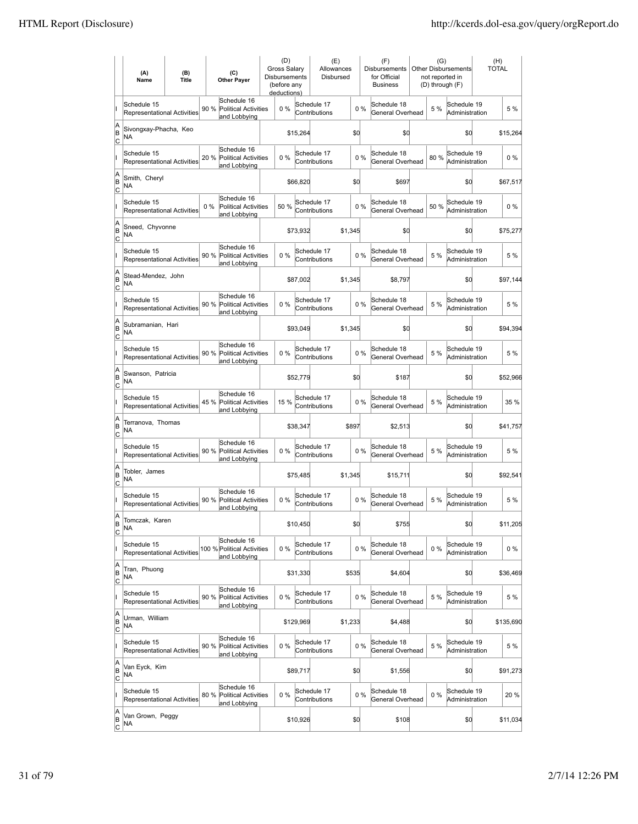|                          | (A)<br>Name                                       | (B)<br><b>Title</b> | (C)<br><b>Other Payer</b>                                          | (D)<br><b>Gross Salary</b><br><b>Disbursements</b><br>(before any<br>deductions) |           | (E)<br>Allowances<br>Disbursed |         |       | (F)<br><b>Disbursements</b><br>for Official<br><b>Business</b> | (G)   | <b>Other Disbursements</b><br>not reported in<br>(D) through (F) | (H)<br><b>TOTAL</b> |
|--------------------------|---------------------------------------------------|---------------------|--------------------------------------------------------------------|----------------------------------------------------------------------------------|-----------|--------------------------------|---------|-------|----------------------------------------------------------------|-------|------------------------------------------------------------------|---------------------|
|                          | Schedule 15<br><b>Representational Activities</b> |                     | Schedule 16<br>90 %<br><b>Political Activities</b><br>and Lobbying | 0%                                                                               |           | Schedule 17<br>Contributions   |         | 0%    | Schedule 18<br>General Overhead                                | 5 %   | Schedule 19<br>Administration                                    | 5 %                 |
| A<br>B<br> c             | Sivongxay-Phacha, Keo<br>NA                       |                     |                                                                    |                                                                                  | \$15,264  |                                | \$0     |       | \$d                                                            |       | \$0                                                              | \$15,264            |
|                          | Schedule 15<br><b>Representational Activities</b> |                     | Schedule 16<br>20 %<br><b>Political Activities</b><br>and Lobbying | $0\%$                                                                            |           | Schedule 17<br>Contributions   |         | 0%    | Schedule 18<br>General Overhead                                | 80%   | Schedule 19<br>Administration                                    | $0\%$               |
| A<br>B<br>C              | Smith, Cheryl<br>NA                               |                     |                                                                    |                                                                                  | \$66,820  |                                | \$0     |       | \$697                                                          |       | \$0                                                              | \$67,517            |
|                          | Schedule 15<br>Representational Activities        |                     | Schedule 16<br>$0\%$<br>Political Activities<br>and Lobbying       | 50 %                                                                             |           | Schedule 17<br>Contributions   |         | 0%    | Schedule 18<br>General Overhead                                | 50 %  | Schedule 19<br>Administration                                    | $0\%$               |
| A<br>B<br> c             | Sneed, Chyvonne<br>NA                             |                     |                                                                    |                                                                                  | \$73,932  |                                | \$1,345 |       | \$0                                                            |       | \$0                                                              | \$75,277            |
|                          | Schedule 15<br>Representational Activities        |                     | Schedule 16<br>90 %<br><b>Political Activities</b><br>and Lobbying | 0%                                                                               |           | Schedule 17<br>Contributions   |         | 0%    | Schedule 18<br>General Overhead                                | 5 %   | Schedule 19<br>Administration                                    | 5 %                 |
| A<br>ΙB<br> c            | Stead-Mendez, John<br>NA                          |                     |                                                                    |                                                                                  | \$87,002  |                                | \$1,345 |       | \$8,797                                                        |       | \$0                                                              | \$97,144            |
|                          | Schedule 15<br>Representational Activities        |                     | Schedule 16<br>90 % Political Activities<br>and Lobbying           | $0\%$                                                                            |           | Schedule 17<br>Contributions   |         | 0%    | Schedule 18<br>General Overhead                                | 5 %   | Schedule 19<br>Administration                                    | 5 %                 |
| A<br>B<br>c              | Subramanian, Hari<br>ΝA                           |                     |                                                                    |                                                                                  | \$93,049  |                                | \$1,345 |       | \$0                                                            |       | \$0                                                              | \$94,394            |
|                          | Schedule 15<br>Representational Activities        |                     | Schedule 16<br>90 % Political Activities<br>and Lobbying           | 0%                                                                               |           | Schedule 17<br>Contributions   |         | 0%    | Schedule 18<br>General Overhead                                | 5 %   | Schedule 19<br>Administration                                    | 5 %                 |
| A<br>B<br>c              | Swanson, Patricia<br>NA                           |                     |                                                                    |                                                                                  | \$52,779  |                                | \$0     |       | \$187                                                          |       | \$0                                                              | \$52,966            |
|                          | Schedule 15<br><b>Representational Activities</b> |                     | Schedule 16<br>45 %<br><b>Political Activities</b><br>and Lobbying | 15 %                                                                             |           | Schedule 17<br>Contributions   |         | 0%    | Schedule 18<br>General Overhead                                | 5 %   | Schedule 19<br>Administration                                    | 35 %                |
| A<br>B<br>Iс             | Terranova, Thomas<br>ΝA                           |                     |                                                                    |                                                                                  | \$38,347  |                                | \$897   |       | \$2,513                                                        |       | \$0                                                              | \$41,757            |
|                          | Schedule 15<br><b>Representational Activities</b> |                     | Schedule 16<br>90 %<br><b>Political Activities</b><br>and Lobbying | $0\%$                                                                            |           | Schedule 17<br>Contributions   |         | $0\%$ | Schedule 18<br>General Overhead                                | 5 %   | Schedule 19<br>Administration                                    | 5 %                 |
| A<br>B<br>C              | Tobler, James<br>ΝA                               |                     |                                                                    |                                                                                  | \$75,485  |                                | \$1,345 |       | \$15,711                                                       |       | \$0                                                              | \$92,541            |
|                          | Schedule 15<br>Representational Activities        |                     | Schedule 16<br>90 %<br><b>Political Activities</b><br>and Lobbving | 0%                                                                               |           | Schedule 17<br>Contributions   |         | 0%    | Schedule 18<br>General Overhead                                | 5 %   | Schedule 19<br>Administration                                    | 5 %                 |
| A<br>B<br>$\overline{c}$ | Tomczak, Karen<br>ΝA                              |                     |                                                                    |                                                                                  | \$10,450  |                                | \$d     |       | \$755                                                          |       | \$d                                                              | \$11,205            |
|                          | Schedule 15<br>Representational Activities        |                     | Schedule 16<br>100 % Political Activities<br>and Lobbying          | 0%                                                                               |           | Schedule 17<br>Contributions   |         | $0\%$ | Schedule 18<br>General Overhead                                | $0\%$ | Schedule 19<br>Administration                                    | 0%                  |
| A<br>B<br>$\overline{c}$ | Tran, Phuong<br>NA                                |                     |                                                                    |                                                                                  | \$31,330  |                                | \$535   |       | \$4,604                                                        |       | \$d                                                              | \$36,469            |
|                          | Schedule 15<br>Representational Activities        |                     | Schedule 16<br>90 % Political Activities<br>and Lobbying           | $0\%$                                                                            |           | Schedule 17<br>Contributions   |         | $0\%$ | Schedule 18<br>General Overhead                                | 5 %   | Schedule 19<br>Administration                                    | 5 %                 |
| A<br>B<br>$\mathsf{C}$   | Urman, William<br>NA                              |                     |                                                                    |                                                                                  | \$129,969 |                                | \$1,233 |       | \$4,488                                                        |       | \$d                                                              | \$135,690           |
|                          | Schedule 15<br>Representational Activities        |                     | Schedule 16<br>90 %<br><b>Political Activities</b><br>and Lobbying | 0%                                                                               |           | Schedule 17<br>Contributions   |         | 0%    | Schedule 18<br>General Overhead                                | 5 %   | Schedule 19<br>Administration                                    | 5 %                 |
| A<br>B<br>C              | Van Eyck, Kim<br>NA                               |                     |                                                                    |                                                                                  | \$89,717  |                                | \$0     |       | \$1,556                                                        |       | \$d                                                              | \$91,273            |
|                          | Schedule 15<br>Representational Activities        |                     | Schedule 16<br>80 %<br><b>Political Activities</b><br>and Lobbying | 0%                                                                               |           | Schedule 17<br>Contributions   |         | 0%    | Schedule 18<br>General Overhead                                | $0\%$ | Schedule 19<br>Administration                                    | 20 %                |
| A<br>B<br>$\overline{c}$ | Van Grown, Peggy<br>NA                            |                     |                                                                    |                                                                                  | \$10,926  |                                | \$0     |       | \$108                                                          |       | \$d                                                              | \$11,034            |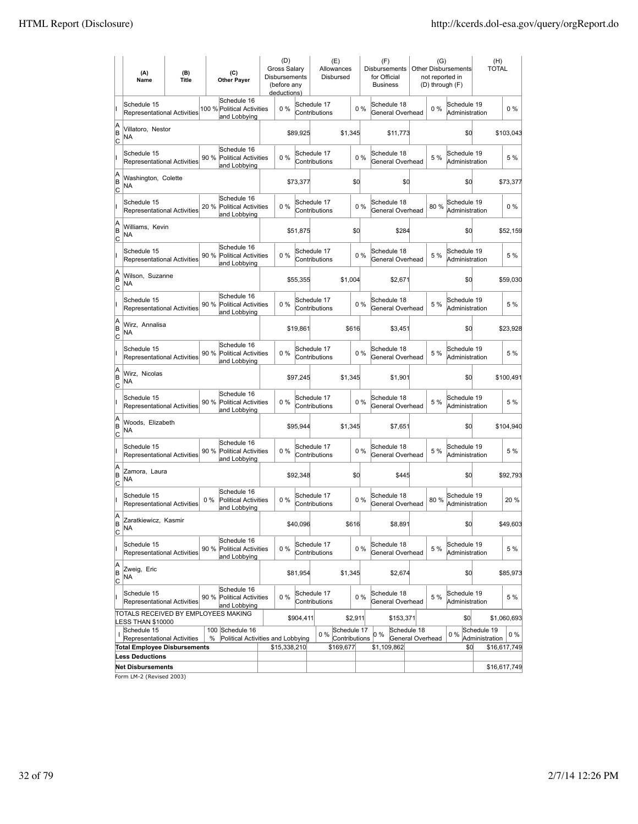|              | (A)<br>Name                                                                                                | (B)<br>Title                        |       | (C)<br><b>Other Payer</b>                                  |  | (D)<br>Gross Salary<br><b>Disbursements</b><br>(before any<br>deductions) |           | (E)<br>Allowances<br>Disbursed        |         |       | (F)<br><b>Disbursements</b><br>for Official<br><b>Business</b> | (G)<br>not reported in<br>(D) through (F) | Other Disbursements           | (H)<br><b>TOTAL</b>           |              |
|--------------|------------------------------------------------------------------------------------------------------------|-------------------------------------|-------|------------------------------------------------------------|--|---------------------------------------------------------------------------|-----------|---------------------------------------|---------|-------|----------------------------------------------------------------|-------------------------------------------|-------------------------------|-------------------------------|--------------|
|              | Schedule 15<br><b>Representational Activities</b>                                                          |                                     |       | Schedule 16<br>100 % Political Activities<br>and Lobbying  |  | 0%                                                                        |           | Schedule 17<br>Contributions          |         | 0%    | Schedule 18<br>General Overhead                                | 0%                                        | Schedule 19<br>Administration |                               | $0\%$        |
| A<br>B<br>C  | Villatoro, Nestor<br>NA                                                                                    |                                     |       |                                                            |  |                                                                           | \$89,925  | \$1,345                               |         |       | \$11,773                                                       |                                           | \$d                           |                               | \$103,043    |
|              | Schedule 15<br><b>Representational Activities</b>                                                          |                                     | 90 %  | Schedule 16<br><b>Political Activities</b><br>and Lobbying |  | 0%                                                                        |           | Schedule 17<br>Contributions          | 0%      |       | Schedule 18<br>General Overhead                                | 5 %                                       | Schedule 19<br>Administration |                               | 5 %          |
| Α<br>B<br>C  | Washington, Colette<br>NA                                                                                  |                                     |       |                                                            |  |                                                                           | \$73,377  |                                       | \$Q     |       | \$0                                                            |                                           | \$d                           |                               | \$73,377     |
|              | Schedule 15<br><b>Representational Activities</b>                                                          |                                     | 20 %  | Schedule 16<br><b>Political Activities</b><br>and Lobbying |  | 0%                                                                        |           | Schedule 17<br>Contributions          |         | 0%    | Schedule 18<br>General Overhead                                | 80%                                       | Schedule 19<br>Administration |                               | $0\%$        |
| A<br>B<br>C  | Williams, Kevin<br>NA                                                                                      |                                     |       |                                                            |  |                                                                           | \$51,875  |                                       | \$d     |       | \$284                                                          |                                           | \$0                           |                               | \$52,159     |
|              | Schedule 15<br>Representational Activities                                                                 |                                     |       | Schedule 16<br>90 % Political Activities<br>and Lobbying   |  | 0%                                                                        |           | Schedule 17<br>Contributions          |         | 0%    | Schedule 18<br>General Overhead                                | 5 %                                       | Schedule 19<br>Administration |                               | 5 %          |
| A<br>B<br>C  | Wilson, Suzanne<br>NA                                                                                      |                                     |       |                                                            |  |                                                                           | \$55,355  | \$1,004                               |         |       | \$2,671                                                        |                                           | \$0                           |                               | \$59,030     |
|              | Schedule 15<br>Representational Activities                                                                 |                                     |       | Schedule 16<br>90 % Political Activities<br>and Lobbying   |  | 0%                                                                        |           | Schedule 17<br>Contributions          |         | 0%    | Schedule 18<br>General Overhead                                | 5 %                                       | Schedule 19<br>Administration |                               | 5 %          |
| A<br>ΙB<br>C | Wirz. Annalisa<br>NA                                                                                       |                                     |       |                                                            |  |                                                                           | \$19,861  |                                       | \$616   |       | \$3,451                                                        |                                           | \$d                           |                               | \$23,928     |
|              | Schedule 15<br><b>Representational Activities</b>                                                          |                                     |       | Schedule 16<br>90 % Political Activities<br>and Lobbying   |  | 0%                                                                        |           | Schedule 17<br>Contributions          |         | 0%    | Schedule 18<br>General Overhead                                | 5 %                                       | Schedule 19<br>Administration |                               | 5 %          |
| A<br>B<br>C  | Wirz, Nicolas<br>NA                                                                                        |                                     |       |                                                            |  |                                                                           | \$97,245  | \$1,345                               |         |       | \$1,901                                                        |                                           | \$d                           |                               | \$100,491    |
|              | Schedule 15<br>Representational Activities                                                                 |                                     |       | Schedule 16<br>90 % Political Activities<br>and Lobbying   |  | 0%                                                                        |           | Schedule 17<br>Contributions          |         | 0%    | Schedule 18<br>General Overhead                                | 5 %                                       | Schedule 19<br>Administration |                               | 5 %          |
| A<br>B<br>C  | Woods, Elizabeth<br>ΝA                                                                                     |                                     |       |                                                            |  |                                                                           | \$95,944  | \$1,345                               |         |       | \$7,651                                                        |                                           | \$d                           |                               | \$104,940    |
|              | Schedule 15<br><b>Representational Activities</b>                                                          |                                     |       | Schedule 16<br>90 % Political Activities<br>and Lobbying   |  | 0%                                                                        |           | Schedule 17<br>Contributions          | $0\%$   |       | Schedule 18<br>General Overhead                                | 5 %                                       | Schedule 19<br>Administration |                               | 5 %          |
| Α<br>B<br>C  | Zamora, Laura<br>NA                                                                                        |                                     |       |                                                            |  |                                                                           | \$92,348  |                                       | \$0     |       | \$445                                                          |                                           | \$d                           |                               | \$92.793     |
|              | Schedule 15<br><b>Representational Activities</b>                                                          |                                     | $0\%$ | Schedule 16<br>Political Activities<br>and Lobbying        |  | 0%                                                                        |           | Schedule 17<br>Contributions          |         | 0%    | Schedule 18<br>General Overhead                                | 80 %                                      | Schedule 19<br>Administration |                               | 20 %         |
| A<br>B<br>C  | Zaratkiewicz, Kasmir<br>NA                                                                                 |                                     |       |                                                            |  |                                                                           | \$40,096  |                                       | \$616   |       | \$8,891                                                        |                                           | \$d                           |                               | \$49,603     |
| ı            | Schedule 15<br>Representational Activities                                                                 |                                     |       | Schedule 16<br>90 % Political Activities<br>and Lobbying   |  | 0%                                                                        |           | Schedule 17<br>Contributions          |         | $0\%$ | Schedule 18<br>General Overhead                                | 5 %                                       | Schedule 19<br>Administration |                               | 5 %          |
| A<br>B<br>C  | Zweig, Eric<br>NA                                                                                          |                                     |       |                                                            |  |                                                                           | \$81,954  | \$1,345                               |         |       | \$2,674                                                        |                                           | \$d                           |                               | \$85,973     |
| ı            | Schedule 15<br>Representational Activities                                                                 |                                     |       | Schedule 16<br>90 % Political Activities<br>and Lobbying   |  | 0%                                                                        |           | Schedule 17<br>Contributions          |         | $0\%$ | Schedule 18<br>General Overhead                                | 5 %                                       | Schedule 19<br>Administration |                               | 5 %          |
|              | TOTALS RECEIVED BY EMPLOYEES MAKING<br>LESS THAN \$10000                                                   |                                     |       |                                                            |  |                                                                           | \$904,411 |                                       | \$2,911 |       | \$153,371                                                      |                                           | \$0                           |                               | \$1,060,693  |
|              | Schedule 15<br>100<br>Schedule 16<br>Representational Activities<br>Political Activities and Lobbying<br>% |                                     |       |                                                            |  |                                                                           |           | Schedule 17<br>$0\%$<br>Contributions |         |       | Schedule 18<br>0 %<br>General Overhead                         |                                           | 0%                            | Schedule 19<br>Administration | $0\%$        |
|              |                                                                                                            | <b>Total Employee Disbursements</b> |       |                                                            |  | \$15,338,210                                                              |           | \$169,677                             |         |       | \$1,109,862                                                    |                                           | \$0                           |                               | \$16,617,749 |
|              | <b>Less Deductions</b><br><b>Net Disbursements</b>                                                         |                                     |       |                                                            |  |                                                                           |           |                                       |         |       |                                                                |                                           |                               |                               | \$16,617,749 |
|              |                                                                                                            |                                     |       |                                                            |  |                                                                           |           |                                       |         |       |                                                                |                                           |                               |                               |              |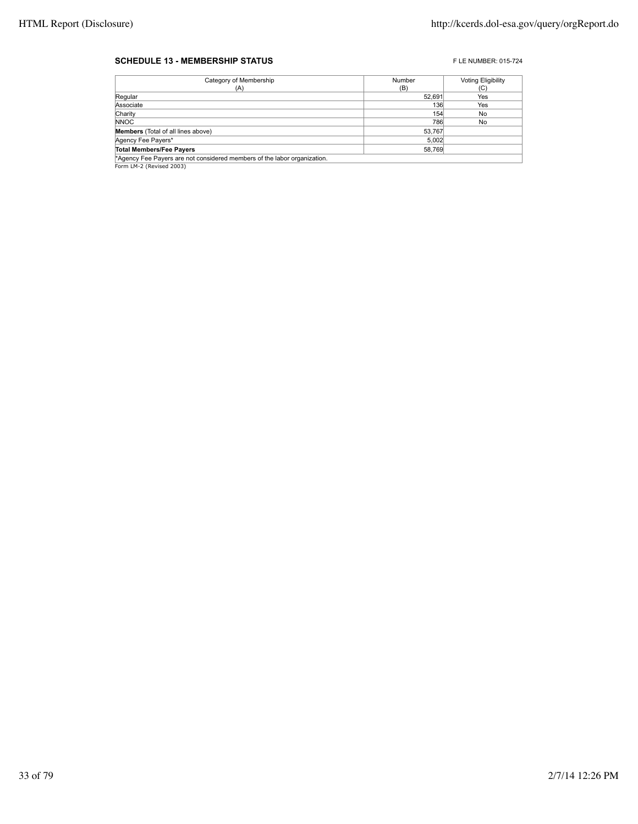#### **SCHEDULE 13 - MEMBERSHIP STATUS EXECUTE 2015-724** FLE NUMBER: 015-724

| Category of Membership                                                   | Number | <b>Voting Eligibility</b> |
|--------------------------------------------------------------------------|--------|---------------------------|
| (A)                                                                      | (B)    | (C)                       |
| Regular                                                                  | 52.691 | Yes                       |
| Associate                                                                | 136    | Yes                       |
| Charity                                                                  | 154    | No                        |
| <b>NNOC</b>                                                              | 786    | No                        |
| <b>Members</b> (Total of all lines above)                                | 53,767 |                           |
| Agency Fee Payers*                                                       | 5,002  |                           |
| <b>Total Members/Fee Payers</b>                                          | 58.769 |                           |
| *Agency Fee Payers are not considered members of the labor organization. |        |                           |

**Agency Fee Payers are n\***<br>Form LM-2 (Revised 2003)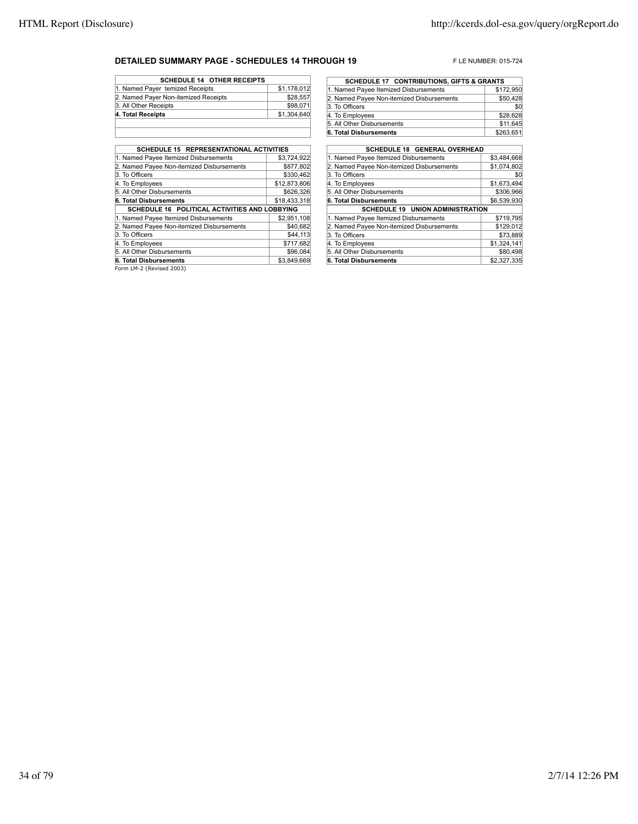#### **DETAILED SUMMARY PAGE - SCHEDULES 14 THROUGH 19** FLE NUMBER: 015-724

| <b>SCHEDULE 14 OTHER RECEIPTS</b>    |             |
|--------------------------------------|-------------|
| 1. Named Payer temized Receipts      | \$1,178,012 |
| 2. Named Payer Non-itemized Receipts | \$28,557    |
| 3. All Other Receipts                | \$98,071    |
| 4. Total Receipts                    | \$1,304,640 |
|                                      |             |

| <b>SCHEDULE 15 REPRESENTATIONAL ACTIVITIES</b> |              |
|------------------------------------------------|--------------|
| 1. Named Payee Itemized Disbursements          | \$3.724.922  |
| 2. Named Payee Non-itemized Disbursements      | \$877,802    |
| 3. To Officers                                 | \$330,462    |
| 4. To Employees                                | \$12,873,806 |
| 5. All Other Disbursements                     | \$626.326    |
| 6. Total Disbursements                         | \$18,433,318 |
| SCHEDULE 16 POLITICAL ACTIVITIES AND LOBBYING  |              |
| 1. Named Payee Itemized Disbursements          | \$2,951,108  |
| 2. Named Payee Non-itemized Disbursements      | \$40.682     |
| 3. To Officers                                 | \$44,113     |
| 4. To Employees                                | \$717.682    |
| 5. All Other Disbursements                     | \$96,084     |
| 6. Total Disbursements                         | \$3.849.669  |
| Form IM 2 (David 2002)                         |              |

| <b>SCHEDULE 17 CONTRIBUTIONS, GIFTS &amp; GRANTS</b> |           |  |
|------------------------------------------------------|-----------|--|
| 1. Named Payee Itemized Disbursements                | \$172,950 |  |
| 2. Named Payee Non-itemized Disbursements            | \$50,428  |  |
| 3. To Officers                                       | \$0       |  |
| 4. To Employees                                      | \$28,628  |  |
| 5. All Other Disbursements                           | \$11,645  |  |
| 6. Total Disbursements                               | \$263,651 |  |

| <b>SCHEDULE 18 GENERAL OVERHEAD</b>       |             |  |
|-------------------------------------------|-------------|--|
| 1. Named Payee Itemized Disbursements     | \$3,484,668 |  |
| 2. Named Payee Non-itemized Disbursements | \$1,074,802 |  |
| 3. To Officers                            | \$0         |  |
| 4. To Employees                           | \$1,673,494 |  |
| 5. All Other Disbursements                | \$306.966   |  |
| 6. Total Disbursements                    | \$6,539,930 |  |
| <b>SCHEDULE 19 UNION ADMINISTRATION</b>   |             |  |
| 1. Named Payee Itemized Disbursements     | \$719,795   |  |
| 2. Named Payee Non-itemized Disbursements | \$129.012   |  |
| 3. To Officers                            | \$73.889    |  |
| 4. To Employees                           | \$1,324,141 |  |
| 5. All Other Disbursements                | \$80,498    |  |
| 6. Total Disbursements                    | \$2,327,335 |  |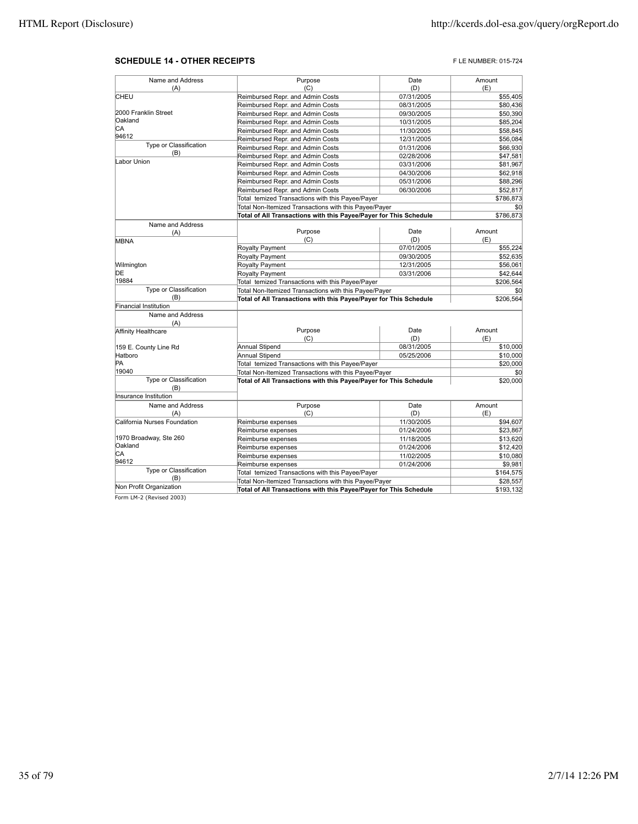#### **SCHEDULE 14 - OTHER RECEIPTS FLE NUMBER: 015-724**

| Name and Address              | Purpose                                                              | Date        | Amount    |
|-------------------------------|----------------------------------------------------------------------|-------------|-----------|
| (A)                           | (C)                                                                  | (D)         | (E)       |
| CHEU                          | Reimbursed Repr. and Admin Costs                                     | 07/31/2005  | \$55,405  |
|                               | Reimbursed Repr. and Admin Costs                                     | 08/31/2005  | \$80,436  |
| 2000 Franklin Street          | Reimbursed Repr. and Admin Costs                                     | 09/30/2005  | \$50,390  |
| Oakland                       | Reimbursed Repr. and Admin Costs                                     | 10/31/2005  | \$85,204  |
| СA                            | Reimbursed Repr. and Admin Costs                                     | 11/30/2005  | \$58,845  |
| 94612                         | Reimbursed Repr. and Admin Costs                                     | 12/31/2005  | \$56,084  |
| Type or Classification        | Reimbursed Repr. and Admin Costs                                     | 01/31/2006  | \$66,930  |
| (B)                           | Reimbursed Repr. and Admin Costs                                     | 02/28/2006  | \$47,581  |
| Labor Union                   | Reimbursed Repr. and Admin Costs                                     | 03/31/2006  | \$81,967  |
|                               | Reimbursed Repr. and Admin Costs                                     | 04/30/2006  | \$62,918  |
|                               |                                                                      | 05/31/2006  | \$88,296  |
|                               | Reimbursed Repr. and Admin Costs<br>Reimbursed Repr. and Admin Costs | 06/30/2006  | \$52,817  |
|                               |                                                                      |             |           |
|                               | Total temized Transactions with this Payee/Payer                     |             | \$786,873 |
|                               | Total Non-Itemized Transactions with this Payee/Payer                |             | \$0       |
|                               | Total of All Transactions with this Payee/Payer for This Schedule    |             | \$786,873 |
| Name and Address              |                                                                      |             |           |
| (A)                           | Purpose<br>(C)                                                       | Date<br>(D) | Amount    |
| MBNA                          |                                                                      |             | (E)       |
|                               | Royalty Payment                                                      | 07/01/2005  | \$55,224  |
|                               | <b>Royalty Payment</b>                                               | 09/30/2005  | \$52,635  |
| Wilmington                    | Royalty Payment                                                      | 12/31/2005  | \$56,061  |
| DE<br>19884                   | Royalty Payment                                                      | 03/31/2006  | \$42,644  |
| Type or Classification        | Total temized Transactions with this Payee/Payer                     |             | \$206,564 |
| (B)                           | Total Non-Itemized Transactions with this Payee/Payer                |             | \$0       |
| <b>Financial Institution</b>  | Total of All Transactions with this Payee/Payer for This Schedule    |             | \$206,564 |
| Name and Address              |                                                                      |             |           |
| (A)                           |                                                                      |             |           |
| Affinity Healthcare           | Purpose                                                              | Date        | Amount    |
|                               | (C)                                                                  | (D)         | (E)       |
| 159 E. County Line Rd         | Annual Stipend                                                       | 08/31/2005  | \$10,000  |
| Hatboro                       | Annual Stipend                                                       | 05/25/2006  | \$10,000  |
| PA                            | Total temized Transactions with this Payee/Payer                     |             | \$20,000  |
| 19040                         | Total Non-Itemized Transactions with this Payee/Payer                |             | \$0       |
| Type or Classification<br>(B) | Total of All Transactions with this Payee/Payer for This Schedule    |             | \$20,000  |
| Insurance Institution         |                                                                      |             |           |
| Name and Address              | Purpose                                                              | Date        | Amount    |
| (A)                           | (C)                                                                  | (D)         | (E)       |
| California Nurses Foundation  | Reimburse expenses                                                   | 11/30/2005  | \$94,607  |
|                               | Reimburse expenses                                                   | 01/24/2006  | \$23,867  |
| 1970 Broadway, Ste 260        | Reimburse expenses                                                   | 11/18/2005  | \$13,620  |
| Oakland                       | Reimburse expenses                                                   | 01/24/2006  | \$12,420  |
| lСA                           | Reimburse expenses                                                   | 11/02/2005  | \$10,080  |
| 94612                         | Reimburse expenses                                                   | 01/24/2006  | \$9,981   |
| Type or Classification        | Total temized Transactions with this Payee/Payer                     |             | \$164,575 |
| (B)                           | Total Non-Itemized Transactions with this Payee/Payer                |             | \$28,557  |
| Non Profit Organization       | Total of All Transactions with this Payee/Payer for This Schedule    |             | \$193,132 |
| Form LM-2 (Revised 2003)      |                                                                      |             |           |
|                               |                                                                      |             |           |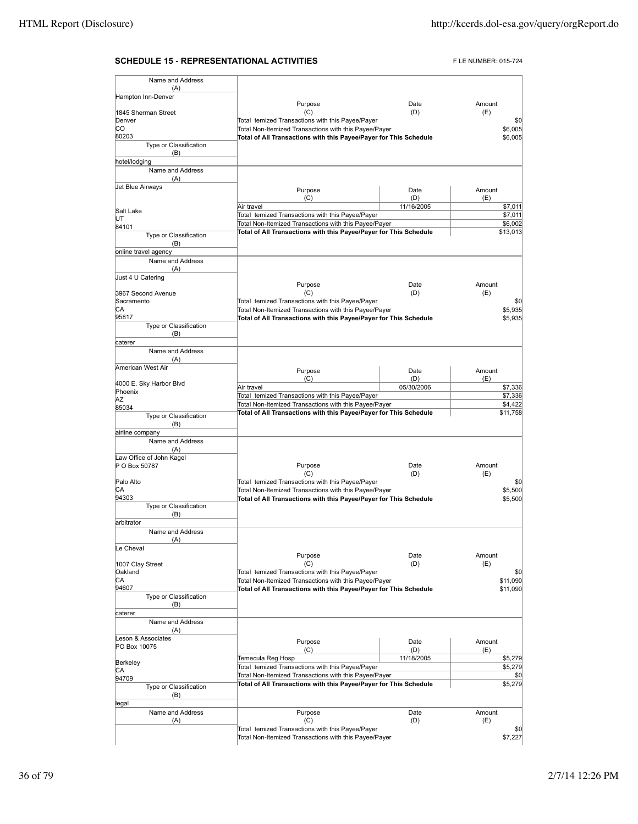#### **SCHEDULE 15 - REPRESENTATIONAL ACTIVITIES** FLE NUMBER: 015-724

| Name and Address                 |                                                                   |             |                    |
|----------------------------------|-------------------------------------------------------------------|-------------|--------------------|
| (A)<br>Hampton Inn-Denver        |                                                                   |             |                    |
|                                  | Purpose                                                           | Date        | Amount             |
| 1845 Sherman Street<br>Denver    | (C)<br>Total temized Transactions with this Payee/Payer           | (D)         | (E)<br>\$0         |
| CO                               | Total Non-Itemized Transactions with this Payee/Payer             |             | \$6,005            |
| 80203                            | Total of All Transactions with this Payee/Payer for This Schedule |             | \$6,005            |
| Type or Classification           |                                                                   |             |                    |
| (B)<br>hotel/lodging             |                                                                   |             |                    |
| Name and Address                 |                                                                   |             |                    |
| (A)                              |                                                                   |             |                    |
| Jet Blue Airways                 | Purpose                                                           | Date        | Amount             |
|                                  | (C)                                                               | (D)         | (E)                |
| Salt Lake                        | Air travel<br>Total temized Transactions with this Payee/Payer    | 11/16/2005  | \$7,011<br>\$7,011 |
| UT<br>84101                      | Total Non-Itemized Transactions with this Payee/Payer             |             | \$6,002            |
| Type or Classification           | Total of All Transactions with this Payee/Payer for This Schedule |             | \$13,013           |
| (B)                              |                                                                   |             |                    |
| online travel agency             |                                                                   |             |                    |
| Name and Address<br>(A)          |                                                                   |             |                    |
| Just 4 U Catering                |                                                                   |             |                    |
|                                  | Purpose                                                           | Date        | Amount             |
| 3967 Second Avenue<br>Sacramento | (C)<br>Total temized Transactions with this Payee/Payer           | (D)         | (E)<br>\$0         |
| СA                               | Total Non-Itemized Transactions with this Payee/Payer             |             | \$5,935            |
| 95817                            | Total of All Transactions with this Payee/Payer for This Schedule |             | \$5,935            |
| Type or Classification           |                                                                   |             |                    |
| (B)<br>caterer                   |                                                                   |             |                    |
| Name and Address                 |                                                                   |             |                    |
| (A)                              |                                                                   |             |                    |
| American West Air                | Purpose                                                           | Date        | Amount             |
| 4000 E. Sky Harbor Blvd          | (C)                                                               | (D)         | (E)                |
| Phoenix                          | Air travel<br>Total temized Transactions with this Payee/Payer    | 05/30/2006  | \$7,336<br>\$7,336 |
| ΑZ<br>85034                      | Total Non-Itemized Transactions with this Payee/Payer             |             | \$4,422            |
| Type or Classification           | Total of All Transactions with this Payee/Payer for This Schedule |             | \$11,758           |
| (B)                              |                                                                   |             |                    |
| airline company                  |                                                                   |             |                    |
| Name and Address<br>(A)          |                                                                   |             |                    |
| Law Office of John Kagel         |                                                                   |             |                    |
| P O Box 50787                    | Purpose                                                           | Date        | Amount             |
| Palo Alto                        | (C)<br>Total temized Transactions with this Payee/Payer           | (D)         | (E)<br>\$0         |
| СA                               | Total Non-Itemized Transactions with this Payee/Payer             |             | \$5,500            |
| 94303                            | Total of All Transactions with this Payee/Payer for This Schedule |             | \$5,500            |
| Type or Classification           |                                                                   |             |                    |
| (B)<br>arbitrator                |                                                                   |             |                    |
| Name and Address                 |                                                                   |             |                    |
| (A)                              |                                                                   |             |                    |
| Le Cheval                        | Purpose                                                           | Date        | Amount             |
| 1007 Clay Street                 | (C)                                                               | (D)         | (E)                |
| Oakland                          | Total temized Transactions with this Payee/Payer                  |             | \$0                |
| СA                               | Total Non-Itemized Transactions with this Payee/Payer             |             | \$11,090           |
| 94607<br>Type or Classification  | Total of All Transactions with this Payee/Payer for This Schedule |             | \$11,090           |
| (B)                              |                                                                   |             |                    |
| caterer                          |                                                                   |             |                    |
| Name and Address                 |                                                                   |             |                    |
| (A)<br>Leson & Associates        |                                                                   |             |                    |
| PO Box 10075                     | Purpose<br>(C)                                                    | Date<br>(D) | Amount<br>(E)      |
|                                  | Temecula Reg Hosp                                                 | 11/18/2005  | \$5,279            |
| Berkeley<br>СA                   | Total temized Transactions with this Payee/Payer                  |             | \$5,279            |
| 94709                            | Total Non-Itemized Transactions with this Payee/Payer             |             | \$0                |
| Type or Classification           | Total of All Transactions with this Payee/Payer for This Schedule |             | \$5,279            |
| (B)<br>legal                     |                                                                   |             |                    |
| Name and Address                 | Purpose                                                           | Date        | Amount             |
| (A)                              | (C)                                                               | (D)         | (E)                |
|                                  | Total temized Transactions with this Payee/Payer                  |             | \$0                |
|                                  | Total Non-Itemized Transactions with this Payee/Payer             |             | \$7,227            |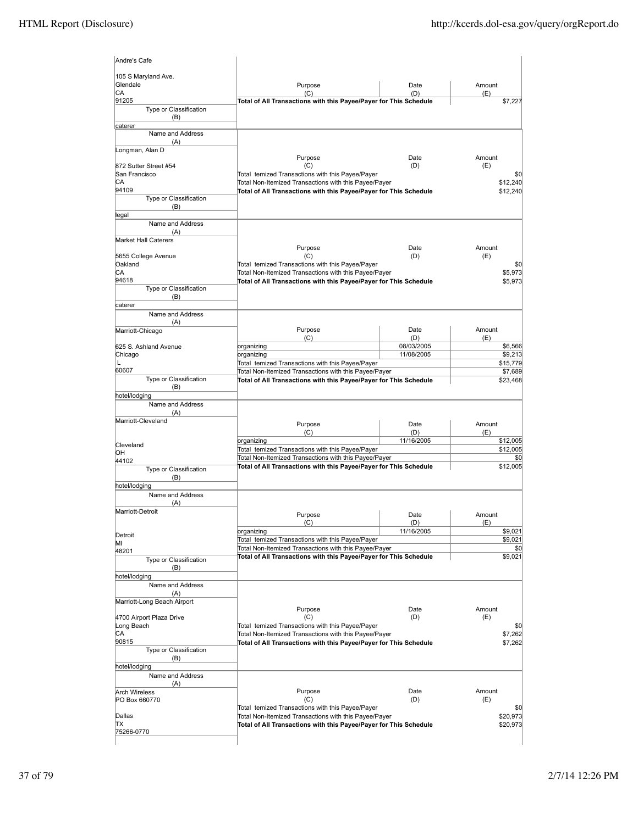| 105 S Maryland Ave.                                                                  |                                                                                                                            |             |                                      |
|--------------------------------------------------------------------------------------|----------------------------------------------------------------------------------------------------------------------------|-------------|--------------------------------------|
| Glendale<br>CA                                                                       | Purpose<br>(C)                                                                                                             | Date<br>(D) | Amount<br>(E)                        |
| 91205                                                                                | Total of All Transactions with this Payee/Payer for This Schedule                                                          |             | \$7,227                              |
| Type or Classification                                                               |                                                                                                                            |             |                                      |
| (B)<br>caterer                                                                       |                                                                                                                            |             |                                      |
| Name and Address                                                                     |                                                                                                                            |             |                                      |
| (A)                                                                                  |                                                                                                                            |             |                                      |
| Longman, Alan D                                                                      | Purpose                                                                                                                    |             | Amount                               |
| 872 Sutter Street #54                                                                | (C)                                                                                                                        | Date<br>(D) | (E)                                  |
| San Francisco                                                                        | Total temized Transactions with this Payee/Payer                                                                           |             | \$0                                  |
| CА                                                                                   | Total Non-Itemized Transactions with this Payee/Payer                                                                      |             | \$12,240                             |
| 94109<br>Type or Classification                                                      | Total of All Transactions with this Payee/Payer for This Schedule                                                          |             | \$12,240                             |
| (B)                                                                                  |                                                                                                                            |             |                                      |
| legal                                                                                |                                                                                                                            |             |                                      |
| Name and Address                                                                     |                                                                                                                            |             |                                      |
| (A)<br><b>Market Hall Caterers</b>                                                   |                                                                                                                            |             |                                      |
|                                                                                      | Purpose                                                                                                                    | Date        | Amount                               |
| 5655 College Avenue                                                                  | (C)                                                                                                                        | (D)         | (E)                                  |
| Oakland                                                                              | Total temized Transactions with this Payee/Payer                                                                           |             | \$C                                  |
| CA<br>94618                                                                          | Total Non-Itemized Transactions with this Payee/Payer<br>Total of All Transactions with this Payee/Payer for This Schedule |             | \$5,973<br>\$5,973                   |
| Type or Classification                                                               |                                                                                                                            |             |                                      |
| (B)                                                                                  |                                                                                                                            |             |                                      |
| caterer                                                                              |                                                                                                                            |             |                                      |
| Name and Address                                                                     |                                                                                                                            |             |                                      |
| (A)<br>Marriott-Chicago                                                              | Purpose                                                                                                                    | Date        | Amount                               |
|                                                                                      | (C)                                                                                                                        | (D)         | (E)                                  |
| 625 S. Ashland Avenue                                                                | organizing                                                                                                                 | 08/03/2005  | \$6,566                              |
| Chicago<br>L                                                                         | organizing                                                                                                                 | 11/08/2005  | \$9,213<br>\$15,779                  |
| 60607                                                                                | Total temized Transactions with this Payee/Payer<br>Total Non-Itemized Transactions with this Payee/Payer                  |             | \$7,689                              |
| Type or Classification                                                               | Total of All Transactions with this Payee/Payer for This Schedule                                                          |             | \$23,468                             |
| (B)                                                                                  |                                                                                                                            |             |                                      |
| hotel/lodging                                                                        |                                                                                                                            |             |                                      |
| Name and Address<br>(A)                                                              |                                                                                                                            |             |                                      |
| Marriott-Cleveland                                                                   |                                                                                                                            |             |                                      |
|                                                                                      | Purpose<br>(C)                                                                                                             | Date<br>(D) | Amount<br>(E)                        |
|                                                                                      | organizing                                                                                                                 | 11/16/2005  | \$12,005                             |
|                                                                                      |                                                                                                                            |             |                                      |
| Cleveland                                                                            | Total temized Transactions with this Payee/Payer                                                                           |             |                                      |
| OН<br>44102                                                                          | Total Non-Itemized Transactions with this Payee/Payer                                                                      |             |                                      |
| Type or Classification                                                               | Total of All Transactions with this Payee/Payer for This Schedule                                                          |             |                                      |
| (B)                                                                                  |                                                                                                                            |             |                                      |
| hotel/lodging                                                                        |                                                                                                                            |             |                                      |
| Name and Address<br>(A)                                                              |                                                                                                                            |             |                                      |
| Marriott-Detroit                                                                     |                                                                                                                            |             | \$12,005<br>\$C<br>\$12,005          |
|                                                                                      | Purpose<br>(C)                                                                                                             | Date<br>(D) | Amount<br>(E)                        |
|                                                                                      | organizing                                                                                                                 | 11/16/2005  |                                      |
|                                                                                      | Total temized Transactions with this Payee/Payer                                                                           |             | \$9,021<br>\$9,021                   |
| Detroit<br>ΜI<br>48201                                                               | Total Non-Itemized Transactions with this Payee/Payer                                                                      |             | \$0                                  |
| Type or Classification                                                               | Total of All Transactions with this Payee/Payer for This Schedule                                                          |             |                                      |
| (B)                                                                                  |                                                                                                                            |             |                                      |
| hotel/lodging<br>Name and Address                                                    |                                                                                                                            |             |                                      |
| (A)                                                                                  |                                                                                                                            |             |                                      |
|                                                                                      |                                                                                                                            |             |                                      |
|                                                                                      | Purpose                                                                                                                    | Date        | Amount                               |
|                                                                                      | (C)                                                                                                                        | (D)         | (E)                                  |
|                                                                                      | Total temized Transactions with this Payee/Payer<br>Total Non-Itemized Transactions with this Payee/Payer                  |             |                                      |
| Marriott-Long Beach Airport<br>4700 Airport Plaza Drive<br>Long Beach<br>СA<br>90815 | Total of All Transactions with this Payee/Payer for This Schedule                                                          |             |                                      |
| Type or Classification                                                               |                                                                                                                            |             | \$9,021<br>\$0<br>\$7,262<br>\$7,262 |
| (B)                                                                                  |                                                                                                                            |             |                                      |
|                                                                                      |                                                                                                                            |             |                                      |
| Name and Address<br>(A)                                                              |                                                                                                                            |             |                                      |
| hotel/lodging<br><b>Arch Wireless</b>                                                | Purpose                                                                                                                    | Date        | Amount                               |
| PO Box 660770                                                                        | (C)                                                                                                                        | (D)         | (E)                                  |
|                                                                                      | Total temized Transactions with this Payee/Payer                                                                           |             |                                      |
| Dallas<br>ΠX                                                                         | Total Non-Itemized Transactions with this Payee/Payer<br>Total of All Transactions with this Payee/Payer for This Schedule |             | \$C<br>\$20,973<br>\$20,973          |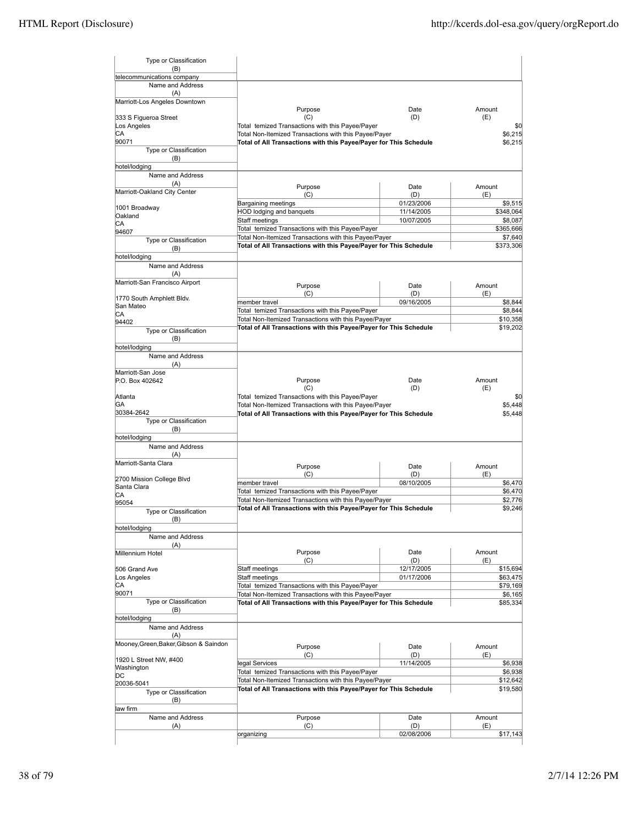| Type or Classification                         |                                                                                                                            |                   |                                                                                                                                       |
|------------------------------------------------|----------------------------------------------------------------------------------------------------------------------------|-------------------|---------------------------------------------------------------------------------------------------------------------------------------|
| (B)                                            |                                                                                                                            |                   |                                                                                                                                       |
| telecommunications company<br>Name and Address |                                                                                                                            |                   |                                                                                                                                       |
| (A)                                            |                                                                                                                            |                   |                                                                                                                                       |
| Marriott-Los Angeles Downtown                  |                                                                                                                            |                   |                                                                                                                                       |
|                                                | Purpose                                                                                                                    | Date              | Amount                                                                                                                                |
| 333 S Figueroa Street                          | (C)                                                                                                                        | (D)               | (E)                                                                                                                                   |
| Los Angeles                                    | Total temized Transactions with this Payee/Payer                                                                           |                   | \$0                                                                                                                                   |
| CА<br>90071                                    | Total Non-Itemized Transactions with this Payee/Payer                                                                      |                   | \$6,215                                                                                                                               |
| Type or Classification                         | Total of All Transactions with this Payee/Payer for This Schedule                                                          |                   | \$6,215                                                                                                                               |
| (B)                                            |                                                                                                                            |                   |                                                                                                                                       |
| hotel/lodging                                  |                                                                                                                            |                   |                                                                                                                                       |
| Name and Address                               |                                                                                                                            |                   |                                                                                                                                       |
| (A)                                            | Purpose                                                                                                                    | Date              | Amount                                                                                                                                |
| Marriott-Oakland City Center                   | (C)                                                                                                                        | (D)               | (E)                                                                                                                                   |
|                                                | Bargaining meetings                                                                                                        | 01/23/2006        | \$9,515                                                                                                                               |
| 1001 Broadway<br>Oakland                       | HOD lodging and banquets                                                                                                   | 11/14/2005        | \$348,064                                                                                                                             |
| СA                                             | Staff meetings                                                                                                             | 10/07/2005        | \$8,087                                                                                                                               |
| 94607                                          | Total temized Transactions with this Payee/Payer                                                                           |                   | \$365,666                                                                                                                             |
| Type or Classification                         | Total Non-Itemized Transactions with this Payee/Payer                                                                      |                   | \$7,640                                                                                                                               |
| (B)                                            | Total of All Transactions with this Payee/Payer for This Schedule                                                          |                   | \$373,306                                                                                                                             |
| hotel/lodging                                  |                                                                                                                            |                   |                                                                                                                                       |
| Name and Address                               |                                                                                                                            |                   |                                                                                                                                       |
| (A)                                            |                                                                                                                            |                   |                                                                                                                                       |
| Marriott-San Francisco Airport                 | Purpose                                                                                                                    | Date              | Amount                                                                                                                                |
| 1770 South Amphlett Bldv.                      | (C)                                                                                                                        | (D)               | (E)                                                                                                                                   |
| San Mateo                                      | member travel                                                                                                              | 09/16/2005        | \$8,844                                                                                                                               |
| СA                                             | Total temized Transactions with this Payee/Payer                                                                           |                   | \$8,844                                                                                                                               |
| 94402                                          | Total Non-Itemized Transactions with this Payee/Payer                                                                      |                   | \$10,358                                                                                                                              |
| Type or Classification                         | Total of All Transactions with this Payee/Payer for This Schedule                                                          |                   | \$19,202                                                                                                                              |
| (B)                                            |                                                                                                                            |                   |                                                                                                                                       |
| hotel/lodging                                  |                                                                                                                            |                   |                                                                                                                                       |
| Name and Address                               |                                                                                                                            |                   |                                                                                                                                       |
| (A)<br>Marriott-San Jose                       |                                                                                                                            |                   |                                                                                                                                       |
| P.O. Box 402642                                | Purpose                                                                                                                    | Date              | Amount                                                                                                                                |
|                                                | (C)                                                                                                                        | (D)               | (E)                                                                                                                                   |
| Atlanta                                        | Total temized Transactions with this Payee/Payer                                                                           |                   | \$0                                                                                                                                   |
| GА                                             | Total Non-Itemized Transactions with this Payee/Payer                                                                      |                   | \$5,448                                                                                                                               |
| 30384-2642                                     | Total of All Transactions with this Payee/Payer for This Schedule                                                          |                   | \$5,448                                                                                                                               |
| Type or Classification                         |                                                                                                                            |                   |                                                                                                                                       |
| (B)<br>hotel/lodging                           |                                                                                                                            |                   |                                                                                                                                       |
| Name and Address                               |                                                                                                                            |                   |                                                                                                                                       |
| (A)                                            |                                                                                                                            |                   |                                                                                                                                       |
| Marriott-Santa Clara                           | Purpose                                                                                                                    | Date              | Amount                                                                                                                                |
|                                                | (C)                                                                                                                        | (D)               | (E)                                                                                                                                   |
| 2700 Mission College Blvd                      | member travel                                                                                                              | 08/10/2005        |                                                                                                                                       |
| Santa Clara                                    |                                                                                                                            |                   |                                                                                                                                       |
| CА<br>95054                                    | Total temized Transactions with this Payee/Payer                                                                           |                   |                                                                                                                                       |
|                                                | Total Non-Itemized Transactions with this Payee/Payer                                                                      |                   | \$2,776                                                                                                                               |
|                                                | Total of All Transactions with this Payee/Payer for This Schedule                                                          |                   | \$9,246                                                                                                                               |
| Type or Classification                         |                                                                                                                            |                   |                                                                                                                                       |
| (B)<br>hotel/lodging                           |                                                                                                                            |                   |                                                                                                                                       |
| Name and Address                               |                                                                                                                            |                   |                                                                                                                                       |
| (A)                                            |                                                                                                                            |                   |                                                                                                                                       |
| Millennium Hotel                               | Purpose                                                                                                                    | Date              | Amount                                                                                                                                |
|                                                | (C)                                                                                                                        | (D)               | (E)                                                                                                                                   |
| 506 Grand Ave                                  | Staff meetings                                                                                                             | 12/17/2005        |                                                                                                                                       |
| Los Angeles                                    | Staff meetings                                                                                                             | 01/17/2006        |                                                                                                                                       |
| СA                                             | Total temized Transactions with this Payee/Payer                                                                           |                   |                                                                                                                                       |
| 90071<br>Type or Classification                | Total Non-Itemized Transactions with this Payee/Payer<br>Total of All Transactions with this Payee/Payer for This Schedule |                   |                                                                                                                                       |
| (B)                                            |                                                                                                                            |                   |                                                                                                                                       |
| hotel/lodging                                  |                                                                                                                            |                   |                                                                                                                                       |
| Name and Address                               |                                                                                                                            |                   |                                                                                                                                       |
| (A)                                            |                                                                                                                            |                   |                                                                                                                                       |
| Mooney, Green, Baker, Gibson & Saindon         | Purpose                                                                                                                    | Date              | Amount                                                                                                                                |
|                                                | (C)                                                                                                                        | (D)               | (E)                                                                                                                                   |
| 1920 L Street NW, #400                         | legal Services                                                                                                             | 11/14/2005        |                                                                                                                                       |
| Washington<br>DС                               | Total temized Transactions with this Payee/Payer                                                                           |                   |                                                                                                                                       |
| 20036-5041                                     | Total Non-Itemized Transactions with this Payee/Payer                                                                      |                   |                                                                                                                                       |
| Type or Classification                         | Total of All Transactions with this Payee/Payer for This Schedule                                                          |                   |                                                                                                                                       |
| (B)                                            |                                                                                                                            |                   |                                                                                                                                       |
| law firm                                       |                                                                                                                            |                   |                                                                                                                                       |
| Name and Address                               | Purpose                                                                                                                    | Date              | \$6,470<br>\$6,470<br>\$15,694<br>\$63,475<br>\$79,169<br>\$6,165<br>\$85,334<br>\$6,938<br>\$6,938<br>\$12,642<br>\$19,580<br>Amount |
| (A)                                            | (C)<br>organizing                                                                                                          | (D)<br>02/08/2006 | (E)<br>\$17,143                                                                                                                       |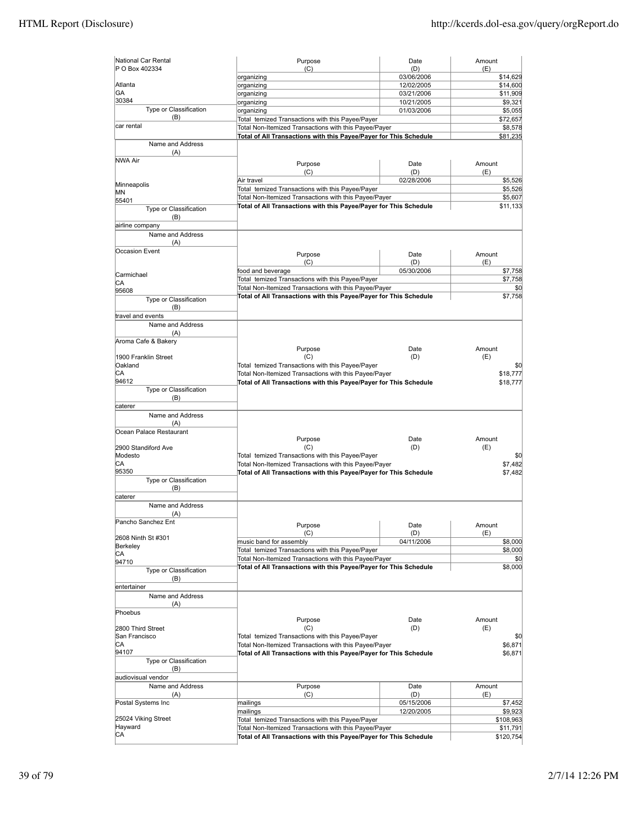| National Car Rental<br>P O Box 402334 | Purpose<br>(C)                                                    | Date<br>(D) | Amount<br>(E) |
|---------------------------------------|-------------------------------------------------------------------|-------------|---------------|
|                                       | organizing                                                        | 03/06/2006  | \$14,629      |
| Atlanta                               | organizing                                                        | 12/02/2005  | \$14,600      |
| GA                                    | organizing                                                        | 03/21/2006  | \$11,909      |
| 30384                                 | organizing                                                        | 10/21/2005  | \$9,321       |
| Type or Classification                | organizing                                                        | 01/03/2006  | \$5,055       |
| (B)                                   | Total temized Transactions with this Payee/Payer                  |             | \$72,657      |
| car rental                            | Total Non-Itemized Transactions with this Payee/Payer             |             | \$8,578       |
|                                       | Total of All Transactions with this Payee/Payer for This Schedule |             | \$81,235      |
| Name and Address<br>(A)               |                                                                   |             |               |
| <b>NWA Air</b>                        | Purpose                                                           | Date        | Amount        |
|                                       | (C)                                                               | (D)         | (E)           |
|                                       | Air travel                                                        | 02/28/2006  | \$5,526       |
| Minneapolis                           | Total temized Transactions with this Payee/Payer                  |             | \$5,526       |
| ΜN                                    | Total Non-Itemized Transactions with this Payee/Payer             |             | \$5,607       |
| 55401                                 | Total of All Transactions with this Payee/Payer for This Schedule |             | \$11,133      |
| Type or Classification<br>(B)         |                                                                   |             |               |
| airline company                       |                                                                   |             |               |
| Name and Address                      |                                                                   |             |               |
| (A)                                   |                                                                   |             |               |
| Occasion Event                        |                                                                   |             |               |
|                                       | Purpose                                                           | Date        | Amount        |
|                                       | (C)                                                               | (D)         | (E)           |
| Carmichael                            | food and beverage                                                 | 05/30/2006  | \$7,758       |
| CА                                    | Total temized Transactions with this Payee/Payer                  |             | \$7,758       |
| 95608                                 | Total Non-Itemized Transactions with this Payee/Payer             |             | \$0           |
| Type or Classification                | Total of All Transactions with this Payee/Payer for This Schedule |             | \$7,758       |
| (B)                                   |                                                                   |             |               |
| travel and events                     |                                                                   |             |               |
| Name and Address                      |                                                                   |             |               |
| (A)                                   |                                                                   |             |               |
| Aroma Cafe & Bakery                   |                                                                   |             |               |
|                                       | Purpose                                                           | Date        | Amount        |
| 1900 Franklin Street                  | (C)                                                               | (D)         | (E)           |
| Oakland                               | Total temized Transactions with this Payee/Payer                  |             | \$0           |
| CА                                    | Total Non-Itemized Transactions with this Payee/Payer             |             | \$18,777      |
| 94612                                 | Total of All Transactions with this Payee/Payer for This Schedule |             | \$18,777      |
| Type or Classification                |                                                                   |             |               |
| (B)<br>caterer                        |                                                                   |             |               |
|                                       |                                                                   |             |               |
| Name and Address                      |                                                                   |             |               |
| (A)<br>Ocean Palace Restaurant        |                                                                   |             |               |
|                                       | Purpose                                                           | Date        | Amount        |
| 2900 Standiford Ave                   | (C)                                                               | (D)         | (E)           |
| Modesto                               | Total temized Transactions with this Payee/Payer                  |             | \$0           |
| IСA                                   | Total Non-Itemized Transactions with this Payee/Payer             |             | \$7,482       |
| 95350                                 | Total of All Transactions with this Payee/Payer for This Schedule |             | \$7,482       |
| <b>Type or Classification</b>         |                                                                   |             |               |
| (B)                                   |                                                                   |             |               |
| caterer                               |                                                                   |             |               |
| Name and Address                      |                                                                   |             |               |
| (A)                                   |                                                                   |             |               |
| ancho Sanchez Ent                     | Purpose                                                           | Date        | Amount        |
|                                       | (C)                                                               | (D)         | (E)           |
| 2608 Ninth St #301                    | music band for assembly                                           | 04/11/2006  | \$8,000       |
| Berkeley                              | Total temized Transactions with this Payee/Payer                  |             | \$8,000       |
| CA<br>94710                           | Total Non-Itemized Transactions with this Payee/Payer             |             | \$0           |
| Type or Classification                | Total of All Transactions with this Payee/Payer for This Schedule |             | \$8,000       |
| (B)                                   |                                                                   |             |               |
| entertainer                           |                                                                   |             |               |
| Name and Address                      |                                                                   |             |               |
| (A)                                   |                                                                   |             |               |
| Phoebus                               |                                                                   |             |               |
|                                       | Purpose                                                           | Date        | Amount        |
| 2800 Third Street                     | (C)                                                               | (D)         | (E)           |
| San Francisco                         | Total temized Transactions with this Payee/Payer                  |             | \$0           |
| CА                                    | Total Non-Itemized Transactions with this Payee/Payer             |             | \$6,871       |
| 94107                                 | Total of All Transactions with this Payee/Payer for This Schedule |             | \$6,871       |
| Type or Classification                |                                                                   |             |               |
| (B)                                   |                                                                   |             |               |
| audiovisual vendor                    |                                                                   |             |               |
| Name and Address                      | Purpose                                                           | Date        | Amount        |
| (A)                                   | (C)                                                               | (D)         | (E)           |
| Postal Systems Inc                    | mailings                                                          | 05/15/2006  | \$7,452       |
|                                       | mailings                                                          | 12/20/2005  | \$9,923       |
| 25024 Viking Street<br>Hayward        | Total temized Transactions with this Payee/Payer                  |             | \$108,963     |
| СA                                    | Total Non-Itemized Transactions with this Payee/Payer             |             | \$11,791      |
|                                       | Total of All Transactions with this Payee/Payer for This Schedule |             | \$120,754     |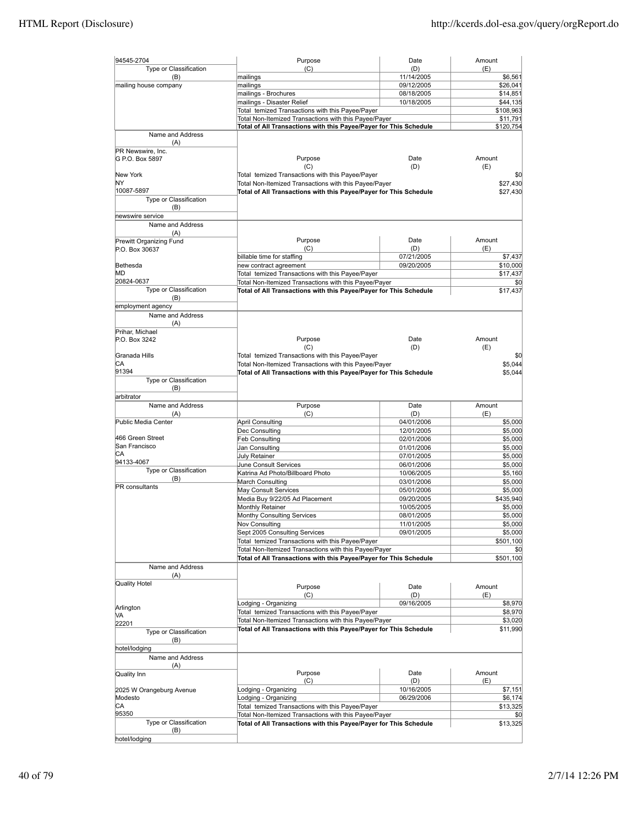| 94545-2704                       | Purpose                                                                    | Date                     | Amount               |
|----------------------------------|----------------------------------------------------------------------------|--------------------------|----------------------|
| Type or Classification           | (C)                                                                        | (D)                      | (E)                  |
| (B)<br>mailing house company     | mailings<br>mailings                                                       | 11/14/2005<br>09/12/2005 | \$6,561<br>\$26,041  |
|                                  | mailings - Brochures                                                       | 08/18/2005               | \$14,851             |
|                                  | mailings - Disaster Relief                                                 | 10/18/2005               | \$44,135             |
|                                  | Total temized Transactions with this Payee/Payer                           |                          | \$108,963            |
|                                  | Total Non-Itemized Transactions with this Payee/Payer                      |                          | \$11,791             |
|                                  | Total of All Transactions with this Payee/Payer for This Schedule          |                          | \$120,754            |
| Name and Address                 |                                                                            |                          |                      |
| (A)<br>PR Newswire, Inc.         |                                                                            |                          |                      |
| G P.O. Box 5897                  | Purpose                                                                    | Date                     | Amount               |
|                                  | (C)                                                                        | (D)                      | (E)                  |
| New York                         | Total temized Transactions with this Payee/Payer                           |                          | \$0                  |
| ΝY                               | Total Non-Itemized Transactions with this Payee/Payer                      |                          | \$27,430             |
| 10087-5897                       | Total of All Transactions with this Payee/Payer for This Schedule          |                          | \$27,430             |
| Type or Classification<br>(B)    |                                                                            |                          |                      |
| newswire service                 |                                                                            |                          |                      |
| Name and Address                 |                                                                            |                          |                      |
| (A)                              |                                                                            |                          |                      |
| Prewitt Organizing Fund          | Purpose                                                                    | Date                     | Amount               |
| P.O. Box 30637                   | (C)                                                                        | (D)                      | (E)                  |
|                                  | billable time for staffing                                                 | 07/21/2005<br>09/20/2005 | \$7,437              |
| Bethesda<br>MD                   | new contract agreement<br>Total temized Transactions with this Payee/Payer |                          | \$10,000<br>\$17,437 |
| 20824-0637                       | Total Non-Itemized Transactions with this Payee/Payer                      |                          | \$0                  |
| Type or Classification           | Total of All Transactions with this Payee/Payer for This Schedule          |                          | \$17,437             |
| (B)                              |                                                                            |                          |                      |
| employment agency                |                                                                            |                          |                      |
| Name and Address                 |                                                                            |                          |                      |
| (A)                              |                                                                            |                          |                      |
| Prihar, Michael<br>P.O. Box 3242 | Purpose                                                                    | Date                     | Amount               |
|                                  | (C)                                                                        | (D)                      | (E)                  |
| Granada Hills                    | Total temized Transactions with this Payee/Payer                           |                          | \$0                  |
| lСA                              | Total Non-Itemized Transactions with this Payee/Payer                      |                          | \$5,044              |
| 91394                            | Total of All Transactions with this Payee/Payer for This Schedule          |                          | \$5,044              |
| Type or Classification           |                                                                            |                          |                      |
| (B)                              |                                                                            |                          |                      |
| arbitrator<br>Name and Address   | Purpose                                                                    | Date                     | Amount               |
| (A)                              | (C)                                                                        | (D)                      | (E)                  |
| Public Media Center              | <b>April Consulting</b>                                                    | 04/01/2006               | \$5,000              |
|                                  | Dec Consulting                                                             | 12/01/2005               | \$5,000              |
| 466 Green Street                 | <b>Feb Consulting</b>                                                      | 02/01/2006               | \$5,000              |
| San Francisco                    | Jan Consulting                                                             | 01/01/2006               | \$5,000              |
| CА<br>94133-4067                 | July Retainer                                                              | 07/01/2005               | \$5,000              |
| Type or Classification           | June Consult Services                                                      | 06/01/2006               | \$5,000              |
| (B)                              | Katrina Ad Photo/Billboard Photo<br>March Consulting                       | 10/06/2005<br>03/01/2006 | \$5,160              |
| <b>PR</b> consultants            | May Consult Services                                                       | 05/01/2006               | \$5,000<br>\$5,000   |
|                                  | Media Buy 9/22/05 Ad Placement                                             | 09/20/2005               | \$435,940            |
|                                  | Monthly Retainer                                                           | 10/05/2005               | \$5,000              |
|                                  | Monthy Consulting Services                                                 | 08/01/2005               | \$5,000              |
|                                  | Nov Consulting                                                             | 11/01/2005               | \$5,000              |
|                                  | Sept 2005 Consulting Services                                              | 09/01/2005               | \$5,000              |
|                                  | Total temized Transactions with this Payee/Payer                           |                          | \$501,100            |
|                                  | Total Non-Itemized Transactions with this Payee/Payer                      |                          | \$0                  |
|                                  | Total of All Transactions with this Payee/Payer for This Schedule          |                          | \$501,100            |
| Name and Address<br>(A)          |                                                                            |                          |                      |
| Quality Hotel                    |                                                                            |                          |                      |
|                                  | Purpose                                                                    | Date                     | Amount               |
|                                  | (C)<br>Lodging - Organizing                                                | (D)<br>09/16/2005        | (E)<br>\$8,970       |
| Arlington                        | Total temized Transactions with this Payee/Payer                           |                          | \$8,970              |
| MА                               | Total Non-Itemized Transactions with this Payee/Payer                      |                          | \$3,020              |
| 22201                            | Total of All Transactions with this Payee/Payer for This Schedule          |                          | \$11,990             |
| Type or Classification<br>(B)    |                                                                            |                          |                      |
| hotel/lodging                    |                                                                            |                          |                      |
| Name and Address                 |                                                                            |                          |                      |
| (A)                              |                                                                            |                          |                      |
| Quality Inn                      | Purpose                                                                    | Date                     | Amount               |
|                                  | (C)                                                                        | (D)                      | (E)                  |
| 2025 W Orangeburg Avenue         | Lodging - Organizing                                                       | 10/16/2005               | \$7,151              |
| Modesto<br>СA                    | Lodging - Organizing<br>Total temized Transactions with this Payee/Payer   | 06/29/2006               | \$6,174<br>\$13,325  |
| 95350                            | Total Non-Itemized Transactions with this Payee/Payer                      |                          | \$0                  |
| Type or Classification           | Total of All Transactions with this Payee/Payer for This Schedule          |                          | \$13,325             |
| (B)                              |                                                                            |                          |                      |
| hotel/lodging                    |                                                                            |                          |                      |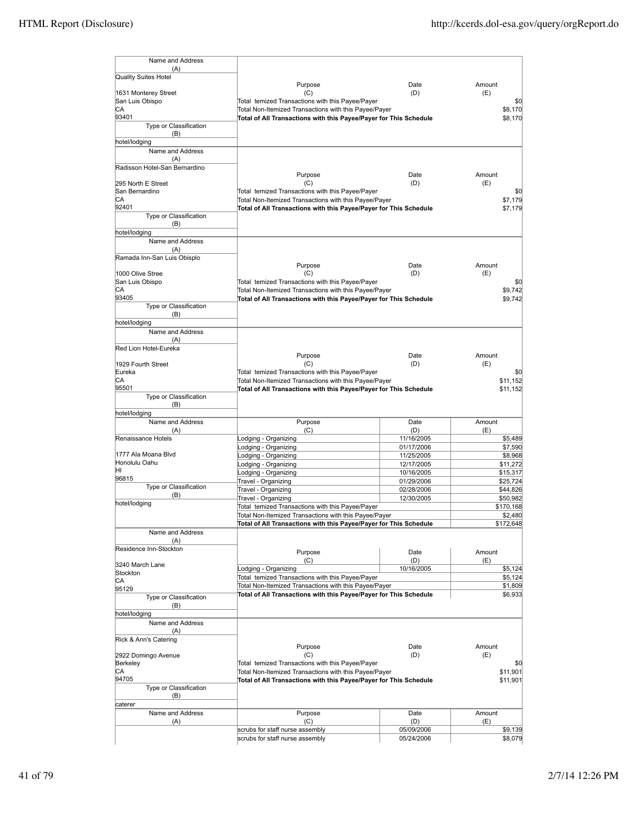| Name and Address                |                                                                                                           |                          |                                                                                                                                                                                     |
|---------------------------------|-----------------------------------------------------------------------------------------------------------|--------------------------|-------------------------------------------------------------------------------------------------------------------------------------------------------------------------------------|
|                                 |                                                                                                           |                          |                                                                                                                                                                                     |
| (A)<br>Quality Suites Hotel     |                                                                                                           |                          |                                                                                                                                                                                     |
|                                 | Purpose                                                                                                   | Date                     | Amount                                                                                                                                                                              |
| 1631 Monterey Street            | (C)                                                                                                       | (D)                      | (E)                                                                                                                                                                                 |
| San Luis Obispo                 | Total temized Transactions with this Payee/Payer                                                          |                          | \$0                                                                                                                                                                                 |
| СA                              | Total Non-Itemized Transactions with this Payee/Payer                                                     |                          | \$8,170                                                                                                                                                                             |
| 93401<br>Type or Classification | Total of All Transactions with this Payee/Payer for This Schedule                                         |                          | \$8,170                                                                                                                                                                             |
| (B)                             |                                                                                                           |                          |                                                                                                                                                                                     |
| hotel/lodging                   |                                                                                                           |                          |                                                                                                                                                                                     |
| Name and Address                |                                                                                                           |                          |                                                                                                                                                                                     |
| (A)                             |                                                                                                           |                          |                                                                                                                                                                                     |
| Radisson Hotel-San Bernardino   |                                                                                                           |                          |                                                                                                                                                                                     |
| 295 North E Street              | Purpose<br>(C)                                                                                            | Date<br>(D)              | Amount<br>(E)                                                                                                                                                                       |
| San Bernardino                  | Total temized Transactions with this Payee/Payer                                                          |                          | \$0                                                                                                                                                                                 |
| СA                              | Total Non-Itemized Transactions with this Payee/Payer                                                     |                          | \$7,179                                                                                                                                                                             |
| 92401                           | Total of All Transactions with this Payee/Payer for This Schedule                                         |                          | \$7,179                                                                                                                                                                             |
| Type or Classification          |                                                                                                           |                          |                                                                                                                                                                                     |
| (B)                             |                                                                                                           |                          |                                                                                                                                                                                     |
| hotel/lodging                   |                                                                                                           |                          |                                                                                                                                                                                     |
| Name and Address<br>(A)         |                                                                                                           |                          |                                                                                                                                                                                     |
| Ramada Inn-San Luis Obisplo     |                                                                                                           |                          |                                                                                                                                                                                     |
|                                 | Purpose                                                                                                   | Date                     | Amount                                                                                                                                                                              |
| 1000 Olive Stree                | (C)                                                                                                       | (D)                      | (E)                                                                                                                                                                                 |
| San Luis Obispo                 | Total temized Transactions with this Payee/Payer                                                          |                          | \$0                                                                                                                                                                                 |
| СA                              | Total Non-Itemized Transactions with this Payee/Payer                                                     |                          | \$9,742                                                                                                                                                                             |
| 93405                           | Total of All Transactions with this Payee/Payer for This Schedule                                         |                          | \$9,742                                                                                                                                                                             |
| Type or Classification<br>(B)   |                                                                                                           |                          |                                                                                                                                                                                     |
| hotel/lodging                   |                                                                                                           |                          |                                                                                                                                                                                     |
| Name and Address                |                                                                                                           |                          |                                                                                                                                                                                     |
| (A)                             |                                                                                                           |                          |                                                                                                                                                                                     |
| Red Lion Hotel-Eureka           |                                                                                                           |                          |                                                                                                                                                                                     |
|                                 | Purpose                                                                                                   | Date                     | Amount                                                                                                                                                                              |
| 1929 Fourth Street<br>Eureka    | (C)<br>Total temized Transactions with this Payee/Payer                                                   | (D)                      | (E)<br>\$0                                                                                                                                                                          |
| CА                              | Total Non-Itemized Transactions with this Payee/Payer                                                     |                          | \$11,152                                                                                                                                                                            |
| 95501                           | Total of All Transactions with this Payee/Payer for This Schedule                                         |                          | \$11,152                                                                                                                                                                            |
| Type or Classification          |                                                                                                           |                          |                                                                                                                                                                                     |
| (B)                             |                                                                                                           |                          |                                                                                                                                                                                     |
| hotel/lodging                   |                                                                                                           |                          |                                                                                                                                                                                     |
| Name and Address                | Purpose<br>(C)                                                                                            | Date<br>(D)              | Amount<br>(E)                                                                                                                                                                       |
|                                 |                                                                                                           |                          |                                                                                                                                                                                     |
| (A)                             |                                                                                                           |                          |                                                                                                                                                                                     |
| Renaissance Hotels              | Lodging - Organizing                                                                                      | 11/16/2005               |                                                                                                                                                                                     |
| 1777 Ala Moana Blvd             | Lodging - Organizing                                                                                      | 01/17/2006<br>11/25/2005 |                                                                                                                                                                                     |
| Honolulu Oahu                   | Lodging - Organizing<br>Lodging - Organizing                                                              | 12/17/2005               |                                                                                                                                                                                     |
| lнı                             | Lodging - Organizing                                                                                      | 10/16/2005               |                                                                                                                                                                                     |
| 96815                           | Travel - Organizing                                                                                       | 01/29/2006               |                                                                                                                                                                                     |
| Type or Classification          | Travel - Organizing                                                                                       | 02/28/2006               |                                                                                                                                                                                     |
| (B)                             | Travel - Organizing                                                                                       | 12/30/2005               |                                                                                                                                                                                     |
| hotel/lodging                   | Total temized Transactions with this Payee/Payer                                                          |                          |                                                                                                                                                                                     |
|                                 | Total Non-Itemized Transactions with this Payee/Payer                                                     |                          |                                                                                                                                                                                     |
|                                 | Total of All Transactions with this Payee/Payer for This Schedule                                         |                          |                                                                                                                                                                                     |
| Name and Address<br>(A)         |                                                                                                           |                          |                                                                                                                                                                                     |
| Residence Inn-Stockton          |                                                                                                           |                          |                                                                                                                                                                                     |
|                                 | Purpose                                                                                                   | Date                     | Amount                                                                                                                                                                              |
| 3240 March Lane                 | (C)<br>Lodging - Organizing                                                                               | (D)<br>10/16/2005        | (E)                                                                                                                                                                                 |
| Stockton                        | Total temized Transactions with this Payee/Payer                                                          |                          |                                                                                                                                                                                     |
| СA                              | Total Non-Itemized Transactions with this Payee/Payer                                                     |                          |                                                                                                                                                                                     |
| 95129                           | Total of All Transactions with this Payee/Payer for This Schedule                                         |                          |                                                                                                                                                                                     |
| Type or Classification<br>(B)   |                                                                                                           |                          |                                                                                                                                                                                     |
| hotel/lodging                   |                                                                                                           |                          |                                                                                                                                                                                     |
| Name and Address                |                                                                                                           |                          |                                                                                                                                                                                     |
| (A)                             |                                                                                                           |                          |                                                                                                                                                                                     |
| Rick & Ann's Catering           |                                                                                                           |                          |                                                                                                                                                                                     |
|                                 | Purpose                                                                                                   | Date                     | Amount                                                                                                                                                                              |
| 2922 Domingo Avenue             | (C)                                                                                                       | (D)                      | (E)                                                                                                                                                                                 |
| Berkeley<br>CА                  | Total temized Transactions with this Payee/Payer<br>Total Non-Itemized Transactions with this Payee/Payer |                          |                                                                                                                                                                                     |
| 94705                           | Total of All Transactions with this Payee/Payer for This Schedule                                         |                          |                                                                                                                                                                                     |
| Type or Classification          |                                                                                                           |                          |                                                                                                                                                                                     |
| (B)                             |                                                                                                           |                          |                                                                                                                                                                                     |
| caterer                         |                                                                                                           |                          | \$5,489<br>\$7,590<br>\$8,968<br>\$11,272<br>\$15,317<br>\$25,724<br>\$44,826<br>\$50,982<br>\$170,168<br>\$2,480<br>\$172,648<br>\$5,124<br>\$5,124<br>\$0<br>\$11,901<br>\$11,901 |
| Name and Address                | Purpose                                                                                                   | Date                     | \$1,809<br>\$6,933<br>Amount                                                                                                                                                        |
| (A)                             | (C)<br>scrubs for staff nurse assembly                                                                    | (D)<br>05/09/2006        | (E)<br>\$9,139                                                                                                                                                                      |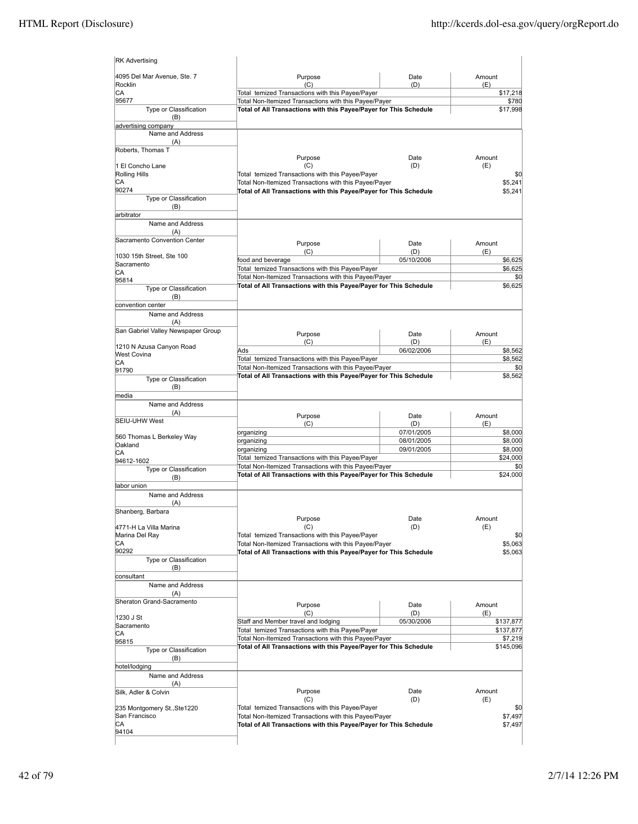| 4095 Del Mar Avenue, Ste. 7                    | Purpose                                                                                                                    | Date              | Amount                              |
|------------------------------------------------|----------------------------------------------------------------------------------------------------------------------------|-------------------|-------------------------------------|
| Rocklin                                        | (C)                                                                                                                        | (D)               | (E)                                 |
| CA<br>95677                                    | Total temized Transactions with this Payee/Payer<br>Total Non-Itemized Transactions with this Payee/Payer                  |                   | \$17,218<br>\$780                   |
| Type or Classification<br>(B)                  | Total of All Transactions with this Payee/Payer for This Schedule                                                          |                   | \$17,998                            |
| advertising company                            |                                                                                                                            |                   |                                     |
| Name and Address<br>(A)                        |                                                                                                                            |                   |                                     |
| Roberts, Thomas T                              |                                                                                                                            |                   |                                     |
|                                                | Purpose                                                                                                                    | Date              | Amount                              |
| 1 El Concho Lane                               | (C)<br>Total temized Transactions with this Payee/Payer                                                                    | (D)               | (E)                                 |
| <b>Rolling Hills</b><br>СA                     | Total Non-Itemized Transactions with this Payee/Payer                                                                      |                   | \$0<br>\$5,241                      |
| 90274                                          | Total of All Transactions with this Payee/Payer for This Schedule                                                          |                   | \$5,241                             |
| Type or Classification                         |                                                                                                                            |                   |                                     |
| (B)<br>arbitrator                              |                                                                                                                            |                   |                                     |
| Name and Address                               |                                                                                                                            |                   |                                     |
| (A)                                            |                                                                                                                            |                   |                                     |
| Sacramento Convention Center                   | Purpose                                                                                                                    | Date              | Amount                              |
| 1030 15th Street, Ste 100                      | (C)                                                                                                                        | (D)               | (E)                                 |
| Sacramento                                     | food and beverage                                                                                                          | 05/10/2006        | \$6,625                             |
| СA                                             | Total temized Transactions with this Payee/Payer                                                                           |                   | \$6,625                             |
| 95814                                          | Total Non-Itemized Transactions with this Payee/Payer<br>Total of All Transactions with this Payee/Payer for This Schedule |                   | \$0<br>\$6,625                      |
| Type or Classification                         |                                                                                                                            |                   |                                     |
| (B)<br>convention center                       |                                                                                                                            |                   |                                     |
| Name and Address                               |                                                                                                                            |                   |                                     |
| (A)                                            |                                                                                                                            |                   |                                     |
| San Gabriel Valley Newspaper Group             | Purpose                                                                                                                    | Date              | Amount                              |
|                                                | (C)                                                                                                                        | (D)               | (E)                                 |
| 1210 N Azusa Canyon Road<br><b>West Covina</b> | Ads                                                                                                                        | 06/02/2006        | \$8,562                             |
| СA                                             | Total temized Transactions with this Payee/Payer                                                                           |                   | \$8,562                             |
| 91790                                          | Total Non-Itemized Transactions with this Payee/Payer                                                                      |                   | \$0                                 |
| Type or Classification                         | Total of All Transactions with this Payee/Payer for This Schedule                                                          |                   | \$8,562                             |
| (B)<br>media                                   |                                                                                                                            |                   |                                     |
| Name and Address                               |                                                                                                                            |                   |                                     |
| (A)                                            | Purpose                                                                                                                    | Date              | Amount                              |
| SEIU-UHW West                                  | (C)                                                                                                                        | (D)               | (E)                                 |
|                                                | organizing                                                                                                                 | 07/01/2005        | \$8,000                             |
| 560 Thomas L Berkeley Way<br>Oakland           | organizing                                                                                                                 | 08/01/2005        | \$8,000                             |
| СA                                             | organizing                                                                                                                 | 09/01/2005        | \$8,000                             |
| 94612-1602                                     | Total temized Transactions with this Payee/Payer                                                                           |                   | \$24,000                            |
| Type or Classification                         | Total Non-Itemized Transactions with this Payee/Payer<br>Total of All Transactions with this Payee/Payer for This Schedule |                   | \$0<br>\$24,000                     |
| (B)<br>abor union                              |                                                                                                                            |                   |                                     |
|                                                |                                                                                                                            |                   |                                     |
|                                                |                                                                                                                            |                   |                                     |
| Name and Address                               |                                                                                                                            |                   |                                     |
| (A)<br>Shanberg, Barbara                       |                                                                                                                            |                   |                                     |
|                                                | Purpose                                                                                                                    | Date              | Amount                              |
| 4771-H La Villa Marina                         | (C)                                                                                                                        | (D)               | (E)                                 |
| Marina Del Ray                                 | Total temized Transactions with this Payee/Payer                                                                           |                   |                                     |
| СA<br>90292                                    | Total Non-Itemized Transactions with this Payee/Payer<br>Total of All Transactions with this Payee/Payer for This Schedule |                   |                                     |
| Type or Classification                         |                                                                                                                            |                   |                                     |
| (B)                                            |                                                                                                                            |                   |                                     |
| consultant                                     |                                                                                                                            |                   |                                     |
| Name and Address                               |                                                                                                                            |                   |                                     |
| (A)<br>Sheraton Grand-Sacramento               |                                                                                                                            |                   |                                     |
|                                                | Purpose                                                                                                                    | Date              | \$0<br>\$5,063<br>\$5,063<br>Amount |
| 1230 J St                                      | (C)<br>Staff and Member travel and lodging                                                                                 | (D)<br>05/30/2006 | (E)<br>\$137,877                    |
| Sacramento                                     | Total temized Transactions with this Payee/Payer                                                                           |                   | \$137,877                           |
| СA<br>95815                                    | Total Non-Itemized Transactions with this Payee/Payer                                                                      |                   | \$7,219                             |
| Type or Classification                         | Total of All Transactions with this Payee/Payer for This Schedule                                                          |                   | \$145,096                           |
| (B)                                            |                                                                                                                            |                   |                                     |
| hotel/lodging                                  |                                                                                                                            |                   |                                     |
| Name and Address                               |                                                                                                                            |                   |                                     |
| (A)                                            |                                                                                                                            | Date              | Amount                              |
| Silk, Adler & Colvin                           | Purpose<br>(C)                                                                                                             | (D)               | (E)                                 |
| 235 Montgomery St., Ste1220                    | Total temized Transactions with this Payee/Payer                                                                           |                   | \$0                                 |
| San Francisco<br>СA                            | Total Non-Itemized Transactions with this Payee/Payer<br>Total of All Transactions with this Payee/Payer for This Schedule |                   | \$7,497<br>\$7,497                  |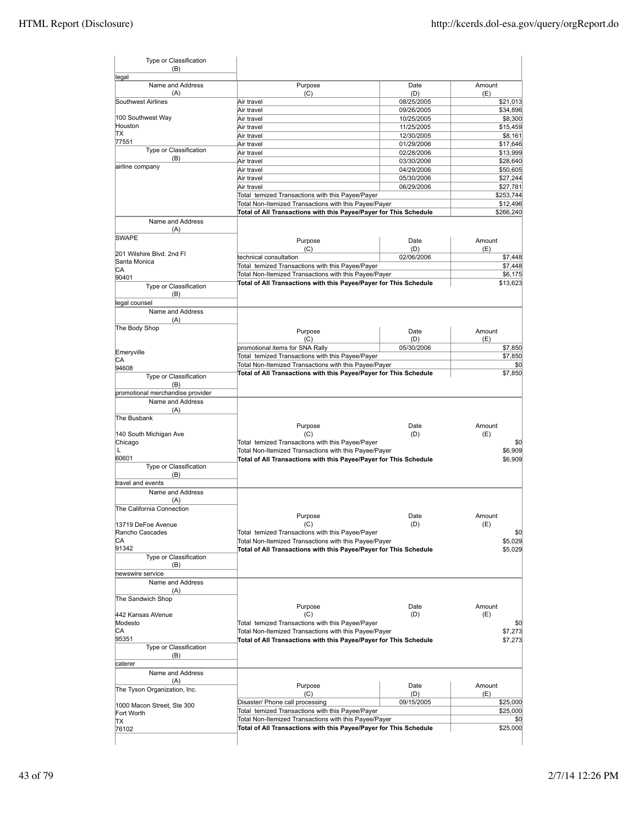| Type or Classification<br>(B)    |                                                                   |            |           |
|----------------------------------|-------------------------------------------------------------------|------------|-----------|
| legal<br>Name and Address        | Purpose                                                           | Date       | Amount    |
| (A)                              | (C)                                                               | (D)        | (E)       |
| Southwest Airlines               | Air travel                                                        | 08/25/2005 | \$21,013  |
|                                  | Air travel                                                        | 09/26/2005 | \$34,896  |
| 100 Southwest Way                | Air travel                                                        | 10/25/2005 | \$8,300   |
| Houston<br>lΤX                   | Air travel                                                        | 11/25/2005 | \$15,459  |
| 77551                            | Air travel                                                        | 12/30/2005 | \$8,161   |
| Type or Classification           | Air travel                                                        | 01/29/2006 | \$17,646  |
| (B)                              | Air travel                                                        | 02/28/2006 | \$13,999  |
| airline company                  | Air travel                                                        | 03/30/2006 | \$28,640  |
|                                  | Air travel                                                        | 04/29/2006 | \$50,605  |
|                                  | Air travel                                                        | 05/30/2006 | \$27,244  |
|                                  | Air travel                                                        | 06/29/2006 | \$27,781  |
|                                  | Total temized Transactions with this Payee/Payer                  |            | \$253,744 |
|                                  | Total Non-Itemized Transactions with this Payee/Payer             |            | \$12,496  |
|                                  | Total of All Transactions with this Payee/Payer for This Schedule |            | \$266,240 |
| Name and Address                 |                                                                   |            |           |
| (A)                              |                                                                   |            |           |
| <b>SWAPE</b>                     | Purpose                                                           | Date       | Amount    |
|                                  | (C)                                                               | (D)        | (E)       |
| 201 Wilshire Blvd, 2nd Fl        | technical consultation                                            | 02/06/2006 | \$7,448   |
| Santa Monica<br>CА               | Total temized Transactions with this Payee/Payer                  |            | \$7,448   |
| 90401                            | Total Non-Itemized Transactions with this Payee/Payer             |            | \$6,175   |
| Type or Classification           | Total of All Transactions with this Payee/Payer for This Schedule |            | \$13,623  |
| (B)                              |                                                                   |            |           |
| legal counsel                    |                                                                   |            |           |
| Name and Address                 |                                                                   |            |           |
|                                  |                                                                   |            |           |
| (A)                              |                                                                   |            |           |
| The Body Shop                    | Purpose                                                           | Date       | Amount    |
|                                  | (C)                                                               | (D)        | (E)       |
| Emeryville                       | promotional items for SNA Rally                                   | 05/30/2006 | \$7,850   |
| CА                               | Total temized Transactions with this Payee/Payer                  |            | \$7,850   |
| 94608                            | Total Non-Itemized Transactions with this Payee/Payer             |            | \$0       |
| Type or Classification           | Total of All Transactions with this Payee/Payer for This Schedule |            | \$7,850   |
| (B)                              |                                                                   |            |           |
| promotional merchandise provider |                                                                   |            |           |
| Name and Address                 |                                                                   |            |           |
| (A)                              |                                                                   |            |           |
| The Busbank                      |                                                                   |            |           |
|                                  | Purpose                                                           | Date       | Amount    |
| 140 South Michigan Ave           | (C)                                                               | (D)        | (E)       |
| Chicago                          | Total temized Transactions with this Payee/Payer                  |            | \$0       |
| L                                | Total Non-Itemized Transactions with this Payee/Payer             |            | \$6,909   |
| 60601                            | Total of All Transactions with this Payee/Payer for This Schedule |            | \$6,909   |
| <b>Type or Classification</b>    |                                                                   |            |           |
| (B)                              |                                                                   |            |           |
| travel and events                |                                                                   |            |           |
| Name and Address                 |                                                                   |            |           |
| (A)                              |                                                                   |            |           |
| The California Connection        |                                                                   |            |           |
|                                  | Purpose                                                           | Date       | Amount    |
| 13719 DeFoe Avenue               | (C)                                                               | (D)        | (E)       |
| Rancho Cascades                  | Total temized Transactions with this Payee/Payer                  |            | \$0       |
| IСA                              | Total Non-Itemized Transactions with this Payee/Payer             |            | \$5,029   |
| 91342                            | Total of All Transactions with this Payee/Payer for This Schedule |            | \$5,029   |
| Type or Classification           |                                                                   |            |           |
| (B)                              |                                                                   |            |           |
| newswire service                 |                                                                   |            |           |
| Name and Address                 |                                                                   |            |           |
| (A)                              |                                                                   |            |           |
| The Sandwich Shop                |                                                                   |            |           |
|                                  | Purpose                                                           | Date       | Amount    |
| 442 Kansas AVenue                | (C)                                                               | (D)        | (E)       |
| Modesto                          | Total temized Transactions with this Payee/Payer                  |            | \$0       |
| CA                               | Total Non-Itemized Transactions with this Payee/Payer             |            | \$7,273   |
| 95351                            | Total of All Transactions with this Payee/Payer for This Schedule |            | \$7,273   |
| Type or Classification           |                                                                   |            |           |
| (B)                              |                                                                   |            |           |
| caterer                          |                                                                   |            |           |
| Name and Address                 |                                                                   |            |           |
| (A)                              | Purpose                                                           | Date       | Amount    |
| The Tyson Organization, Inc.     | (C)                                                               | (D)        | (E)       |
|                                  | Disaster/ Phone call processing                                   | 09/15/2005 | \$25,000  |
| 1000 Macon Street, Ste 300       | Total temized Transactions with this Payee/Payer                  |            | \$25,000  |
| Fort Worth                       | Total Non-Itemized Transactions with this Payee/Payer             |            | \$0       |
| IΤX<br>76102                     | Total of All Transactions with this Payee/Payer for This Schedule |            | \$25,000  |
|                                  |                                                                   |            |           |
|                                  |                                                                   |            |           |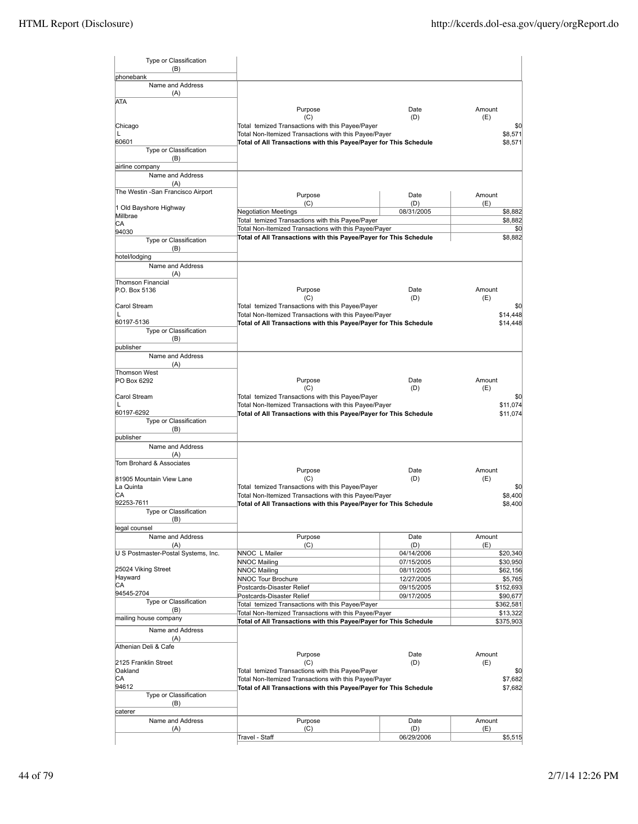| Type or Classification<br>(B)       |                                                                                                                            |                          |                       |
|-------------------------------------|----------------------------------------------------------------------------------------------------------------------------|--------------------------|-----------------------|
| phonebank                           |                                                                                                                            |                          |                       |
| Name and Address                    |                                                                                                                            |                          |                       |
| (A)                                 |                                                                                                                            |                          |                       |
| <b>ATA</b>                          | Purpose                                                                                                                    | Date                     | Amount                |
|                                     | (C)                                                                                                                        | (D)                      | (E)                   |
| Chicago                             | Total temized Transactions with this Payee/Payer                                                                           |                          | \$0                   |
| L<br>60601                          | Total Non-Itemized Transactions with this Payee/Payer                                                                      |                          | \$8,571<br>\$8,571    |
| Type or Classification              | Total of All Transactions with this Payee/Payer for This Schedule                                                          |                          |                       |
| (B)                                 |                                                                                                                            |                          |                       |
| airline company                     |                                                                                                                            |                          |                       |
| Name and Address<br>(A)             |                                                                                                                            |                          |                       |
| The Westin -San Francisco Airport   |                                                                                                                            |                          |                       |
|                                     | Purpose<br>(C)                                                                                                             | Date<br>(D)              | Amount<br>(E)         |
| 1 Old Bayshore Highway              | <b>Negotiation Meetings</b>                                                                                                | 08/31/2005               | \$8,882               |
| Millbrae<br>СA                      | Total temized Transactions with this Payee/Payer                                                                           |                          | \$8,882               |
| 94030                               | Total Non-Itemized Transactions with this Payee/Payer                                                                      |                          | \$0                   |
| Type or Classification              | Total of All Transactions with this Payee/Payer for This Schedule                                                          |                          | \$8,882               |
| (B)                                 |                                                                                                                            |                          |                       |
| hotel/lodging                       |                                                                                                                            |                          |                       |
| Name and Address<br>(A)             |                                                                                                                            |                          |                       |
| <b>Thomson Financial</b>            |                                                                                                                            |                          |                       |
| P.O. Box 5136                       | Purpose                                                                                                                    | Date                     | Amount                |
|                                     | (C)                                                                                                                        | (D)                      | (E)                   |
| Carol Stream<br>L                   | Total temized Transactions with this Payee/Payer<br>Total Non-Itemized Transactions with this Payee/Payer                  |                          | \$0<br>\$14,448       |
| 60197-5136                          | Total of All Transactions with this Payee/Payer for This Schedule                                                          |                          | \$14,448              |
| Type or Classification              |                                                                                                                            |                          |                       |
| (B)                                 |                                                                                                                            |                          |                       |
| publisher                           |                                                                                                                            |                          |                       |
| Name and Address<br>(A)             |                                                                                                                            |                          |                       |
| <b>Thomson West</b>                 |                                                                                                                            |                          |                       |
| PO Box 6292                         | Purpose                                                                                                                    | Date                     | Amount                |
|                                     | (C)                                                                                                                        | (D)                      | (E)                   |
| Carol Stream<br>$\mathbf{L}$        | Total temized Transactions with this Payee/Payer<br>Total Non-Itemized Transactions with this Payee/Payer                  |                          | \$0<br>\$11,074       |
| 60197-6292                          | Total of All Transactions with this Payee/Payer for This Schedule                                                          |                          | \$11,074              |
| Type or Classification              |                                                                                                                            |                          |                       |
| (B)                                 |                                                                                                                            |                          |                       |
| publisher                           |                                                                                                                            |                          |                       |
| Name and Address<br>(A)             |                                                                                                                            |                          |                       |
| Tom Brohard & Associates            |                                                                                                                            |                          |                       |
|                                     | Purpose                                                                                                                    | Date                     | Amount                |
| 81905 Mountain View Lane            | (C)                                                                                                                        | (D)                      | (E)                   |
| La Quinta<br>IСA                    | Total temized Transactions with this Payee/Payer<br>Total Non-Itemized Transactions with this Payee/Payer                  |                          | \$0<br>\$8,400        |
| 92253-7611                          | Total of All Transactions with this Payee/Payer for This Schedule                                                          |                          | \$8,400               |
| Type or Classification              |                                                                                                                            |                          |                       |
| (B)                                 |                                                                                                                            |                          |                       |
| legal counsel<br>Name and Address   | Purpose                                                                                                                    |                          |                       |
| (A)                                 | (C)                                                                                                                        | Date<br>(D)              | Amount<br>(E)         |
| U S Postmaster-Postal Systems, Inc. | NNOC L Mailer                                                                                                              | 04/14/2006               | \$20,340              |
|                                     | <b>NNOC Mailing</b>                                                                                                        | 07/15/2005               | \$30,950              |
| 25024 Viking Street                 | <b>NNOC Mailing</b>                                                                                                        | 08/11/2005               | \$62,156              |
| Hayward<br>CА                       | <b>NNOC Tour Brochure</b>                                                                                                  | 12/27/2005               | \$5,765               |
| 94545-2704                          | Postcards-Disaster Relief<br>Postcards-Disaster Relief                                                                     | 09/15/2005<br>09/17/2005 | \$152,693<br>\$90,677 |
| Type or Classification              | Total temized Transactions with this Payee/Payer                                                                           |                          | \$362,581             |
| (B)                                 | Total Non-Itemized Transactions with this Payee/Payer                                                                      |                          | \$13,322              |
| mailing house company               | Total of All Transactions with this Payee/Payer for This Schedule                                                          |                          | \$375,903             |
| Name and Address                    |                                                                                                                            |                          |                       |
| (A)<br>Athenian Deli & Cafe         |                                                                                                                            |                          |                       |
|                                     | Purpose                                                                                                                    | Date                     | Amount                |
| 2125 Franklin Street                | (C)                                                                                                                        | (D)                      | (E)                   |
| Oakland                             | Total temized Transactions with this Payee/Payer                                                                           |                          | \$0                   |
| CА<br>94612                         | Total Non-Itemized Transactions with this Payee/Payer<br>Total of All Transactions with this Payee/Payer for This Schedule |                          | \$7,682<br>\$7,682    |
| Type or Classification              |                                                                                                                            |                          |                       |
| (B)                                 |                                                                                                                            |                          |                       |
| caterer                             |                                                                                                                            |                          |                       |
| Name and Address                    | Purpose                                                                                                                    | Date                     | Amount                |
| (A)                                 | (C)                                                                                                                        | (D)                      | (E)                   |
|                                     | Travel - Staff                                                                                                             | 06/29/2006               | \$5,515               |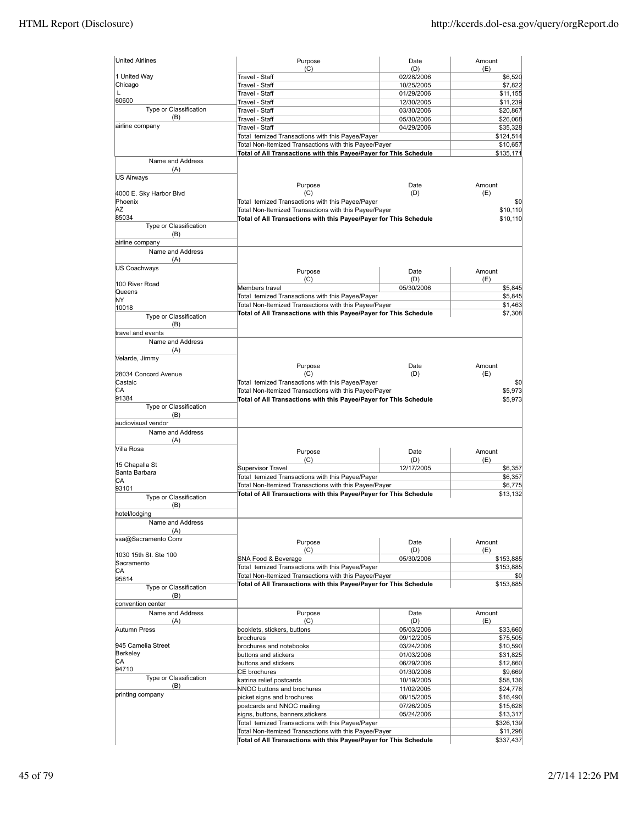| <b>United Airlines</b>             | Purpose                                                                                                                    | Date              | Amount                                                                                                                                                                                                                                              |
|------------------------------------|----------------------------------------------------------------------------------------------------------------------------|-------------------|-----------------------------------------------------------------------------------------------------------------------------------------------------------------------------------------------------------------------------------------------------|
| 1 United Way                       | (C)<br>Travel - Staff                                                                                                      | (D)<br>02/28/2006 | (E)<br>\$6,520                                                                                                                                                                                                                                      |
| Chicago                            | Travel - Staff                                                                                                             | 10/25/2005        | \$7,822                                                                                                                                                                                                                                             |
| L                                  | Travel - Staff                                                                                                             | 01/29/2006        | \$11,155                                                                                                                                                                                                                                            |
| 60600                              | Travel - Staff                                                                                                             | 12/30/2005        | \$11,239                                                                                                                                                                                                                                            |
| Type or Classification             | Travel - Staff                                                                                                             | 03/30/2006        | \$20,867                                                                                                                                                                                                                                            |
| (B)                                | Travel - Staff                                                                                                             | 05/30/2006        | \$26,068                                                                                                                                                                                                                                            |
| airline company                    | Travel - Staff                                                                                                             | 04/29/2006        | \$35,328                                                                                                                                                                                                                                            |
|                                    | Total temized Transactions with this Payee/Payer                                                                           |                   | \$124,514                                                                                                                                                                                                                                           |
|                                    | Total Non-Itemized Transactions with this Payee/Payer                                                                      |                   | \$10,657                                                                                                                                                                                                                                            |
|                                    | Total of All Transactions with this Payee/Payer for This Schedule                                                          |                   | \$135,171                                                                                                                                                                                                                                           |
| Name and Address                   |                                                                                                                            |                   |                                                                                                                                                                                                                                                     |
| (A)                                |                                                                                                                            |                   |                                                                                                                                                                                                                                                     |
| <b>US Airways</b>                  |                                                                                                                            |                   |                                                                                                                                                                                                                                                     |
|                                    | Purpose                                                                                                                    | Date              | Amount                                                                                                                                                                                                                                              |
| 4000 E. Sky Harbor Blvd<br>Phoenix | (C)                                                                                                                        | (D)               | (E)<br>\$0                                                                                                                                                                                                                                          |
| ΙAΖ                                | Total temized Transactions with this Payee/Payer                                                                           |                   |                                                                                                                                                                                                                                                     |
| 85034                              | Total Non-Itemized Transactions with this Payee/Payer<br>Total of All Transactions with this Payee/Payer for This Schedule |                   | \$10,110<br>\$10,110                                                                                                                                                                                                                                |
| Type or Classification             |                                                                                                                            |                   |                                                                                                                                                                                                                                                     |
| (B)                                |                                                                                                                            |                   |                                                                                                                                                                                                                                                     |
| airline company                    |                                                                                                                            |                   |                                                                                                                                                                                                                                                     |
| Name and Address                   |                                                                                                                            |                   |                                                                                                                                                                                                                                                     |
| (A)                                |                                                                                                                            |                   |                                                                                                                                                                                                                                                     |
| US Coachways                       |                                                                                                                            | Date              | Amount                                                                                                                                                                                                                                              |
|                                    | Purpose                                                                                                                    |                   |                                                                                                                                                                                                                                                     |
| 100 River Road                     | (C)                                                                                                                        | (D)               | (E)                                                                                                                                                                                                                                                 |
| Queens                             | Members travel                                                                                                             | 05/30/2006        | \$5,845                                                                                                                                                                                                                                             |
| NY                                 | Total temized Transactions with this Payee/Payer                                                                           |                   | \$5,845                                                                                                                                                                                                                                             |
| 10018                              | Total Non-Itemized Transactions with this Payee/Payer                                                                      |                   | \$1,463                                                                                                                                                                                                                                             |
| Type or Classification             | Total of All Transactions with this Payee/Payer for This Schedule                                                          |                   | \$7,308                                                                                                                                                                                                                                             |
| (B)                                |                                                                                                                            |                   |                                                                                                                                                                                                                                                     |
| travel and events                  |                                                                                                                            |                   |                                                                                                                                                                                                                                                     |
| Name and Address                   |                                                                                                                            |                   |                                                                                                                                                                                                                                                     |
| (A)                                |                                                                                                                            |                   |                                                                                                                                                                                                                                                     |
| Velarde, Jimmy                     |                                                                                                                            |                   |                                                                                                                                                                                                                                                     |
|                                    | Purpose                                                                                                                    | Date              | Amount                                                                                                                                                                                                                                              |
| 28034 Concord Avenue               | (C)                                                                                                                        | (D)               | (E)                                                                                                                                                                                                                                                 |
| Castaic                            | Total temized Transactions with this Payee/Payer                                                                           |                   | \$0                                                                                                                                                                                                                                                 |
| СA                                 | Total Non-Itemized Transactions with this Payee/Payer                                                                      |                   | \$5,973                                                                                                                                                                                                                                             |
| 91384                              | Total of All Transactions with this Payee/Payer for This Schedule                                                          |                   | \$5,973                                                                                                                                                                                                                                             |
| Type or Classification             |                                                                                                                            |                   |                                                                                                                                                                                                                                                     |
| (B)                                |                                                                                                                            |                   |                                                                                                                                                                                                                                                     |
| audiovisual vendor                 |                                                                                                                            |                   |                                                                                                                                                                                                                                                     |
| Name and Address                   |                                                                                                                            |                   |                                                                                                                                                                                                                                                     |
| (A)                                |                                                                                                                            |                   |                                                                                                                                                                                                                                                     |
| Villa Rosa                         |                                                                                                                            | Date              | Amount                                                                                                                                                                                                                                              |
|                                    | Purpose                                                                                                                    |                   |                                                                                                                                                                                                                                                     |
|                                    | (C)                                                                                                                        | (D)               | (E)                                                                                                                                                                                                                                                 |
| 15 Chapalla St                     | <b>Supervisor Travel</b>                                                                                                   | 12/17/2005        |                                                                                                                                                                                                                                                     |
| Santa Barbara                      | Total temized Transactions with this Payee/Payer                                                                           |                   |                                                                                                                                                                                                                                                     |
| СA                                 | Total Non-Itemized Transactions with this Payee/Payer                                                                      |                   |                                                                                                                                                                                                                                                     |
| 93101                              | Total of All Transactions with this Payee/Payer for This Schedule                                                          |                   |                                                                                                                                                                                                                                                     |
| Type or Classification             |                                                                                                                            |                   |                                                                                                                                                                                                                                                     |
| (B)                                |                                                                                                                            |                   |                                                                                                                                                                                                                                                     |
| hotel/lodging<br>Name and Address  |                                                                                                                            |                   |                                                                                                                                                                                                                                                     |
| (A)                                |                                                                                                                            |                   |                                                                                                                                                                                                                                                     |
| vsa@Sacramento Conv                |                                                                                                                            |                   |                                                                                                                                                                                                                                                     |
|                                    | Purpose                                                                                                                    | Date              | Amount                                                                                                                                                                                                                                              |
| 1030 15th St. Ste 100              | (C)                                                                                                                        | (D)               | (E)                                                                                                                                                                                                                                                 |
| Sacramento                         | SNA Food & Beverage                                                                                                        | 05/30/2006        |                                                                                                                                                                                                                                                     |
| СA                                 | Total temized Transactions with this Payee/Payer                                                                           |                   |                                                                                                                                                                                                                                                     |
| 95814                              | Total Non-Itemized Transactions with this Payee/Payer                                                                      |                   |                                                                                                                                                                                                                                                     |
| <b>Type or Classification</b>      | Total of All Transactions with this Payee/Payer for This Schedule                                                          |                   |                                                                                                                                                                                                                                                     |
| (B)                                |                                                                                                                            |                   |                                                                                                                                                                                                                                                     |
| convention center                  |                                                                                                                            |                   |                                                                                                                                                                                                                                                     |
| Name and Address                   | Purpose                                                                                                                    | Date              | Amount                                                                                                                                                                                                                                              |
| (A)                                | (C)                                                                                                                        | (D)               | (E)                                                                                                                                                                                                                                                 |
| Autumn Press                       | booklets, stickers, buttons                                                                                                | 05/03/2006        |                                                                                                                                                                                                                                                     |
|                                    | brochures                                                                                                                  | 09/12/2005        |                                                                                                                                                                                                                                                     |
| 945 Camelia Street                 | brochures and notebooks                                                                                                    | 03/24/2006        |                                                                                                                                                                                                                                                     |
| Berkeley                           | buttons and stickers                                                                                                       | 01/03/2006        |                                                                                                                                                                                                                                                     |
| CA                                 | buttons and stickers                                                                                                       | 06/29/2006        |                                                                                                                                                                                                                                                     |
| 94710                              | <b>CE</b> brochures                                                                                                        | 01/30/2006        |                                                                                                                                                                                                                                                     |
| Type or Classification             | katrina relief postcards                                                                                                   | 10/19/2005        |                                                                                                                                                                                                                                                     |
| (B)                                | NNOC buttons and brochures                                                                                                 | 11/02/2005        |                                                                                                                                                                                                                                                     |
| printing company                   | picket signs and brochures                                                                                                 | 08/15/2005        |                                                                                                                                                                                                                                                     |
|                                    | postcards and NNOC mailing                                                                                                 | 07/26/2005        |                                                                                                                                                                                                                                                     |
|                                    | signs, buttons, banners, stickers                                                                                          | 05/24/2006        |                                                                                                                                                                                                                                                     |
|                                    | Total temized Transactions with this Payee/Payer                                                                           |                   |                                                                                                                                                                                                                                                     |
|                                    | Total Non-Itemized Transactions with this Payee/Payer                                                                      |                   | \$6,357<br>\$6,357<br>\$6,775<br>\$13,132<br>\$153,885<br>\$153,885<br>\$0<br>\$153,885<br>\$33,660<br>\$75,505<br>\$10,590<br>\$31,825<br>\$12,860<br>\$9,669<br>\$58,136<br>\$24,778<br>\$16,490<br>\$15,628<br>\$13,317<br>\$326,139<br>\$11,298 |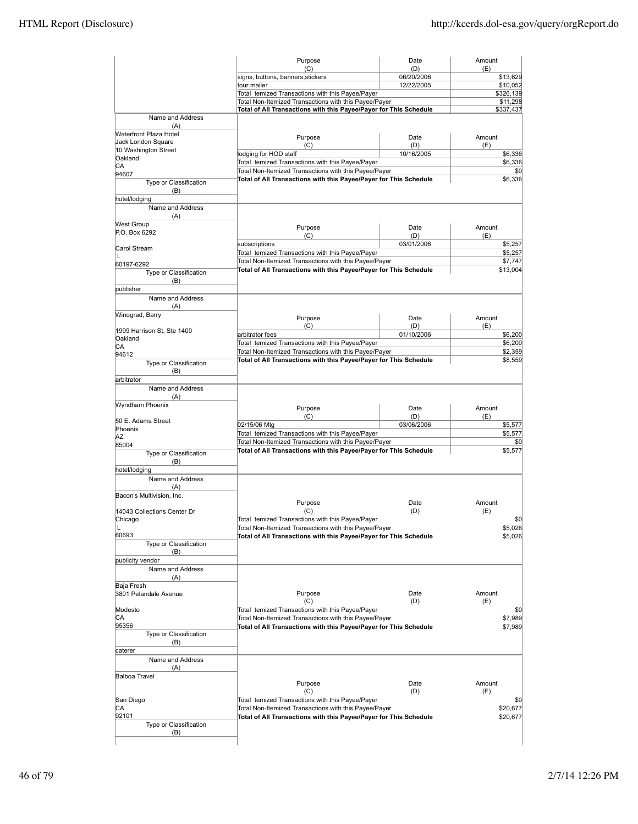|                                              | Purpose                                                                                                                    | Date              | Amount                |
|----------------------------------------------|----------------------------------------------------------------------------------------------------------------------------|-------------------|-----------------------|
|                                              | (C)<br>signs, buttons, banners, stickers                                                                                   | (D)<br>06/20/2006 | (E)<br>\$13,629       |
|                                              | tour mailer                                                                                                                | 12/22/2005        | \$10,052              |
|                                              | Total temized Transactions with this Payee/Payer                                                                           |                   | \$326,139             |
|                                              | Total Non-Itemized Transactions with this Payee/Payer<br>Total of All Transactions with this Payee/Payer for This Schedule |                   | \$11,298<br>\$337,437 |
| Name and Address                             |                                                                                                                            |                   |                       |
| (A)                                          |                                                                                                                            |                   |                       |
| Waterfront Plaza Hotel<br>Jack London Square | Purpose                                                                                                                    | Date              | Amount                |
| 10 Washington Street                         | (C)                                                                                                                        | (D)<br>10/16/2005 | (E)<br>\$6,336        |
| Oakland                                      | lodging for HOD staff<br>Total temized Transactions with this Payee/Payer                                                  |                   | \$6,336               |
| СA<br>94607                                  | Total Non-Itemized Transactions with this Payee/Payer                                                                      |                   | \$0                   |
| Type or Classification                       | Total of All Transactions with this Payee/Payer for This Schedule                                                          |                   | \$6,336               |
| (B)                                          |                                                                                                                            |                   |                       |
| hotel/lodging                                |                                                                                                                            |                   |                       |
| Name and Address                             |                                                                                                                            |                   |                       |
| (A)<br><b>West Group</b>                     |                                                                                                                            |                   |                       |
| P.O. Box 6292                                | Purpose<br>(C)                                                                                                             | Date<br>(D)       | Amount<br>(E)         |
|                                              | subscriptions                                                                                                              | 03/01/2006        | \$5,257               |
| Carol Stream<br>L                            | Total temized Transactions with this Payee/Payer                                                                           |                   | \$5,257               |
| 60197-6292                                   | Total Non-Itemized Transactions with this Payee/Payer                                                                      |                   | \$7,747               |
| Type or Classification                       | Total of All Transactions with this Payee/Payer for This Schedule                                                          |                   | \$13,004              |
| (B)                                          |                                                                                                                            |                   |                       |
| publisher<br>Name and Address                |                                                                                                                            |                   |                       |
| (A)                                          |                                                                                                                            |                   |                       |
| Winograd, Barry                              | Purpose                                                                                                                    | Date              | Amount                |
|                                              | (C)                                                                                                                        | (D)               | (E)                   |
| 1999 Harrison St, Ste 1400<br>Oakland        | arbitrator fees                                                                                                            | 01/10/2006        | \$6,200               |
| СA                                           | Total temized Transactions with this Payee/Payer                                                                           |                   | \$6,200               |
| 94612                                        | Total Non-Itemized Transactions with this Payee/Payer                                                                      |                   | \$2,359               |
| Type or Classification                       | Total of All Transactions with this Payee/Payer for This Schedule                                                          |                   | \$8,559               |
| (B)<br>arbitrator                            |                                                                                                                            |                   |                       |
| Name and Address                             |                                                                                                                            |                   |                       |
| (A)                                          |                                                                                                                            |                   |                       |
| Wyndham Phoenix                              | Purpose                                                                                                                    | Date              | Amount                |
| 50 E. Adams Street                           | (C)                                                                                                                        | (D)               | (E)                   |
| Phoenix                                      | 02/15/06 Mtg                                                                                                               | 03/06/2006        | \$5,577               |
| ΑZ                                           | Total temized Transactions with this Payee/Payer<br>Total Non-Itemized Transactions with this Payee/Payer                  |                   | \$5,577               |
| 85004                                        | Total of All Transactions with this Payee/Payer for This Schedule                                                          |                   | \$0<br>\$5,577        |
| Type or Classification<br>(B)                |                                                                                                                            |                   |                       |
| hotel/lodging                                |                                                                                                                            |                   |                       |
| Name and Address                             |                                                                                                                            |                   |                       |
| (A)                                          |                                                                                                                            |                   |                       |
| Bacon's Multivision, Inc.                    | Purpose                                                                                                                    | Date              | Amount                |
| 14043 Collections Center Dr                  | (C)                                                                                                                        | (D)               | (E)                   |
| Chicago                                      | Total temized Transactions with this Payee/Payer                                                                           |                   | \$0                   |
| L                                            | Total Non-Itemized Transactions with this Payee/Payer                                                                      |                   | \$5,026               |
| 60693<br>Type or Classification              | Total of All Transactions with this Payee/Payer for This Schedule                                                          |                   | \$5,026               |
| (B)                                          |                                                                                                                            |                   |                       |
| publicity vendor                             |                                                                                                                            |                   |                       |
| Name and Address                             |                                                                                                                            |                   |                       |
| (A)                                          |                                                                                                                            |                   |                       |
| Baja Fresh<br>3801 Pelandale Avenue          | Purpose                                                                                                                    | Date              | Amount                |
|                                              | (C)                                                                                                                        | (D)               | (E)                   |
| Modesto                                      | Total temized Transactions with this Payee/Payer                                                                           |                   | \$0                   |
| CА<br>95356                                  | Total Non-Itemized Transactions with this Payee/Payer<br>Total of All Transactions with this Payee/Payer for This Schedule |                   | \$7,989<br>\$7,989    |
| Type or Classification                       |                                                                                                                            |                   |                       |
| (B)                                          |                                                                                                                            |                   |                       |
| caterer                                      |                                                                                                                            |                   |                       |
| Name and Address                             |                                                                                                                            |                   |                       |
| (A)<br><b>Balboa Travel</b>                  |                                                                                                                            |                   |                       |
|                                              | Purpose                                                                                                                    | Date              | Amount                |
|                                              | (C)                                                                                                                        | (D)               | (E)                   |
| San Diego                                    | Total temized Transactions with this Payee/Payer                                                                           |                   | \$0                   |
| СA<br>92101                                  | Total Non-Itemized Transactions with this Payee/Payer<br>Total of All Transactions with this Payee/Payer for This Schedule |                   | \$20,677<br>\$20,677  |
| Type or Classification                       |                                                                                                                            |                   |                       |
|                                              |                                                                                                                            |                   |                       |
| (B)                                          |                                                                                                                            |                   |                       |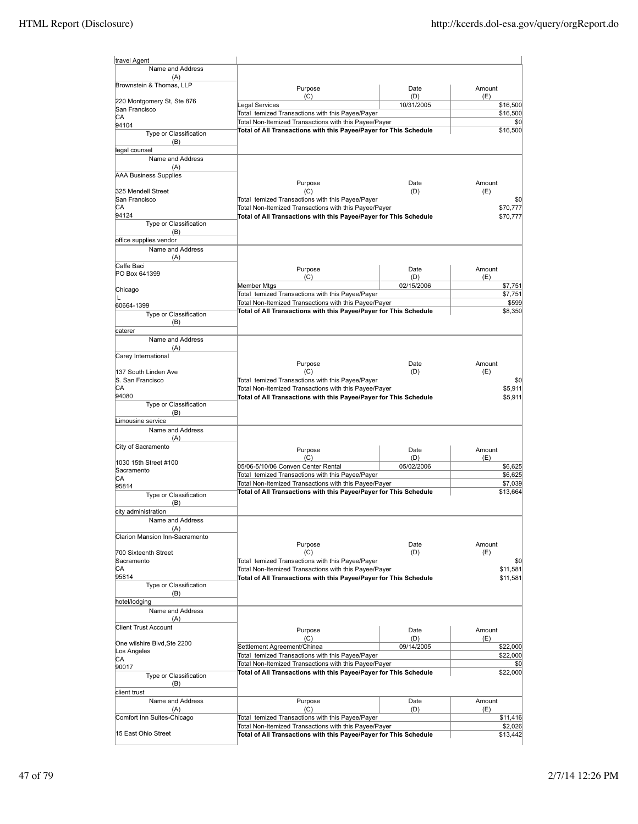| travel Agent                        |                                                                                                           |                   |                      |
|-------------------------------------|-----------------------------------------------------------------------------------------------------------|-------------------|----------------------|
| Name and Address<br>(A)             |                                                                                                           |                   |                      |
| Brownstein & Thomas, LLP            | Purpose                                                                                                   | Date              | Amount               |
| 220 Montgomery St, Ste 876          | (C)                                                                                                       | (D)               | (E)                  |
| San Francisco                       | Legal Services                                                                                            | 10/31/2005        | \$16,500             |
| СA                                  | Total temized Transactions with this Payee/Payer<br>Total Non-Itemized Transactions with this Payee/Payer |                   | \$16,500             |
| 94104                               | Total of All Transactions with this Payee/Payer for This Schedule                                         |                   | \$0<br>\$16,500      |
| Type or Classification<br>(B)       |                                                                                                           |                   |                      |
| legal counsel                       |                                                                                                           |                   |                      |
| Name and Address                    |                                                                                                           |                   |                      |
| (A)                                 |                                                                                                           |                   |                      |
| <b>AAA Business Supplies</b>        | Purpose                                                                                                   | Date              | Amount               |
| 325 Mendell Street                  | (C)                                                                                                       | (D)               | (E)                  |
| San Francisco                       | Total temized Transactions with this Payee/Payer                                                          |                   | \$0                  |
| СA                                  | Total Non-Itemized Transactions with this Payee/Payer                                                     |                   | \$70,777             |
| 94124<br>Type or Classification     | Total of All Transactions with this Payee/Payer for This Schedule                                         |                   | \$70,777             |
| (B)                                 |                                                                                                           |                   |                      |
| office supplies vendor              |                                                                                                           |                   |                      |
| Name and Address                    |                                                                                                           |                   |                      |
| (A)                                 |                                                                                                           |                   |                      |
| Caffe Baci<br>PO Box 641399         | Purpose                                                                                                   | Date              | Amount               |
|                                     | (C)                                                                                                       | (D)               | (E)                  |
| Chicago                             | Member Mtgs                                                                                               | 02/15/2006        | \$7,751              |
| L                                   | Total temized Transactions with this Payee/Payer<br>Total Non-Itemized Transactions with this Payee/Payer |                   | \$7,751<br>\$599     |
| 60664-1399                          | Total of All Transactions with this Payee/Payer for This Schedule                                         |                   | \$8,350              |
| Type or Classification<br>(B)       |                                                                                                           |                   |                      |
| caterer                             |                                                                                                           |                   |                      |
| Name and Address                    |                                                                                                           |                   |                      |
| (A)                                 |                                                                                                           |                   |                      |
| Carey International                 |                                                                                                           |                   |                      |
| 137 South Linden Ave                | Purpose<br>(C)                                                                                            | Date<br>(D)       | Amount<br>(E)        |
| S. San Francisco                    | Total temized Transactions with this Payee/Payer                                                          |                   | \$0                  |
| CA                                  | Total Non-Itemized Transactions with this Payee/Payer                                                     |                   | \$5,911              |
| 94080                               | Total of All Transactions with this Payee/Payer for This Schedule                                         |                   | \$5,911              |
| Type or Classification              |                                                                                                           |                   |                      |
| (B)<br>Limousine service            |                                                                                                           |                   |                      |
| Name and Address                    |                                                                                                           |                   |                      |
| (A)                                 |                                                                                                           |                   |                      |
| City of Sacramento                  | Purpose                                                                                                   | Date              | Amount               |
|                                     | (C)                                                                                                       | (D)               | (E)                  |
| 1030 15th Street #100<br>Sacramento | 05/06-5/10/06 Conven Center Rental                                                                        | 05/02/2006        | \$6,625              |
| СA                                  | Total temized Transactions with this Payee/Payer                                                          |                   | \$6,625              |
| 95814                               | Total Non-Itemized Transactions with this Payee/Payer                                                     |                   | \$7,039              |
| Type or Classification              | Total of All Transactions with this Payee/Payer for This Schedule                                         |                   | \$13,664             |
| (B)                                 |                                                                                                           |                   |                      |
| city administration                 |                                                                                                           |                   |                      |
| Name and Address<br>(A)             |                                                                                                           |                   |                      |
| Clarion Mansion Inn-Sacramento      |                                                                                                           |                   |                      |
|                                     | Purpose                                                                                                   | Date              | Amount               |
| 700 Sixteenth Street                | (C)                                                                                                       | (D)               | (E)                  |
| Sacramento<br>СA                    | Total temized Transactions with this Payee/Payer<br>Total Non-Itemized Transactions with this Payee/Payer |                   | \$0                  |
| 95814                               | Total of All Transactions with this Payee/Payer for This Schedule                                         |                   | \$11,581<br>\$11,581 |
| Type or Classification              |                                                                                                           |                   |                      |
| (B)                                 |                                                                                                           |                   |                      |
| hotel/lodging                       |                                                                                                           |                   |                      |
| Name and Address                    |                                                                                                           |                   |                      |
| (A)<br><b>Client Trust Account</b>  |                                                                                                           |                   |                      |
|                                     | Purpose                                                                                                   | Date              | Amount               |
| One wilshire Blvd.Ste 2200          | (C)<br>Settlement Agreement/Chinea                                                                        | (D)<br>09/14/2005 | (E)<br>\$22,000      |
| Los Angeles                         | Total temized Transactions with this Payee/Payer                                                          |                   | \$22,000             |
| СA<br>90017                         | Total Non-Itemized Transactions with this Payee/Payer                                                     |                   | \$0                  |
| Type or Classification              | Total of All Transactions with this Payee/Payer for This Schedule                                         |                   | \$22,000             |
| (B)                                 |                                                                                                           |                   |                      |
| client trust                        |                                                                                                           |                   |                      |
| Name and Address                    | Purpose                                                                                                   | Date              | Amount               |
| (A)                                 | (C)                                                                                                       | (D)               | (E)                  |
| Comfort Inn Suites-Chicago          | Total temized Transactions with this Payee/Payer<br>Total Non-Itemized Transactions with this Payee/Payer |                   | \$11,416             |
| 15 East Ohio Street                 | Total of All Transactions with this Payee/Payer for This Schedule                                         |                   | \$2,026<br>\$13,442  |
|                                     |                                                                                                           |                   |                      |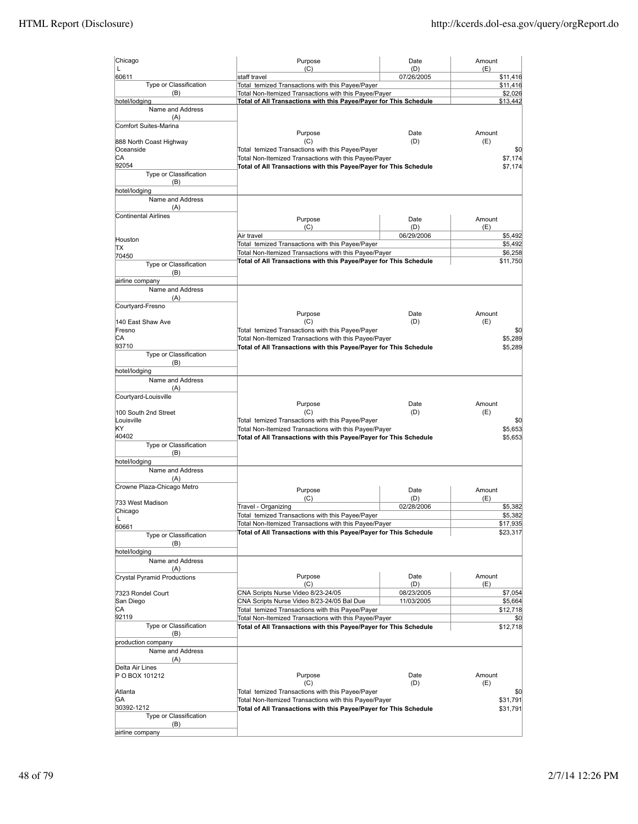| Chicago                              | Purpose                                                                                                                    | Date              | Amount              |
|--------------------------------------|----------------------------------------------------------------------------------------------------------------------------|-------------------|---------------------|
| L<br>60611                           | (C)<br>staff travel                                                                                                        | (D)<br>07/26/2005 | (E)<br>\$11,416     |
| Type or Classification               | Total temized Transactions with this Payee/Payer                                                                           |                   | \$11,416            |
| (B)                                  | Total Non-Itemized Transactions with this Payee/Payer                                                                      |                   | \$2,026             |
| hotel/lodging                        | Total of All Transactions with this Payee/Payer for This Schedule                                                          |                   | \$13,442            |
| Name and Address<br>(A)              |                                                                                                                            |                   |                     |
| Comfort Suites-Marina                |                                                                                                                            |                   |                     |
|                                      | Purpose                                                                                                                    | Date              | Amount              |
| 888 North Coast Highway<br>Oceanside | (C)                                                                                                                        | (D)               | (E)                 |
| СA                                   | Total temized Transactions with this Payee/Payer<br>Total Non-Itemized Transactions with this Payee/Payer                  |                   | \$0<br>\$7,174      |
| 92054                                | Total of All Transactions with this Payee/Payer for This Schedule                                                          |                   | \$7,174             |
| Type or Classification               |                                                                                                                            |                   |                     |
| (B)<br>hotel/lodging                 |                                                                                                                            |                   |                     |
| Name and Address                     |                                                                                                                            |                   |                     |
| (A)                                  |                                                                                                                            |                   |                     |
| Continental Airlines                 | Purpose                                                                                                                    | Date              | Amount              |
|                                      | (C)                                                                                                                        | (D)               | (E)                 |
| Houston                              | Air travel                                                                                                                 | 06/29/2006        | \$5,492             |
| ΠX                                   | Total temized Transactions with this Payee/Payer                                                                           |                   | \$5,492             |
| 70450                                | Total Non-Itemized Transactions with this Payee/Payer<br>Total of All Transactions with this Payee/Payer for This Schedule |                   | \$6,258<br>\$11,750 |
| Type or Classification               |                                                                                                                            |                   |                     |
| (B)<br>airline company               |                                                                                                                            |                   |                     |
| Name and Address                     |                                                                                                                            |                   |                     |
| (A)                                  |                                                                                                                            |                   |                     |
| Courtyard-Fresno                     |                                                                                                                            |                   |                     |
| 140 East Shaw Ave                    | Purpose<br>(C)                                                                                                             | Date<br>(D)       | Amount<br>(E)       |
| Fresno                               | Total temized Transactions with this Payee/Payer                                                                           |                   | \$0                 |
| СA                                   | Total Non-Itemized Transactions with this Payee/Payer                                                                      |                   | \$5,289             |
| 93710                                | Total of All Transactions with this Payee/Payer for This Schedule                                                          |                   | \$5,289             |
| Type or Classification               |                                                                                                                            |                   |                     |
| (B)<br>hotel/lodging                 |                                                                                                                            |                   |                     |
| Name and Address                     |                                                                                                                            |                   |                     |
| (A)                                  |                                                                                                                            |                   |                     |
| Courtyard-Louisville                 |                                                                                                                            |                   |                     |
| 100 South 2nd Street                 | Purpose<br>(C)                                                                                                             | Date<br>(D)       | Amount<br>(E)       |
| Louisville                           | Total temized Transactions with this Payee/Payer                                                                           |                   | \$0                 |
| KΥ                                   | Total Non-Itemized Transactions with this Payee/Payer                                                                      |                   | \$5,653             |
| 40402                                | Total of All Transactions with this Payee/Payer for This Schedule                                                          |                   | \$5,653             |
| Type or Classification<br>(B)        |                                                                                                                            |                   |                     |
| hotel/lodging                        |                                                                                                                            |                   |                     |
| Name and Address                     |                                                                                                                            |                   |                     |
| (A)                                  |                                                                                                                            |                   |                     |
| Crowne Plaza-Chicago Metro           | Purpose                                                                                                                    | Date              | Amount              |
| 733 West Madison                     | (C)                                                                                                                        | (D)               | (E)                 |
| Chicago                              | Travel - Organizing                                                                                                        | 02/28/2006        | \$5,382             |
|                                      | Total temized Transactions with this Payee/Payer<br>Total Non-Itemized Transactions with this Payee/Payer                  |                   | \$5,382<br>\$17,935 |
| 60661                                | Total of All Transactions with this Payee/Payer for This Schedule                                                          |                   | \$23,317            |
| Type or Classification<br>(B)        |                                                                                                                            |                   |                     |
| hotel/lodging                        |                                                                                                                            |                   |                     |
| Name and Address                     |                                                                                                                            |                   |                     |
| (A)                                  |                                                                                                                            |                   |                     |
| Crystal Pyramid Productions          | Purpose<br>(C)                                                                                                             | Date<br>(D)       | Amount<br>(E)       |
| 7323 Rondel Court                    | CNA Scripts Nurse Video 8/23-24/05                                                                                         | 08/23/2005        | \$7,054             |
| San Diego                            | CNA Scripts Nurse Video 8/23-24/05 Bal Due                                                                                 | 11/03/2005        | \$5,664             |
| CА                                   | Total temized Transactions with this Payee/Payer                                                                           |                   | \$12,718            |
| 92119<br>Type or Classification      | Total Non-Itemized Transactions with this Payee/Payer                                                                      |                   | \$0                 |
| (B)                                  | Total of All Transactions with this Payee/Payer for This Schedule                                                          |                   | \$12,718            |
| production company                   |                                                                                                                            |                   |                     |
| Name and Address                     |                                                                                                                            |                   |                     |
| (A)                                  |                                                                                                                            |                   |                     |
| Delta Air Lines<br>P O BOX 101212    | Purpose                                                                                                                    | Date              | Amount              |
|                                      | (C)                                                                                                                        | (D)               | (E)                 |
| Atlanta                              |                                                                                                                            |                   | \$0                 |
| GA                                   | Total temized Transactions with this Payee/Payer                                                                           |                   |                     |
|                                      | Total Non-Itemized Transactions with this Payee/Payer                                                                      |                   | \$31,791            |
| 30392-1212                           | Total of All Transactions with this Payee/Payer for This Schedule                                                          |                   | \$31,791            |
| Type or Classification<br>(B)        |                                                                                                                            |                   |                     |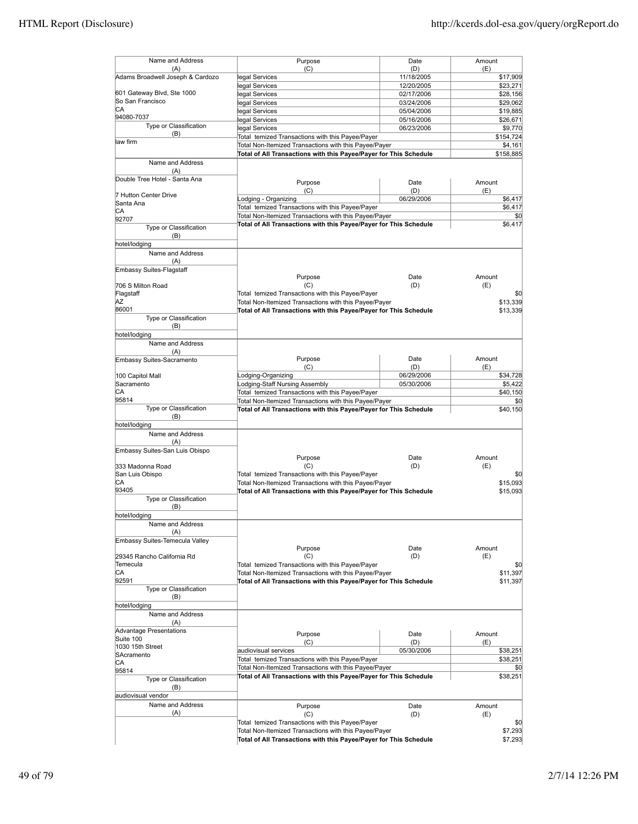| Name and Address<br>(A)<br>Adams Broadwell Joseph & Cardozo                                                                                                                                  |                                                                                                                            |                   |                                                                                  |
|----------------------------------------------------------------------------------------------------------------------------------------------------------------------------------------------|----------------------------------------------------------------------------------------------------------------------------|-------------------|----------------------------------------------------------------------------------|
|                                                                                                                                                                                              | Purpose<br>(C)                                                                                                             | Date              | Amount                                                                           |
|                                                                                                                                                                                              | legal Services                                                                                                             | (D)<br>11/18/2005 | (E)<br>\$17,909                                                                  |
|                                                                                                                                                                                              |                                                                                                                            | 12/20/2005        |                                                                                  |
| 601 Gateway Blvd, Ste 1000                                                                                                                                                                   | legal Services                                                                                                             |                   | \$23,271                                                                         |
| So San Francisco                                                                                                                                                                             | legal Services                                                                                                             | 02/17/2006        | \$28,156                                                                         |
| СA                                                                                                                                                                                           | legal Services                                                                                                             | 03/24/2006        | \$29,062                                                                         |
| 94080-7037                                                                                                                                                                                   | legal Services                                                                                                             | 05/04/2006        | \$19,885                                                                         |
| Type or Classification                                                                                                                                                                       | legal Services                                                                                                             | 05/16/2006        | \$26,671                                                                         |
| (B)                                                                                                                                                                                          | legal Services                                                                                                             | 06/23/2006        | \$9,770                                                                          |
| law firm                                                                                                                                                                                     | Total temized Transactions with this Payee/Payer                                                                           |                   | \$154,724                                                                        |
|                                                                                                                                                                                              | Total Non-Itemized Transactions with this Payee/Payer                                                                      |                   | \$4,161                                                                          |
|                                                                                                                                                                                              | Total of All Transactions with this Payee/Payer for This Schedule                                                          |                   | \$158,885                                                                        |
| Name and Address<br>(A)                                                                                                                                                                      |                                                                                                                            |                   |                                                                                  |
| Double Tree Hotel - Santa Ana                                                                                                                                                                |                                                                                                                            |                   |                                                                                  |
|                                                                                                                                                                                              | Purpose                                                                                                                    | Date              | Amount                                                                           |
| 7 Hutton Center Drive                                                                                                                                                                        | (C)                                                                                                                        | (D)               | (E)                                                                              |
| Santa Ana                                                                                                                                                                                    | Lodging - Organizing                                                                                                       | 06/29/2006        | \$6,417                                                                          |
| СA                                                                                                                                                                                           | Total temized Transactions with this Payee/Payer                                                                           |                   | \$6,417                                                                          |
| 92707                                                                                                                                                                                        | Total Non-Itemized Transactions with this Payee/Payer                                                                      |                   | \$0                                                                              |
| Type or Classification                                                                                                                                                                       | Total of All Transactions with this Payee/Payer for This Schedule                                                          |                   | \$6,417                                                                          |
| (B)                                                                                                                                                                                          |                                                                                                                            |                   |                                                                                  |
| hotel/lodging                                                                                                                                                                                |                                                                                                                            |                   |                                                                                  |
| Name and Address                                                                                                                                                                             |                                                                                                                            |                   |                                                                                  |
| (A)                                                                                                                                                                                          |                                                                                                                            |                   |                                                                                  |
| Embassy Suites-Flagstaff                                                                                                                                                                     |                                                                                                                            |                   |                                                                                  |
|                                                                                                                                                                                              | Purpose                                                                                                                    | Date              | Amount                                                                           |
| 706 S Milton Road                                                                                                                                                                            | (C)                                                                                                                        | (D)               | (E)                                                                              |
| Flagstaff                                                                                                                                                                                    | Total temized Transactions with this Payee/Payer                                                                           |                   | \$0                                                                              |
| AZ                                                                                                                                                                                           | Total Non-Itemized Transactions with this Payee/Payer                                                                      |                   | \$13,339                                                                         |
| 86001                                                                                                                                                                                        | Total of All Transactions with this Payee/Payer for This Schedule                                                          |                   | \$13,339                                                                         |
| Type or Classification                                                                                                                                                                       |                                                                                                                            |                   |                                                                                  |
| (B)                                                                                                                                                                                          |                                                                                                                            |                   |                                                                                  |
| hotel/lodging                                                                                                                                                                                |                                                                                                                            |                   |                                                                                  |
| Name and Address                                                                                                                                                                             |                                                                                                                            |                   |                                                                                  |
| (A)                                                                                                                                                                                          |                                                                                                                            |                   |                                                                                  |
| Embassy Suites-Sacramento                                                                                                                                                                    | Purpose                                                                                                                    | Date              | Amount                                                                           |
|                                                                                                                                                                                              | (C)                                                                                                                        | (D)               | (E)                                                                              |
| 100 Capitol Mall                                                                                                                                                                             | Lodging-Organizing                                                                                                         | 06/29/2006        | \$34,728                                                                         |
| Sacramento                                                                                                                                                                                   | Lodging-Staff Nursing Assembly                                                                                             | 05/30/2006        | \$5,422                                                                          |
| СA                                                                                                                                                                                           | Total temized Transactions with this Payee/Payer                                                                           |                   | \$40,150                                                                         |
| 95814                                                                                                                                                                                        | Total Non-Itemized Transactions with this Payee/Payer                                                                      |                   | \$0                                                                              |
| Type or Classification                                                                                                                                                                       | Total of All Transactions with this Payee/Payer for This Schedule                                                          |                   | \$40,150                                                                         |
| (B)                                                                                                                                                                                          |                                                                                                                            |                   |                                                                                  |
| hotel/lodging                                                                                                                                                                                |                                                                                                                            |                   |                                                                                  |
| Name and Address                                                                                                                                                                             |                                                                                                                            |                   |                                                                                  |
| (A)                                                                                                                                                                                          |                                                                                                                            |                   |                                                                                  |
| Embassy Suites-San Luis Obispo                                                                                                                                                               |                                                                                                                            |                   | Amount                                                                           |
|                                                                                                                                                                                              | Purpose                                                                                                                    | Date              |                                                                                  |
| 333 Madonna Road                                                                                                                                                                             | (C)                                                                                                                        | (D)               | (E)                                                                              |
| San Luis Obispo                                                                                                                                                                              | Total temized Transactions with this Payee/Payer                                                                           |                   | \$0                                                                              |
| СA                                                                                                                                                                                           | Total Non-Itemized Transactions with this Payee/Payer                                                                      |                   | \$15,093                                                                         |
| 93405                                                                                                                                                                                        | Total of All Transactions with this Payee/Payer for This Schedule                                                          |                   | \$15,093                                                                         |
| Type or Classification                                                                                                                                                                       |                                                                                                                            |                   |                                                                                  |
| (B)                                                                                                                                                                                          |                                                                                                                            |                   |                                                                                  |
| hotel/lodging                                                                                                                                                                                |                                                                                                                            |                   |                                                                                  |
| Name and Address                                                                                                                                                                             |                                                                                                                            |                   |                                                                                  |
| (A)                                                                                                                                                                                          |                                                                                                                            |                   |                                                                                  |
| Embassy Suites-Temecula Valley                                                                                                                                                               |                                                                                                                            |                   |                                                                                  |
|                                                                                                                                                                                              | Purpose<br>(C)                                                                                                             | Date              | Amount<br>(E)                                                                    |
|                                                                                                                                                                                              |                                                                                                                            |                   |                                                                                  |
|                                                                                                                                                                                              |                                                                                                                            | (D)               |                                                                                  |
|                                                                                                                                                                                              | Total temized Transactions with this Payee/Payer                                                                           |                   |                                                                                  |
|                                                                                                                                                                                              | Total Non-Itemized Transactions with this Payee/Payer                                                                      |                   |                                                                                  |
|                                                                                                                                                                                              | Total of All Transactions with this Payee/Payer for This Schedule                                                          |                   |                                                                                  |
| Type or Classification                                                                                                                                                                       |                                                                                                                            |                   |                                                                                  |
| (B)                                                                                                                                                                                          |                                                                                                                            |                   |                                                                                  |
|                                                                                                                                                                                              |                                                                                                                            |                   |                                                                                  |
| Name and Address                                                                                                                                                                             |                                                                                                                            |                   |                                                                                  |
| (A)                                                                                                                                                                                          |                                                                                                                            |                   |                                                                                  |
|                                                                                                                                                                                              | Purpose                                                                                                                    | Date              | Amount                                                                           |
|                                                                                                                                                                                              | (C)                                                                                                                        | (D)               | (E)                                                                              |
|                                                                                                                                                                                              | audiovisual services                                                                                                       | 05/30/2006        |                                                                                  |
|                                                                                                                                                                                              | Total temized Transactions with this Payee/Payer                                                                           |                   |                                                                                  |
|                                                                                                                                                                                              | Total Non-Itemized Transactions with this Payee/Payer                                                                      |                   |                                                                                  |
|                                                                                                                                                                                              | Total of All Transactions with this Payee/Payer for This Schedule                                                          |                   |                                                                                  |
| Type or Classification                                                                                                                                                                       |                                                                                                                            |                   |                                                                                  |
| (B)                                                                                                                                                                                          |                                                                                                                            |                   |                                                                                  |
|                                                                                                                                                                                              |                                                                                                                            |                   |                                                                                  |
| Name and Address                                                                                                                                                                             | Purpose                                                                                                                    | Date              | \$0<br>\$11,397<br>\$11,397<br>\$38,251<br>\$38,251<br>\$0<br>\$38,251<br>Amount |
| (A)                                                                                                                                                                                          | (C)                                                                                                                        | (D)               | (E)                                                                              |
|                                                                                                                                                                                              | Total temized Transactions with this Payee/Payer                                                                           |                   |                                                                                  |
| 29345 Rancho California Rd<br>Temecula<br>СA<br>92591<br>hotel/lodging<br><b>Advantage Presentations</b><br>Suite 100<br>1030 15th Street<br>SAcramento<br>СA<br>95814<br>audiovisual vendor | Total Non-Itemized Transactions with this Payee/Payer<br>Total of All Transactions with this Payee/Payer for This Schedule |                   | \$0<br>\$7,293                                                                   |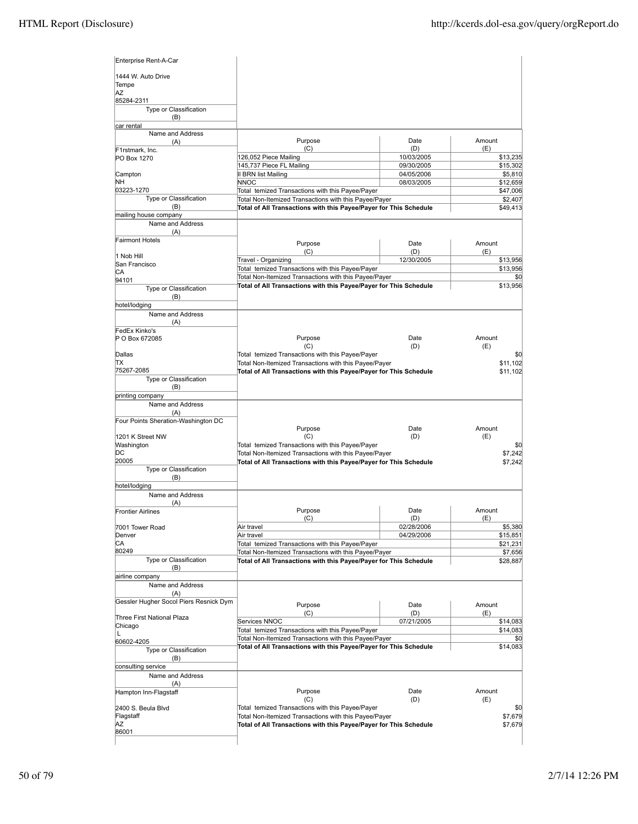| Enterprise Rent-A-Car                  |                                                                                                                            |            |                     |
|----------------------------------------|----------------------------------------------------------------------------------------------------------------------------|------------|---------------------|
| 1444 W. Auto Drive<br>Tempe            |                                                                                                                            |            |                     |
| AZ                                     |                                                                                                                            |            |                     |
| 85284-2311<br>Type or Classification   |                                                                                                                            |            |                     |
| (B)                                    |                                                                                                                            |            |                     |
| car rental                             |                                                                                                                            |            |                     |
| Name and Address                       | Purpose                                                                                                                    | Date       | Amount              |
| (A)<br>F1rstmark, Inc.                 | (C)                                                                                                                        | (D)        | (E)                 |
| PO Box 1270                            | 126,052 Piece Mailing                                                                                                      | 10/03/2005 | \$13,235            |
|                                        | 145,737 Piece FL Mailing                                                                                                   | 09/30/2005 | \$15,302            |
| Campton                                | <b>II BRN list Mailing</b>                                                                                                 | 04/05/2006 | \$5,810             |
| NΗ                                     | <b>NNOC</b>                                                                                                                | 08/03/2005 | \$12,659            |
| 03223-1270<br>Type or Classification   | Total temized Transactions with this Payee/Payer<br>Total Non-Itemized Transactions with this Payee/Payer                  |            | \$47,006<br>\$2,407 |
| (B)                                    | Total of All Transactions with this Payee/Payer for This Schedule                                                          |            | \$49,413            |
| mailing house company                  |                                                                                                                            |            |                     |
| Name and Address                       |                                                                                                                            |            |                     |
| (A)                                    |                                                                                                                            |            |                     |
| <b>Fairmont Hotels</b>                 | Purpose                                                                                                                    | Date       | Amount              |
| 1 Nob Hill                             | (C)                                                                                                                        | (D)        | (E)                 |
| San Francisco                          | Travel - Organizing                                                                                                        | 12/30/2005 | \$13,956            |
| CА                                     | Total temized Transactions with this Payee/Payer<br>Total Non-Itemized Transactions with this Payee/Payer                  |            | \$13,956<br>\$0     |
| 94101                                  | Total of All Transactions with this Payee/Payer for This Schedule                                                          |            | \$13,956            |
| Type or Classification                 |                                                                                                                            |            |                     |
| (B)<br>hotel/lodging                   |                                                                                                                            |            |                     |
| Name and Address                       |                                                                                                                            |            |                     |
| (A)                                    |                                                                                                                            |            |                     |
| FedEx Kinko's                          |                                                                                                                            |            |                     |
| P O Box 672085                         | Purpose                                                                                                                    | Date       | Amount              |
| Dallas                                 | (C)<br>Total temized Transactions with this Payee/Payer                                                                    | (D)        | (E)<br>\$0          |
| ΠX                                     | Total Non-Itemized Transactions with this Payee/Payer                                                                      |            | \$11,102            |
| 75267-2085                             | Total of All Transactions with this Payee/Payer for This Schedule                                                          |            | \$11,102            |
| Type or Classification                 |                                                                                                                            |            |                     |
| (B)                                    |                                                                                                                            |            |                     |
| printing company                       |                                                                                                                            |            |                     |
| Name and Address<br>(A)                |                                                                                                                            |            |                     |
| Four Points Sheration-Washington DC    |                                                                                                                            |            |                     |
|                                        | Purpose                                                                                                                    | Date       | Amount              |
| 1201 K Street NW                       | (C)                                                                                                                        | (D)        | (E)                 |
| Washington                             | Total temized Transactions with this Payee/Payer                                                                           |            | \$0                 |
| DС<br>20005                            | Total Non-Itemized Transactions with this Payee/Payer<br>Total of All Transactions with this Payee/Payer for This Schedule |            | \$7,242<br>\$7,242  |
| Type or Classification                 |                                                                                                                            |            |                     |
| (B)                                    |                                                                                                                            |            |                     |
| hotel/lodging                          |                                                                                                                            |            |                     |
| Name and Address                       |                                                                                                                            |            |                     |
| (A)<br><b>Frontier Airlines</b>        | Purpose                                                                                                                    | Date       | Amount              |
|                                        | (C)                                                                                                                        | (D)        | (E)                 |
| 7001 Tower Road                        | Air travel                                                                                                                 | 02/28/2006 | \$5,380             |
| Denver                                 | Air travel                                                                                                                 | 04/29/2006 | \$15,851            |
| СA<br>80249                            | Total temized Transactions with this Payee/Payer                                                                           |            | \$21,231            |
| Type or Classification                 | Total Non-Itemized Transactions with this Payee/Payer<br>Total of All Transactions with this Payee/Payer for This Schedule |            | \$7,656             |
| (B)                                    |                                                                                                                            |            | \$28,887            |
| airline company                        |                                                                                                                            |            |                     |
| Name and Address                       |                                                                                                                            |            |                     |
| (A)                                    |                                                                                                                            |            |                     |
| Gessler Hugher Socol Piers Resnick Dym | Purpose                                                                                                                    | Date       | Amount              |
| Three First National Plaza             | (C)                                                                                                                        | (D)        | (E)                 |
| Chicago                                | Services NNOC                                                                                                              | 07/21/2005 | \$14,083            |
| L                                      | Total temized Transactions with this Payee/Payer<br>Total Non-Itemized Transactions with this Payee/Payer                  |            | \$14,083<br>\$0     |
| 60602-4205                             | Total of All Transactions with this Payee/Payer for This Schedule                                                          |            | \$14,083            |
| Type or Classification<br>(B)          |                                                                                                                            |            |                     |
| consulting service                     |                                                                                                                            |            |                     |
| Name and Address                       |                                                                                                                            |            |                     |
| (A)                                    |                                                                                                                            |            |                     |
| Hampton Inn-Flagstaff                  | Purpose                                                                                                                    | Date       | Amount              |
|                                        | (C)                                                                                                                        | (D)        | (E)                 |
| 2400 S. Beula Blvd<br>Flagstaff        | Total temized Transactions with this Payee/Payer<br>Total Non-Itemized Transactions with this Payee/Payer                  |            | \$0<br>\$7,679      |
| ΑZ                                     | Total of All Transactions with this Payee/Payer for This Schedule                                                          |            | \$7,679             |
| 86001                                  |                                                                                                                            |            |                     |
|                                        |                                                                                                                            |            |                     |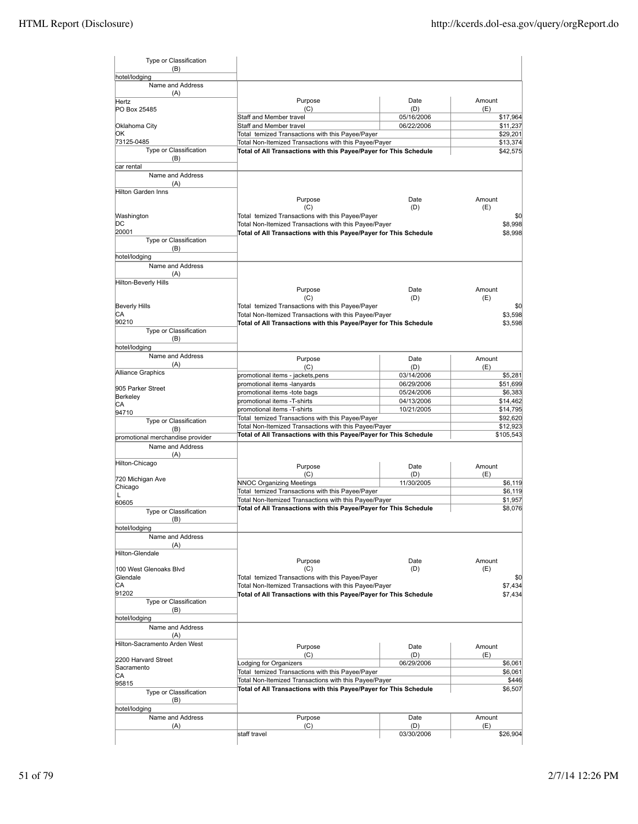| Type or Classification           |                                                                                                                            |                   |                      |
|----------------------------------|----------------------------------------------------------------------------------------------------------------------------|-------------------|----------------------|
| (B)<br>hotel/lodging             |                                                                                                                            |                   |                      |
| Name and Address                 |                                                                                                                            |                   |                      |
| (A)                              |                                                                                                                            |                   |                      |
| Hertz                            | Purpose                                                                                                                    | Date              | Amount               |
| PO Box 25485                     | (C)                                                                                                                        | (D)               | (E)                  |
|                                  | Staff and Member travel<br>Staff and Member travel                                                                         | 05/16/2006        | \$17,964             |
| Oklahoma City<br>ОK              | Total temized Transactions with this Payee/Payer                                                                           | 06/22/2006        | \$11,237<br>\$29,201 |
| 73125-0485                       | Total Non-Itemized Transactions with this Payee/Payer                                                                      |                   | \$13,374             |
| Type or Classification           | Total of All Transactions with this Payee/Payer for This Schedule                                                          |                   | \$42,575             |
| (B)                              |                                                                                                                            |                   |                      |
| car rental                       |                                                                                                                            |                   |                      |
| Name and Address                 |                                                                                                                            |                   |                      |
| (A)                              |                                                                                                                            |                   |                      |
| <b>Hilton Garden Inns</b>        |                                                                                                                            |                   | Amount               |
|                                  | Purpose<br>(C)                                                                                                             | Date<br>(D)       | (E)                  |
| Washington                       | Total temized Transactions with this Payee/Payer                                                                           |                   | \$0                  |
| DС                               | Total Non-Itemized Transactions with this Payee/Payer                                                                      |                   | \$8,998              |
| 20001                            | Total of All Transactions with this Payee/Payer for This Schedule                                                          |                   | \$8,998              |
| Type or Classification           |                                                                                                                            |                   |                      |
| (B)                              |                                                                                                                            |                   |                      |
| hotel/lodging                    |                                                                                                                            |                   |                      |
| Name and Address                 |                                                                                                                            |                   |                      |
| (A)                              |                                                                                                                            |                   |                      |
| <b>Hilton-Beverly Hills</b>      |                                                                                                                            |                   |                      |
|                                  | Purpose                                                                                                                    | Date              | Amount               |
|                                  | (C)                                                                                                                        | (D)               | (E)                  |
| <b>Beverly Hills</b><br>СA       | Total temized Transactions with this Payee/Payer                                                                           |                   | \$0                  |
| 90210                            | Total Non-Itemized Transactions with this Payee/Payer<br>Total of All Transactions with this Payee/Payer for This Schedule |                   | \$3,598              |
| Type or Classification           |                                                                                                                            |                   | \$3,598              |
| (B)                              |                                                                                                                            |                   |                      |
| hotel/lodging                    |                                                                                                                            |                   |                      |
| Name and Address                 | Purpose                                                                                                                    | Date              | Amount               |
| (A)                              | (C)                                                                                                                        | (D)               | (E)                  |
| <b>Alliance Graphics</b>         | promotional items - jackets, pens                                                                                          | 03/14/2006        | \$5,281              |
|                                  | promotional items -lanyards                                                                                                | 06/29/2006        | \$51,699             |
| 905 Parker Street                | promotional items -tote bags                                                                                               | 05/24/2006        | \$6,383              |
| Berkeley                         | promotional items -T-shirts                                                                                                | 04/13/2006        | \$14,462             |
| СA<br>94710                      | promotional items -T-shirts                                                                                                | 10/21/2005        | \$14,795             |
| Type or Classification           | Total temized Transactions with this Payee/Payer                                                                           |                   | \$92,620             |
| (B)                              | Total Non-Itemized Transactions with this Payee/Payer                                                                      |                   | \$12,923             |
| promotional merchandise provider | Total of All Transactions with this Payee/Payer for This Schedule                                                          |                   | \$105,543            |
| Name and Address                 |                                                                                                                            |                   |                      |
| (A)                              |                                                                                                                            |                   |                      |
| Hilton-Chicago                   | Purpose                                                                                                                    | Date              | Amount               |
|                                  | (C)                                                                                                                        | (D)               | (E)                  |
| 720 Michigan Ave                 | <b>NNOC Organizing Meetings</b>                                                                                            | 11/30/2005        | \$6,119              |
| Chicago                          | Total temized Transactions with this Payee/Payer                                                                           |                   | \$6,119              |
| L<br>60605                       | Total Non-Itemized Transactions with this Payee/Payer                                                                      |                   | \$1,957              |
| Type or Classification           | Total of All Transactions with this Payee/Payer for This Schedule                                                          |                   | \$8,076              |
| (B)                              |                                                                                                                            |                   |                      |
| hotel/lodging                    |                                                                                                                            |                   |                      |
| Name and Address                 |                                                                                                                            |                   |                      |
| (A)                              |                                                                                                                            |                   |                      |
| Hilton-Glendale                  |                                                                                                                            |                   |                      |
|                                  | Purpose                                                                                                                    | Date              | Amount               |
| 100 West Glenoaks Blvd           | (C)                                                                                                                        | (D)               | (E)                  |
| Glendale                         | Total temized Transactions with this Payee/Payer                                                                           |                   | \$0                  |
| СA                               | Total Non-Itemized Transactions with this Payee/Payer                                                                      |                   | \$7,434              |
| 91202                            | Total of All Transactions with this Payee/Payer for This Schedule                                                          |                   | \$7,434              |
| Type or Classification           |                                                                                                                            |                   |                      |
| (B)<br>hotel/lodging             |                                                                                                                            |                   |                      |
| Name and Address                 |                                                                                                                            |                   |                      |
| (A)                              |                                                                                                                            |                   |                      |
| Hilton-Sacramento Arden West     |                                                                                                                            |                   |                      |
|                                  | Purpose<br>(C)                                                                                                             | Date              | Amount               |
| 2200 Harvard Street              | Lodging for Organizers                                                                                                     | (D)<br>06/29/2006 | (E)<br>\$6,061       |
| Sacramento                       | Total temized Transactions with this Payee/Payer                                                                           |                   | \$6,061              |
| СA                               | Total Non-Itemized Transactions with this Payee/Payer                                                                      |                   | \$446                |
| 95815                            | Total of All Transactions with this Payee/Payer for This Schedule                                                          |                   | \$6,507              |
| Type or Classification           |                                                                                                                            |                   |                      |
|                                  |                                                                                                                            |                   |                      |
| (B)                              |                                                                                                                            |                   |                      |
| hotel/lodging                    |                                                                                                                            |                   |                      |
| Name and Address                 | Purpose                                                                                                                    | Date              | Amount               |
| (A)                              | (C)<br>staff travel                                                                                                        | (D)<br>03/30/2006 | (E)<br>\$26,904      |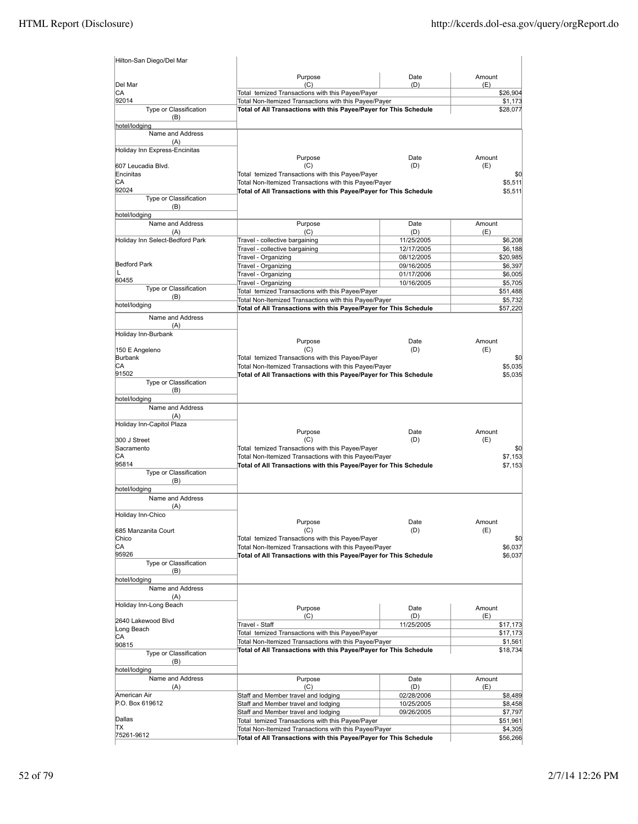| Hilton-San Diego/Del Mar          |                                                                                                                            |                          |                     |
|-----------------------------------|----------------------------------------------------------------------------------------------------------------------------|--------------------------|---------------------|
| Del Mar                           | Purpose<br>(C)                                                                                                             | Date<br>(D)              | Amount<br>(E)       |
| CA                                | Total temized Transactions with this Payee/Payer                                                                           |                          | \$26,904            |
| 92014                             | Total Non-Itemized Transactions with this Payee/Payer                                                                      |                          | \$1,173             |
| Type or Classification<br>(B)     | Total of All Transactions with this Payee/Payer for This Schedule                                                          |                          | \$28,077            |
| hotel/lodging<br>Name and Address |                                                                                                                            |                          |                     |
| (A)                               |                                                                                                                            |                          |                     |
| Holiday Inn Express-Encinitas     |                                                                                                                            |                          |                     |
| 607 Leucadia Blvd.                | Purpose<br>(C)                                                                                                             | Date<br>(D)              | Amount<br>(E)       |
| Encinitas                         | Total temized Transactions with this Payee/Payer                                                                           |                          | \$0                 |
| CА                                | Total Non-Itemized Transactions with this Payee/Payer                                                                      |                          | \$5,511             |
| 92024                             | Total of All Transactions with this Payee/Payer for This Schedule                                                          |                          | \$5,511             |
| Type or Classification<br>(B)     |                                                                                                                            |                          |                     |
| hotel/lodging                     |                                                                                                                            |                          |                     |
| Name and Address                  | Purpose                                                                                                                    | Date                     | Amount              |
| (A)                               | (C)                                                                                                                        | (D)                      | (E)                 |
| Holiday Inn Select-Bedford Park   | Travel - collective bargaining<br>Travel - collective bargaining                                                           | 11/25/2005<br>12/17/2005 | \$6,208<br>\$6,188  |
|                                   | Travel - Organizing                                                                                                        | 08/12/2005               | \$20,985            |
| <b>Bedford Park</b>               | Travel - Organizing                                                                                                        | 09/16/2005               | \$6,397             |
| L<br>60455                        | Travel - Organizing                                                                                                        | 01/17/2006               | \$6,005             |
| Type or Classification            | Travel - Organizing                                                                                                        | 10/16/2005               | \$5,705             |
| (B)                               | Total temized Transactions with this Payee/Payer<br>Total Non-Itemized Transactions with this Payee/Payer                  |                          | \$51,488<br>\$5,732 |
| hotel/lodging                     | Total of All Transactions with this Payee/Payer for This Schedule                                                          |                          | \$57,220            |
| Name and Address                  |                                                                                                                            |                          |                     |
| (A)<br>Holiday Inn-Burbank        |                                                                                                                            |                          |                     |
|                                   | Purpose                                                                                                                    | Date                     | Amount              |
| 150 E Angeleno                    | (C)                                                                                                                        | (D)                      | (E)                 |
| <b>Burbank</b><br>СA              | Total temized Transactions with this Payee/Payer                                                                           |                          | \$0                 |
| 91502                             | Total Non-Itemized Transactions with this Payee/Payer<br>Total of All Transactions with this Payee/Payer for This Schedule |                          | \$5,035<br>\$5,035  |
| Type or Classification            |                                                                                                                            |                          |                     |
| (B)                               |                                                                                                                            |                          |                     |
| hotel/lodging<br>Name and Address |                                                                                                                            |                          |                     |
| (A)                               |                                                                                                                            |                          |                     |
| Holiday Inn-Capitol Plaza         |                                                                                                                            |                          |                     |
|                                   | Purpose                                                                                                                    | Date                     | Amount              |
| 300 J Street<br>Sacramento        | (C)<br>Total temized Transactions with this Payee/Payer                                                                    | (D)                      | (E)<br>\$0          |
| CА                                | Total Non-Itemized Transactions with this Payee/Payer                                                                      |                          | \$7,153             |
| 95814                             | Total of All Transactions with this Payee/Payer for This Schedule                                                          |                          | \$7,153             |
| Type or Classification            |                                                                                                                            |                          |                     |
| (B)<br>hotel/lodging              |                                                                                                                            |                          |                     |
| Name and Address                  |                                                                                                                            |                          |                     |
| (A)                               |                                                                                                                            |                          |                     |
| Holiday Inn-Chico                 | Purpose                                                                                                                    | <b>Date</b>              | Amount              |
| 685 Manzanita Court               | (C)                                                                                                                        | (D)                      | (E)                 |
| Chico                             | Total temized Transactions with this Payee/Payer                                                                           |                          | \$0                 |
| СA                                | Total Non-Itemized Transactions with this Payee/Payer                                                                      |                          | \$6,037             |
| 95926<br>Type or Classification   | Total of All Transactions with this Payee/Payer for This Schedule                                                          |                          | \$6,037             |
| (B)                               |                                                                                                                            |                          |                     |
| hotel/lodging                     |                                                                                                                            |                          |                     |
| Name and Address                  |                                                                                                                            |                          |                     |
| (A)<br>Holiday Inn-Long Beach     |                                                                                                                            |                          |                     |
|                                   | Purpose<br>(C)                                                                                                             | Date<br>(D)              | Amount<br>(E)       |
| 2640 Lakewood Blvd                | Travel - Staff                                                                                                             | 11/25/2005               | \$17,173            |
| Long Beach<br>CА                  | Total temized Transactions with this Payee/Payer                                                                           |                          | \$17,173            |
| 90815                             | Total Non-Itemized Transactions with this Payee/Payer                                                                      |                          | \$1,561             |
| Type or Classification            | Total of All Transactions with this Payee/Payer for This Schedule                                                          |                          | \$18,734            |
| (B)                               |                                                                                                                            |                          |                     |
| hotel/lodging<br>Name and Address | Purpose                                                                                                                    | Date                     | Amount              |
| (A)                               | (C)                                                                                                                        | (D)                      | (E)                 |
| American Air                      | Staff and Member travel and lodging                                                                                        | 02/28/2006               | \$8,489             |
| P.O. Box 619612                   | Staff and Member travel and lodging                                                                                        | 10/25/2005               | \$8,458             |
| Dallas                            | Staff and Member travel and lodging<br>Total temized Transactions with this Payee/Payer                                    | 09/26/2005               | \$7,797<br>\$51,961 |
| TХ                                | Total Non-Itemized Transactions with this Payee/Payer                                                                      |                          | \$4,305             |
| 75261-9612                        | Total of All Transactions with this Payee/Payer for This Schedule                                                          |                          | \$56,266            |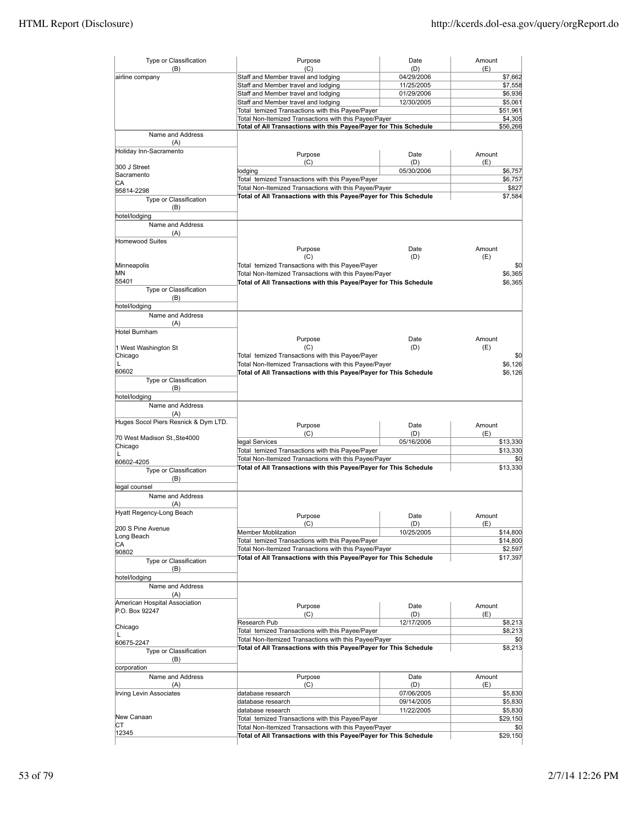| Type or Classification               | Purpose                                                           | Date              | Amount         |
|--------------------------------------|-------------------------------------------------------------------|-------------------|----------------|
| (B)<br>airline company               | (C)<br>Staff and Member travel and lodging                        | (D)<br>04/29/2006 | (E)<br>\$7,662 |
|                                      | Staff and Member travel and lodging                               | 11/25/2005        | \$7,558        |
|                                      | Staff and Member travel and lodging                               | 01/29/2006        | \$6,936        |
|                                      | Staff and Member travel and lodging                               | 12/30/2005        | \$5,061        |
|                                      | Total temized Transactions with this Payee/Payer                  |                   | \$51,961       |
|                                      | Total Non-Itemized Transactions with this Payee/Payer             |                   | \$4,305        |
|                                      | Total of All Transactions with this Payee/Payer for This Schedule |                   | \$56,266       |
| Name and Address                     |                                                                   |                   |                |
| (A)                                  |                                                                   |                   |                |
| Holiday Inn-Sacramento               | Purpose                                                           | Date              | Amount         |
|                                      | (C)                                                               | (D)               | (E)            |
| 300 J Street                         | lodging                                                           | 05/30/2006        | \$6,757        |
| Sacramento                           | Total temized Transactions with this Payee/Payer                  |                   | \$6,757        |
| СA                                   | Total Non-Itemized Transactions with this Payee/Payer             |                   | \$827          |
| 95814-2298                           | Total of All Transactions with this Payee/Payer for This Schedule |                   | \$7,584        |
| Type or Classification               |                                                                   |                   |                |
| (B)<br>hotel/lodging                 |                                                                   |                   |                |
| Name and Address                     |                                                                   |                   |                |
| (A)                                  |                                                                   |                   |                |
| <b>Homewood Suites</b>               |                                                                   |                   |                |
|                                      | Purpose                                                           | Date              | Amount         |
|                                      | (C)                                                               | (D)               | (E)            |
| Minneapolis                          | Total temized Transactions with this Payee/Payer                  |                   | \$0            |
| MN                                   | Total Non-Itemized Transactions with this Payee/Payer             |                   | \$6,365        |
| 55401                                | Total of All Transactions with this Payee/Payer for This Schedule |                   | \$6.365        |
| Type or Classification               |                                                                   |                   |                |
| (B)                                  |                                                                   |                   |                |
| hotel/lodging                        |                                                                   |                   |                |
| Name and Address                     |                                                                   |                   |                |
| (A)                                  |                                                                   |                   |                |
| Hotel Burnham                        |                                                                   |                   |                |
|                                      | Purpose                                                           | Date              | Amount         |
| 1 West Washington St                 | (C)                                                               | (D)               | (E)            |
| Chicago                              | Total temized Transactions with this Payee/Payer                  |                   | \$0            |
| L                                    | Total Non-Itemized Transactions with this Payee/Payer             |                   | \$6,126        |
| 60602                                | Total of All Transactions with this Payee/Payer for This Schedule |                   | \$6,126        |
| Type or Classification               |                                                                   |                   |                |
| (B)<br>hotel/lodging                 |                                                                   |                   |                |
| Name and Address                     |                                                                   |                   |                |
| (A)                                  |                                                                   |                   |                |
| Huges Socol Piers Resnick & Dym LTD. |                                                                   |                   |                |
|                                      | Purpose                                                           | Date              | Amount         |
| 70 West Madison St., Ste4000         | (C)                                                               | (D)               | (E)            |
| Chicago                              | legal Services                                                    | 05/16/2006        | \$13,330       |
| L                                    | Total temized Transactions with this Payee/Payer                  |                   | \$13,330       |
| 60602-4205                           | Total Non-Itemized Transactions with this Payee/Payer             |                   | \$0            |
| Type or Classification               | Total of All Transactions with this Payee/Payer for This Schedule |                   | \$13,330       |
| (B)                                  |                                                                   |                   |                |
| legal counsel                        |                                                                   |                   |                |
| Name and Address                     |                                                                   |                   |                |
| (A)                                  |                                                                   |                   |                |
| Hyatt Regency-Long Beach             | Purpose                                                           | Date              | Amount         |
| 200 S Pine Avenue                    | (C)                                                               | (D)               | (E)            |
| Long Beach                           | Member Moblilzation                                               | 10/25/2005        | \$14,800       |
| СA                                   | Total temized Transactions with this Payee/Payer                  |                   | \$14,800       |
| 90802                                | Total Non-Itemized Transactions with this Payee/Payer             |                   | \$2,597        |
| Type or Classification               | Total of All Transactions with this Payee/Payer for This Schedule |                   | \$17,397       |
| (B)                                  |                                                                   |                   |                |
| hotel/lodging                        |                                                                   |                   |                |
| Name and Address                     |                                                                   |                   |                |
| (A)                                  |                                                                   |                   |                |
| American Hospital Association        | Purpose                                                           | Date              | Amount         |
| P.O. Box 92247                       | (C)                                                               | (D)               | (E)            |
|                                      | Research Pub                                                      | 12/17/2005        | \$8,213        |
| Chicago                              | Total temized Transactions with this Payee/Payer                  |                   | \$8,213        |
| L                                    | Total Non-Itemized Transactions with this Payee/Payer             |                   | \$0            |
| 60675-2247                           | Total of All Transactions with this Payee/Payer for This Schedule |                   | \$8,213        |
| Type or Classification               |                                                                   |                   |                |
| (B)<br>corporation                   |                                                                   |                   |                |
| Name and Address                     | Purpose                                                           | Date              | Amount         |
| (A)                                  | (C)                                                               | (D)               | (E)            |
| Irving Levin Associates              | database research                                                 | 07/06/2005        | \$5,830        |
|                                      | database research                                                 | 09/14/2005        | \$5,830        |
|                                      | database research                                                 | 11/22/2005        | \$5,830        |
| New Canaan                           | Total temized Transactions with this Payee/Payer                  |                   | \$29,150       |
| СT                                   | Total Non-Itemized Transactions with this Payee/Payer             |                   | \$0            |
| 12345                                | Total of All Transactions with this Payee/Payer for This Schedule |                   | \$29,150       |
|                                      |                                                                   |                   |                |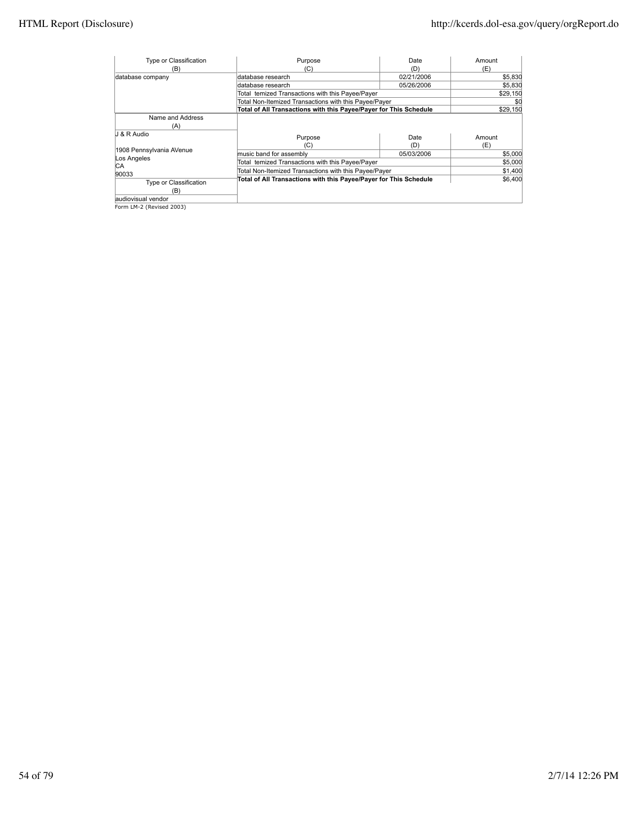| Type or Classification        | Purpose                                                           | Date        | Amount        |
|-------------------------------|-------------------------------------------------------------------|-------------|---------------|
| (B)                           | (C)                                                               | (D)         | (E)           |
| database company              | database research                                                 | 02/21/2006  | \$5,830       |
|                               | database research                                                 | 05/26/2006  | \$5,830       |
|                               | Total temized Transactions with this Payee/Payer                  |             | \$29,150      |
|                               | Total Non-Itemized Transactions with this Payee/Payer             |             | \$0           |
|                               | Total of All Transactions with this Payee/Payer for This Schedule |             | \$29.150      |
| Name and Address<br>(A)       |                                                                   |             |               |
| J & R Audio                   | Purpose<br>(C)                                                    | Date<br>(D) | Amount<br>(E) |
| 1908 Pennsylvania AVenue      | music band for assembly                                           | 05/03/2006  | \$5,000       |
| Los Angeles<br>IСA            | Total temized Transactions with this Payee/Payer                  |             | \$5,000       |
| 90033                         | Total Non-Itemized Transactions with this Payee/Payer             |             | \$1,400       |
| Type or Classification<br>(B) | Total of All Transactions with this Payee/Payer for This Schedule |             | \$6.400       |
| laudiovisual vendor           |                                                                   |             |               |
| Form LM-2 (Revised 2003)      |                                                                   |             |               |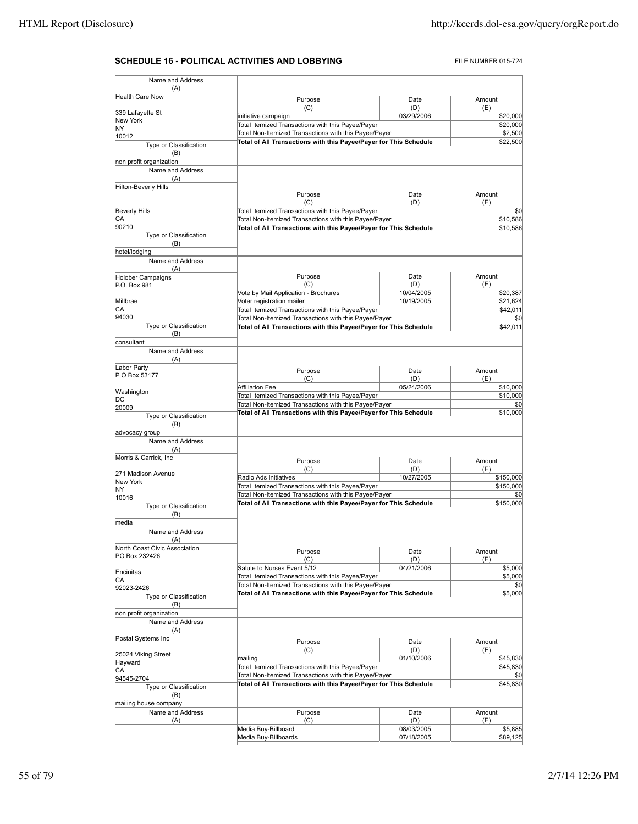## **SCHEDULE 16 - POLITICAL ACTIVITIES AND LOBBYING** FILE NUMBER 015-724

| Name and Address                |                                                                                                                            |                   |                      |
|---------------------------------|----------------------------------------------------------------------------------------------------------------------------|-------------------|----------------------|
| (A)<br><b>Health Care Now</b>   |                                                                                                                            |                   |                      |
|                                 | Purpose<br>(C)                                                                                                             | Date<br>(D)       | Amount<br>(E)        |
| 339 Lafayette St                | initiative campaign                                                                                                        | 03/29/2006        | \$20,000             |
| New York                        | Total temized Transactions with this Payee/Payer                                                                           |                   | \$20,000             |
| NY<br>10012                     | Total Non-Itemized Transactions with this Payee/Payer                                                                      | \$2,500           |                      |
| Type or Classification          | Total of All Transactions with this Payee/Payer for This Schedule                                                          |                   | \$22,500             |
| (B)                             |                                                                                                                            |                   |                      |
| non profit organization         |                                                                                                                            |                   |                      |
| Name and Address<br>(A)         |                                                                                                                            |                   |                      |
| <b>Hilton-Beverly Hills</b>     |                                                                                                                            |                   |                      |
|                                 | Purpose                                                                                                                    | Date              | Amount               |
|                                 | (C)                                                                                                                        | (D)               | (E)                  |
| <b>Beverly Hills</b>            | Total temized Transactions with this Payee/Payer                                                                           |                   | \$0                  |
| CA<br>90210                     | Total Non-Itemized Transactions with this Payee/Payer<br>Total of All Transactions with this Payee/Payer for This Schedule |                   | \$10,586<br>\$10,586 |
| Type or Classification          |                                                                                                                            |                   |                      |
| (B)                             |                                                                                                                            |                   |                      |
| hotel/lodging                   |                                                                                                                            |                   |                      |
| Name and Address                |                                                                                                                            |                   |                      |
| (A)<br><b>Holober Campaigns</b> | Purpose                                                                                                                    | Date              | Amount               |
| P.O. Box 981                    | (C)                                                                                                                        | (D)               | (E)                  |
|                                 | Vote by Mail Application - Brochures                                                                                       | 10/04/2005        | \$20,387             |
| Millbrae                        | Voter registration mailer                                                                                                  | 10/19/2005        | \$21,624             |
| СA                              | Total temized Transactions with this Payee/Payer                                                                           |                   | \$42,011             |
| 94030<br>Type or Classification | Total Non-Itemized Transactions with this Payee/Payer<br>Total of All Transactions with this Payee/Payer for This Schedule |                   | \$0<br>\$42,011      |
| (B)                             |                                                                                                                            |                   |                      |
| consultant                      |                                                                                                                            |                   |                      |
| Name and Address                |                                                                                                                            |                   |                      |
| (A)                             |                                                                                                                            |                   |                      |
| Labor Party<br>P O Box 53177    | Purpose                                                                                                                    | Date              | Amount               |
|                                 | (C)                                                                                                                        | (D)               | (E)                  |
| Washington                      | <b>Affiliation Fee</b><br>Total temized Transactions with this Payee/Payer                                                 | 05/24/2006        | \$10,000<br>\$10,000 |
| DC                              | Total Non-Itemized Transactions with this Payee/Payer                                                                      |                   | \$0                  |
| 20009<br>Type or Classification | Total of All Transactions with this Payee/Payer for This Schedule                                                          |                   | \$10,000             |
| (B)                             |                                                                                                                            |                   |                      |
| advocacy group                  |                                                                                                                            |                   |                      |
| Name and Address                |                                                                                                                            |                   |                      |
| (A)                             |                                                                                                                            |                   |                      |
| Morris & Carrick, Inc.          | Purpose                                                                                                                    | Date              | Amount               |
| 271 Madison Avenue              | (C)                                                                                                                        | (D)               | (E)                  |
| New York                        | Radio Ads Initiatives                                                                                                      | 10/27/2005        | \$150,000            |
| ΝY                              | Total temized Transactions with this Payee/Payer<br>Total Non-Itemized Transactions with this Payee/Payer                  |                   | \$150,000<br>\$0     |
| 10016                           | Total of All Transactions with this Payee/Payer for This Schedule                                                          |                   | \$150,000            |
| Type or Classification<br>(B)   |                                                                                                                            |                   |                      |
| media                           |                                                                                                                            |                   |                      |
| Name and Address                |                                                                                                                            |                   |                      |
| (A)                             |                                                                                                                            |                   |                      |
| North Coast Civic Association   | Purpose                                                                                                                    | Date              | Amount               |
| PO Box 232426                   | (C)                                                                                                                        | (D)               | (E)                  |
| Encinitas                       | Salute to Nurses Event 5/12                                                                                                | 04/21/2006        | \$5,000              |
| СA                              | Total temized Transactions with this Payee/Payer                                                                           |                   | \$5,000              |
| 92023-2426                      | Total Non-Itemized Transactions with this Payee/Payer<br>Total of All Transactions with this Payee/Payer for This Schedule |                   | \$5,000              |
| Type or Classification          |                                                                                                                            |                   |                      |
| (B)<br>non profit organization  |                                                                                                                            |                   |                      |
| Name and Address                |                                                                                                                            |                   |                      |
| (A)                             |                                                                                                                            |                   |                      |
| Postal Systems Inc              | Purpose                                                                                                                    | Date              | Amount               |
|                                 | (C)                                                                                                                        | (D)               | (E)                  |
| 25024 Viking Street             | mailing                                                                                                                    | 01/10/2006        | \$45,830             |
| Hayward<br>СA                   | Total temized Transactions with this Payee/Payer                                                                           |                   | \$45,830             |
| 94545-2704                      | Total Non-Itemized Transactions with this Payee/Payer                                                                      |                   | \$0                  |
| Type or Classification          | Total of All Transactions with this Payee/Payer for This Schedule                                                          |                   | \$45,830             |
| (B)                             |                                                                                                                            |                   |                      |
| mailing house company           |                                                                                                                            |                   |                      |
| Name and Address                | Purpose                                                                                                                    | Date              | Amount               |
| (A)                             | (C)<br>Media Buy-Billboard                                                                                                 | (D)<br>08/03/2005 | (E)<br>\$5,885       |
|                                 | Media Buy-Billboards                                                                                                       | 07/18/2005        | \$89,125             |
|                                 |                                                                                                                            |                   |                      |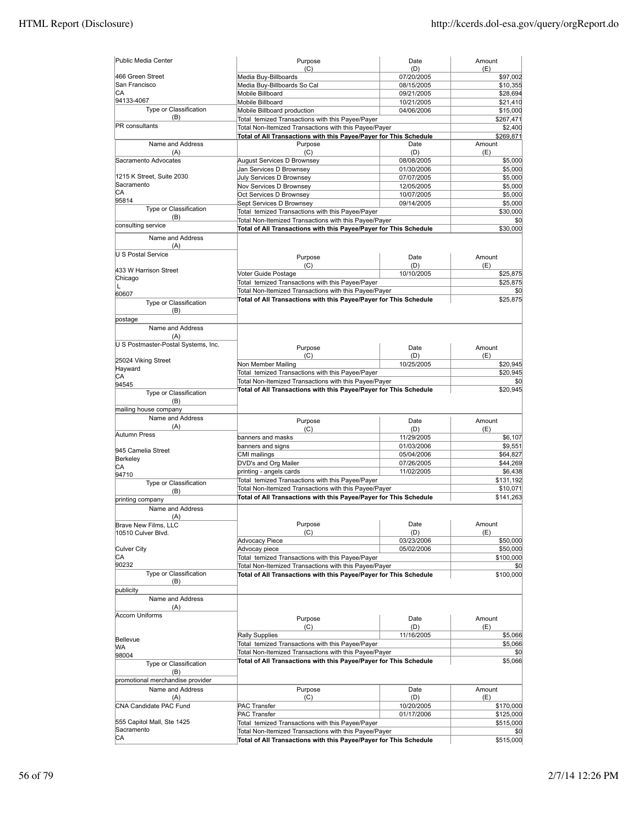| Public Media Center                 | Purpose<br>(C)                                                                                                             | Date<br>(D) | Amount<br>(E)   |
|-------------------------------------|----------------------------------------------------------------------------------------------------------------------------|-------------|-----------------|
| 466 Green Street                    | Media Buy-Billboards                                                                                                       | 07/20/2005  | \$97,002        |
| San Francisco                       | Media Buy-Billboards So Cal                                                                                                | 08/15/2005  | \$10,355        |
| СA                                  | Mobile Billboard                                                                                                           | 09/21/2005  | \$28,694        |
| 94133-4067                          | Mobile Billboard                                                                                                           | 10/21/2005  | \$21,410        |
| Type or Classification              | Mobile Billboard production                                                                                                | 04/06/2006  | \$15,000        |
| (B)                                 | Total temized Transactions with this Payee/Payer                                                                           |             | \$267,471       |
| PR consultants                      |                                                                                                                            |             |                 |
|                                     | Total Non-Itemized Transactions with this Payee/Payer<br>Total of All Transactions with this Payee/Payer for This Schedule |             | \$2,400         |
|                                     |                                                                                                                            |             | \$269,871       |
| Name and Address                    | Purpose                                                                                                                    | Date        | Amount          |
| (A)                                 | (C)                                                                                                                        | (D)         | (E)             |
| Sacramento Advocates                | August Services D Brownsey                                                                                                 | 08/08/2005  | \$5,000         |
| 1215 K Street, Suite 2030           | Jan Services D Brownsey                                                                                                    | 01/30/2006  | \$5,000         |
| Sacramento                          | July Services D Brownsey                                                                                                   | 07/07/2005  | \$5,000         |
| CА                                  | Nov Services D Brownsey                                                                                                    | 12/05/2005  | \$5,000         |
| 95814                               | Oct Services D Brownsey                                                                                                    | 10/07/2005  | \$5,000         |
| Type or Classification              | Sept Services D Brownsey                                                                                                   | 09/14/2005  | \$5,000         |
|                                     | Total temized Transactions with this Payee/Payer                                                                           |             | \$30,000        |
| (B)                                 | Total Non-Itemized Transactions with this Payee/Payer                                                                      |             | \$0             |
| consulting service                  | Total of All Transactions with this Payee/Payer for This Schedule                                                          |             | \$30,000        |
| Name and Address                    |                                                                                                                            |             |                 |
| (A)                                 |                                                                                                                            |             |                 |
| U S Postal Service                  | Purpose                                                                                                                    | Date        | Amount          |
|                                     | (C)                                                                                                                        | (D)         | (E)             |
| 433 W Harrison Street               |                                                                                                                            | 10/10/2005  |                 |
| Chicago                             | Voter Guide Postage                                                                                                        |             | \$25,875        |
| L                                   | Total temized Transactions with this Payee/Payer                                                                           |             | \$25,875        |
| 60607                               | Total Non-Itemized Transactions with this Payee/Payer                                                                      |             | \$0             |
| Type or Classification              | Total of All Transactions with this Payee/Payer for This Schedule                                                          |             | \$25,875        |
| (B)                                 |                                                                                                                            |             |                 |
| postage                             |                                                                                                                            |             |                 |
| Name and Address                    |                                                                                                                            |             |                 |
| (A)                                 |                                                                                                                            |             |                 |
| U S Postmaster-Postal Systems, Inc. |                                                                                                                            |             |                 |
|                                     | Purpose                                                                                                                    | Date        | Amount          |
| 25024 Viking Street                 | (C)                                                                                                                        | (D)         | (E)             |
| Hayward                             | Non Member Mailing                                                                                                         | 10/25/2005  | \$20,945        |
| СA                                  | Total temized Transactions with this Payee/Payer                                                                           |             | \$20,945        |
| 94545                               | Total Non-Itemized Transactions with this Payee/Payer                                                                      |             | \$0             |
| Type or Classification              | Total of All Transactions with this Payee/Payer for This Schedule                                                          |             | \$20,945        |
| (B)                                 |                                                                                                                            |             |                 |
| mailing house company               |                                                                                                                            |             |                 |
| Name and Address                    |                                                                                                                            |             |                 |
| (A)                                 | Purpose                                                                                                                    | Date        | Amount          |
| Autumn Press                        | (C)                                                                                                                        | (D)         | (E)             |
|                                     | banners and masks                                                                                                          | 11/29/2005  | \$6,107         |
| 945 Camelia Street                  | banners and signs                                                                                                          | 01/03/2006  | \$9,551         |
| Berkeley                            | CMI mailings                                                                                                               | 05/04/2006  | \$64,827        |
| CА                                  | DVD's and Org Mailer                                                                                                       | 07/26/2005  | \$44,269        |
| 94710                               | printing - angels cards                                                                                                    | 11/02/2005  | \$6,438         |
| Type or Classification              | Total temized Transactions with this Payee/Payer                                                                           |             | \$131,192       |
| (B)                                 | Total Non-Itemized Transactions with this Payee/Payer                                                                      |             | \$10,071        |
| printing company                    | Total of All Transactions with this Payee/Payer for This Schedule                                                          |             | \$141,263       |
|                                     |                                                                                                                            |             |                 |
| Name and Address                    |                                                                                                                            |             |                 |
| (A)                                 |                                                                                                                            | Date        | Amount          |
| Brave New Films, LLC                | Purpose                                                                                                                    |             |                 |
| 10510 Culver Blvd.                  | (C)                                                                                                                        | (D)         | (E)<br>\$50,000 |
|                                     | <b>Advocacy Piece</b>                                                                                                      | 03/23/2006  |                 |
| Culver City                         | Advocay piece                                                                                                              | 05/02/2006  | \$50,000        |
| СA                                  | Total temized Transactions with this Payee/Payer                                                                           |             | \$100,000       |
| 90232<br>Type or Classification     | Total Non-Itemized Transactions with this Payee/Payer                                                                      |             | \$0             |
|                                     | Total of All Transactions with this Payee/Payer for This Schedule                                                          |             | \$100,000       |
| (B)                                 |                                                                                                                            |             |                 |
| publicity                           |                                                                                                                            |             |                 |
| Name and Address                    |                                                                                                                            |             |                 |
| (A)                                 |                                                                                                                            |             |                 |
| <b>Accorn Uniforms</b>              | Purpose                                                                                                                    | Date        | Amount          |
|                                     | (C)                                                                                                                        | (D)         | (E)             |
|                                     | <b>Rally Supplies</b>                                                                                                      | 11/16/2005  | \$5,066         |
| Bellevue                            | Total temized Transactions with this Payee/Payer                                                                           |             | \$5,066         |
| WА                                  | Total Non-Itemized Transactions with this Payee/Payer                                                                      |             | \$0             |
| 98004                               | Total of All Transactions with this Payee/Payer for This Schedule                                                          |             | \$5,066         |
| Type or Classification              |                                                                                                                            |             |                 |
| (B)                                 |                                                                                                                            |             |                 |
| promotional merchandise provider    |                                                                                                                            |             |                 |
| Name and Address                    | Purpose                                                                                                                    | Date        | Amount          |
| (A)                                 | (C)                                                                                                                        | (D)         | (E)             |
| CNA Candidate PAC Fund              | <b>PAC Transfer</b>                                                                                                        | 10/20/2005  | \$170,000       |
|                                     | <b>PAC Transfer</b>                                                                                                        | 01/17/2006  | \$125,000       |
| 555 Capitol Mall, Ste 1425          | Total temized Transactions with this Payee/Payer                                                                           |             | \$515,000       |
| Sacramento                          | Total Non-Itemized Transactions with this Payee/Payer                                                                      |             | \$0             |
| CA                                  | Total of All Transactions with this Payee/Payer for This Schedule                                                          |             | \$515,000       |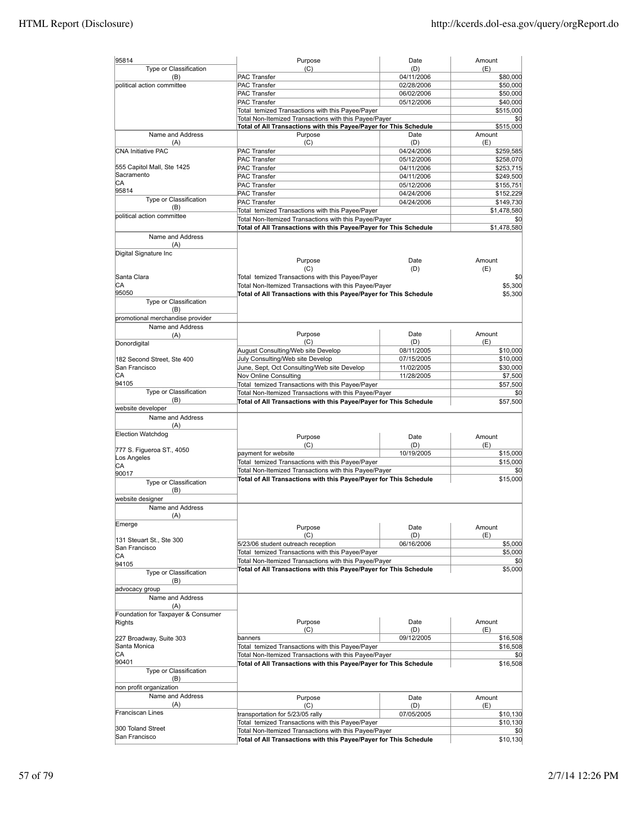| 95814                              | Purpose                                                                      | Date       | Amount              |
|------------------------------------|------------------------------------------------------------------------------|------------|---------------------|
| Type or Classification             | (C)                                                                          | (D)        | (E)                 |
| (B)                                | PAC Transfer                                                                 | 04/11/2006 | \$80,000            |
| political action committee         | PAC Transfer                                                                 | 02/28/2006 | \$50,000            |
|                                    | <b>PAC Transfer</b>                                                          | 06/02/2006 | \$50,000            |
|                                    | PAC Transfer                                                                 | 05/12/2006 | \$40,000            |
|                                    | Total temized Transactions with this Payee/Payer                             |            | \$515,000           |
|                                    | Total Non-Itemized Transactions with this Payee/Payer                        |            | \$0                 |
| Name and Address                   | Total of All Transactions with this Payee/Payer for This Schedule<br>Purpose | Date       | \$515,000<br>Amount |
| (A)                                | (C)                                                                          | (D)        | (E)                 |
| <b>CNA Initiative PAC</b>          | PAC Transfer                                                                 | 04/24/2006 | \$259,585           |
|                                    | PAC Transfer                                                                 | 05/12/2006 | \$258,070           |
| 555 Capitol Mall, Ste 1425         | <b>PAC Transfer</b>                                                          | 04/11/2006 | \$253,715           |
| Sacramento                         | PAC Transfer                                                                 | 04/11/2006 | \$249,500           |
| СA                                 | <b>PAC Transfer</b>                                                          | 05/12/2006 | \$155,751           |
| 95814                              | PAC Transfer                                                                 | 04/24/2006 | \$152,229           |
| Type or Classification             | <b>PAC Transfer</b>                                                          | 04/24/2006 | \$149,730           |
| (B)                                |                                                                              |            | \$1,478,580         |
| political action committee         | Total temized Transactions with this Payee/Payer                             |            |                     |
|                                    | Total Non-Itemized Transactions with this Payee/Payer                        |            | \$0                 |
|                                    | Total of All Transactions with this Payee/Payer for This Schedule            |            | \$1,478,580         |
| Name and Address                   |                                                                              |            |                     |
| (A)                                |                                                                              |            |                     |
| Digital Signature Inc              | Purpose                                                                      | Date       | Amount              |
|                                    | (C)                                                                          | (D)        | (E)                 |
| Santa Clara                        | Total temized Transactions with this Payee/Payer                             |            | \$0                 |
| СA                                 | Total Non-Itemized Transactions with this Payee/Payer                        |            | \$5,300             |
| 95050                              |                                                                              |            | \$5.300             |
| Type or Classification             | Total of All Transactions with this Payee/Payer for This Schedule            |            |                     |
| (B)                                |                                                                              |            |                     |
| promotional merchandise provider   |                                                                              |            |                     |
| Name and Address                   |                                                                              |            |                     |
| (A)                                | Purpose                                                                      | Date       | Amount              |
| Donordigital                       | (C)                                                                          | (D)        | (E)                 |
|                                    | August Consulting/Web site Develop                                           | 08/11/2005 | \$10,000            |
| 182 Second Street, Ste 400         | July Consulting/Web site Develop                                             | 07/15/2005 | \$10,000            |
| San Francisco                      | June, Sept, Oct Consulting/Web site Develop                                  | 11/02/2005 | \$30,000            |
| СA                                 | Nov Online Consulting                                                        | 11/28/2005 | \$7,500             |
| 94105                              | Total temized Transactions with this Payee/Payer                             |            | \$57,500            |
| Type or Classification             | Total Non-Itemized Transactions with this Payee/Payer                        |            | \$0                 |
| (B)                                | Total of All Transactions with this Payee/Payer for This Schedule            |            | \$57,500            |
| website developer                  |                                                                              |            |                     |
| Name and Address                   |                                                                              |            |                     |
| (A)                                |                                                                              |            |                     |
| Election Watchdog                  | Purpose                                                                      | Date       | Amount              |
|                                    | (C)                                                                          | (D)        | (E)                 |
| 777 S. Figueroa ST., 4050          | payment for website                                                          | 10/19/2005 | \$15,000            |
| Los Angeles                        | Total temized Transactions with this Payee/Payer                             |            | \$15,000            |
| СA                                 | Total Non-Itemized Transactions with this Payee/Payer                        |            | \$0                 |
| 90017                              | Total of All Transactions with this Payee/Payer for This Schedule            |            | \$15,000            |
| Type or Classification             |                                                                              |            |                     |
| (B)                                |                                                                              |            |                     |
| website designer                   |                                                                              |            |                     |
| Name and Address                   |                                                                              |            |                     |
| (A)                                |                                                                              |            |                     |
| Emerge                             | Purpose                                                                      | Date       | Amount              |
|                                    | (C)                                                                          | (D)        | (E)                 |
| 131 Steuart St., Ste 300           | 5/23/06 student outreach reception                                           | 06/16/2006 | \$5,000             |
| San Francisco                      | Total temized Transactions with this Payee/Payer                             |            | \$5,000             |
| CA<br>94105                        | Total Non-Itemized Transactions with this Payee/Payer                        |            | \$0                 |
| Type or Classification             | Total of All Transactions with this Payee/Payer for This Schedule            |            | \$5,000             |
| (B)                                |                                                                              |            |                     |
| advocacy group                     |                                                                              |            |                     |
|                                    |                                                                              |            |                     |
| Name and Address<br>(A)            |                                                                              |            |                     |
| Foundation for Taxpayer & Consumer |                                                                              |            |                     |
| Rights                             | Purpose                                                                      | Date       | Amount              |
|                                    | (C)                                                                          | (D)        | (E)                 |
| 227 Broadway, Suite 303            | banners                                                                      | 09/12/2005 | \$16,508            |
| Santa Monica                       | Total temized Transactions with this Payee/Payer                             |            | \$16,508            |
| СA                                 | Total Non-Itemized Transactions with this Payee/Payer                        |            | \$0                 |
| 90401                              | Total of All Transactions with this Payee/Payer for This Schedule            |            | \$16,508            |
| Type or Classification             |                                                                              |            |                     |
| (B)                                |                                                                              |            |                     |
| non profit organization            |                                                                              |            |                     |
| Name and Address                   | Purpose                                                                      | Date       | Amount              |
| (A)                                | (C)                                                                          | (D)        | (E)                 |
| Franciscan Lines                   | transportation for 5/23/05 rally                                             | 07/05/2005 | \$10,130            |
|                                    | Total temized Transactions with this Payee/Payer                             |            | \$10,130            |
| 300 Toland Street                  | Total Non-Itemized Transactions with this Payee/Payer                        |            |                     |
| San Francisco                      | Total of All Transactions with this Payee/Payer for This Schedule            |            | \$10,130            |
|                                    |                                                                              |            |                     |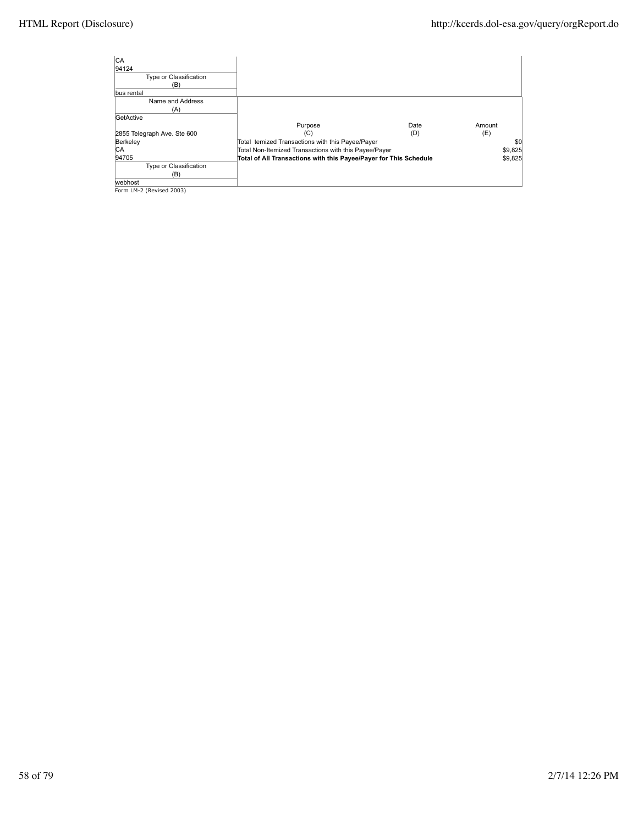| lca                                                                        |                                                                   |      |        |         |
|----------------------------------------------------------------------------|-------------------------------------------------------------------|------|--------|---------|
| 94124                                                                      |                                                                   |      |        |         |
| Type or Classification                                                     |                                                                   |      |        |         |
| (B)                                                                        |                                                                   |      |        |         |
| bus rental                                                                 |                                                                   |      |        |         |
| Name and Address                                                           |                                                                   |      |        |         |
| (A)                                                                        |                                                                   |      |        |         |
| GetActive                                                                  |                                                                   |      |        |         |
|                                                                            | Purpose                                                           | Date | Amount |         |
| 2855 Telegraph Ave. Ste 600                                                | (C)                                                               | (D)  | (E)    |         |
| Berkeley                                                                   | Total temized Transactions with this Payee/Payer                  |      |        | \$0     |
| CA                                                                         | Total Non-Itemized Transactions with this Payee/Payer             |      |        | \$9,825 |
| 94705                                                                      | Total of All Transactions with this Payee/Payer for This Schedule |      |        | \$9,825 |
| Type or Classification                                                     |                                                                   |      |        |         |
| (B)                                                                        |                                                                   |      |        |         |
| webhost                                                                    |                                                                   |      |        |         |
| $F_{\text{a} \text{ and } I} M 2 (D_{\text{a} \text{,} \text{lead}} 2002)$ |                                                                   |      |        |         |

webhost Form LM-2 (Revised 2003)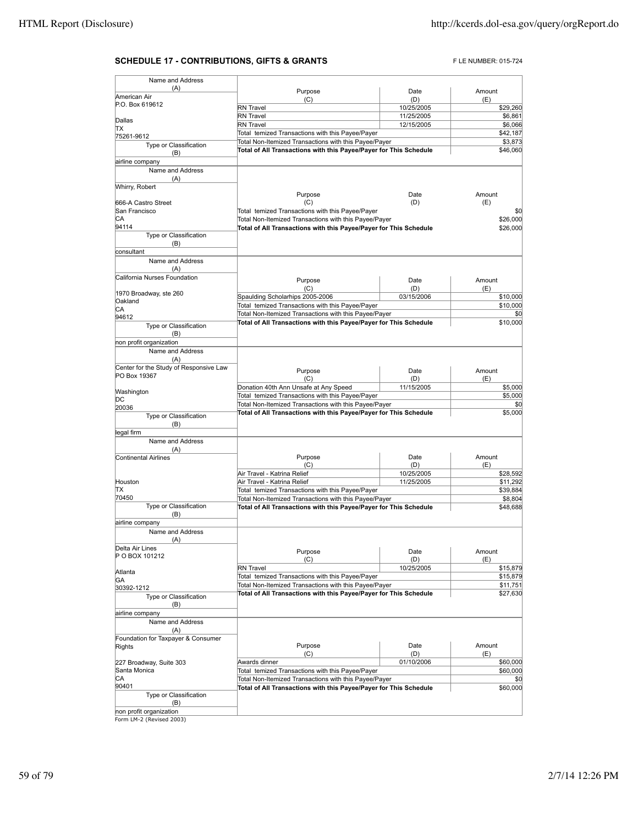## **SCHEDULE 17 - CONTRIBUTIONS, GIFTS & GRANTS** FLE NUMBER: 015-724

| Name and Address                       |                                                                   |            |          |
|----------------------------------------|-------------------------------------------------------------------|------------|----------|
| (A)                                    | Purpose                                                           | Date       | Amount   |
| American Air                           | (C)                                                               | (D)        | (E)      |
| P.O. Box 619612                        | <b>RN</b> Travel                                                  | 10/25/2005 | \$29,260 |
| Dallas                                 | RN Travel                                                         | 11/25/2005 | \$6,861  |
| ΠX                                     | RN Travel                                                         | 12/15/2005 | \$6,066  |
| 75261-9612                             | Total temized Transactions with this Payee/Payer                  |            | \$42,187 |
| Type or Classification                 | Total Non-Itemized Transactions with this Payee/Payer             |            | \$3,873  |
| (B)                                    | Total of All Transactions with this Payee/Payer for This Schedule |            | \$46,060 |
| airline company                        |                                                                   |            |          |
| Name and Address                       |                                                                   |            |          |
| (A)                                    |                                                                   |            |          |
| Whirry, Robert                         |                                                                   |            |          |
|                                        | Purpose                                                           | Date       | Amount   |
| 666-A Castro Street                    | (C)                                                               | (D)        | (E)      |
| San Francisco                          | Total temized Transactions with this Payee/Payer                  |            | \$0      |
| CА                                     | Total Non-Itemized Transactions with this Payee/Payer             |            | \$26,000 |
| 94114                                  | Total of All Transactions with this Payee/Payer for This Schedule |            | \$26,000 |
| Type or Classification                 |                                                                   |            |          |
| (B)                                    |                                                                   |            |          |
| consultant                             |                                                                   |            |          |
| Name and Address                       |                                                                   |            |          |
| (A)<br>California Nurses Foundation    |                                                                   |            |          |
|                                        | Purpose                                                           | Date       | Amount   |
| 1970 Broadway, ste 260                 | (C)                                                               | (D)        | (E)      |
| Oakland                                | Spaulding Scholarhips 2005-2006                                   | 03/15/2006 | \$10,000 |
| СA                                     | Total temized Transactions with this Payee/Payer                  |            | \$10,000 |
| 94612                                  | Total Non-Itemized Transactions with this Payee/Payer             |            | \$0      |
| Type or Classification                 | Total of All Transactions with this Payee/Payer for This Schedule |            | \$10,000 |
| (B)                                    |                                                                   |            |          |
| non profit organization                |                                                                   |            |          |
| Name and Address                       |                                                                   |            |          |
| (A)                                    |                                                                   |            |          |
| Center for the Study of Responsive Law | Purpose                                                           | Date       | Amount   |
| PO Box 19367                           | (C)                                                               | (D)        | (E)      |
|                                        | Donation 40th Ann Unsafe at Any Speed                             | 11/15/2005 | \$5,000  |
| Washington                             | Total temized Transactions with this Payee/Payer                  |            | \$5,000  |
| DС<br>20036                            | Total Non-Itemized Transactions with this Payee/Payer             |            | \$0      |
| Type or Classification                 | Total of All Transactions with this Payee/Payer for This Schedule |            | \$5,000  |
| (B)                                    |                                                                   |            |          |
| legal firm                             |                                                                   |            |          |
| Name and Address                       |                                                                   |            |          |
| (A)                                    |                                                                   |            |          |
| Continental Airlines                   | Purpose                                                           | Date       | Amount   |
|                                        | (C)                                                               | (D)        | (E)      |
|                                        | Air Travel - Katrina Relief                                       | 10/25/2005 | \$28,592 |
| Houston                                | Air Travel - Katrina Relief                                       | 11/25/2005 | \$11,292 |
| ΠX                                     | Total temized Transactions with this Payee/Payer                  |            | \$39,884 |
| 70450                                  | Total Non-Itemized Transactions with this Payee/Payer             |            | \$8,804  |
| Type or Classification                 | Total of All Transactions with this Payee/Payer for This Schedule |            | \$48,688 |
| (B)                                    |                                                                   |            |          |
| airline company                        |                                                                   |            |          |
| Name and Address                       |                                                                   |            |          |
| (A)<br>Delta Air Lines                 |                                                                   |            |          |
|                                        | Purpose                                                           | Date       | Amount   |
| P O BOX 101212                         | (C)                                                               | (D)        | (E)      |
| Atlanta                                | <b>RN</b> Travel                                                  | 10/25/2005 | \$15,879 |
| GA                                     | Total temized Transactions with this Payee/Payer                  |            | \$15,879 |
| 30392-1212                             | Total Non-Itemized Transactions with this Payee/Payer             |            | \$11,751 |
| Type or Classification                 | Total of All Transactions with this Payee/Payer for This Schedule |            | \$27,630 |
| (B)                                    |                                                                   |            |          |
| airline company                        |                                                                   |            |          |
| Name and Address                       |                                                                   |            |          |
| (A)                                    |                                                                   |            |          |
| Foundation for Taxpayer & Consumer     |                                                                   |            |          |
| Rights                                 | Purpose                                                           | Date       | Amount   |
|                                        | (C)                                                               | (D)        | (E)      |
| 227 Broadway, Suite 303                | Awards dinner                                                     | 01/10/2006 | \$60,000 |
| Santa Monica                           | Total temized Transactions with this Payee/Payer                  |            | \$60,000 |
| CA                                     | Total Non-Itemized Transactions with this Payee/Payer             |            | \$0      |
| 90401                                  | Total of All Transactions with this Payee/Payer for This Schedule |            | \$60,000 |
| Type or Classification                 |                                                                   |            |          |
| (B)<br>non profit organization         |                                                                   |            |          |
| Form LM-2 (Revised 2003)               |                                                                   |            |          |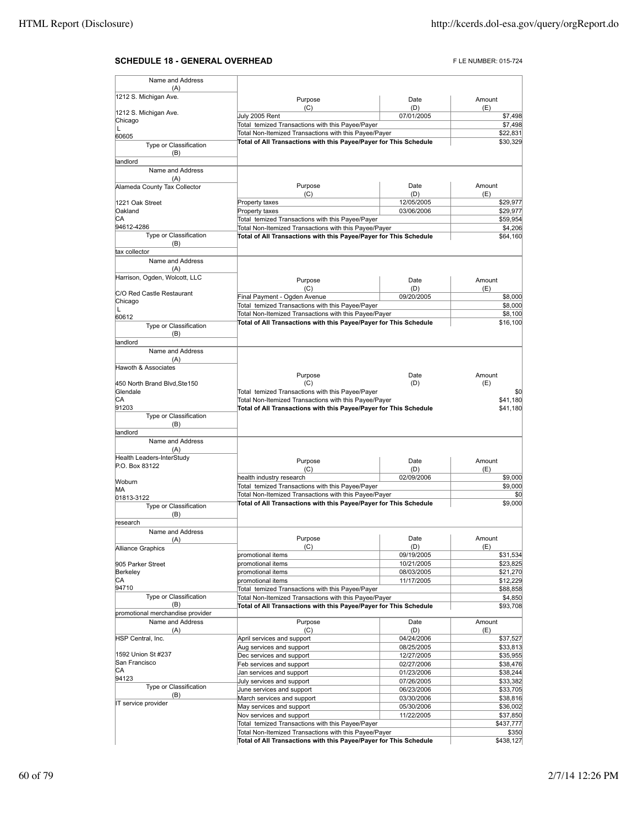## **SCHEDULE 18 - GENERAL OVERHEAD FLE NUMBER: 015-724**

| Name and Address                            |                                                                                                                            |                          |                      |
|---------------------------------------------|----------------------------------------------------------------------------------------------------------------------------|--------------------------|----------------------|
| (A)<br>1212 S. Michigan Ave.                |                                                                                                                            |                          |                      |
|                                             | Purpose                                                                                                                    | Date<br>(D)              | Amount               |
| 1212 S. Michigan Ave.                       | (C)<br>July 2005 Rent                                                                                                      | 07/01/2005               | (E)<br>\$7,498       |
| Chicago                                     | Total temized Transactions with this Payee/Payer                                                                           |                          | \$7,498              |
| L<br>60605                                  | Total Non-Itemized Transactions with this Payee/Payer                                                                      |                          | \$22,831             |
| Type or Classification                      | Total of All Transactions with this Payee/Payer for This Schedule                                                          |                          | \$30,329             |
| (B)                                         |                                                                                                                            |                          |                      |
| landlord                                    |                                                                                                                            |                          |                      |
| Name and Address                            |                                                                                                                            |                          |                      |
| (A)                                         | Purpose                                                                                                                    | Date                     | Amount               |
| Alameda County Tax Collector                | (C)                                                                                                                        | (D)                      | (E)                  |
| 1221 Oak Street                             | Property taxes                                                                                                             | 12/05/2005               | \$29,977             |
| Oakland                                     | Property taxes                                                                                                             | 03/06/2006               | \$29,977             |
| СA                                          | Total temized Transactions with this Payee/Payer                                                                           |                          | \$59,954             |
| 94612-4286                                  | Total Non-Itemized Transactions with this Payee/Payer                                                                      |                          | \$4,206              |
| Type or Classification<br>(B)               | Total of All Transactions with this Payee/Payer for This Schedule                                                          |                          | \$64,160             |
| tax collector                               |                                                                                                                            |                          |                      |
| Name and Address                            |                                                                                                                            |                          |                      |
| (A)                                         |                                                                                                                            |                          |                      |
| Harrison, Ogden, Wolcott, LLC               | Purpose                                                                                                                    | Date                     | Amount               |
|                                             | (C)                                                                                                                        | (D)                      | (E)                  |
| C/O Red Castle Restaurant<br>Chicago        | Final Payment - Ogden Avenue                                                                                               | 09/20/2005               | \$8,000              |
| L                                           | Total temized Transactions with this Payee/Payer                                                                           |                          | \$8,000              |
| 60612                                       | Total Non-Itemized Transactions with this Payee/Payer                                                                      |                          | \$8,100              |
| Type or Classification                      | Total of All Transactions with this Payee/Payer for This Schedule                                                          |                          | \$16,100             |
| (B)                                         |                                                                                                                            |                          |                      |
| andlord                                     |                                                                                                                            |                          |                      |
| Name and Address<br>(A)                     |                                                                                                                            |                          |                      |
| Hawoth & Associates                         |                                                                                                                            |                          |                      |
|                                             | Purpose                                                                                                                    | Date                     | Amount               |
| 450 North Brand Blvd, Ste150                | (C)                                                                                                                        | (D)                      | (E)                  |
| Glendale                                    | Total temized Transactions with this Payee/Payer                                                                           |                          | \$0                  |
| CA<br>91203                                 | Total Non-Itemized Transactions with this Payee/Payer<br>Total of All Transactions with this Payee/Payer for This Schedule |                          | \$41,180<br>\$41,180 |
| Type or Classification                      |                                                                                                                            |                          |                      |
| (B)                                         |                                                                                                                            |                          |                      |
| landlord                                    |                                                                                                                            |                          |                      |
| Name and Address                            |                                                                                                                            |                          |                      |
| (A)                                         |                                                                                                                            |                          |                      |
| Health Leaders-InterStudy<br>P.O. Box 83122 | Purpose                                                                                                                    | Date                     | Amount               |
|                                             | (C)                                                                                                                        | (D)                      | (E)                  |
| Woburn                                      | health industry research<br>Total temized Transactions with this Payee/Payer                                               | 02/09/2006               | \$9,000<br>\$9,000   |
| MА                                          | Total Non-Itemized Transactions with this Payee/Payer                                                                      |                          | \$0                  |
| 01813-3122                                  | Total of All Transactions with this Payee/Payer for This Schedule                                                          |                          | \$9,000              |
| Type or Classification<br>(B)               |                                                                                                                            |                          |                      |
| research                                    |                                                                                                                            |                          |                      |
| Name and Address                            |                                                                                                                            |                          |                      |
| (A)                                         | Purpose                                                                                                                    | Date                     | Amount               |
| Alliance Graphics                           | (C)                                                                                                                        | (D)                      | (E)                  |
| 905 Parker Street                           | promotional items<br>promotional items                                                                                     | 09/19/2005<br>10/21/2005 | \$31,534<br>\$23,825 |
| Berkeley                                    | promotional items                                                                                                          | 08/03/2005               | \$21,270             |
| СA                                          | promotional items                                                                                                          | 11/17/2005               | \$12,229             |
| 94710                                       | Total temized Transactions with this Payee/Payer                                                                           |                          | \$88,858             |
| Type or Classification                      | Total Non-Itemized Transactions with this Payee/Payer                                                                      |                          | \$4,850              |
| (B)                                         | Total of All Transactions with this Payee/Payer for This Schedule                                                          |                          | \$93,708             |
| promotional merchandise provider            |                                                                                                                            |                          |                      |
| Name and Address<br>(A)                     | Purpose<br>(C)                                                                                                             | Date<br>(D)              | Amount<br>(E)        |
| HSP Central, Inc.                           | April services and support                                                                                                 | 04/24/2006               | \$37,527             |
|                                             | Aug services and support                                                                                                   | 08/25/2005               | \$33,813             |
| 1592 Union St #237                          | Dec services and support                                                                                                   | 12/27/2005               | \$35,955             |
| San Francisco                               | Feb services and support                                                                                                   | 02/27/2006               | \$38,476             |
| СA<br>94123                                 | Jan services and support                                                                                                   | 01/23/2006               | \$38,244             |
| Type or Classification                      | July services and support                                                                                                  | 07/26/2005               | \$33,382             |
| (B)                                         | June services and support<br>March services and support                                                                    | 06/23/2006               | \$33,705             |
| IT service provider                         | May services and support                                                                                                   | 03/30/2006<br>05/30/2006 | \$38,816<br>\$36,002 |
|                                             | Nov services and support                                                                                                   | 11/22/2005               | \$37,850             |
|                                             | Total temized Transactions with this Payee/Payer                                                                           |                          | \$437,777            |
|                                             | Total Non-Itemized Transactions with this Payee/Payer                                                                      |                          | \$350                |
|                                             | Total of All Transactions with this Payee/Payer for This Schedule                                                          |                          | \$438,127            |
|                                             |                                                                                                                            |                          |                      |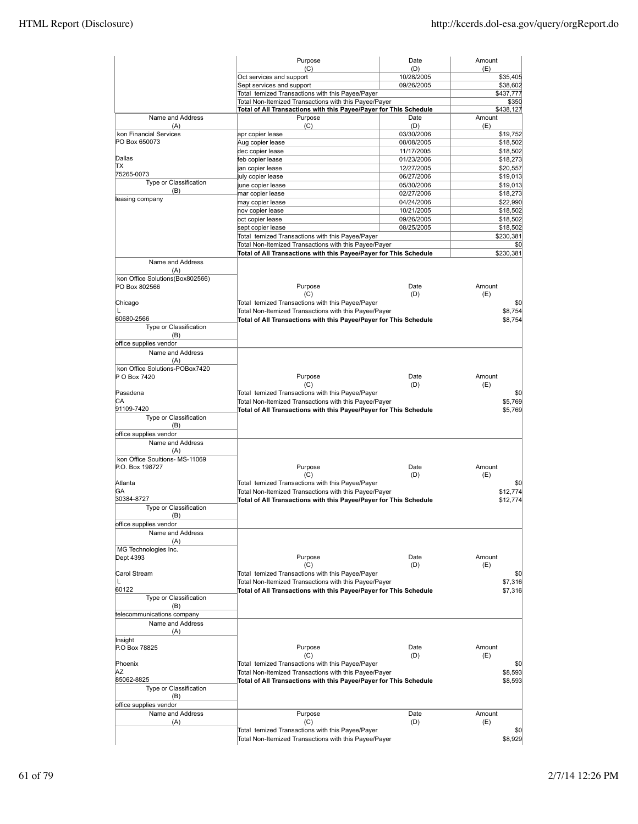| (C)<br>(D)<br>Oct services and support<br>10/28/2005<br>Sept services and support<br>09/26/2005<br>Total temized Transactions with this Payee/Payer<br>Total Non-Itemized Transactions with this Payee/Payer<br>Total of All Transactions with this Payee/Payer for This Schedule<br>Name and Address<br>Purpose<br>Date<br>(C)<br>(D)<br>(A)<br>kon Financial Services<br>03/30/2006<br>apr copier lease<br>PO Box 650073<br>Aug copier lease<br>08/08/2005<br>dec copier lease<br>11/17/2005<br>Dallas<br>feb copier lease<br>01/23/2006<br>TХ<br>12/27/2005<br>jan copier lease<br>75265-0073<br>06/27/2006<br>july copier lease<br>Type or Classification<br>05/30/2006<br>june copier lease<br>(B)<br>02/27/2006<br>mar copier lease<br>leasing company<br>04/24/2006<br>may copier lease<br>10/21/2005<br>nov copier lease<br>oct copier lease<br>09/26/2005<br>08/25/2005<br>sept copier lease<br>Total temized Transactions with this Payee/Payer<br>Total Non-Itemized Transactions with this Payee/Payer<br>Total of All Transactions with this Payee/Payer for This Schedule<br>Name and Address<br>(A)<br>kon Office Solutions(Box802566)<br>Date<br>Purpose<br>PO Box 802566<br>(C)<br>(D)<br>Total temized Transactions with this Payee/Payer<br>Chicago<br>L<br>Total Non-Itemized Transactions with this Payee/Payer<br>60680-2566<br>Total of All Transactions with this Payee/Payer for This Schedule<br>Type or Classification<br>(B)<br>office supplies vendor<br>Name and Address<br>(A)<br>kon Office Solutions-POBox7420<br>Purpose<br>P O Box 7420<br>Date<br>(C)<br>(D)<br>Pasadena<br>Total temized Transactions with this Payee/Payer<br>СA<br>Total Non-Itemized Transactions with this Payee/Payer<br>91109-7420<br>Total of All Transactions with this Payee/Payer for This Schedule<br>Type or Classification<br>(B)<br>office supplies vendor<br>Name and Address<br>(A)<br>kon Office Soultions- MS-11069<br>Purpose<br>Date<br>P.O. Box 198727<br>(C)<br>(D)<br>Total temized Transactions with this Payee/Payer<br>Atlanta<br>GА<br>Total Non-Itemized Transactions with this Payee/Payer<br>30384-8727<br>Total of All Transactions with this Payee/Payer for This Schedule<br>Type or Classification<br>(B)<br>office supplies vendor<br>Name and Address<br>(A)<br>MG Technologies Inc.<br>Dept 4393<br>Purpose<br>Date<br>(C)<br>(D)<br>Carol Stream<br>Total temized Transactions with this Payee/Payer<br>L<br>Total Non-Itemized Transactions with this Payee/Payer<br>60122<br>Total of All Transactions with this Payee/Payer for This Schedule<br>Type or Classification<br>(B)<br>telecommunications company<br>Name and Address<br>(A)<br>Insight<br>P.O Box 78825<br>Purpose<br>Date<br>(C)<br>(D)<br>Phoenix<br>Total temized Transactions with this Payee/Payer<br>ΑZ<br>Total Non-Itemized Transactions with this Payee/Payer<br>85062-8825<br>Total of All Transactions with this Payee/Payer for This Schedule<br>Type or Classification<br>(B)<br>office supplies vendor<br>Name and Address<br>Purpose<br>Date<br>(A)<br>(C)<br>(D)<br>Total temized Transactions with this Payee/Payer | Amount |                      |
|------------------------------------------------------------------------------------------------------------------------------------------------------------------------------------------------------------------------------------------------------------------------------------------------------------------------------------------------------------------------------------------------------------------------------------------------------------------------------------------------------------------------------------------------------------------------------------------------------------------------------------------------------------------------------------------------------------------------------------------------------------------------------------------------------------------------------------------------------------------------------------------------------------------------------------------------------------------------------------------------------------------------------------------------------------------------------------------------------------------------------------------------------------------------------------------------------------------------------------------------------------------------------------------------------------------------------------------------------------------------------------------------------------------------------------------------------------------------------------------------------------------------------------------------------------------------------------------------------------------------------------------------------------------------------------------------------------------------------------------------------------------------------------------------------------------------------------------------------------------------------------------------------------------------------------------------------------------------------------------------------------------------------------------------------------------------------------------------------------------------------------------------------------------------------------------------------------------------------------------------------------------------------------------------------------------------------------------------------------------------------------------------------------------------------------------------------------------------------------------------------------------------------------------------------------------------------------------------------------------------------------------------------------------------------------------------------------------------------------------------------------------------------------------------------------------------------------------------------------------------------------------------------------------------------------------------------------------------------------------------------------------------------------------------------------------------------------------------------------------------------------------------|--------|----------------------|
|                                                                                                                                                                                                                                                                                                                                                                                                                                                                                                                                                                                                                                                                                                                                                                                                                                                                                                                                                                                                                                                                                                                                                                                                                                                                                                                                                                                                                                                                                                                                                                                                                                                                                                                                                                                                                                                                                                                                                                                                                                                                                                                                                                                                                                                                                                                                                                                                                                                                                                                                                                                                                                                                                                                                                                                                                                                                                                                                                                                                                                                                                                                                                | (E)    |                      |
|                                                                                                                                                                                                                                                                                                                                                                                                                                                                                                                                                                                                                                                                                                                                                                                                                                                                                                                                                                                                                                                                                                                                                                                                                                                                                                                                                                                                                                                                                                                                                                                                                                                                                                                                                                                                                                                                                                                                                                                                                                                                                                                                                                                                                                                                                                                                                                                                                                                                                                                                                                                                                                                                                                                                                                                                                                                                                                                                                                                                                                                                                                                                                |        | \$35,405             |
|                                                                                                                                                                                                                                                                                                                                                                                                                                                                                                                                                                                                                                                                                                                                                                                                                                                                                                                                                                                                                                                                                                                                                                                                                                                                                                                                                                                                                                                                                                                                                                                                                                                                                                                                                                                                                                                                                                                                                                                                                                                                                                                                                                                                                                                                                                                                                                                                                                                                                                                                                                                                                                                                                                                                                                                                                                                                                                                                                                                                                                                                                                                                                |        | \$38,602             |
|                                                                                                                                                                                                                                                                                                                                                                                                                                                                                                                                                                                                                                                                                                                                                                                                                                                                                                                                                                                                                                                                                                                                                                                                                                                                                                                                                                                                                                                                                                                                                                                                                                                                                                                                                                                                                                                                                                                                                                                                                                                                                                                                                                                                                                                                                                                                                                                                                                                                                                                                                                                                                                                                                                                                                                                                                                                                                                                                                                                                                                                                                                                                                |        | \$437,777<br>\$350   |
|                                                                                                                                                                                                                                                                                                                                                                                                                                                                                                                                                                                                                                                                                                                                                                                                                                                                                                                                                                                                                                                                                                                                                                                                                                                                                                                                                                                                                                                                                                                                                                                                                                                                                                                                                                                                                                                                                                                                                                                                                                                                                                                                                                                                                                                                                                                                                                                                                                                                                                                                                                                                                                                                                                                                                                                                                                                                                                                                                                                                                                                                                                                                                |        | \$438,127            |
|                                                                                                                                                                                                                                                                                                                                                                                                                                                                                                                                                                                                                                                                                                                                                                                                                                                                                                                                                                                                                                                                                                                                                                                                                                                                                                                                                                                                                                                                                                                                                                                                                                                                                                                                                                                                                                                                                                                                                                                                                                                                                                                                                                                                                                                                                                                                                                                                                                                                                                                                                                                                                                                                                                                                                                                                                                                                                                                                                                                                                                                                                                                                                | Amount |                      |
|                                                                                                                                                                                                                                                                                                                                                                                                                                                                                                                                                                                                                                                                                                                                                                                                                                                                                                                                                                                                                                                                                                                                                                                                                                                                                                                                                                                                                                                                                                                                                                                                                                                                                                                                                                                                                                                                                                                                                                                                                                                                                                                                                                                                                                                                                                                                                                                                                                                                                                                                                                                                                                                                                                                                                                                                                                                                                                                                                                                                                                                                                                                                                | (E)    |                      |
|                                                                                                                                                                                                                                                                                                                                                                                                                                                                                                                                                                                                                                                                                                                                                                                                                                                                                                                                                                                                                                                                                                                                                                                                                                                                                                                                                                                                                                                                                                                                                                                                                                                                                                                                                                                                                                                                                                                                                                                                                                                                                                                                                                                                                                                                                                                                                                                                                                                                                                                                                                                                                                                                                                                                                                                                                                                                                                                                                                                                                                                                                                                                                |        | \$19,752             |
|                                                                                                                                                                                                                                                                                                                                                                                                                                                                                                                                                                                                                                                                                                                                                                                                                                                                                                                                                                                                                                                                                                                                                                                                                                                                                                                                                                                                                                                                                                                                                                                                                                                                                                                                                                                                                                                                                                                                                                                                                                                                                                                                                                                                                                                                                                                                                                                                                                                                                                                                                                                                                                                                                                                                                                                                                                                                                                                                                                                                                                                                                                                                                |        | \$18,502             |
|                                                                                                                                                                                                                                                                                                                                                                                                                                                                                                                                                                                                                                                                                                                                                                                                                                                                                                                                                                                                                                                                                                                                                                                                                                                                                                                                                                                                                                                                                                                                                                                                                                                                                                                                                                                                                                                                                                                                                                                                                                                                                                                                                                                                                                                                                                                                                                                                                                                                                                                                                                                                                                                                                                                                                                                                                                                                                                                                                                                                                                                                                                                                                |        | \$18,502             |
|                                                                                                                                                                                                                                                                                                                                                                                                                                                                                                                                                                                                                                                                                                                                                                                                                                                                                                                                                                                                                                                                                                                                                                                                                                                                                                                                                                                                                                                                                                                                                                                                                                                                                                                                                                                                                                                                                                                                                                                                                                                                                                                                                                                                                                                                                                                                                                                                                                                                                                                                                                                                                                                                                                                                                                                                                                                                                                                                                                                                                                                                                                                                                |        | \$18,273             |
|                                                                                                                                                                                                                                                                                                                                                                                                                                                                                                                                                                                                                                                                                                                                                                                                                                                                                                                                                                                                                                                                                                                                                                                                                                                                                                                                                                                                                                                                                                                                                                                                                                                                                                                                                                                                                                                                                                                                                                                                                                                                                                                                                                                                                                                                                                                                                                                                                                                                                                                                                                                                                                                                                                                                                                                                                                                                                                                                                                                                                                                                                                                                                |        | \$20,557             |
|                                                                                                                                                                                                                                                                                                                                                                                                                                                                                                                                                                                                                                                                                                                                                                                                                                                                                                                                                                                                                                                                                                                                                                                                                                                                                                                                                                                                                                                                                                                                                                                                                                                                                                                                                                                                                                                                                                                                                                                                                                                                                                                                                                                                                                                                                                                                                                                                                                                                                                                                                                                                                                                                                                                                                                                                                                                                                                                                                                                                                                                                                                                                                |        | \$19,013             |
|                                                                                                                                                                                                                                                                                                                                                                                                                                                                                                                                                                                                                                                                                                                                                                                                                                                                                                                                                                                                                                                                                                                                                                                                                                                                                                                                                                                                                                                                                                                                                                                                                                                                                                                                                                                                                                                                                                                                                                                                                                                                                                                                                                                                                                                                                                                                                                                                                                                                                                                                                                                                                                                                                                                                                                                                                                                                                                                                                                                                                                                                                                                                                |        | \$19,013             |
|                                                                                                                                                                                                                                                                                                                                                                                                                                                                                                                                                                                                                                                                                                                                                                                                                                                                                                                                                                                                                                                                                                                                                                                                                                                                                                                                                                                                                                                                                                                                                                                                                                                                                                                                                                                                                                                                                                                                                                                                                                                                                                                                                                                                                                                                                                                                                                                                                                                                                                                                                                                                                                                                                                                                                                                                                                                                                                                                                                                                                                                                                                                                                |        | \$18,273<br>\$22,990 |
|                                                                                                                                                                                                                                                                                                                                                                                                                                                                                                                                                                                                                                                                                                                                                                                                                                                                                                                                                                                                                                                                                                                                                                                                                                                                                                                                                                                                                                                                                                                                                                                                                                                                                                                                                                                                                                                                                                                                                                                                                                                                                                                                                                                                                                                                                                                                                                                                                                                                                                                                                                                                                                                                                                                                                                                                                                                                                                                                                                                                                                                                                                                                                |        | \$18,502             |
|                                                                                                                                                                                                                                                                                                                                                                                                                                                                                                                                                                                                                                                                                                                                                                                                                                                                                                                                                                                                                                                                                                                                                                                                                                                                                                                                                                                                                                                                                                                                                                                                                                                                                                                                                                                                                                                                                                                                                                                                                                                                                                                                                                                                                                                                                                                                                                                                                                                                                                                                                                                                                                                                                                                                                                                                                                                                                                                                                                                                                                                                                                                                                |        | \$18,502             |
|                                                                                                                                                                                                                                                                                                                                                                                                                                                                                                                                                                                                                                                                                                                                                                                                                                                                                                                                                                                                                                                                                                                                                                                                                                                                                                                                                                                                                                                                                                                                                                                                                                                                                                                                                                                                                                                                                                                                                                                                                                                                                                                                                                                                                                                                                                                                                                                                                                                                                                                                                                                                                                                                                                                                                                                                                                                                                                                                                                                                                                                                                                                                                |        | \$18,502             |
|                                                                                                                                                                                                                                                                                                                                                                                                                                                                                                                                                                                                                                                                                                                                                                                                                                                                                                                                                                                                                                                                                                                                                                                                                                                                                                                                                                                                                                                                                                                                                                                                                                                                                                                                                                                                                                                                                                                                                                                                                                                                                                                                                                                                                                                                                                                                                                                                                                                                                                                                                                                                                                                                                                                                                                                                                                                                                                                                                                                                                                                                                                                                                |        | \$230,381            |
|                                                                                                                                                                                                                                                                                                                                                                                                                                                                                                                                                                                                                                                                                                                                                                                                                                                                                                                                                                                                                                                                                                                                                                                                                                                                                                                                                                                                                                                                                                                                                                                                                                                                                                                                                                                                                                                                                                                                                                                                                                                                                                                                                                                                                                                                                                                                                                                                                                                                                                                                                                                                                                                                                                                                                                                                                                                                                                                                                                                                                                                                                                                                                |        | \$0                  |
|                                                                                                                                                                                                                                                                                                                                                                                                                                                                                                                                                                                                                                                                                                                                                                                                                                                                                                                                                                                                                                                                                                                                                                                                                                                                                                                                                                                                                                                                                                                                                                                                                                                                                                                                                                                                                                                                                                                                                                                                                                                                                                                                                                                                                                                                                                                                                                                                                                                                                                                                                                                                                                                                                                                                                                                                                                                                                                                                                                                                                                                                                                                                                |        | \$230,381            |
|                                                                                                                                                                                                                                                                                                                                                                                                                                                                                                                                                                                                                                                                                                                                                                                                                                                                                                                                                                                                                                                                                                                                                                                                                                                                                                                                                                                                                                                                                                                                                                                                                                                                                                                                                                                                                                                                                                                                                                                                                                                                                                                                                                                                                                                                                                                                                                                                                                                                                                                                                                                                                                                                                                                                                                                                                                                                                                                                                                                                                                                                                                                                                |        |                      |
|                                                                                                                                                                                                                                                                                                                                                                                                                                                                                                                                                                                                                                                                                                                                                                                                                                                                                                                                                                                                                                                                                                                                                                                                                                                                                                                                                                                                                                                                                                                                                                                                                                                                                                                                                                                                                                                                                                                                                                                                                                                                                                                                                                                                                                                                                                                                                                                                                                                                                                                                                                                                                                                                                                                                                                                                                                                                                                                                                                                                                                                                                                                                                |        |                      |
|                                                                                                                                                                                                                                                                                                                                                                                                                                                                                                                                                                                                                                                                                                                                                                                                                                                                                                                                                                                                                                                                                                                                                                                                                                                                                                                                                                                                                                                                                                                                                                                                                                                                                                                                                                                                                                                                                                                                                                                                                                                                                                                                                                                                                                                                                                                                                                                                                                                                                                                                                                                                                                                                                                                                                                                                                                                                                                                                                                                                                                                                                                                                                |        |                      |
|                                                                                                                                                                                                                                                                                                                                                                                                                                                                                                                                                                                                                                                                                                                                                                                                                                                                                                                                                                                                                                                                                                                                                                                                                                                                                                                                                                                                                                                                                                                                                                                                                                                                                                                                                                                                                                                                                                                                                                                                                                                                                                                                                                                                                                                                                                                                                                                                                                                                                                                                                                                                                                                                                                                                                                                                                                                                                                                                                                                                                                                                                                                                                | Amount |                      |
|                                                                                                                                                                                                                                                                                                                                                                                                                                                                                                                                                                                                                                                                                                                                                                                                                                                                                                                                                                                                                                                                                                                                                                                                                                                                                                                                                                                                                                                                                                                                                                                                                                                                                                                                                                                                                                                                                                                                                                                                                                                                                                                                                                                                                                                                                                                                                                                                                                                                                                                                                                                                                                                                                                                                                                                                                                                                                                                                                                                                                                                                                                                                                | (E)    |                      |
|                                                                                                                                                                                                                                                                                                                                                                                                                                                                                                                                                                                                                                                                                                                                                                                                                                                                                                                                                                                                                                                                                                                                                                                                                                                                                                                                                                                                                                                                                                                                                                                                                                                                                                                                                                                                                                                                                                                                                                                                                                                                                                                                                                                                                                                                                                                                                                                                                                                                                                                                                                                                                                                                                                                                                                                                                                                                                                                                                                                                                                                                                                                                                |        | \$0                  |
|                                                                                                                                                                                                                                                                                                                                                                                                                                                                                                                                                                                                                                                                                                                                                                                                                                                                                                                                                                                                                                                                                                                                                                                                                                                                                                                                                                                                                                                                                                                                                                                                                                                                                                                                                                                                                                                                                                                                                                                                                                                                                                                                                                                                                                                                                                                                                                                                                                                                                                                                                                                                                                                                                                                                                                                                                                                                                                                                                                                                                                                                                                                                                |        | \$8.754              |
|                                                                                                                                                                                                                                                                                                                                                                                                                                                                                                                                                                                                                                                                                                                                                                                                                                                                                                                                                                                                                                                                                                                                                                                                                                                                                                                                                                                                                                                                                                                                                                                                                                                                                                                                                                                                                                                                                                                                                                                                                                                                                                                                                                                                                                                                                                                                                                                                                                                                                                                                                                                                                                                                                                                                                                                                                                                                                                                                                                                                                                                                                                                                                |        | \$8,754              |
|                                                                                                                                                                                                                                                                                                                                                                                                                                                                                                                                                                                                                                                                                                                                                                                                                                                                                                                                                                                                                                                                                                                                                                                                                                                                                                                                                                                                                                                                                                                                                                                                                                                                                                                                                                                                                                                                                                                                                                                                                                                                                                                                                                                                                                                                                                                                                                                                                                                                                                                                                                                                                                                                                                                                                                                                                                                                                                                                                                                                                                                                                                                                                |        |                      |
|                                                                                                                                                                                                                                                                                                                                                                                                                                                                                                                                                                                                                                                                                                                                                                                                                                                                                                                                                                                                                                                                                                                                                                                                                                                                                                                                                                                                                                                                                                                                                                                                                                                                                                                                                                                                                                                                                                                                                                                                                                                                                                                                                                                                                                                                                                                                                                                                                                                                                                                                                                                                                                                                                                                                                                                                                                                                                                                                                                                                                                                                                                                                                |        |                      |
|                                                                                                                                                                                                                                                                                                                                                                                                                                                                                                                                                                                                                                                                                                                                                                                                                                                                                                                                                                                                                                                                                                                                                                                                                                                                                                                                                                                                                                                                                                                                                                                                                                                                                                                                                                                                                                                                                                                                                                                                                                                                                                                                                                                                                                                                                                                                                                                                                                                                                                                                                                                                                                                                                                                                                                                                                                                                                                                                                                                                                                                                                                                                                |        |                      |
|                                                                                                                                                                                                                                                                                                                                                                                                                                                                                                                                                                                                                                                                                                                                                                                                                                                                                                                                                                                                                                                                                                                                                                                                                                                                                                                                                                                                                                                                                                                                                                                                                                                                                                                                                                                                                                                                                                                                                                                                                                                                                                                                                                                                                                                                                                                                                                                                                                                                                                                                                                                                                                                                                                                                                                                                                                                                                                                                                                                                                                                                                                                                                |        |                      |
|                                                                                                                                                                                                                                                                                                                                                                                                                                                                                                                                                                                                                                                                                                                                                                                                                                                                                                                                                                                                                                                                                                                                                                                                                                                                                                                                                                                                                                                                                                                                                                                                                                                                                                                                                                                                                                                                                                                                                                                                                                                                                                                                                                                                                                                                                                                                                                                                                                                                                                                                                                                                                                                                                                                                                                                                                                                                                                                                                                                                                                                                                                                                                |        |                      |
|                                                                                                                                                                                                                                                                                                                                                                                                                                                                                                                                                                                                                                                                                                                                                                                                                                                                                                                                                                                                                                                                                                                                                                                                                                                                                                                                                                                                                                                                                                                                                                                                                                                                                                                                                                                                                                                                                                                                                                                                                                                                                                                                                                                                                                                                                                                                                                                                                                                                                                                                                                                                                                                                                                                                                                                                                                                                                                                                                                                                                                                                                                                                                | Amount |                      |
|                                                                                                                                                                                                                                                                                                                                                                                                                                                                                                                                                                                                                                                                                                                                                                                                                                                                                                                                                                                                                                                                                                                                                                                                                                                                                                                                                                                                                                                                                                                                                                                                                                                                                                                                                                                                                                                                                                                                                                                                                                                                                                                                                                                                                                                                                                                                                                                                                                                                                                                                                                                                                                                                                                                                                                                                                                                                                                                                                                                                                                                                                                                                                | (E)    |                      |
|                                                                                                                                                                                                                                                                                                                                                                                                                                                                                                                                                                                                                                                                                                                                                                                                                                                                                                                                                                                                                                                                                                                                                                                                                                                                                                                                                                                                                                                                                                                                                                                                                                                                                                                                                                                                                                                                                                                                                                                                                                                                                                                                                                                                                                                                                                                                                                                                                                                                                                                                                                                                                                                                                                                                                                                                                                                                                                                                                                                                                                                                                                                                                |        | \$0                  |
|                                                                                                                                                                                                                                                                                                                                                                                                                                                                                                                                                                                                                                                                                                                                                                                                                                                                                                                                                                                                                                                                                                                                                                                                                                                                                                                                                                                                                                                                                                                                                                                                                                                                                                                                                                                                                                                                                                                                                                                                                                                                                                                                                                                                                                                                                                                                                                                                                                                                                                                                                                                                                                                                                                                                                                                                                                                                                                                                                                                                                                                                                                                                                |        | \$5,769              |
|                                                                                                                                                                                                                                                                                                                                                                                                                                                                                                                                                                                                                                                                                                                                                                                                                                                                                                                                                                                                                                                                                                                                                                                                                                                                                                                                                                                                                                                                                                                                                                                                                                                                                                                                                                                                                                                                                                                                                                                                                                                                                                                                                                                                                                                                                                                                                                                                                                                                                                                                                                                                                                                                                                                                                                                                                                                                                                                                                                                                                                                                                                                                                |        | \$5,769              |
|                                                                                                                                                                                                                                                                                                                                                                                                                                                                                                                                                                                                                                                                                                                                                                                                                                                                                                                                                                                                                                                                                                                                                                                                                                                                                                                                                                                                                                                                                                                                                                                                                                                                                                                                                                                                                                                                                                                                                                                                                                                                                                                                                                                                                                                                                                                                                                                                                                                                                                                                                                                                                                                                                                                                                                                                                                                                                                                                                                                                                                                                                                                                                |        |                      |
|                                                                                                                                                                                                                                                                                                                                                                                                                                                                                                                                                                                                                                                                                                                                                                                                                                                                                                                                                                                                                                                                                                                                                                                                                                                                                                                                                                                                                                                                                                                                                                                                                                                                                                                                                                                                                                                                                                                                                                                                                                                                                                                                                                                                                                                                                                                                                                                                                                                                                                                                                                                                                                                                                                                                                                                                                                                                                                                                                                                                                                                                                                                                                |        |                      |
|                                                                                                                                                                                                                                                                                                                                                                                                                                                                                                                                                                                                                                                                                                                                                                                                                                                                                                                                                                                                                                                                                                                                                                                                                                                                                                                                                                                                                                                                                                                                                                                                                                                                                                                                                                                                                                                                                                                                                                                                                                                                                                                                                                                                                                                                                                                                                                                                                                                                                                                                                                                                                                                                                                                                                                                                                                                                                                                                                                                                                                                                                                                                                |        |                      |
|                                                                                                                                                                                                                                                                                                                                                                                                                                                                                                                                                                                                                                                                                                                                                                                                                                                                                                                                                                                                                                                                                                                                                                                                                                                                                                                                                                                                                                                                                                                                                                                                                                                                                                                                                                                                                                                                                                                                                                                                                                                                                                                                                                                                                                                                                                                                                                                                                                                                                                                                                                                                                                                                                                                                                                                                                                                                                                                                                                                                                                                                                                                                                |        |                      |
|                                                                                                                                                                                                                                                                                                                                                                                                                                                                                                                                                                                                                                                                                                                                                                                                                                                                                                                                                                                                                                                                                                                                                                                                                                                                                                                                                                                                                                                                                                                                                                                                                                                                                                                                                                                                                                                                                                                                                                                                                                                                                                                                                                                                                                                                                                                                                                                                                                                                                                                                                                                                                                                                                                                                                                                                                                                                                                                                                                                                                                                                                                                                                |        |                      |
|                                                                                                                                                                                                                                                                                                                                                                                                                                                                                                                                                                                                                                                                                                                                                                                                                                                                                                                                                                                                                                                                                                                                                                                                                                                                                                                                                                                                                                                                                                                                                                                                                                                                                                                                                                                                                                                                                                                                                                                                                                                                                                                                                                                                                                                                                                                                                                                                                                                                                                                                                                                                                                                                                                                                                                                                                                                                                                                                                                                                                                                                                                                                                |        |                      |
|                                                                                                                                                                                                                                                                                                                                                                                                                                                                                                                                                                                                                                                                                                                                                                                                                                                                                                                                                                                                                                                                                                                                                                                                                                                                                                                                                                                                                                                                                                                                                                                                                                                                                                                                                                                                                                                                                                                                                                                                                                                                                                                                                                                                                                                                                                                                                                                                                                                                                                                                                                                                                                                                                                                                                                                                                                                                                                                                                                                                                                                                                                                                                | Amount |                      |
|                                                                                                                                                                                                                                                                                                                                                                                                                                                                                                                                                                                                                                                                                                                                                                                                                                                                                                                                                                                                                                                                                                                                                                                                                                                                                                                                                                                                                                                                                                                                                                                                                                                                                                                                                                                                                                                                                                                                                                                                                                                                                                                                                                                                                                                                                                                                                                                                                                                                                                                                                                                                                                                                                                                                                                                                                                                                                                                                                                                                                                                                                                                                                | (E)    |                      |
|                                                                                                                                                                                                                                                                                                                                                                                                                                                                                                                                                                                                                                                                                                                                                                                                                                                                                                                                                                                                                                                                                                                                                                                                                                                                                                                                                                                                                                                                                                                                                                                                                                                                                                                                                                                                                                                                                                                                                                                                                                                                                                                                                                                                                                                                                                                                                                                                                                                                                                                                                                                                                                                                                                                                                                                                                                                                                                                                                                                                                                                                                                                                                |        | \$0                  |
|                                                                                                                                                                                                                                                                                                                                                                                                                                                                                                                                                                                                                                                                                                                                                                                                                                                                                                                                                                                                                                                                                                                                                                                                                                                                                                                                                                                                                                                                                                                                                                                                                                                                                                                                                                                                                                                                                                                                                                                                                                                                                                                                                                                                                                                                                                                                                                                                                                                                                                                                                                                                                                                                                                                                                                                                                                                                                                                                                                                                                                                                                                                                                |        | \$12,774<br>\$12,774 |
|                                                                                                                                                                                                                                                                                                                                                                                                                                                                                                                                                                                                                                                                                                                                                                                                                                                                                                                                                                                                                                                                                                                                                                                                                                                                                                                                                                                                                                                                                                                                                                                                                                                                                                                                                                                                                                                                                                                                                                                                                                                                                                                                                                                                                                                                                                                                                                                                                                                                                                                                                                                                                                                                                                                                                                                                                                                                                                                                                                                                                                                                                                                                                |        |                      |
|                                                                                                                                                                                                                                                                                                                                                                                                                                                                                                                                                                                                                                                                                                                                                                                                                                                                                                                                                                                                                                                                                                                                                                                                                                                                                                                                                                                                                                                                                                                                                                                                                                                                                                                                                                                                                                                                                                                                                                                                                                                                                                                                                                                                                                                                                                                                                                                                                                                                                                                                                                                                                                                                                                                                                                                                                                                                                                                                                                                                                                                                                                                                                |        |                      |
|                                                                                                                                                                                                                                                                                                                                                                                                                                                                                                                                                                                                                                                                                                                                                                                                                                                                                                                                                                                                                                                                                                                                                                                                                                                                                                                                                                                                                                                                                                                                                                                                                                                                                                                                                                                                                                                                                                                                                                                                                                                                                                                                                                                                                                                                                                                                                                                                                                                                                                                                                                                                                                                                                                                                                                                                                                                                                                                                                                                                                                                                                                                                                |        |                      |
|                                                                                                                                                                                                                                                                                                                                                                                                                                                                                                                                                                                                                                                                                                                                                                                                                                                                                                                                                                                                                                                                                                                                                                                                                                                                                                                                                                                                                                                                                                                                                                                                                                                                                                                                                                                                                                                                                                                                                                                                                                                                                                                                                                                                                                                                                                                                                                                                                                                                                                                                                                                                                                                                                                                                                                                                                                                                                                                                                                                                                                                                                                                                                |        |                      |
|                                                                                                                                                                                                                                                                                                                                                                                                                                                                                                                                                                                                                                                                                                                                                                                                                                                                                                                                                                                                                                                                                                                                                                                                                                                                                                                                                                                                                                                                                                                                                                                                                                                                                                                                                                                                                                                                                                                                                                                                                                                                                                                                                                                                                                                                                                                                                                                                                                                                                                                                                                                                                                                                                                                                                                                                                                                                                                                                                                                                                                                                                                                                                |        |                      |
|                                                                                                                                                                                                                                                                                                                                                                                                                                                                                                                                                                                                                                                                                                                                                                                                                                                                                                                                                                                                                                                                                                                                                                                                                                                                                                                                                                                                                                                                                                                                                                                                                                                                                                                                                                                                                                                                                                                                                                                                                                                                                                                                                                                                                                                                                                                                                                                                                                                                                                                                                                                                                                                                                                                                                                                                                                                                                                                                                                                                                                                                                                                                                |        |                      |
|                                                                                                                                                                                                                                                                                                                                                                                                                                                                                                                                                                                                                                                                                                                                                                                                                                                                                                                                                                                                                                                                                                                                                                                                                                                                                                                                                                                                                                                                                                                                                                                                                                                                                                                                                                                                                                                                                                                                                                                                                                                                                                                                                                                                                                                                                                                                                                                                                                                                                                                                                                                                                                                                                                                                                                                                                                                                                                                                                                                                                                                                                                                                                | Amount |                      |
|                                                                                                                                                                                                                                                                                                                                                                                                                                                                                                                                                                                                                                                                                                                                                                                                                                                                                                                                                                                                                                                                                                                                                                                                                                                                                                                                                                                                                                                                                                                                                                                                                                                                                                                                                                                                                                                                                                                                                                                                                                                                                                                                                                                                                                                                                                                                                                                                                                                                                                                                                                                                                                                                                                                                                                                                                                                                                                                                                                                                                                                                                                                                                | (E)    |                      |
|                                                                                                                                                                                                                                                                                                                                                                                                                                                                                                                                                                                                                                                                                                                                                                                                                                                                                                                                                                                                                                                                                                                                                                                                                                                                                                                                                                                                                                                                                                                                                                                                                                                                                                                                                                                                                                                                                                                                                                                                                                                                                                                                                                                                                                                                                                                                                                                                                                                                                                                                                                                                                                                                                                                                                                                                                                                                                                                                                                                                                                                                                                                                                |        | \$0                  |
|                                                                                                                                                                                                                                                                                                                                                                                                                                                                                                                                                                                                                                                                                                                                                                                                                                                                                                                                                                                                                                                                                                                                                                                                                                                                                                                                                                                                                                                                                                                                                                                                                                                                                                                                                                                                                                                                                                                                                                                                                                                                                                                                                                                                                                                                                                                                                                                                                                                                                                                                                                                                                                                                                                                                                                                                                                                                                                                                                                                                                                                                                                                                                |        | \$7,316              |
|                                                                                                                                                                                                                                                                                                                                                                                                                                                                                                                                                                                                                                                                                                                                                                                                                                                                                                                                                                                                                                                                                                                                                                                                                                                                                                                                                                                                                                                                                                                                                                                                                                                                                                                                                                                                                                                                                                                                                                                                                                                                                                                                                                                                                                                                                                                                                                                                                                                                                                                                                                                                                                                                                                                                                                                                                                                                                                                                                                                                                                                                                                                                                |        | \$7,316              |
|                                                                                                                                                                                                                                                                                                                                                                                                                                                                                                                                                                                                                                                                                                                                                                                                                                                                                                                                                                                                                                                                                                                                                                                                                                                                                                                                                                                                                                                                                                                                                                                                                                                                                                                                                                                                                                                                                                                                                                                                                                                                                                                                                                                                                                                                                                                                                                                                                                                                                                                                                                                                                                                                                                                                                                                                                                                                                                                                                                                                                                                                                                                                                |        |                      |
|                                                                                                                                                                                                                                                                                                                                                                                                                                                                                                                                                                                                                                                                                                                                                                                                                                                                                                                                                                                                                                                                                                                                                                                                                                                                                                                                                                                                                                                                                                                                                                                                                                                                                                                                                                                                                                                                                                                                                                                                                                                                                                                                                                                                                                                                                                                                                                                                                                                                                                                                                                                                                                                                                                                                                                                                                                                                                                                                                                                                                                                                                                                                                |        |                      |
|                                                                                                                                                                                                                                                                                                                                                                                                                                                                                                                                                                                                                                                                                                                                                                                                                                                                                                                                                                                                                                                                                                                                                                                                                                                                                                                                                                                                                                                                                                                                                                                                                                                                                                                                                                                                                                                                                                                                                                                                                                                                                                                                                                                                                                                                                                                                                                                                                                                                                                                                                                                                                                                                                                                                                                                                                                                                                                                                                                                                                                                                                                                                                |        |                      |
|                                                                                                                                                                                                                                                                                                                                                                                                                                                                                                                                                                                                                                                                                                                                                                                                                                                                                                                                                                                                                                                                                                                                                                                                                                                                                                                                                                                                                                                                                                                                                                                                                                                                                                                                                                                                                                                                                                                                                                                                                                                                                                                                                                                                                                                                                                                                                                                                                                                                                                                                                                                                                                                                                                                                                                                                                                                                                                                                                                                                                                                                                                                                                |        |                      |
|                                                                                                                                                                                                                                                                                                                                                                                                                                                                                                                                                                                                                                                                                                                                                                                                                                                                                                                                                                                                                                                                                                                                                                                                                                                                                                                                                                                                                                                                                                                                                                                                                                                                                                                                                                                                                                                                                                                                                                                                                                                                                                                                                                                                                                                                                                                                                                                                                                                                                                                                                                                                                                                                                                                                                                                                                                                                                                                                                                                                                                                                                                                                                |        |                      |
|                                                                                                                                                                                                                                                                                                                                                                                                                                                                                                                                                                                                                                                                                                                                                                                                                                                                                                                                                                                                                                                                                                                                                                                                                                                                                                                                                                                                                                                                                                                                                                                                                                                                                                                                                                                                                                                                                                                                                                                                                                                                                                                                                                                                                                                                                                                                                                                                                                                                                                                                                                                                                                                                                                                                                                                                                                                                                                                                                                                                                                                                                                                                                | Amount |                      |
|                                                                                                                                                                                                                                                                                                                                                                                                                                                                                                                                                                                                                                                                                                                                                                                                                                                                                                                                                                                                                                                                                                                                                                                                                                                                                                                                                                                                                                                                                                                                                                                                                                                                                                                                                                                                                                                                                                                                                                                                                                                                                                                                                                                                                                                                                                                                                                                                                                                                                                                                                                                                                                                                                                                                                                                                                                                                                                                                                                                                                                                                                                                                                | (E)    |                      |
|                                                                                                                                                                                                                                                                                                                                                                                                                                                                                                                                                                                                                                                                                                                                                                                                                                                                                                                                                                                                                                                                                                                                                                                                                                                                                                                                                                                                                                                                                                                                                                                                                                                                                                                                                                                                                                                                                                                                                                                                                                                                                                                                                                                                                                                                                                                                                                                                                                                                                                                                                                                                                                                                                                                                                                                                                                                                                                                                                                                                                                                                                                                                                |        | \$0                  |
|                                                                                                                                                                                                                                                                                                                                                                                                                                                                                                                                                                                                                                                                                                                                                                                                                                                                                                                                                                                                                                                                                                                                                                                                                                                                                                                                                                                                                                                                                                                                                                                                                                                                                                                                                                                                                                                                                                                                                                                                                                                                                                                                                                                                                                                                                                                                                                                                                                                                                                                                                                                                                                                                                                                                                                                                                                                                                                                                                                                                                                                                                                                                                |        | \$8,593              |
|                                                                                                                                                                                                                                                                                                                                                                                                                                                                                                                                                                                                                                                                                                                                                                                                                                                                                                                                                                                                                                                                                                                                                                                                                                                                                                                                                                                                                                                                                                                                                                                                                                                                                                                                                                                                                                                                                                                                                                                                                                                                                                                                                                                                                                                                                                                                                                                                                                                                                                                                                                                                                                                                                                                                                                                                                                                                                                                                                                                                                                                                                                                                                |        | \$8,593              |
|                                                                                                                                                                                                                                                                                                                                                                                                                                                                                                                                                                                                                                                                                                                                                                                                                                                                                                                                                                                                                                                                                                                                                                                                                                                                                                                                                                                                                                                                                                                                                                                                                                                                                                                                                                                                                                                                                                                                                                                                                                                                                                                                                                                                                                                                                                                                                                                                                                                                                                                                                                                                                                                                                                                                                                                                                                                                                                                                                                                                                                                                                                                                                |        |                      |
|                                                                                                                                                                                                                                                                                                                                                                                                                                                                                                                                                                                                                                                                                                                                                                                                                                                                                                                                                                                                                                                                                                                                                                                                                                                                                                                                                                                                                                                                                                                                                                                                                                                                                                                                                                                                                                                                                                                                                                                                                                                                                                                                                                                                                                                                                                                                                                                                                                                                                                                                                                                                                                                                                                                                                                                                                                                                                                                                                                                                                                                                                                                                                |        |                      |
|                                                                                                                                                                                                                                                                                                                                                                                                                                                                                                                                                                                                                                                                                                                                                                                                                                                                                                                                                                                                                                                                                                                                                                                                                                                                                                                                                                                                                                                                                                                                                                                                                                                                                                                                                                                                                                                                                                                                                                                                                                                                                                                                                                                                                                                                                                                                                                                                                                                                                                                                                                                                                                                                                                                                                                                                                                                                                                                                                                                                                                                                                                                                                |        |                      |
|                                                                                                                                                                                                                                                                                                                                                                                                                                                                                                                                                                                                                                                                                                                                                                                                                                                                                                                                                                                                                                                                                                                                                                                                                                                                                                                                                                                                                                                                                                                                                                                                                                                                                                                                                                                                                                                                                                                                                                                                                                                                                                                                                                                                                                                                                                                                                                                                                                                                                                                                                                                                                                                                                                                                                                                                                                                                                                                                                                                                                                                                                                                                                | Amount |                      |
|                                                                                                                                                                                                                                                                                                                                                                                                                                                                                                                                                                                                                                                                                                                                                                                                                                                                                                                                                                                                                                                                                                                                                                                                                                                                                                                                                                                                                                                                                                                                                                                                                                                                                                                                                                                                                                                                                                                                                                                                                                                                                                                                                                                                                                                                                                                                                                                                                                                                                                                                                                                                                                                                                                                                                                                                                                                                                                                                                                                                                                                                                                                                                | (E)    |                      |
|                                                                                                                                                                                                                                                                                                                                                                                                                                                                                                                                                                                                                                                                                                                                                                                                                                                                                                                                                                                                                                                                                                                                                                                                                                                                                                                                                                                                                                                                                                                                                                                                                                                                                                                                                                                                                                                                                                                                                                                                                                                                                                                                                                                                                                                                                                                                                                                                                                                                                                                                                                                                                                                                                                                                                                                                                                                                                                                                                                                                                                                                                                                                                |        | \$0                  |
| Total Non-Itemized Transactions with this Payee/Payer                                                                                                                                                                                                                                                                                                                                                                                                                                                                                                                                                                                                                                                                                                                                                                                                                                                                                                                                                                                                                                                                                                                                                                                                                                                                                                                                                                                                                                                                                                                                                                                                                                                                                                                                                                                                                                                                                                                                                                                                                                                                                                                                                                                                                                                                                                                                                                                                                                                                                                                                                                                                                                                                                                                                                                                                                                                                                                                                                                                                                                                                                          |        | \$8,929              |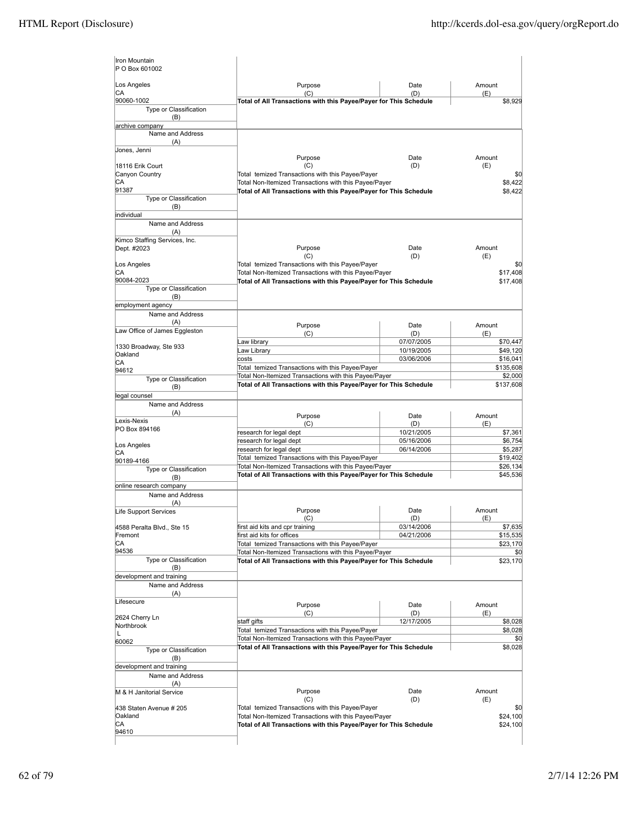| Iron Mountain<br>P O Box 601002             |                                                                                                                            |                          |                       |
|---------------------------------------------|----------------------------------------------------------------------------------------------------------------------------|--------------------------|-----------------------|
| Los Angeles                                 | Purpose                                                                                                                    | Date                     | Amount                |
| СA                                          | (C)                                                                                                                        | (D)                      | (E)                   |
| 90060-1002<br>Type or Classification<br>(B) | Total of All Transactions with this Payee/Payer for This Schedule                                                          |                          | \$8,929               |
| archive company                             |                                                                                                                            |                          |                       |
| Name and Address<br>(A)                     |                                                                                                                            |                          |                       |
| Jones, Jenni                                |                                                                                                                            | Date                     | Amount                |
| 18116 Erik Court                            | Purpose<br>(C)                                                                                                             | (D)                      | (E)                   |
| Canyon Country                              | Total temized Transactions with this Payee/Payer                                                                           |                          | \$0                   |
| СA                                          | Total Non-Itemized Transactions with this Payee/Payer                                                                      |                          | \$8,422               |
| 91387                                       | Total of All Transactions with this Payee/Payer for This Schedule                                                          |                          | \$8,422               |
| Type or Classification<br>(B)<br>individual |                                                                                                                            |                          |                       |
| Name and Address<br>(A)                     |                                                                                                                            |                          |                       |
| Kimco Staffing Services, Inc.               |                                                                                                                            |                          |                       |
| Dept. #2023                                 | Purpose                                                                                                                    | Date                     | Amount                |
|                                             | (C)                                                                                                                        | (D)                      | (E)                   |
| Los Angeles                                 | Total temized Transactions with this Payee/Payer                                                                           |                          | \$0                   |
| СA<br>90084-2023                            | Total Non-Itemized Transactions with this Payee/Payer                                                                      |                          | \$17,408              |
| Type or Classification                      | Total of All Transactions with this Payee/Payer for This Schedule                                                          |                          | \$17,408              |
| (B)                                         |                                                                                                                            |                          |                       |
| employment agency                           |                                                                                                                            |                          |                       |
| Name and Address                            |                                                                                                                            |                          |                       |
| (A)                                         | Purpose                                                                                                                    | Date                     | Amount                |
| Law Office of James Eggleston               | (C)                                                                                                                        | (D)                      | (E)                   |
| 1330 Broadway, Ste 933                      | Law library                                                                                                                | 07/07/2005               | \$70,447              |
| Oakland                                     | Law Library                                                                                                                | 10/19/2005               | \$49,120              |
| СA                                          | costs<br>Total temized Transactions with this Payee/Payer                                                                  | 03/06/2006               | \$16,041<br>\$135,608 |
| 94612                                       | Total Non-Itemized Transactions with this Payee/Payer                                                                      |                          | \$2,000               |
| Type or Classification<br>(B)               | Total of All Transactions with this Payee/Payer for This Schedule                                                          |                          | \$137,608             |
| egal counsel                                |                                                                                                                            |                          |                       |
| Name and Address                            |                                                                                                                            |                          |                       |
| (A)                                         | Purpose                                                                                                                    | Date                     | Amount                |
| Lexis-Nexis                                 | (C)                                                                                                                        | (D)                      | (E)                   |
| PO Box 894166                               | research for legal dept                                                                                                    | 10/21/2005               | \$7,361               |
| Los Angeles                                 | research for legal dept                                                                                                    | 05/16/2006               | \$6,754               |
| СA                                          | research for legal dept                                                                                                    | 06/14/2006               | \$5,287               |
| 90189-4166                                  | Total temized Transactions with this Payee/Payer<br>Total Non-Itemized Transactions with this Payee/Payer                  |                          | \$19,402<br>\$26,134  |
| Type or Classification                      | Total of All Transactions with this Payee/Payer for This Schedule                                                          |                          | \$45,536              |
| (B)<br>online research company              |                                                                                                                            |                          |                       |
| Name and Address                            |                                                                                                                            |                          |                       |
| (A)                                         |                                                                                                                            |                          |                       |
| Life Support Services                       | Purpose                                                                                                                    | Date                     | Amount                |
|                                             | (C)                                                                                                                        | (D)                      | (E)                   |
| 4588 Peralta Blvd., Ste 15<br>Fremont       | first aid kits and cpr training<br>first aid kits for offices                                                              | 03/14/2006<br>04/21/2006 | \$7,635<br>\$15,535   |
| СA                                          | Total temized Transactions with this Payee/Payer                                                                           |                          | \$23,170              |
| 94536                                       | Total Non-Itemized Transactions with this Payee/Payer                                                                      |                          | \$0                   |
| Type or Classification<br>(B)               | Total of All Transactions with this Payee/Payer for This Schedule                                                          |                          | \$23,170              |
| development and training                    |                                                                                                                            |                          |                       |
| Name and Address                            |                                                                                                                            |                          |                       |
| (A)<br>Lifesecure                           | Purpose                                                                                                                    | Date                     | Amount                |
| 2624 Cherry Ln                              | (C)                                                                                                                        | (D)                      | (E)                   |
| Northbrook                                  | staff gifts                                                                                                                | 12/17/2005               | \$8,028               |
| L                                           | Total temized Transactions with this Payee/Payer                                                                           |                          | \$8,028               |
| 60062                                       | Total Non-Itemized Transactions with this Payee/Payer<br>Total of All Transactions with this Payee/Payer for This Schedule |                          | \$0<br>\$8,028        |
| Type or Classification                      |                                                                                                                            |                          |                       |
| (B)<br>development and training             |                                                                                                                            |                          |                       |
| Name and Address                            |                                                                                                                            |                          |                       |
| (A)                                         |                                                                                                                            |                          |                       |
| M & H Janitorial Service                    | Purpose                                                                                                                    | Date                     | Amount                |
|                                             | (C)                                                                                                                        | (D)                      | (E)                   |
| 438 Staten Avenue # 205                     | Total temized Transactions with this Payee/Payer                                                                           |                          | \$0                   |
| Oakland<br>СA                               | Total Non-Itemized Transactions with this Payee/Payer                                                                      |                          | \$24,100              |
| 94610                                       | Total of All Transactions with this Payee/Payer for This Schedule                                                          |                          | \$24,100              |
|                                             |                                                                                                                            |                          |                       |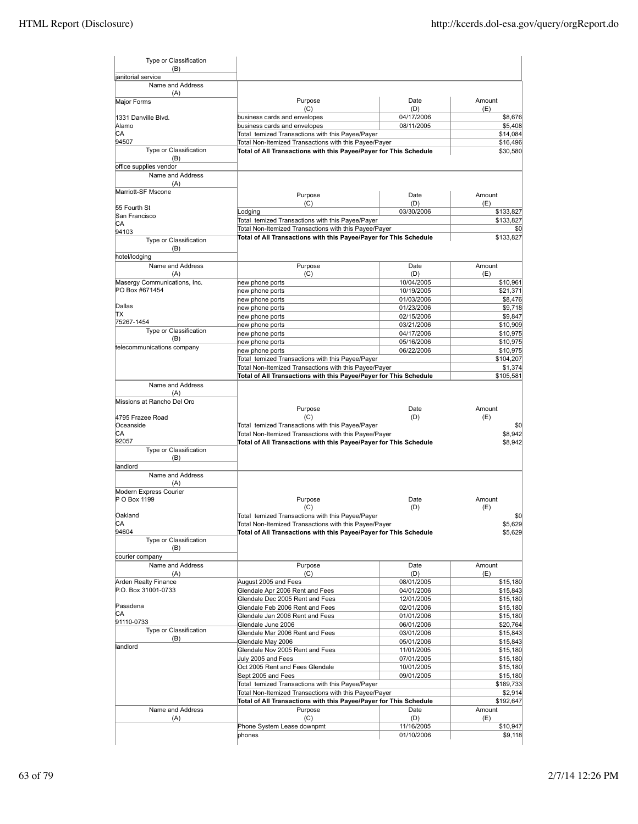| Type or Classification<br>(B) |                                                                                                                            |                          |                                                                                                                                                                                                                              |
|-------------------------------|----------------------------------------------------------------------------------------------------------------------------|--------------------------|------------------------------------------------------------------------------------------------------------------------------------------------------------------------------------------------------------------------------|
| janitorial service            |                                                                                                                            |                          |                                                                                                                                                                                                                              |
| Name and Address<br>(A)       |                                                                                                                            |                          |                                                                                                                                                                                                                              |
| Major Forms                   | Purpose                                                                                                                    | Date                     | Amount                                                                                                                                                                                                                       |
|                               | (C)                                                                                                                        | (D)                      | (E)                                                                                                                                                                                                                          |
| 1331 Danville Blvd.           | business cards and envelopes                                                                                               | 04/17/2006               | \$8,676                                                                                                                                                                                                                      |
| Alamo<br>CA                   | business cards and envelopes                                                                                               | 08/11/2005               | \$5,408                                                                                                                                                                                                                      |
| 94507                         | Total temized Transactions with this Payee/Payer                                                                           |                          | \$14,084                                                                                                                                                                                                                     |
| Type or Classification        | Total Non-Itemized Transactions with this Payee/Payer<br>Total of All Transactions with this Payee/Payer for This Schedule |                          | \$16,496<br>\$30,580                                                                                                                                                                                                         |
| (B)                           |                                                                                                                            |                          |                                                                                                                                                                                                                              |
| office supplies vendor        |                                                                                                                            |                          |                                                                                                                                                                                                                              |
| Name and Address              |                                                                                                                            |                          |                                                                                                                                                                                                                              |
| (A)                           |                                                                                                                            |                          |                                                                                                                                                                                                                              |
| Marriott-SF Mscone            | Purpose                                                                                                                    | Date                     | Amount                                                                                                                                                                                                                       |
| 55 Fourth St                  | (C)                                                                                                                        | (D)                      | (E)                                                                                                                                                                                                                          |
| San Francisco                 | Lodging                                                                                                                    | 03/30/2006               | \$133,827                                                                                                                                                                                                                    |
| CA                            | Total temized Transactions with this Payee/Payer<br>Total Non-Itemized Transactions with this Payee/Payer                  |                          | \$133,827<br>\$0                                                                                                                                                                                                             |
| 94103                         | Total of All Transactions with this Payee/Payer for This Schedule                                                          |                          | \$133,827                                                                                                                                                                                                                    |
| Type or Classification        |                                                                                                                            |                          |                                                                                                                                                                                                                              |
| (B)<br>hotel/lodging          |                                                                                                                            |                          |                                                                                                                                                                                                                              |
| Name and Address              | Purpose                                                                                                                    | Date                     | Amount                                                                                                                                                                                                                       |
| (A)                           | (C)                                                                                                                        | (D)                      | (E)                                                                                                                                                                                                                          |
| Masergy Communications, Inc.  | new phone ports                                                                                                            | 10/04/2005               | \$10,961                                                                                                                                                                                                                     |
| PO Box #671454                | new phone ports                                                                                                            | 10/19/2005               | \$21,371                                                                                                                                                                                                                     |
|                               | new phone ports                                                                                                            | 01/03/2006               | \$8,476                                                                                                                                                                                                                      |
| Dallas                        | new phone ports                                                                                                            | 01/23/2006               | \$9,718                                                                                                                                                                                                                      |
| ТX<br>75267-1454              | new phone ports                                                                                                            | 02/15/2006               | \$9,847                                                                                                                                                                                                                      |
| Type or Classification        | new phone ports                                                                                                            | 03/21/2006               | \$10,909                                                                                                                                                                                                                     |
| (B)                           | new phone ports                                                                                                            | 04/17/2006               | \$10,975                                                                                                                                                                                                                     |
| telecommunications company    | new phone ports<br>new phone ports                                                                                         | 05/16/2006<br>06/22/2006 | \$10,975<br>\$10,975                                                                                                                                                                                                         |
|                               | Total temized Transactions with this Payee/Payer                                                                           |                          | \$104,207                                                                                                                                                                                                                    |
|                               | Total Non-Itemized Transactions with this Payee/Payer                                                                      |                          | \$1,374                                                                                                                                                                                                                      |
|                               | Total of All Transactions with this Payee/Payer for This Schedule                                                          |                          | \$105,581                                                                                                                                                                                                                    |
| Name and Address              |                                                                                                                            |                          |                                                                                                                                                                                                                              |
| (A)                           |                                                                                                                            |                          |                                                                                                                                                                                                                              |
| Missions at Rancho Del Oro    |                                                                                                                            |                          |                                                                                                                                                                                                                              |
|                               | Purpose                                                                                                                    | Date                     | Amount                                                                                                                                                                                                                       |
| 4795 Frazee Road<br>Oceanside | (C)<br>Total temized Transactions with this Payee/Payer                                                                    | (D)                      | (E)                                                                                                                                                                                                                          |
|                               |                                                                                                                            |                          |                                                                                                                                                                                                                              |
|                               |                                                                                                                            |                          | \$0                                                                                                                                                                                                                          |
| СA<br>92057                   | Total Non-Itemized Transactions with this Payee/Payer                                                                      |                          |                                                                                                                                                                                                                              |
| Type or Classification        | Total of All Transactions with this Payee/Payer for This Schedule                                                          |                          |                                                                                                                                                                                                                              |
| (B)                           |                                                                                                                            |                          |                                                                                                                                                                                                                              |
| landlord                      |                                                                                                                            |                          |                                                                                                                                                                                                                              |
| Name and Address              |                                                                                                                            |                          |                                                                                                                                                                                                                              |
| (A)                           |                                                                                                                            |                          |                                                                                                                                                                                                                              |
| Modern Express Courier        |                                                                                                                            |                          |                                                                                                                                                                                                                              |
| P O Box 1199                  | Purpose<br>(C)                                                                                                             | Date<br>(D)              | Amount<br>(E)                                                                                                                                                                                                                |
| Oakland                       | Total temized Transactions with this Payee/Payer                                                                           |                          |                                                                                                                                                                                                                              |
| СA                            | Total Non-Itemized Transactions with this Payee/Payer                                                                      |                          |                                                                                                                                                                                                                              |
| 94604                         | Total of All Transactions with this Payee/Payer for This Schedule                                                          |                          |                                                                                                                                                                                                                              |
| Type or Classification        |                                                                                                                            |                          |                                                                                                                                                                                                                              |
| (B)                           |                                                                                                                            |                          |                                                                                                                                                                                                                              |
| courier company               |                                                                                                                            |                          |                                                                                                                                                                                                                              |
| Name and Address<br>(A)       | Purpose<br>(C)                                                                                                             | Date<br>(D)              | Amount<br>(E)                                                                                                                                                                                                                |
| Arden Realty Finance          | August 2005 and Fees                                                                                                       | 08/01/2005               |                                                                                                                                                                                                                              |
| P.O. Box 31001-0733           | Glendale Apr 2006 Rent and Fees                                                                                            | 04/01/2006               |                                                                                                                                                                                                                              |
|                               | Glendale Dec 2005 Rent and Fees                                                                                            | 12/01/2005               |                                                                                                                                                                                                                              |
| Pasadena                      | Glendale Feb 2006 Rent and Fees                                                                                            | 02/01/2006               |                                                                                                                                                                                                                              |
| CA                            | Glendale Jan 2006 Rent and Fees                                                                                            | 01/01/2006               |                                                                                                                                                                                                                              |
| 91110-0733                    | Glendale June 2006                                                                                                         | 06/01/2006               |                                                                                                                                                                                                                              |
| Type or Classification<br>(B) | Glendale Mar 2006 Rent and Fees                                                                                            | 03/01/2006               |                                                                                                                                                                                                                              |
| landlord                      | Glendale May 2006                                                                                                          | 05/01/2006               |                                                                                                                                                                                                                              |
|                               | Glendale Nov 2005 Rent and Fees<br>July 2005 and Fees                                                                      | 11/01/2005<br>07/01/2005 |                                                                                                                                                                                                                              |
|                               | Oct 2005 Rent and Fees Glendale                                                                                            | 10/01/2005               |                                                                                                                                                                                                                              |
|                               | Sept 2005 and Fees                                                                                                         | 09/01/2005               |                                                                                                                                                                                                                              |
|                               | Total temized Transactions with this Payee/Payer                                                                           |                          |                                                                                                                                                                                                                              |
|                               | Total Non-Itemized Transactions with this Payee/Payer                                                                      |                          | \$8,942<br>\$0                                                                                                                                                                                                               |
|                               | Total of All Transactions with this Payee/Payer for This Schedule                                                          |                          |                                                                                                                                                                                                                              |
| Name and Address              | Purpose                                                                                                                    | Date                     | \$8,942<br>\$5,629<br>\$5,629<br>\$15,180<br>\$15,843<br>\$15,180<br>\$15,180<br>\$15,180<br>\$20,764<br>\$15,843<br>\$15,843<br>\$15,180<br>\$15,180<br>\$15,180<br>\$15,180<br>\$189,733<br>\$2,914<br>\$192,647<br>Amount |
| (A)                           | (C)                                                                                                                        | (D)                      | (E)                                                                                                                                                                                                                          |
|                               | Phone System Lease downpmt<br>phones                                                                                       | 11/16/2005<br>01/10/2006 | \$10,947<br>\$9,118                                                                                                                                                                                                          |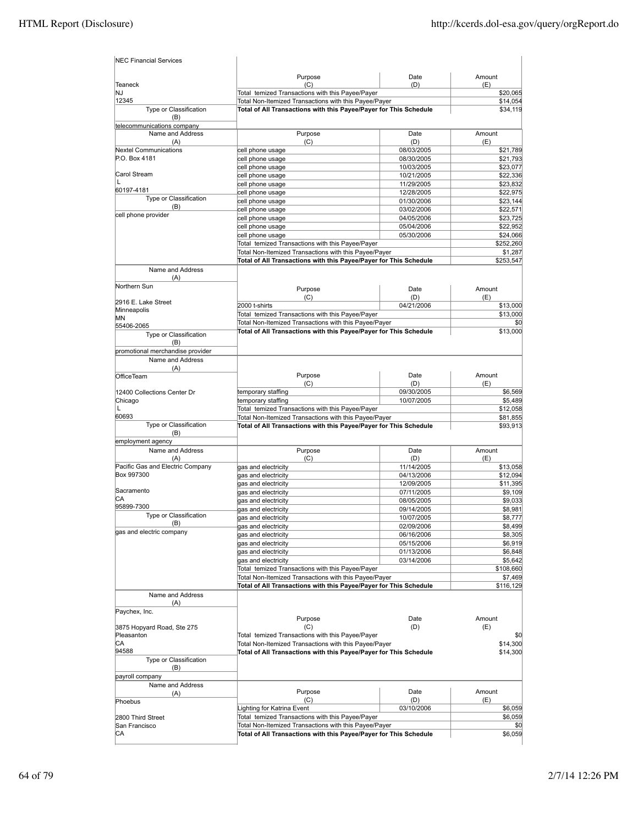| Purpose<br>Date<br>Amount<br>(C)<br><b>Teaneck</b><br>(D)<br>(E)<br>Total temized Transactions with this Payee/Payer<br>INJ<br>12345<br>Total Non-Itemized Transactions with this Payee/Payer<br>Type or Classification<br>Total of All Transactions with this Payee/Payer for This Schedule<br>(B)<br>telecommunications company<br>Name and Address<br>Purpose<br>Date<br>Amount<br>(C)<br>(D)<br>(E)<br>(A)<br><b>Nextel Communications</b><br>cell phone usage<br>08/03/2005<br>P.O. Box 4181<br>cell phone usage<br>08/30/2005<br>10/03/2005<br>cell phone usage<br>Carol Stream<br>10/21/2005<br>cell phone usage<br>L<br>11/29/2005<br>cell phone usage<br>60197-4181<br>cell phone usage<br>12/28/2005<br>Type or Classification<br>01/30/2006<br>\$23,144<br>cell phone usage<br>(B)<br>03/02/2006<br>\$22,571<br>cell phone usage<br>cell phone provider<br>cell phone usage<br>04/05/2006<br>\$23,725<br>cell phone usage<br>\$22,952<br>05/04/2006<br>cell phone usage<br>\$24,066<br>05/30/2006<br>Total temized Transactions with this Payee/Payer<br>\$252,260<br>Total Non-Itemized Transactions with this Payee/Payer<br>\$1,287<br>Total of All Transactions with this Payee/Payer for This Schedule<br>Name and Address<br>(A)<br>Northern Sun<br>Purpose<br>Date<br>Amount<br>(D)<br>(C)<br>(E)<br>2916 E. Lake Street<br>04/21/2006<br>2000 t-shirts<br>\$13,000<br>Minneapolis<br>Total temized Transactions with this Payee/Payer<br>\$13,000<br>ΜN<br>Total Non-Itemized Transactions with this Payee/Payer<br>\$0<br>55406-2065<br>Total of All Transactions with this Payee/Payer for This Schedule<br>\$13,000<br>Type or Classification<br>(B)<br>promotional merchandise provider<br>Name and Address<br>(A)<br>Purpose<br>Date<br>Amount<br><b>OfficeTeam</b><br>(C)<br>(D)<br>(E)<br>temporary staffing<br>09/30/2005<br>\$6,569<br>12400 Collections Center Dr<br>10/07/2005<br>Chicago<br>temporary staffing<br>L<br>Total temized Transactions with this Payee/Payer<br>60693<br>Total Non-Itemized Transactions with this Payee/Payer<br>Type or Classification<br>Total of All Transactions with this Payee/Payer for This Schedule<br>(B)<br>employment agency<br>Name and Address<br>Amount<br>Purpose<br>Date<br>(A)<br>(C)<br>(D)<br>(E)<br>Pacific Gas and Electric Company<br>gas and electricity<br>11/14/2005<br>\$13,058<br>Box 997300<br>04/13/2006<br>\$12,094<br>gas and electricity<br>12/09/2005<br>\$11,395<br>gas and electricity<br>Sacramento<br>gas and electricity<br>07/11/2005<br>\$9,109<br>CА<br>08/05/2005<br>\$9,033<br>gas and electricity<br>95899-7300<br>09/14/2005<br>gas and electricity<br>Type or Classification<br>10/07/2005<br>gas and electricity<br>(B)<br>gas and electricity<br>02/09/2006<br>gas and electric company<br>gas and electricity<br>06/16/2006<br>gas and electricity<br>05/15/2006<br>gas and electricity<br>01/13/2006<br>\$6,848<br>gas and electricity<br>03/14/2006<br>\$5,642<br>Total temized Transactions with this Payee/Payer<br>\$108,660<br>Total Non-Itemized Transactions with this Payee/Payer<br>\$7,469<br>Total of All Transactions with this Payee/Payer for This Schedule<br>\$116,129<br>Name and Address<br>(A)<br>Paychex, Inc.<br>Amount<br>Purpose<br>Date<br>(C)<br>(D)<br>(E)<br>3875 Hopyard Road, Ste 275<br>Pleasanton<br>Total temized Transactions with this Payee/Payer<br>CА<br>Total Non-Itemized Transactions with this Payee/Payer<br>94588<br>Total of All Transactions with this Payee/Payer for This Schedule<br>Type or Classification<br>(B)<br>payroll company<br>Name and Address<br>Purpose<br>Date<br>Amount<br>(A)<br>(C)<br>(D)<br>(E)<br>Phoebus<br>Lighting for Katrina Event<br>03/10/2006<br>\$6,059<br>Total temized Transactions with this Payee/Payer<br>2800 Third Street<br>Total Non-Itemized Transactions with this Payee/Payer<br>San Francisco<br>Total of All Transactions with this Payee/Payer for This Schedule<br>CA | <b>NEC Financial Services</b> |  |           |
|----------------------------------------------------------------------------------------------------------------------------------------------------------------------------------------------------------------------------------------------------------------------------------------------------------------------------------------------------------------------------------------------------------------------------------------------------------------------------------------------------------------------------------------------------------------------------------------------------------------------------------------------------------------------------------------------------------------------------------------------------------------------------------------------------------------------------------------------------------------------------------------------------------------------------------------------------------------------------------------------------------------------------------------------------------------------------------------------------------------------------------------------------------------------------------------------------------------------------------------------------------------------------------------------------------------------------------------------------------------------------------------------------------------------------------------------------------------------------------------------------------------------------------------------------------------------------------------------------------------------------------------------------------------------------------------------------------------------------------------------------------------------------------------------------------------------------------------------------------------------------------------------------------------------------------------------------------------------------------------------------------------------------------------------------------------------------------------------------------------------------------------------------------------------------------------------------------------------------------------------------------------------------------------------------------------------------------------------------------------------------------------------------------------------------------------------------------------------------------------------------------------------------------------------------------------------------------------------------------------------------------------------------------------------------------------------------------------------------------------------------------------------------------------------------------------------------------------------------------------------------------------------------------------------------------------------------------------------------------------------------------------------------------------------------------------------------------------------------------------------------------------------------------------------------------------------------------------------------------------------------------------------------------------------------------------------------------------------------------------------------------------------------------------------------------------------------------------------------------------------------------------------------------------------------------------------------------------------------------------------------------------------------------------------------------------------------------------------------------------------------------------------------------------------------------------------------------------------------------------------------------------------------------------------------------------------------------------------------------|-------------------------------|--|-----------|
|                                                                                                                                                                                                                                                                                                                                                                                                                                                                                                                                                                                                                                                                                                                                                                                                                                                                                                                                                                                                                                                                                                                                                                                                                                                                                                                                                                                                                                                                                                                                                                                                                                                                                                                                                                                                                                                                                                                                                                                                                                                                                                                                                                                                                                                                                                                                                                                                                                                                                                                                                                                                                                                                                                                                                                                                                                                                                                                                                                                                                                                                                                                                                                                                                                                                                                                                                                                                                                                                                                                                                                                                                                                                                                                                                                                                                                                                                                                                                                                  |                               |  |           |
|                                                                                                                                                                                                                                                                                                                                                                                                                                                                                                                                                                                                                                                                                                                                                                                                                                                                                                                                                                                                                                                                                                                                                                                                                                                                                                                                                                                                                                                                                                                                                                                                                                                                                                                                                                                                                                                                                                                                                                                                                                                                                                                                                                                                                                                                                                                                                                                                                                                                                                                                                                                                                                                                                                                                                                                                                                                                                                                                                                                                                                                                                                                                                                                                                                                                                                                                                                                                                                                                                                                                                                                                                                                                                                                                                                                                                                                                                                                                                                                  |                               |  |           |
|                                                                                                                                                                                                                                                                                                                                                                                                                                                                                                                                                                                                                                                                                                                                                                                                                                                                                                                                                                                                                                                                                                                                                                                                                                                                                                                                                                                                                                                                                                                                                                                                                                                                                                                                                                                                                                                                                                                                                                                                                                                                                                                                                                                                                                                                                                                                                                                                                                                                                                                                                                                                                                                                                                                                                                                                                                                                                                                                                                                                                                                                                                                                                                                                                                                                                                                                                                                                                                                                                                                                                                                                                                                                                                                                                                                                                                                                                                                                                                                  |                               |  | \$20,065  |
|                                                                                                                                                                                                                                                                                                                                                                                                                                                                                                                                                                                                                                                                                                                                                                                                                                                                                                                                                                                                                                                                                                                                                                                                                                                                                                                                                                                                                                                                                                                                                                                                                                                                                                                                                                                                                                                                                                                                                                                                                                                                                                                                                                                                                                                                                                                                                                                                                                                                                                                                                                                                                                                                                                                                                                                                                                                                                                                                                                                                                                                                                                                                                                                                                                                                                                                                                                                                                                                                                                                                                                                                                                                                                                                                                                                                                                                                                                                                                                                  |                               |  | \$14,054  |
|                                                                                                                                                                                                                                                                                                                                                                                                                                                                                                                                                                                                                                                                                                                                                                                                                                                                                                                                                                                                                                                                                                                                                                                                                                                                                                                                                                                                                                                                                                                                                                                                                                                                                                                                                                                                                                                                                                                                                                                                                                                                                                                                                                                                                                                                                                                                                                                                                                                                                                                                                                                                                                                                                                                                                                                                                                                                                                                                                                                                                                                                                                                                                                                                                                                                                                                                                                                                                                                                                                                                                                                                                                                                                                                                                                                                                                                                                                                                                                                  |                               |  | \$34,119  |
|                                                                                                                                                                                                                                                                                                                                                                                                                                                                                                                                                                                                                                                                                                                                                                                                                                                                                                                                                                                                                                                                                                                                                                                                                                                                                                                                                                                                                                                                                                                                                                                                                                                                                                                                                                                                                                                                                                                                                                                                                                                                                                                                                                                                                                                                                                                                                                                                                                                                                                                                                                                                                                                                                                                                                                                                                                                                                                                                                                                                                                                                                                                                                                                                                                                                                                                                                                                                                                                                                                                                                                                                                                                                                                                                                                                                                                                                                                                                                                                  |                               |  |           |
|                                                                                                                                                                                                                                                                                                                                                                                                                                                                                                                                                                                                                                                                                                                                                                                                                                                                                                                                                                                                                                                                                                                                                                                                                                                                                                                                                                                                                                                                                                                                                                                                                                                                                                                                                                                                                                                                                                                                                                                                                                                                                                                                                                                                                                                                                                                                                                                                                                                                                                                                                                                                                                                                                                                                                                                                                                                                                                                                                                                                                                                                                                                                                                                                                                                                                                                                                                                                                                                                                                                                                                                                                                                                                                                                                                                                                                                                                                                                                                                  |                               |  |           |
|                                                                                                                                                                                                                                                                                                                                                                                                                                                                                                                                                                                                                                                                                                                                                                                                                                                                                                                                                                                                                                                                                                                                                                                                                                                                                                                                                                                                                                                                                                                                                                                                                                                                                                                                                                                                                                                                                                                                                                                                                                                                                                                                                                                                                                                                                                                                                                                                                                                                                                                                                                                                                                                                                                                                                                                                                                                                                                                                                                                                                                                                                                                                                                                                                                                                                                                                                                                                                                                                                                                                                                                                                                                                                                                                                                                                                                                                                                                                                                                  |                               |  | \$21,789  |
|                                                                                                                                                                                                                                                                                                                                                                                                                                                                                                                                                                                                                                                                                                                                                                                                                                                                                                                                                                                                                                                                                                                                                                                                                                                                                                                                                                                                                                                                                                                                                                                                                                                                                                                                                                                                                                                                                                                                                                                                                                                                                                                                                                                                                                                                                                                                                                                                                                                                                                                                                                                                                                                                                                                                                                                                                                                                                                                                                                                                                                                                                                                                                                                                                                                                                                                                                                                                                                                                                                                                                                                                                                                                                                                                                                                                                                                                                                                                                                                  |                               |  | \$21,793  |
|                                                                                                                                                                                                                                                                                                                                                                                                                                                                                                                                                                                                                                                                                                                                                                                                                                                                                                                                                                                                                                                                                                                                                                                                                                                                                                                                                                                                                                                                                                                                                                                                                                                                                                                                                                                                                                                                                                                                                                                                                                                                                                                                                                                                                                                                                                                                                                                                                                                                                                                                                                                                                                                                                                                                                                                                                                                                                                                                                                                                                                                                                                                                                                                                                                                                                                                                                                                                                                                                                                                                                                                                                                                                                                                                                                                                                                                                                                                                                                                  |                               |  | \$23,077  |
|                                                                                                                                                                                                                                                                                                                                                                                                                                                                                                                                                                                                                                                                                                                                                                                                                                                                                                                                                                                                                                                                                                                                                                                                                                                                                                                                                                                                                                                                                                                                                                                                                                                                                                                                                                                                                                                                                                                                                                                                                                                                                                                                                                                                                                                                                                                                                                                                                                                                                                                                                                                                                                                                                                                                                                                                                                                                                                                                                                                                                                                                                                                                                                                                                                                                                                                                                                                                                                                                                                                                                                                                                                                                                                                                                                                                                                                                                                                                                                                  |                               |  | \$22,336  |
|                                                                                                                                                                                                                                                                                                                                                                                                                                                                                                                                                                                                                                                                                                                                                                                                                                                                                                                                                                                                                                                                                                                                                                                                                                                                                                                                                                                                                                                                                                                                                                                                                                                                                                                                                                                                                                                                                                                                                                                                                                                                                                                                                                                                                                                                                                                                                                                                                                                                                                                                                                                                                                                                                                                                                                                                                                                                                                                                                                                                                                                                                                                                                                                                                                                                                                                                                                                                                                                                                                                                                                                                                                                                                                                                                                                                                                                                                                                                                                                  |                               |  | \$23,832  |
|                                                                                                                                                                                                                                                                                                                                                                                                                                                                                                                                                                                                                                                                                                                                                                                                                                                                                                                                                                                                                                                                                                                                                                                                                                                                                                                                                                                                                                                                                                                                                                                                                                                                                                                                                                                                                                                                                                                                                                                                                                                                                                                                                                                                                                                                                                                                                                                                                                                                                                                                                                                                                                                                                                                                                                                                                                                                                                                                                                                                                                                                                                                                                                                                                                                                                                                                                                                                                                                                                                                                                                                                                                                                                                                                                                                                                                                                                                                                                                                  |                               |  | \$22,975  |
|                                                                                                                                                                                                                                                                                                                                                                                                                                                                                                                                                                                                                                                                                                                                                                                                                                                                                                                                                                                                                                                                                                                                                                                                                                                                                                                                                                                                                                                                                                                                                                                                                                                                                                                                                                                                                                                                                                                                                                                                                                                                                                                                                                                                                                                                                                                                                                                                                                                                                                                                                                                                                                                                                                                                                                                                                                                                                                                                                                                                                                                                                                                                                                                                                                                                                                                                                                                                                                                                                                                                                                                                                                                                                                                                                                                                                                                                                                                                                                                  |                               |  |           |
|                                                                                                                                                                                                                                                                                                                                                                                                                                                                                                                                                                                                                                                                                                                                                                                                                                                                                                                                                                                                                                                                                                                                                                                                                                                                                                                                                                                                                                                                                                                                                                                                                                                                                                                                                                                                                                                                                                                                                                                                                                                                                                                                                                                                                                                                                                                                                                                                                                                                                                                                                                                                                                                                                                                                                                                                                                                                                                                                                                                                                                                                                                                                                                                                                                                                                                                                                                                                                                                                                                                                                                                                                                                                                                                                                                                                                                                                                                                                                                                  |                               |  |           |
|                                                                                                                                                                                                                                                                                                                                                                                                                                                                                                                                                                                                                                                                                                                                                                                                                                                                                                                                                                                                                                                                                                                                                                                                                                                                                                                                                                                                                                                                                                                                                                                                                                                                                                                                                                                                                                                                                                                                                                                                                                                                                                                                                                                                                                                                                                                                                                                                                                                                                                                                                                                                                                                                                                                                                                                                                                                                                                                                                                                                                                                                                                                                                                                                                                                                                                                                                                                                                                                                                                                                                                                                                                                                                                                                                                                                                                                                                                                                                                                  |                               |  |           |
|                                                                                                                                                                                                                                                                                                                                                                                                                                                                                                                                                                                                                                                                                                                                                                                                                                                                                                                                                                                                                                                                                                                                                                                                                                                                                                                                                                                                                                                                                                                                                                                                                                                                                                                                                                                                                                                                                                                                                                                                                                                                                                                                                                                                                                                                                                                                                                                                                                                                                                                                                                                                                                                                                                                                                                                                                                                                                                                                                                                                                                                                                                                                                                                                                                                                                                                                                                                                                                                                                                                                                                                                                                                                                                                                                                                                                                                                                                                                                                                  |                               |  |           |
|                                                                                                                                                                                                                                                                                                                                                                                                                                                                                                                                                                                                                                                                                                                                                                                                                                                                                                                                                                                                                                                                                                                                                                                                                                                                                                                                                                                                                                                                                                                                                                                                                                                                                                                                                                                                                                                                                                                                                                                                                                                                                                                                                                                                                                                                                                                                                                                                                                                                                                                                                                                                                                                                                                                                                                                                                                                                                                                                                                                                                                                                                                                                                                                                                                                                                                                                                                                                                                                                                                                                                                                                                                                                                                                                                                                                                                                                                                                                                                                  |                               |  |           |
|                                                                                                                                                                                                                                                                                                                                                                                                                                                                                                                                                                                                                                                                                                                                                                                                                                                                                                                                                                                                                                                                                                                                                                                                                                                                                                                                                                                                                                                                                                                                                                                                                                                                                                                                                                                                                                                                                                                                                                                                                                                                                                                                                                                                                                                                                                                                                                                                                                                                                                                                                                                                                                                                                                                                                                                                                                                                                                                                                                                                                                                                                                                                                                                                                                                                                                                                                                                                                                                                                                                                                                                                                                                                                                                                                                                                                                                                                                                                                                                  |                               |  |           |
|                                                                                                                                                                                                                                                                                                                                                                                                                                                                                                                                                                                                                                                                                                                                                                                                                                                                                                                                                                                                                                                                                                                                                                                                                                                                                                                                                                                                                                                                                                                                                                                                                                                                                                                                                                                                                                                                                                                                                                                                                                                                                                                                                                                                                                                                                                                                                                                                                                                                                                                                                                                                                                                                                                                                                                                                                                                                                                                                                                                                                                                                                                                                                                                                                                                                                                                                                                                                                                                                                                                                                                                                                                                                                                                                                                                                                                                                                                                                                                                  |                               |  | \$253,547 |
|                                                                                                                                                                                                                                                                                                                                                                                                                                                                                                                                                                                                                                                                                                                                                                                                                                                                                                                                                                                                                                                                                                                                                                                                                                                                                                                                                                                                                                                                                                                                                                                                                                                                                                                                                                                                                                                                                                                                                                                                                                                                                                                                                                                                                                                                                                                                                                                                                                                                                                                                                                                                                                                                                                                                                                                                                                                                                                                                                                                                                                                                                                                                                                                                                                                                                                                                                                                                                                                                                                                                                                                                                                                                                                                                                                                                                                                                                                                                                                                  |                               |  |           |
|                                                                                                                                                                                                                                                                                                                                                                                                                                                                                                                                                                                                                                                                                                                                                                                                                                                                                                                                                                                                                                                                                                                                                                                                                                                                                                                                                                                                                                                                                                                                                                                                                                                                                                                                                                                                                                                                                                                                                                                                                                                                                                                                                                                                                                                                                                                                                                                                                                                                                                                                                                                                                                                                                                                                                                                                                                                                                                                                                                                                                                                                                                                                                                                                                                                                                                                                                                                                                                                                                                                                                                                                                                                                                                                                                                                                                                                                                                                                                                                  |                               |  |           |
|                                                                                                                                                                                                                                                                                                                                                                                                                                                                                                                                                                                                                                                                                                                                                                                                                                                                                                                                                                                                                                                                                                                                                                                                                                                                                                                                                                                                                                                                                                                                                                                                                                                                                                                                                                                                                                                                                                                                                                                                                                                                                                                                                                                                                                                                                                                                                                                                                                                                                                                                                                                                                                                                                                                                                                                                                                                                                                                                                                                                                                                                                                                                                                                                                                                                                                                                                                                                                                                                                                                                                                                                                                                                                                                                                                                                                                                                                                                                                                                  |                               |  |           |
|                                                                                                                                                                                                                                                                                                                                                                                                                                                                                                                                                                                                                                                                                                                                                                                                                                                                                                                                                                                                                                                                                                                                                                                                                                                                                                                                                                                                                                                                                                                                                                                                                                                                                                                                                                                                                                                                                                                                                                                                                                                                                                                                                                                                                                                                                                                                                                                                                                                                                                                                                                                                                                                                                                                                                                                                                                                                                                                                                                                                                                                                                                                                                                                                                                                                                                                                                                                                                                                                                                                                                                                                                                                                                                                                                                                                                                                                                                                                                                                  |                               |  |           |
|                                                                                                                                                                                                                                                                                                                                                                                                                                                                                                                                                                                                                                                                                                                                                                                                                                                                                                                                                                                                                                                                                                                                                                                                                                                                                                                                                                                                                                                                                                                                                                                                                                                                                                                                                                                                                                                                                                                                                                                                                                                                                                                                                                                                                                                                                                                                                                                                                                                                                                                                                                                                                                                                                                                                                                                                                                                                                                                                                                                                                                                                                                                                                                                                                                                                                                                                                                                                                                                                                                                                                                                                                                                                                                                                                                                                                                                                                                                                                                                  |                               |  |           |
|                                                                                                                                                                                                                                                                                                                                                                                                                                                                                                                                                                                                                                                                                                                                                                                                                                                                                                                                                                                                                                                                                                                                                                                                                                                                                                                                                                                                                                                                                                                                                                                                                                                                                                                                                                                                                                                                                                                                                                                                                                                                                                                                                                                                                                                                                                                                                                                                                                                                                                                                                                                                                                                                                                                                                                                                                                                                                                                                                                                                                                                                                                                                                                                                                                                                                                                                                                                                                                                                                                                                                                                                                                                                                                                                                                                                                                                                                                                                                                                  |                               |  |           |
|                                                                                                                                                                                                                                                                                                                                                                                                                                                                                                                                                                                                                                                                                                                                                                                                                                                                                                                                                                                                                                                                                                                                                                                                                                                                                                                                                                                                                                                                                                                                                                                                                                                                                                                                                                                                                                                                                                                                                                                                                                                                                                                                                                                                                                                                                                                                                                                                                                                                                                                                                                                                                                                                                                                                                                                                                                                                                                                                                                                                                                                                                                                                                                                                                                                                                                                                                                                                                                                                                                                                                                                                                                                                                                                                                                                                                                                                                                                                                                                  |                               |  |           |
|                                                                                                                                                                                                                                                                                                                                                                                                                                                                                                                                                                                                                                                                                                                                                                                                                                                                                                                                                                                                                                                                                                                                                                                                                                                                                                                                                                                                                                                                                                                                                                                                                                                                                                                                                                                                                                                                                                                                                                                                                                                                                                                                                                                                                                                                                                                                                                                                                                                                                                                                                                                                                                                                                                                                                                                                                                                                                                                                                                                                                                                                                                                                                                                                                                                                                                                                                                                                                                                                                                                                                                                                                                                                                                                                                                                                                                                                                                                                                                                  |                               |  |           |
|                                                                                                                                                                                                                                                                                                                                                                                                                                                                                                                                                                                                                                                                                                                                                                                                                                                                                                                                                                                                                                                                                                                                                                                                                                                                                                                                                                                                                                                                                                                                                                                                                                                                                                                                                                                                                                                                                                                                                                                                                                                                                                                                                                                                                                                                                                                                                                                                                                                                                                                                                                                                                                                                                                                                                                                                                                                                                                                                                                                                                                                                                                                                                                                                                                                                                                                                                                                                                                                                                                                                                                                                                                                                                                                                                                                                                                                                                                                                                                                  |                               |  |           |
|                                                                                                                                                                                                                                                                                                                                                                                                                                                                                                                                                                                                                                                                                                                                                                                                                                                                                                                                                                                                                                                                                                                                                                                                                                                                                                                                                                                                                                                                                                                                                                                                                                                                                                                                                                                                                                                                                                                                                                                                                                                                                                                                                                                                                                                                                                                                                                                                                                                                                                                                                                                                                                                                                                                                                                                                                                                                                                                                                                                                                                                                                                                                                                                                                                                                                                                                                                                                                                                                                                                                                                                                                                                                                                                                                                                                                                                                                                                                                                                  |                               |  |           |
|                                                                                                                                                                                                                                                                                                                                                                                                                                                                                                                                                                                                                                                                                                                                                                                                                                                                                                                                                                                                                                                                                                                                                                                                                                                                                                                                                                                                                                                                                                                                                                                                                                                                                                                                                                                                                                                                                                                                                                                                                                                                                                                                                                                                                                                                                                                                                                                                                                                                                                                                                                                                                                                                                                                                                                                                                                                                                                                                                                                                                                                                                                                                                                                                                                                                                                                                                                                                                                                                                                                                                                                                                                                                                                                                                                                                                                                                                                                                                                                  |                               |  |           |
|                                                                                                                                                                                                                                                                                                                                                                                                                                                                                                                                                                                                                                                                                                                                                                                                                                                                                                                                                                                                                                                                                                                                                                                                                                                                                                                                                                                                                                                                                                                                                                                                                                                                                                                                                                                                                                                                                                                                                                                                                                                                                                                                                                                                                                                                                                                                                                                                                                                                                                                                                                                                                                                                                                                                                                                                                                                                                                                                                                                                                                                                                                                                                                                                                                                                                                                                                                                                                                                                                                                                                                                                                                                                                                                                                                                                                                                                                                                                                                                  |                               |  |           |
|                                                                                                                                                                                                                                                                                                                                                                                                                                                                                                                                                                                                                                                                                                                                                                                                                                                                                                                                                                                                                                                                                                                                                                                                                                                                                                                                                                                                                                                                                                                                                                                                                                                                                                                                                                                                                                                                                                                                                                                                                                                                                                                                                                                                                                                                                                                                                                                                                                                                                                                                                                                                                                                                                                                                                                                                                                                                                                                                                                                                                                                                                                                                                                                                                                                                                                                                                                                                                                                                                                                                                                                                                                                                                                                                                                                                                                                                                                                                                                                  |                               |  | \$5,489   |
|                                                                                                                                                                                                                                                                                                                                                                                                                                                                                                                                                                                                                                                                                                                                                                                                                                                                                                                                                                                                                                                                                                                                                                                                                                                                                                                                                                                                                                                                                                                                                                                                                                                                                                                                                                                                                                                                                                                                                                                                                                                                                                                                                                                                                                                                                                                                                                                                                                                                                                                                                                                                                                                                                                                                                                                                                                                                                                                                                                                                                                                                                                                                                                                                                                                                                                                                                                                                                                                                                                                                                                                                                                                                                                                                                                                                                                                                                                                                                                                  |                               |  | \$12,058  |
|                                                                                                                                                                                                                                                                                                                                                                                                                                                                                                                                                                                                                                                                                                                                                                                                                                                                                                                                                                                                                                                                                                                                                                                                                                                                                                                                                                                                                                                                                                                                                                                                                                                                                                                                                                                                                                                                                                                                                                                                                                                                                                                                                                                                                                                                                                                                                                                                                                                                                                                                                                                                                                                                                                                                                                                                                                                                                                                                                                                                                                                                                                                                                                                                                                                                                                                                                                                                                                                                                                                                                                                                                                                                                                                                                                                                                                                                                                                                                                                  |                               |  | \$81,855  |
|                                                                                                                                                                                                                                                                                                                                                                                                                                                                                                                                                                                                                                                                                                                                                                                                                                                                                                                                                                                                                                                                                                                                                                                                                                                                                                                                                                                                                                                                                                                                                                                                                                                                                                                                                                                                                                                                                                                                                                                                                                                                                                                                                                                                                                                                                                                                                                                                                                                                                                                                                                                                                                                                                                                                                                                                                                                                                                                                                                                                                                                                                                                                                                                                                                                                                                                                                                                                                                                                                                                                                                                                                                                                                                                                                                                                                                                                                                                                                                                  |                               |  | \$93,913  |
|                                                                                                                                                                                                                                                                                                                                                                                                                                                                                                                                                                                                                                                                                                                                                                                                                                                                                                                                                                                                                                                                                                                                                                                                                                                                                                                                                                                                                                                                                                                                                                                                                                                                                                                                                                                                                                                                                                                                                                                                                                                                                                                                                                                                                                                                                                                                                                                                                                                                                                                                                                                                                                                                                                                                                                                                                                                                                                                                                                                                                                                                                                                                                                                                                                                                                                                                                                                                                                                                                                                                                                                                                                                                                                                                                                                                                                                                                                                                                                                  |                               |  |           |
|                                                                                                                                                                                                                                                                                                                                                                                                                                                                                                                                                                                                                                                                                                                                                                                                                                                                                                                                                                                                                                                                                                                                                                                                                                                                                                                                                                                                                                                                                                                                                                                                                                                                                                                                                                                                                                                                                                                                                                                                                                                                                                                                                                                                                                                                                                                                                                                                                                                                                                                                                                                                                                                                                                                                                                                                                                                                                                                                                                                                                                                                                                                                                                                                                                                                                                                                                                                                                                                                                                                                                                                                                                                                                                                                                                                                                                                                                                                                                                                  |                               |  |           |
|                                                                                                                                                                                                                                                                                                                                                                                                                                                                                                                                                                                                                                                                                                                                                                                                                                                                                                                                                                                                                                                                                                                                                                                                                                                                                                                                                                                                                                                                                                                                                                                                                                                                                                                                                                                                                                                                                                                                                                                                                                                                                                                                                                                                                                                                                                                                                                                                                                                                                                                                                                                                                                                                                                                                                                                                                                                                                                                                                                                                                                                                                                                                                                                                                                                                                                                                                                                                                                                                                                                                                                                                                                                                                                                                                                                                                                                                                                                                                                                  |                               |  |           |
|                                                                                                                                                                                                                                                                                                                                                                                                                                                                                                                                                                                                                                                                                                                                                                                                                                                                                                                                                                                                                                                                                                                                                                                                                                                                                                                                                                                                                                                                                                                                                                                                                                                                                                                                                                                                                                                                                                                                                                                                                                                                                                                                                                                                                                                                                                                                                                                                                                                                                                                                                                                                                                                                                                                                                                                                                                                                                                                                                                                                                                                                                                                                                                                                                                                                                                                                                                                                                                                                                                                                                                                                                                                                                                                                                                                                                                                                                                                                                                                  |                               |  |           |
|                                                                                                                                                                                                                                                                                                                                                                                                                                                                                                                                                                                                                                                                                                                                                                                                                                                                                                                                                                                                                                                                                                                                                                                                                                                                                                                                                                                                                                                                                                                                                                                                                                                                                                                                                                                                                                                                                                                                                                                                                                                                                                                                                                                                                                                                                                                                                                                                                                                                                                                                                                                                                                                                                                                                                                                                                                                                                                                                                                                                                                                                                                                                                                                                                                                                                                                                                                                                                                                                                                                                                                                                                                                                                                                                                                                                                                                                                                                                                                                  |                               |  |           |
|                                                                                                                                                                                                                                                                                                                                                                                                                                                                                                                                                                                                                                                                                                                                                                                                                                                                                                                                                                                                                                                                                                                                                                                                                                                                                                                                                                                                                                                                                                                                                                                                                                                                                                                                                                                                                                                                                                                                                                                                                                                                                                                                                                                                                                                                                                                                                                                                                                                                                                                                                                                                                                                                                                                                                                                                                                                                                                                                                                                                                                                                                                                                                                                                                                                                                                                                                                                                                                                                                                                                                                                                                                                                                                                                                                                                                                                                                                                                                                                  |                               |  |           |
|                                                                                                                                                                                                                                                                                                                                                                                                                                                                                                                                                                                                                                                                                                                                                                                                                                                                                                                                                                                                                                                                                                                                                                                                                                                                                                                                                                                                                                                                                                                                                                                                                                                                                                                                                                                                                                                                                                                                                                                                                                                                                                                                                                                                                                                                                                                                                                                                                                                                                                                                                                                                                                                                                                                                                                                                                                                                                                                                                                                                                                                                                                                                                                                                                                                                                                                                                                                                                                                                                                                                                                                                                                                                                                                                                                                                                                                                                                                                                                                  |                               |  |           |
|                                                                                                                                                                                                                                                                                                                                                                                                                                                                                                                                                                                                                                                                                                                                                                                                                                                                                                                                                                                                                                                                                                                                                                                                                                                                                                                                                                                                                                                                                                                                                                                                                                                                                                                                                                                                                                                                                                                                                                                                                                                                                                                                                                                                                                                                                                                                                                                                                                                                                                                                                                                                                                                                                                                                                                                                                                                                                                                                                                                                                                                                                                                                                                                                                                                                                                                                                                                                                                                                                                                                                                                                                                                                                                                                                                                                                                                                                                                                                                                  |                               |  | \$8,981   |
|                                                                                                                                                                                                                                                                                                                                                                                                                                                                                                                                                                                                                                                                                                                                                                                                                                                                                                                                                                                                                                                                                                                                                                                                                                                                                                                                                                                                                                                                                                                                                                                                                                                                                                                                                                                                                                                                                                                                                                                                                                                                                                                                                                                                                                                                                                                                                                                                                                                                                                                                                                                                                                                                                                                                                                                                                                                                                                                                                                                                                                                                                                                                                                                                                                                                                                                                                                                                                                                                                                                                                                                                                                                                                                                                                                                                                                                                                                                                                                                  |                               |  | \$8,777   |
|                                                                                                                                                                                                                                                                                                                                                                                                                                                                                                                                                                                                                                                                                                                                                                                                                                                                                                                                                                                                                                                                                                                                                                                                                                                                                                                                                                                                                                                                                                                                                                                                                                                                                                                                                                                                                                                                                                                                                                                                                                                                                                                                                                                                                                                                                                                                                                                                                                                                                                                                                                                                                                                                                                                                                                                                                                                                                                                                                                                                                                                                                                                                                                                                                                                                                                                                                                                                                                                                                                                                                                                                                                                                                                                                                                                                                                                                                                                                                                                  |                               |  | \$8,499   |
|                                                                                                                                                                                                                                                                                                                                                                                                                                                                                                                                                                                                                                                                                                                                                                                                                                                                                                                                                                                                                                                                                                                                                                                                                                                                                                                                                                                                                                                                                                                                                                                                                                                                                                                                                                                                                                                                                                                                                                                                                                                                                                                                                                                                                                                                                                                                                                                                                                                                                                                                                                                                                                                                                                                                                                                                                                                                                                                                                                                                                                                                                                                                                                                                                                                                                                                                                                                                                                                                                                                                                                                                                                                                                                                                                                                                                                                                                                                                                                                  |                               |  | \$8,305   |
|                                                                                                                                                                                                                                                                                                                                                                                                                                                                                                                                                                                                                                                                                                                                                                                                                                                                                                                                                                                                                                                                                                                                                                                                                                                                                                                                                                                                                                                                                                                                                                                                                                                                                                                                                                                                                                                                                                                                                                                                                                                                                                                                                                                                                                                                                                                                                                                                                                                                                                                                                                                                                                                                                                                                                                                                                                                                                                                                                                                                                                                                                                                                                                                                                                                                                                                                                                                                                                                                                                                                                                                                                                                                                                                                                                                                                                                                                                                                                                                  |                               |  | \$6,919   |
|                                                                                                                                                                                                                                                                                                                                                                                                                                                                                                                                                                                                                                                                                                                                                                                                                                                                                                                                                                                                                                                                                                                                                                                                                                                                                                                                                                                                                                                                                                                                                                                                                                                                                                                                                                                                                                                                                                                                                                                                                                                                                                                                                                                                                                                                                                                                                                                                                                                                                                                                                                                                                                                                                                                                                                                                                                                                                                                                                                                                                                                                                                                                                                                                                                                                                                                                                                                                                                                                                                                                                                                                                                                                                                                                                                                                                                                                                                                                                                                  |                               |  |           |
|                                                                                                                                                                                                                                                                                                                                                                                                                                                                                                                                                                                                                                                                                                                                                                                                                                                                                                                                                                                                                                                                                                                                                                                                                                                                                                                                                                                                                                                                                                                                                                                                                                                                                                                                                                                                                                                                                                                                                                                                                                                                                                                                                                                                                                                                                                                                                                                                                                                                                                                                                                                                                                                                                                                                                                                                                                                                                                                                                                                                                                                                                                                                                                                                                                                                                                                                                                                                                                                                                                                                                                                                                                                                                                                                                                                                                                                                                                                                                                                  |                               |  |           |
|                                                                                                                                                                                                                                                                                                                                                                                                                                                                                                                                                                                                                                                                                                                                                                                                                                                                                                                                                                                                                                                                                                                                                                                                                                                                                                                                                                                                                                                                                                                                                                                                                                                                                                                                                                                                                                                                                                                                                                                                                                                                                                                                                                                                                                                                                                                                                                                                                                                                                                                                                                                                                                                                                                                                                                                                                                                                                                                                                                                                                                                                                                                                                                                                                                                                                                                                                                                                                                                                                                                                                                                                                                                                                                                                                                                                                                                                                                                                                                                  |                               |  |           |
|                                                                                                                                                                                                                                                                                                                                                                                                                                                                                                                                                                                                                                                                                                                                                                                                                                                                                                                                                                                                                                                                                                                                                                                                                                                                                                                                                                                                                                                                                                                                                                                                                                                                                                                                                                                                                                                                                                                                                                                                                                                                                                                                                                                                                                                                                                                                                                                                                                                                                                                                                                                                                                                                                                                                                                                                                                                                                                                                                                                                                                                                                                                                                                                                                                                                                                                                                                                                                                                                                                                                                                                                                                                                                                                                                                                                                                                                                                                                                                                  |                               |  |           |
|                                                                                                                                                                                                                                                                                                                                                                                                                                                                                                                                                                                                                                                                                                                                                                                                                                                                                                                                                                                                                                                                                                                                                                                                                                                                                                                                                                                                                                                                                                                                                                                                                                                                                                                                                                                                                                                                                                                                                                                                                                                                                                                                                                                                                                                                                                                                                                                                                                                                                                                                                                                                                                                                                                                                                                                                                                                                                                                                                                                                                                                                                                                                                                                                                                                                                                                                                                                                                                                                                                                                                                                                                                                                                                                                                                                                                                                                                                                                                                                  |                               |  |           |
|                                                                                                                                                                                                                                                                                                                                                                                                                                                                                                                                                                                                                                                                                                                                                                                                                                                                                                                                                                                                                                                                                                                                                                                                                                                                                                                                                                                                                                                                                                                                                                                                                                                                                                                                                                                                                                                                                                                                                                                                                                                                                                                                                                                                                                                                                                                                                                                                                                                                                                                                                                                                                                                                                                                                                                                                                                                                                                                                                                                                                                                                                                                                                                                                                                                                                                                                                                                                                                                                                                                                                                                                                                                                                                                                                                                                                                                                                                                                                                                  |                               |  |           |
|                                                                                                                                                                                                                                                                                                                                                                                                                                                                                                                                                                                                                                                                                                                                                                                                                                                                                                                                                                                                                                                                                                                                                                                                                                                                                                                                                                                                                                                                                                                                                                                                                                                                                                                                                                                                                                                                                                                                                                                                                                                                                                                                                                                                                                                                                                                                                                                                                                                                                                                                                                                                                                                                                                                                                                                                                                                                                                                                                                                                                                                                                                                                                                                                                                                                                                                                                                                                                                                                                                                                                                                                                                                                                                                                                                                                                                                                                                                                                                                  |                               |  |           |
|                                                                                                                                                                                                                                                                                                                                                                                                                                                                                                                                                                                                                                                                                                                                                                                                                                                                                                                                                                                                                                                                                                                                                                                                                                                                                                                                                                                                                                                                                                                                                                                                                                                                                                                                                                                                                                                                                                                                                                                                                                                                                                                                                                                                                                                                                                                                                                                                                                                                                                                                                                                                                                                                                                                                                                                                                                                                                                                                                                                                                                                                                                                                                                                                                                                                                                                                                                                                                                                                                                                                                                                                                                                                                                                                                                                                                                                                                                                                                                                  |                               |  |           |
|                                                                                                                                                                                                                                                                                                                                                                                                                                                                                                                                                                                                                                                                                                                                                                                                                                                                                                                                                                                                                                                                                                                                                                                                                                                                                                                                                                                                                                                                                                                                                                                                                                                                                                                                                                                                                                                                                                                                                                                                                                                                                                                                                                                                                                                                                                                                                                                                                                                                                                                                                                                                                                                                                                                                                                                                                                                                                                                                                                                                                                                                                                                                                                                                                                                                                                                                                                                                                                                                                                                                                                                                                                                                                                                                                                                                                                                                                                                                                                                  |                               |  | \$0       |
|                                                                                                                                                                                                                                                                                                                                                                                                                                                                                                                                                                                                                                                                                                                                                                                                                                                                                                                                                                                                                                                                                                                                                                                                                                                                                                                                                                                                                                                                                                                                                                                                                                                                                                                                                                                                                                                                                                                                                                                                                                                                                                                                                                                                                                                                                                                                                                                                                                                                                                                                                                                                                                                                                                                                                                                                                                                                                                                                                                                                                                                                                                                                                                                                                                                                                                                                                                                                                                                                                                                                                                                                                                                                                                                                                                                                                                                                                                                                                                                  |                               |  | \$14,300  |
|                                                                                                                                                                                                                                                                                                                                                                                                                                                                                                                                                                                                                                                                                                                                                                                                                                                                                                                                                                                                                                                                                                                                                                                                                                                                                                                                                                                                                                                                                                                                                                                                                                                                                                                                                                                                                                                                                                                                                                                                                                                                                                                                                                                                                                                                                                                                                                                                                                                                                                                                                                                                                                                                                                                                                                                                                                                                                                                                                                                                                                                                                                                                                                                                                                                                                                                                                                                                                                                                                                                                                                                                                                                                                                                                                                                                                                                                                                                                                                                  |                               |  | \$14,300  |
|                                                                                                                                                                                                                                                                                                                                                                                                                                                                                                                                                                                                                                                                                                                                                                                                                                                                                                                                                                                                                                                                                                                                                                                                                                                                                                                                                                                                                                                                                                                                                                                                                                                                                                                                                                                                                                                                                                                                                                                                                                                                                                                                                                                                                                                                                                                                                                                                                                                                                                                                                                                                                                                                                                                                                                                                                                                                                                                                                                                                                                                                                                                                                                                                                                                                                                                                                                                                                                                                                                                                                                                                                                                                                                                                                                                                                                                                                                                                                                                  |                               |  |           |
|                                                                                                                                                                                                                                                                                                                                                                                                                                                                                                                                                                                                                                                                                                                                                                                                                                                                                                                                                                                                                                                                                                                                                                                                                                                                                                                                                                                                                                                                                                                                                                                                                                                                                                                                                                                                                                                                                                                                                                                                                                                                                                                                                                                                                                                                                                                                                                                                                                                                                                                                                                                                                                                                                                                                                                                                                                                                                                                                                                                                                                                                                                                                                                                                                                                                                                                                                                                                                                                                                                                                                                                                                                                                                                                                                                                                                                                                                                                                                                                  |                               |  |           |
|                                                                                                                                                                                                                                                                                                                                                                                                                                                                                                                                                                                                                                                                                                                                                                                                                                                                                                                                                                                                                                                                                                                                                                                                                                                                                                                                                                                                                                                                                                                                                                                                                                                                                                                                                                                                                                                                                                                                                                                                                                                                                                                                                                                                                                                                                                                                                                                                                                                                                                                                                                                                                                                                                                                                                                                                                                                                                                                                                                                                                                                                                                                                                                                                                                                                                                                                                                                                                                                                                                                                                                                                                                                                                                                                                                                                                                                                                                                                                                                  |                               |  |           |
|                                                                                                                                                                                                                                                                                                                                                                                                                                                                                                                                                                                                                                                                                                                                                                                                                                                                                                                                                                                                                                                                                                                                                                                                                                                                                                                                                                                                                                                                                                                                                                                                                                                                                                                                                                                                                                                                                                                                                                                                                                                                                                                                                                                                                                                                                                                                                                                                                                                                                                                                                                                                                                                                                                                                                                                                                                                                                                                                                                                                                                                                                                                                                                                                                                                                                                                                                                                                                                                                                                                                                                                                                                                                                                                                                                                                                                                                                                                                                                                  |                               |  |           |
|                                                                                                                                                                                                                                                                                                                                                                                                                                                                                                                                                                                                                                                                                                                                                                                                                                                                                                                                                                                                                                                                                                                                                                                                                                                                                                                                                                                                                                                                                                                                                                                                                                                                                                                                                                                                                                                                                                                                                                                                                                                                                                                                                                                                                                                                                                                                                                                                                                                                                                                                                                                                                                                                                                                                                                                                                                                                                                                                                                                                                                                                                                                                                                                                                                                                                                                                                                                                                                                                                                                                                                                                                                                                                                                                                                                                                                                                                                                                                                                  |                               |  |           |
|                                                                                                                                                                                                                                                                                                                                                                                                                                                                                                                                                                                                                                                                                                                                                                                                                                                                                                                                                                                                                                                                                                                                                                                                                                                                                                                                                                                                                                                                                                                                                                                                                                                                                                                                                                                                                                                                                                                                                                                                                                                                                                                                                                                                                                                                                                                                                                                                                                                                                                                                                                                                                                                                                                                                                                                                                                                                                                                                                                                                                                                                                                                                                                                                                                                                                                                                                                                                                                                                                                                                                                                                                                                                                                                                                                                                                                                                                                                                                                                  |                               |  | \$6,059   |
|                                                                                                                                                                                                                                                                                                                                                                                                                                                                                                                                                                                                                                                                                                                                                                                                                                                                                                                                                                                                                                                                                                                                                                                                                                                                                                                                                                                                                                                                                                                                                                                                                                                                                                                                                                                                                                                                                                                                                                                                                                                                                                                                                                                                                                                                                                                                                                                                                                                                                                                                                                                                                                                                                                                                                                                                                                                                                                                                                                                                                                                                                                                                                                                                                                                                                                                                                                                                                                                                                                                                                                                                                                                                                                                                                                                                                                                                                                                                                                                  |                               |  | \$0       |
|                                                                                                                                                                                                                                                                                                                                                                                                                                                                                                                                                                                                                                                                                                                                                                                                                                                                                                                                                                                                                                                                                                                                                                                                                                                                                                                                                                                                                                                                                                                                                                                                                                                                                                                                                                                                                                                                                                                                                                                                                                                                                                                                                                                                                                                                                                                                                                                                                                                                                                                                                                                                                                                                                                                                                                                                                                                                                                                                                                                                                                                                                                                                                                                                                                                                                                                                                                                                                                                                                                                                                                                                                                                                                                                                                                                                                                                                                                                                                                                  |                               |  | \$6,059   |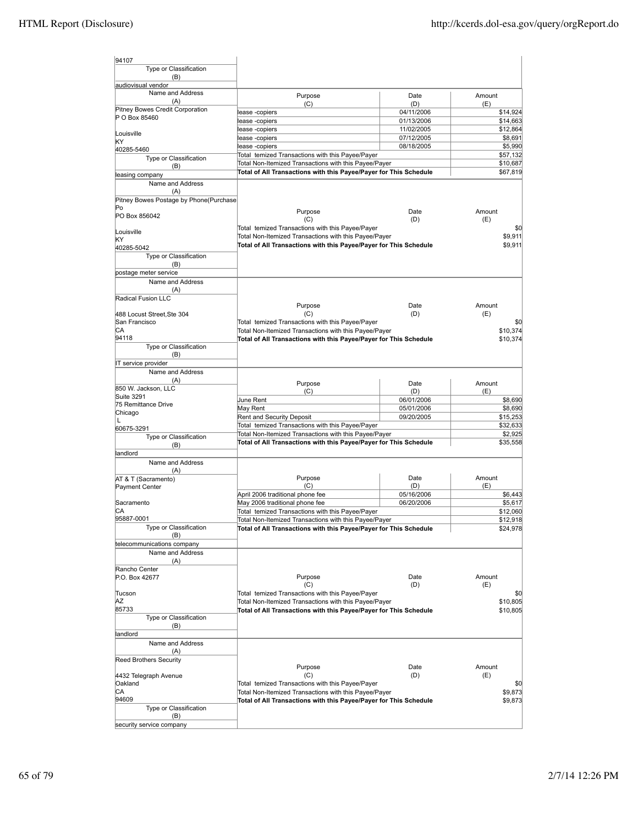| 94107                                          |                                                                   |                   |                      |
|------------------------------------------------|-------------------------------------------------------------------|-------------------|----------------------|
| Type or Classification                         |                                                                   |                   |                      |
| (B)                                            |                                                                   |                   |                      |
| audiovisual vendor                             |                                                                   |                   |                      |
| Name and Address<br>(A)                        | Purpose                                                           | Date              | Amount               |
| Pitney Bowes Credit Corporation                | (C)                                                               | (D)<br>04/11/2006 | (E)                  |
| P O Box 85460                                  | ease -copiers<br>ease -copiers                                    | 01/13/2006        | \$14,924<br>\$14,663 |
|                                                | ease -copiers                                                     | 11/02/2005        | \$12,864             |
| Louisville                                     | ease -copiers                                                     | 07/12/2005        | \$8,691              |
| KΥ<br>40285-5460                               | ease -copiers                                                     | 08/18/2005        | \$5,990              |
| Type or Classification                         | Total temized Transactions with this Payee/Payer                  |                   | \$57,132             |
| (B)                                            | Total Non-Itemized Transactions with this Payee/Payer             |                   | \$10,687             |
| leasing company                                | Total of All Transactions with this Payee/Payer for This Schedule |                   | \$67,819             |
| Name and Address                               |                                                                   |                   |                      |
| (A)                                            |                                                                   |                   |                      |
| Pitney Bowes Postage by Phone(Purchase         |                                                                   |                   |                      |
| Po<br>PO Box 856042                            | Purpose                                                           | Date              | Amount               |
|                                                | (C)                                                               | (D)               | (E)                  |
| Louisville                                     | Total temized Transactions with this Payee/Payer                  |                   | \$0                  |
| KΥ                                             | Total Non-Itemized Transactions with this Payee/Payer             |                   | \$9,911              |
| 40285-5042                                     | Total of All Transactions with this Payee/Payer for This Schedule |                   | \$9,911              |
| Type or Classification                         |                                                                   |                   |                      |
| (B)                                            |                                                                   |                   |                      |
| postage meter service<br>Name and Address      |                                                                   |                   |                      |
| (A)                                            |                                                                   |                   |                      |
| Radical Fusion LLC                             |                                                                   |                   |                      |
|                                                | Purpose                                                           | Date              | Amount               |
| 488 Locust Street, Ste 304                     | (C)                                                               | (D)               | (E)                  |
| San Francisco                                  | Total temized Transactions with this Payee/Payer                  |                   | \$0                  |
| СA                                             | Total Non-Itemized Transactions with this Payee/Payer             |                   | \$10,374             |
| 94118                                          | Total of All Transactions with this Payee/Payer for This Schedule |                   | \$10,374             |
| Type or Classification<br>(B)                  |                                                                   |                   |                      |
| IT service provider                            |                                                                   |                   |                      |
| Name and Address                               |                                                                   |                   |                      |
| (A)                                            | Purpose                                                           | Date              | Amount               |
| 850 W. Jackson, LLC                            | (C)                                                               | (D)               | (E)                  |
| Suite 3291                                     | June Rent                                                         | 06/01/2006        | \$8,690              |
| 75 Remittance Drive                            | May Rent                                                          | 05/01/2006        | \$8,690              |
| Chicago<br>L                                   | Rent and Security Deposit                                         | 09/20/2005        | \$15,253             |
| 60675-3291                                     | Total temized Transactions with this Payee/Payer                  |                   | \$32,633             |
| Type or Classification                         | Total Non-Itemized Transactions with this Payee/Payer             |                   | \$2,925              |
| (B)                                            | Total of All Transactions with this Payee/Payer for This Schedule |                   | \$35,558             |
| landlord                                       |                                                                   |                   |                      |
| Name and Address                               |                                                                   |                   |                      |
| (A)                                            | Purpose                                                           | Date              | Amount               |
| AT & T (Sacramento)                            | (C)                                                               | (D)               | (E)                  |
| Payment Center                                 | April 2006 traditional phone fee                                  | 05/16/2006        | \$6,443              |
| Sacramento                                     | May 2006 traditional phone fee                                    | 06/20/2006        | \$5,617              |
| СA                                             | Total temized Transactions with this Payee/Payer                  |                   | \$12,060             |
| 95887-0001                                     | Total Non-Itemized Transactions with this Payee/Payer             |                   | \$12,918             |
| Type or Classification                         | Total of All Transactions with this Payee/Payer for This Schedule |                   | \$24,978             |
| (B)                                            |                                                                   |                   |                      |
| telecommunications company<br>Name and Address |                                                                   |                   |                      |
| (A)                                            |                                                                   |                   |                      |
| Rancho Center                                  |                                                                   |                   |                      |
| P.O. Box 42677                                 | Purpose                                                           | Date              | Amount               |
|                                                | (C)                                                               | (D)               | (E)                  |
| Tucson                                         | Total temized Transactions with this Payee/Payer                  |                   | \$0                  |
| ΑZ                                             | Total Non-Itemized Transactions with this Payee/Payer             |                   | \$10,805             |
| 85733                                          | Total of All Transactions with this Payee/Payer for This Schedule |                   | \$10,805             |
| Type or Classification<br>(B)                  |                                                                   |                   |                      |
| landlord                                       |                                                                   |                   |                      |
| Name and Address                               |                                                                   |                   |                      |
| (A)                                            |                                                                   |                   |                      |
| <b>Reed Brothers Security</b>                  |                                                                   |                   |                      |
|                                                | Purpose                                                           | Date              | Amount               |
| 4432 Telegraph Avenue                          | (C)                                                               | (D)               | (E)                  |
| Oakland                                        | Total temized Transactions with this Payee/Payer                  |                   | \$0                  |
| СA<br>94609                                    | Total Non-Itemized Transactions with this Payee/Payer             |                   | \$9,873              |
| Type or Classification                         | Total of All Transactions with this Payee/Payer for This Schedule |                   | \$9,873              |
| (B)                                            |                                                                   |                   |                      |
| security service company                       |                                                                   |                   |                      |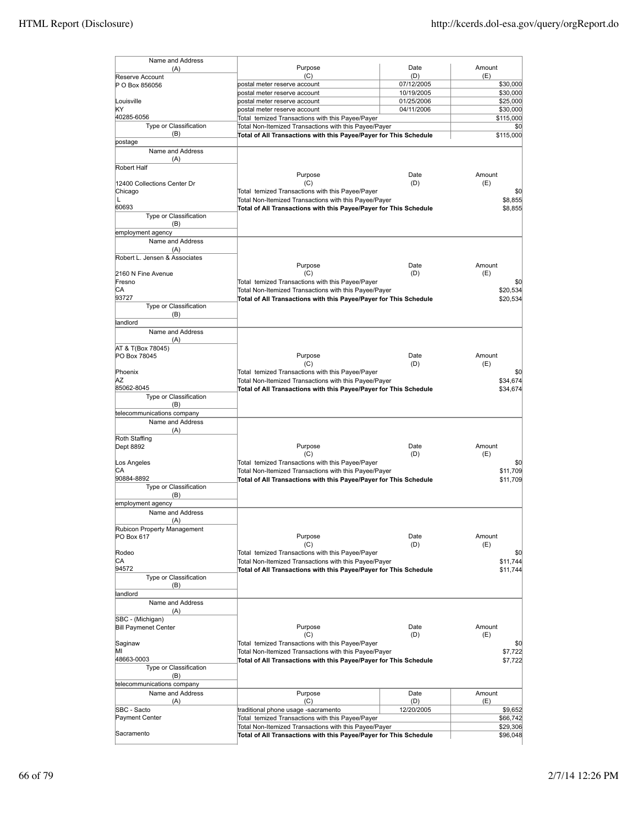| Name and Address                          |                                                                   |             |               |
|-------------------------------------------|-------------------------------------------------------------------|-------------|---------------|
| (A)                                       | Purpose<br>(C)                                                    | Date<br>(D) | Amount<br>(E) |
| Reserve Account<br>P O Box 856056         | postal meter reserve account                                      | 07/12/2005  | \$30,000      |
|                                           | postal meter reserve account                                      | 10/19/2005  | \$30,000      |
| Louisville                                | postal meter reserve account                                      | 01/25/2006  | \$25,000      |
| KΥ                                        | postal meter reserve account                                      | 04/11/2006  | \$30,000      |
| 40285-6056                                | Total temized Transactions with this Payee/Payer                  |             | \$115,000     |
| Type or Classification                    | Total Non-Itemized Transactions with this Payee/Payer             |             | \$0           |
| (B)                                       | Total of All Transactions with this Payee/Payer for This Schedule |             | \$115,000     |
| postage<br>Name and Address               |                                                                   |             |               |
| (A)                                       |                                                                   |             |               |
| Robert Half                               |                                                                   |             |               |
|                                           | Purpose                                                           | Date        | Amount        |
| 12400 Collections Center Dr               | (C)                                                               | (D)         | (E)           |
| Chicago                                   | Total temized Transactions with this Payee/Payer                  |             | \$0           |
| L                                         | Total Non-Itemized Transactions with this Payee/Payer             |             | \$8,855       |
| 60693                                     | Total of All Transactions with this Payee/Payer for This Schedule |             | \$8,855       |
| Type or Classification<br>(B)             |                                                                   |             |               |
| employment agency                         |                                                                   |             |               |
| Name and Address                          |                                                                   |             |               |
| (A)                                       |                                                                   |             |               |
| Robert L. Jensen & Associates             |                                                                   |             |               |
|                                           | Purpose                                                           | Date        | Amount        |
| 2160 N Fine Avenue                        | (C)                                                               | (D)         | (E)           |
| Fresno                                    | Total temized Transactions with this Payee/Payer                  |             | \$0           |
| СA<br>93727                               | Total Non-Itemized Transactions with this Payee/Payer             |             | \$20,534      |
| Type or Classification                    | Total of All Transactions with this Payee/Payer for This Schedule |             | \$20,534      |
| (B)                                       |                                                                   |             |               |
| landlord                                  |                                                                   |             |               |
| Name and Address                          |                                                                   |             |               |
| (A)                                       |                                                                   |             |               |
| AT & T(Box 78045)                         |                                                                   |             |               |
| PO Box 78045                              | Purpose                                                           | Date        | Amount        |
|                                           | (C)                                                               | (D)         | (E)           |
| Phoenix<br>ΑZ                             | Total temized Transactions with this Payee/Payer                  |             | \$0           |
| 85062-8045                                | Total Non-Itemized Transactions with this Payee/Payer             |             | \$34,674      |
| Type or Classification                    | Total of All Transactions with this Payee/Payer for This Schedule |             | \$34,674      |
| (B)                                       |                                                                   |             |               |
| telecommunications company                |                                                                   |             |               |
| Name and Address                          |                                                                   |             |               |
| (A)                                       |                                                                   |             |               |
| Roth Staffing                             |                                                                   |             |               |
| Dept 8892                                 | Purpose                                                           | Date        | Amount        |
| Los Angeles                               | (C)<br>Total temized Transactions with this Payee/Payer           | (D)         | (E)<br>\$0    |
| СA                                        | Total Non-Itemized Transactions with this Payee/Payer             |             | \$11,709      |
| 90884-8892                                | Total of All Transactions with this Payee/Payer for This Schedule |             | \$11,709      |
| Type or Classification                    |                                                                   |             |               |
| (B)                                       |                                                                   |             |               |
| employment agency                         |                                                                   |             |               |
| Name and Address                          |                                                                   |             |               |
| (A)                                       |                                                                   |             |               |
| Rubicon Property Management<br>PO Box 617 | Purpose                                                           | Date        | Amount        |
|                                           | (C)                                                               | (D)         | (E)           |
| Rodeo                                     | Total temized Transactions with this Payee/Payer                  |             | \$0           |
| СA                                        | Total Non-Itemized Transactions with this Payee/Payer             |             | \$11,744      |
| 94572                                     | Total of All Transactions with this Payee/Payer for This Schedule |             | \$11,744      |
| Type or Classification                    |                                                                   |             |               |
| (B)                                       |                                                                   |             |               |
| landlord<br>Name and Address              |                                                                   |             |               |
| (A)                                       |                                                                   |             |               |
| SBC - (Michigan)                          |                                                                   |             |               |
| <b>Bill Paymenet Center</b>               | Purpose                                                           | Date        | Amount        |
|                                           | (C)                                                               | (D)         | (E)           |
| Saginaw                                   | Total temized Transactions with this Payee/Payer                  |             | \$0           |
| ΜI                                        | Total Non-Itemized Transactions with this Payee/Payer             |             | \$7,722       |
| 48663-0003                                | Total of All Transactions with this Payee/Payer for This Schedule |             | \$7,722       |
| Type or Classification<br>(B)             |                                                                   |             |               |
| telecommunications company                |                                                                   |             |               |
| Name and Address                          | Purpose                                                           | Date        | Amount        |
| (A)                                       | (C)                                                               | (D)         | (E)           |
| SBC - Sacto                               | traditional phone usage -sacramento                               | 12/20/2005  | \$9,652       |
| Payment Center                            | Total temized Transactions with this Payee/Payer                  |             | \$66,742      |
|                                           | Total Non-Itemized Transactions with this Payee/Payer             |             | \$29,306      |
| Sacramento                                | Total of All Transactions with this Payee/Payer for This Schedule |             | \$96,048      |
|                                           |                                                                   |             |               |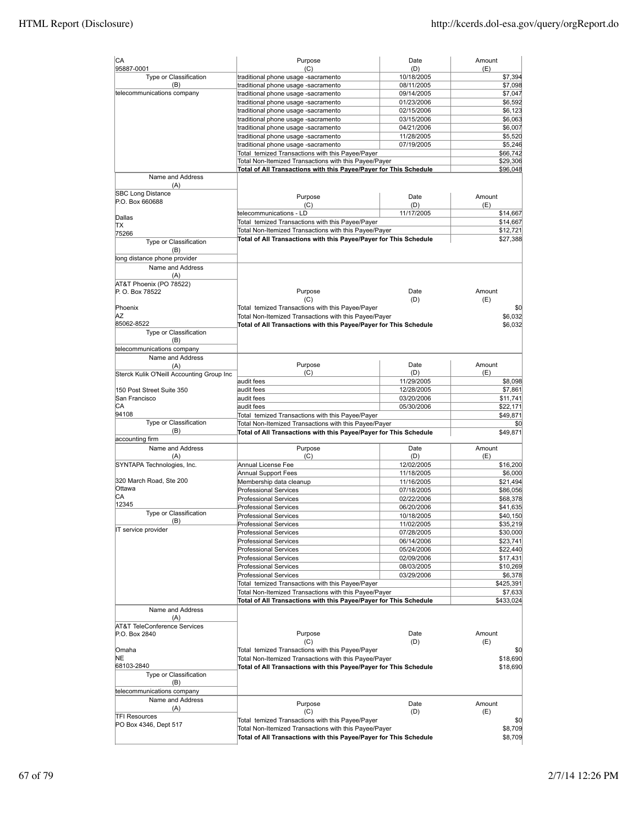| CA<br>95887-0001                          | Purpose<br>(C)                                                    | Date<br>(D) | Amount<br>(E) |
|-------------------------------------------|-------------------------------------------------------------------|-------------|---------------|
| Type or Classification                    | traditional phone usage -sacramento                               | 10/18/2005  | \$7,394       |
| (B)                                       | traditional phone usage -sacramento                               | 08/11/2005  | \$7,098       |
| telecommunications company                | traditional phone usage -sacramento                               | 09/14/2005  | \$7,047       |
|                                           | traditional phone usage -sacramento                               | 01/23/2006  | \$6,592       |
|                                           | traditional phone usage -sacramento                               | 02/15/2006  | \$6,123       |
|                                           |                                                                   | 03/15/2006  |               |
|                                           | traditional phone usage -sacramento                               |             | \$6,063       |
|                                           | traditional phone usage -sacramento                               | 04/21/2006  | \$6,007       |
|                                           | traditional phone usage -sacramento                               | 11/28/2005  | \$5,520       |
|                                           | traditional phone usage -sacramento                               | 07/19/2005  | \$5,246       |
|                                           | Total temized Transactions with this Payee/Payer                  |             | \$66,742      |
|                                           | Total Non-Itemized Transactions with this Payee/Payer             |             | \$29,306      |
|                                           | Total of All Transactions with this Payee/Payer for This Schedule |             | \$96,048      |
| Name and Address                          |                                                                   |             |               |
| (A)                                       |                                                                   |             |               |
| <b>SBC Long Distance</b>                  | Purpose                                                           | Date        | Amount        |
| P.O. Box 660688                           | (C)                                                               | (D)         | (E)           |
|                                           | telecommunications - LD                                           | 11/17/2005  | \$14,667      |
| Dallas                                    | Total temized Transactions with this Payee/Payer                  |             | \$14,667      |
| ΠX                                        | Total Non-Itemized Transactions with this Payee/Payer             |             | \$12,721      |
| 75266                                     | Total of All Transactions with this Payee/Payer for This Schedule |             | \$27,388      |
| Type or Classification                    |                                                                   |             |               |
| (B)                                       |                                                                   |             |               |
| long distance phone provider              |                                                                   |             |               |
| Name and Address                          |                                                                   |             |               |
| (A)                                       |                                                                   |             |               |
| AT&T Phoenix (PO 78522)                   |                                                                   |             |               |
| P. O. Box 78522                           | Purpose                                                           | Date        | Amount        |
|                                           | (C)                                                               | (D)         | (E)           |
| Phoenix                                   | Total temized Transactions with this Payee/Payer                  |             | \$0           |
| ΙAΖ                                       | Total Non-Itemized Transactions with this Payee/Payer             |             | \$6,032       |
| 85062-8522                                | Total of All Transactions with this Payee/Payer for This Schedule |             | \$6,032       |
| Type or Classification                    |                                                                   |             |               |
| (B)                                       |                                                                   |             |               |
| telecommunications company                |                                                                   |             |               |
| Name and Address                          |                                                                   |             |               |
|                                           | Purpose                                                           | Date        | Amount        |
| (A)                                       | (C)                                                               | (D)         | (E)           |
| Sterck Kulik O'Neill Accounting Group Inc | audit fees                                                        | 11/29/2005  | \$8,098       |
|                                           | audit fees                                                        |             |               |
| 150 Post Street Suite 350                 |                                                                   | 12/28/2005  | \$7,861       |
| San Francisco                             | audit fees                                                        | 03/20/2006  | \$11,741      |
| СA                                        | audit fees                                                        | 05/30/2006  | \$22,171      |
| 94108                                     | Total temized Transactions with this Payee/Payer                  |             | \$49,871      |
| Type or Classification                    | Total Non-Itemized Transactions with this Payee/Payer             |             | \$0           |
| (B)                                       | Total of All Transactions with this Payee/Payer for This Schedule |             | \$49,871      |
| accounting firm                           |                                                                   |             |               |
| Name and Address                          | Purpose                                                           | Date        | Amount        |
| (A)                                       | (C)                                                               | (D)         | (E)           |
| SYNTAPA Technologies, Inc.                | Annual License Fee                                                | 12/02/2005  | \$16,200      |
|                                           | <b>Annual Support Fees</b>                                        | 11/18/2005  | \$6,000       |
| 320 March Road, Ste 200                   | Membership data cleanup                                           | 11/16/2005  | \$21,494      |
| Ottawa                                    | <b>Professional Services</b>                                      | 07/18/2005  | \$86,056      |
| СA                                        | <b>Professional Services</b>                                      | 02/22/2006  | \$68,378      |
| 12345                                     | <b>Professional Services</b>                                      | 06/20/2006  | \$41,635      |
| Type or Classification                    | <b>Professional Services</b>                                      | 10/18/2005  | \$40,150      |
| (B)                                       | <b>Professional Services</b>                                      | 11/02/2005  | \$35,219      |
| IT service provider                       | <b>Professional Services</b>                                      |             | \$30,000      |
|                                           |                                                                   | 07/28/2005  |               |
|                                           | <b>Professional Services</b>                                      | 06/14/2006  | \$23,741      |
|                                           | <b>Professional Services</b>                                      | 05/24/2006  | \$22,440      |
|                                           | <b>Professional Services</b>                                      | 02/09/2006  | \$17,431      |
|                                           | <b>Professional Services</b>                                      | 08/03/2005  | \$10,269      |
|                                           | <b>Professional Services</b>                                      | 03/29/2006  | \$6,378       |
|                                           | Total temized Transactions with this Payee/Payer                  |             | \$425,391     |
|                                           | Total Non-Itemized Transactions with this Payee/Payer             |             | \$7,633       |
|                                           | Total of All Transactions with this Payee/Payer for This Schedule |             | \$433,024     |
| Name and Address                          |                                                                   |             |               |
| (A)                                       |                                                                   |             |               |
| AT&T TeleConference Services              |                                                                   |             |               |
| P.O. Box 2840                             | Purpose                                                           | Date        | Amount        |
|                                           | (C)                                                               | (D)         | (E)           |
| Omaha                                     | Total temized Transactions with this Payee/Payer                  |             | \$0           |
| NE                                        | Total Non-Itemized Transactions with this Payee/Payer             |             | \$18,690      |
| 68103-2840                                | Total of All Transactions with this Payee/Payer for This Schedule |             | \$18,690      |
| Type or Classification                    |                                                                   |             |               |
| (B)                                       |                                                                   |             |               |
|                                           |                                                                   |             |               |
| telecommunications company                |                                                                   |             |               |
| Name and Address                          | Purpose                                                           | Date        | Amount        |
| (A)                                       | (C)                                                               | (D)         | (E)           |
| <b>TFI Resources</b>                      | Total temized Transactions with this Payee/Payer                  |             | \$0           |
| PO Box 4346, Dept 517                     | Total Non-Itemized Transactions with this Payee/Payer             |             | \$8,709       |
|                                           | Total of All Transactions with this Payee/Payer for This Schedule |             | \$8,709       |
|                                           |                                                                   |             |               |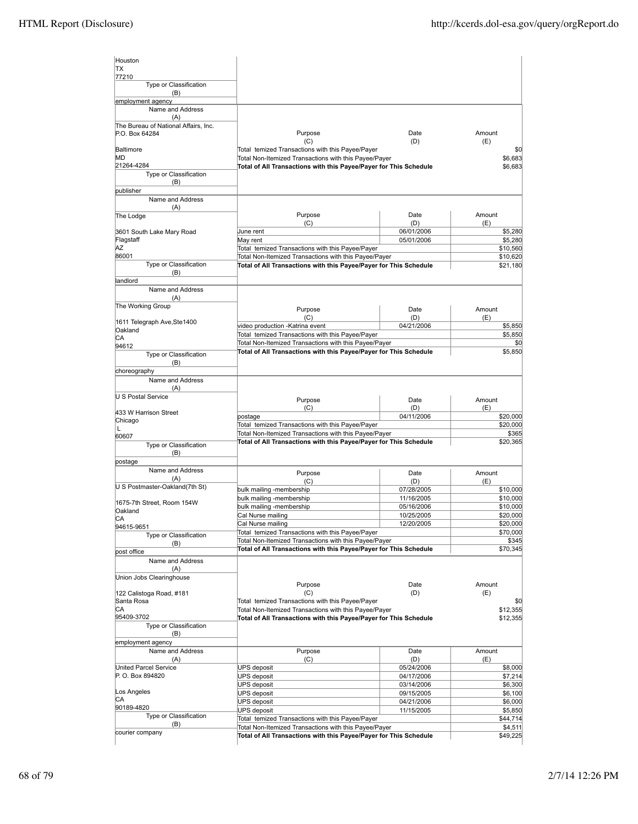| Houston                                |                                                                   |            |          |
|----------------------------------------|-------------------------------------------------------------------|------------|----------|
| TX                                     |                                                                   |            |          |
| 77210                                  |                                                                   |            |          |
| Type or Classification                 |                                                                   |            |          |
| (B)                                    |                                                                   |            |          |
| employment agency                      |                                                                   |            |          |
| Name and Address                       |                                                                   |            |          |
| (A)                                    |                                                                   |            |          |
| The Bureau of National Affairs, Inc.   | Purpose                                                           | Date       | Amount   |
| P.O. Box 64284                         | (C)                                                               | (D)        | (E)      |
| Baltimore                              | Total temized Transactions with this Payee/Payer                  |            | \$0      |
| MD                                     | Total Non-Itemized Transactions with this Payee/Payer             |            | \$6,683  |
| 21264-4284                             | Total of All Transactions with this Payee/Payer for This Schedule |            | \$6,683  |
| Type or Classification                 |                                                                   |            |          |
| (B)                                    |                                                                   |            |          |
| publisher                              |                                                                   |            |          |
| Name and Address                       |                                                                   |            |          |
| (A)                                    | Purpose                                                           | Date       | Amount   |
| The Lodge                              | (C)                                                               | (D)        | (E)      |
| 3601 South Lake Mary Road              | June rent                                                         | 06/01/2006 | \$5,280  |
| Flagstaff                              | May rent                                                          | 05/01/2006 | \$5,280  |
| ΑZ                                     | Total temized Transactions with this Payee/Payer                  |            | \$10,560 |
| 86001                                  | Total Non-Itemized Transactions with this Payee/Payer             |            | \$10,620 |
| Type or Classification                 | Total of All Transactions with this Payee/Payer for This Schedule |            | \$21,180 |
| (B)                                    |                                                                   |            |          |
| landlord                               |                                                                   |            |          |
| Name and Address                       |                                                                   |            |          |
| (A)                                    |                                                                   |            |          |
| The Working Group                      | Purpose                                                           | Date       | Amount   |
|                                        | (C)                                                               | (D)        | (E)      |
| 1611 Telegraph Ave, Ste1400<br>Oakland | video production -Katrina event                                   | 04/21/2006 | \$5,850  |
| СA                                     | Total temized Transactions with this Payee/Payer                  |            | \$5,850  |
| 94612                                  | Total Non-Itemized Transactions with this Payee/Payer             |            | \$0      |
| Type or Classification                 | Total of All Transactions with this Payee/Payer for This Schedule |            | \$5,850  |
| (B)                                    |                                                                   |            |          |
| choreography                           |                                                                   |            |          |
| Name and Address                       |                                                                   |            |          |
| (A)                                    |                                                                   |            |          |
| U S Postal Service                     | Purpose                                                           | Date       | Amount   |
|                                        | (C)                                                               | (D)        | (E)      |
| 433 W Harrison Street                  | postage                                                           | 04/11/2006 | \$20,000 |
| Chicago<br>Г                           | Total temized Transactions with this Payee/Payer                  |            | \$20,000 |
| 60607                                  | Total Non-Itemized Transactions with this Payee/Payer             |            | \$365    |
| Type or Classification                 | Total of All Transactions with this Payee/Payer for This Schedule |            | \$20,365 |
| (B)                                    |                                                                   |            |          |
| postage                                |                                                                   |            |          |
| Name and Address                       | Purpose                                                           | Date       | Amount   |
| (A)                                    | (C)                                                               | (D)        | (E)      |
| U S Postmaster-Oakland(7th St)         | bulk mailing -membership                                          | 07/28/2005 | \$10,000 |
|                                        | bulk mailing -membership                                          | 11/16/2005 | \$10,000 |
| 1675-7th Street, Room 154W             | bulk mailing -membership                                          | 05/16/2006 | \$10,000 |
| Oakland                                | Cal Nurse mailing                                                 | 10/25/2005 | \$20,000 |
| СA<br>94615-9651                       | Cal Nurse mailing                                                 | 12/20/2005 | \$20,000 |
| Type or Classification                 | Total temized Transactions with this Payee/Payer                  |            | \$70,000 |
| (B)                                    | Total Non-Itemized Transactions with this Payee/Payer             |            | \$345    |
| post office                            | Total of All Transactions with this Payee/Payer for This Schedule |            | \$70,345 |
| Name and Address                       |                                                                   |            |          |
| (A)                                    |                                                                   |            |          |
| Union Jobs Clearinghouse               |                                                                   |            |          |
|                                        | Purpose                                                           | Date       | Amount   |
| 122 Calistoga Road, #181               | (C)                                                               | (D)        | (E)      |
| Santa Rosa                             | Total temized Transactions with this Payee/Payer                  |            | \$0      |
| СA                                     | Total Non-Itemized Transactions with this Payee/Payer             |            | \$12,355 |
| 95409-3702<br>Type or Classification   | Total of All Transactions with this Payee/Payer for This Schedule |            | \$12,355 |
| (B)                                    |                                                                   |            |          |
| employment agency                      |                                                                   |            |          |
| Name and Address                       | Purpose                                                           | Date       | Amount   |
| (A)                                    | (C)                                                               | (D)        | (E)      |
| United Parcel Service                  | UPS deposit                                                       | 05/24/2006 | \$8,000  |
| P. O. Box 894820                       | <b>UPS deposit</b>                                                | 04/17/2006 | \$7,214  |
|                                        | <b>UPS deposit</b>                                                | 03/14/2006 | \$6,300  |
| Los Angeles                            | <b>UPS deposit</b>                                                | 09/15/2005 | \$6,100  |
| CА                                     | <b>UPS deposit</b>                                                | 04/21/2006 | \$6,000  |
| 90189-4820                             | <b>UPS deposit</b>                                                | 11/15/2005 | \$5,850  |
| Type or Classification                 | Total temized Transactions with this Payee/Payer                  |            | \$44,714 |
| (B)<br>courier company                 | Total Non-Itemized Transactions with this Payee/Payer             |            | \$4,511  |
|                                        | Total of All Transactions with this Payee/Payer for This Schedule |            | \$49,225 |
|                                        |                                                                   |            |          |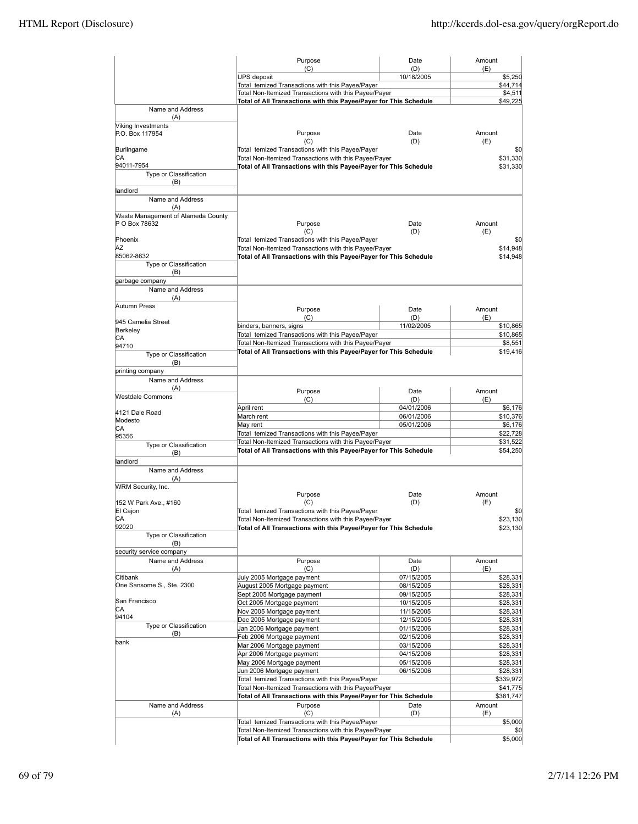|                                           | Purpose                                                                                                   | Date                     | Amount                |
|-------------------------------------------|-----------------------------------------------------------------------------------------------------------|--------------------------|-----------------------|
|                                           | (C)<br><b>UPS</b> deposit                                                                                 | (D)<br>10/18/2005        | (E)<br>\$5,250        |
|                                           | Total temized Transactions with this Payee/Payer                                                          |                          | \$44,714              |
|                                           | Total Non-Itemized Transactions with this Payee/Payer                                                     |                          | \$4,511               |
|                                           | Total of All Transactions with this Payee/Payer for This Schedule                                         |                          | \$49,225              |
| Name and Address<br>(A)                   |                                                                                                           |                          |                       |
| Viking Investments                        |                                                                                                           |                          |                       |
| P.O. Box 117954                           | Purpose                                                                                                   | Date                     | Amount                |
|                                           | (C)                                                                                                       | (D)                      | (E)                   |
| Burlingame<br>СA                          | Total temized Transactions with this Payee/Payer<br>Total Non-Itemized Transactions with this Payee/Payer |                          | \$0<br>\$31,330       |
| 94011-7954                                | Total of All Transactions with this Payee/Payer for This Schedule                                         |                          | \$31,330              |
| Type or Classification                    |                                                                                                           |                          |                       |
| (B)                                       |                                                                                                           |                          |                       |
| landlord                                  |                                                                                                           |                          |                       |
| Name and Address                          |                                                                                                           |                          |                       |
| (A)<br>Waste Management of Alameda County |                                                                                                           |                          |                       |
| P O Box 78632                             | Purpose                                                                                                   | Date                     | Amount                |
|                                           | (C)                                                                                                       | (D)                      | (E)                   |
| Phoenix                                   | Total temized Transactions with this Payee/Payer                                                          |                          | \$0                   |
| AZ                                        | Total Non-Itemized Transactions with this Payee/Payer                                                     |                          | \$14,948              |
| 85062-8632<br>Type or Classification      | Total of All Transactions with this Payee/Payer for This Schedule                                         |                          | \$14,948              |
| (B)                                       |                                                                                                           |                          |                       |
| garbage company                           |                                                                                                           |                          |                       |
| Name and Address                          |                                                                                                           |                          |                       |
| (A)                                       |                                                                                                           |                          |                       |
| Autumn Press                              | Purpose                                                                                                   | Date                     | Amount                |
| 945 Camelia Street                        | (C)                                                                                                       | (D)                      | (E)                   |
| Berkeley                                  | binders, banners, signs                                                                                   | 11/02/2005               | \$10,865              |
| СA                                        | Total temized Transactions with this Payee/Payer<br>Total Non-Itemized Transactions with this Payee/Payer |                          | \$10,865              |
| 94710                                     | Total of All Transactions with this Payee/Payer for This Schedule                                         |                          | \$8,551<br>\$19,416   |
| Type or Classification                    |                                                                                                           |                          |                       |
| (B)<br>printing company                   |                                                                                                           |                          |                       |
| Name and Address                          |                                                                                                           |                          |                       |
| (A)                                       |                                                                                                           |                          |                       |
| Westdale Commons                          | Purpose                                                                                                   | Date                     | Amount<br>(E)         |
|                                           | (C)<br>April rent                                                                                         | (D)<br>04/01/2006        | \$6,176               |
| 4121 Dale Road                            | March rent                                                                                                | 06/01/2006               | \$10,376              |
| Modesto<br>CA                             | May rent                                                                                                  | 05/01/2006               | \$6,176               |
| 95356                                     | Total temized Transactions with this Payee/Payer                                                          |                          | \$22,728              |
| Type or Classification                    | Total Non-Itemized Transactions with this Payee/Payer                                                     |                          | \$31,522              |
| (B)                                       | Total of All Transactions with this Payee/Payer for This Schedule                                         |                          | \$54,250              |
| landlord                                  |                                                                                                           |                          |                       |
| Name and Address                          |                                                                                                           |                          |                       |
| (A)<br><b>WRM Security, Inc.</b>          |                                                                                                           |                          |                       |
|                                           | Purpose                                                                                                   | Date                     | Amount                |
| 152 W Park Ave., #160                     | (C)                                                                                                       | (D)                      | (E)                   |
| El Cajon                                  | Total temized Transactions with this Payee/Payer                                                          |                          | \$0                   |
| СA                                        | Total Non-Itemized Transactions with this Payee/Payer                                                     |                          | \$23,130              |
| 92020<br>Type or Classification           | Total of All Transactions with this Payee/Payer for This Schedule                                         |                          | \$23,130              |
| (B)                                       |                                                                                                           |                          |                       |
| security service company                  |                                                                                                           |                          |                       |
| Name and Address                          | Purpose                                                                                                   | Date                     | Amount                |
| (A)                                       | (C)                                                                                                       | (D)                      | (E)                   |
| Citibank                                  | July 2005 Mortgage payment                                                                                | 07/15/2005               | \$28,331              |
| One Sansome S., Ste. 2300                 | August 2005 Mortgage payment                                                                              | 08/15/2005               | \$28,331              |
| San Francisco                             | Sept 2005 Mortgage payment                                                                                | 09/15/2005               | \$28,331<br>\$28,331  |
| СA                                        | Oct 2005 Mortgage payment<br>Nov 2005 Mortgage payment                                                    | 10/15/2005<br>11/15/2005 | \$28,331              |
| 94104                                     | Dec 2005 Mortgage payment                                                                                 | 12/15/2005               | \$28,331              |
| Type or Classification                    | Jan 2006 Mortgage payment                                                                                 | 01/15/2006               | \$28,331              |
| (B)                                       | Feb 2006 Mortgage payment                                                                                 | 02/15/2006               | \$28,331              |
| bank                                      | Mar 2006 Mortgage payment                                                                                 | 03/15/2006               | \$28,331              |
|                                           | Apr 2006 Mortgage payment                                                                                 | 04/15/2006               | \$28,331              |
|                                           | May 2006 Mortgage payment                                                                                 | 05/15/2006               | \$28,331              |
|                                           | Jun 2006 Mortgage payment<br>Total temized Transactions with this Payee/Payer                             | 06/15/2006               | \$28,331              |
|                                           | Total Non-Itemized Transactions with this Payee/Payer                                                     |                          | \$339,972<br>\$41,775 |
|                                           | Total of All Transactions with this Payee/Payer for This Schedule                                         |                          | \$381,747             |
| Name and Address                          | Purpose                                                                                                   | Date                     | Amount                |
| (A)                                       | (C)                                                                                                       | (D)                      | (E)                   |
|                                           | Total temized Transactions with this Payee/Payer                                                          |                          | \$5,000               |
|                                           | Total Non-Itemized Transactions with this Payee/Payer                                                     |                          | \$0                   |
|                                           | Total of All Transactions with this Payee/Payer for This Schedule                                         |                          | \$5,000               |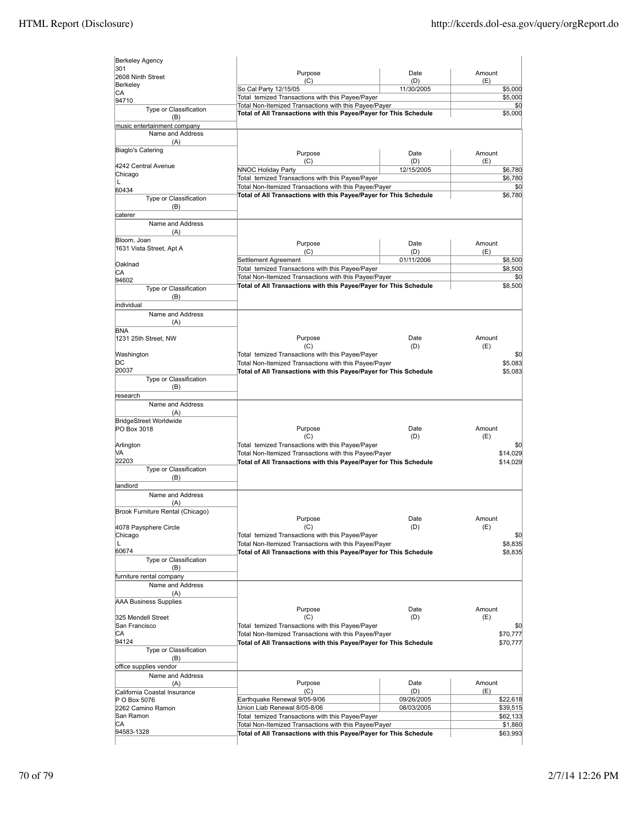| <b>Berkeley Agency</b>                       |                                                                                                                            |             |                                                         |
|----------------------------------------------|----------------------------------------------------------------------------------------------------------------------------|-------------|---------------------------------------------------------|
| 301<br>2608 Ninth Street                     | Purpose                                                                                                                    | Date        | Amount                                                  |
| Berkeley                                     | (C)<br>So Cal Party 12/15/05                                                                                               | (D)         | (E)                                                     |
| СA                                           | Total temized Transactions with this Payee/Payer                                                                           | 11/30/2005  | \$5,000<br>\$5,000                                      |
| 94710                                        | Total Non-Itemized Transactions with this Payee/Payer                                                                      |             | \$0                                                     |
| Type or Classification<br>(B)                | Total of All Transactions with this Payee/Payer for This Schedule                                                          |             | \$5,000                                                 |
| music entertainment company                  |                                                                                                                            |             |                                                         |
| Name and Address                             |                                                                                                                            |             |                                                         |
| (A)<br>Biaglo's Catering                     |                                                                                                                            | Date        | Amount                                                  |
|                                              | Purpose<br>(C)                                                                                                             | (D)         | (E)                                                     |
| 4242 Central Avenue<br>Chicago               | NNOC Holiday Party                                                                                                         | 12/15/2005  | \$6,780                                                 |
| L                                            | Total temized Transactions with this Payee/Payer                                                                           |             | \$6,780                                                 |
| 60434                                        | Total Non-Itemized Transactions with this Payee/Payer                                                                      |             | \$0                                                     |
| Type or Classification                       | Total of All Transactions with this Payee/Payer for This Schedule                                                          |             | \$6,780                                                 |
| (B)                                          |                                                                                                                            |             |                                                         |
| caterer<br>Name and Address                  |                                                                                                                            |             |                                                         |
| (A)                                          |                                                                                                                            |             |                                                         |
| Bloom, Joan                                  | Purpose                                                                                                                    | Date        | Amount                                                  |
| 1631 Vista Street, Apt A                     | (C)                                                                                                                        | (D)         | (E)                                                     |
|                                              | Settlement Agreement                                                                                                       | 01/11/2006  | \$8,500                                                 |
| Oaklnad                                      | Total temized Transactions with this Payee/Payer                                                                           |             | \$8,500                                                 |
| СA<br>94602                                  | Total Non-Itemized Transactions with this Payee/Payer                                                                      |             | \$0                                                     |
| Type or Classification                       | Total of All Transactions with this Payee/Payer for This Schedule                                                          |             | \$8,500                                                 |
| (B)                                          |                                                                                                                            |             |                                                         |
| individual                                   |                                                                                                                            |             |                                                         |
| Name and Address                             |                                                                                                                            |             |                                                         |
| (A)<br><b>BNA</b>                            |                                                                                                                            |             |                                                         |
| 1231 25th Street, NW                         | Purpose                                                                                                                    | Date        | Amount                                                  |
|                                              | (C)                                                                                                                        | (D)         | (E)                                                     |
| Washington                                   | Total temized Transactions with this Payee/Payer                                                                           |             | \$0                                                     |
| DС                                           | Total Non-Itemized Transactions with this Payee/Payer                                                                      |             | \$5,083                                                 |
| 20037                                        | Total of All Transactions with this Payee/Payer for This Schedule                                                          |             | \$5,083                                                 |
| Type or Classification                       |                                                                                                                            |             |                                                         |
| (B)<br>research                              |                                                                                                                            |             |                                                         |
| Name and Address                             |                                                                                                                            |             |                                                         |
| (A)                                          |                                                                                                                            |             |                                                         |
| <b>BridgeStreet Worldwide</b>                |                                                                                                                            |             |                                                         |
| PO Box 3018                                  | Purpose                                                                                                                    | Date        | Amount                                                  |
|                                              | (C)                                                                                                                        | (D)         | (E)                                                     |
| Arlington                                    | Total temized Transactions with this Payee/Payer                                                                           |             | \$0                                                     |
| VA<br>22203                                  | Total Non-Itemized Transactions with this Payee/Payer<br>Total of All Transactions with this Payee/Payer for This Schedule |             | \$14,029<br>\$14,029                                    |
| Type or Classification                       |                                                                                                                            |             |                                                         |
| (B)                                          |                                                                                                                            |             |                                                         |
| landlord                                     |                                                                                                                            |             |                                                         |
| Name and Address                             |                                                                                                                            |             |                                                         |
| (A)<br>Brook Furniture Rental (Chicago)      |                                                                                                                            |             |                                                         |
|                                              | Purpose                                                                                                                    | Date        | Amount                                                  |
| 4078 Paysphere Circle                        | (C)                                                                                                                        | (D)         | (E)                                                     |
| Chicago                                      | Total temized Transactions with this Payee/Payer                                                                           |             | \$0                                                     |
| L                                            | Total Non-Itemized Transactions with this Payee/Payer                                                                      |             | \$8,835                                                 |
| 60674<br>Type or Classification              | Total of All Transactions with this Payee/Payer for This Schedule                                                          |             | \$8,835                                                 |
| (B)                                          |                                                                                                                            |             |                                                         |
| furniture rental company                     |                                                                                                                            |             |                                                         |
| Name and Address                             |                                                                                                                            |             |                                                         |
| (A)                                          |                                                                                                                            |             |                                                         |
| <b>AAA Business Supplies</b>                 |                                                                                                                            |             |                                                         |
|                                              | Purpose<br>(C)                                                                                                             | Date<br>(D) | Amount<br>(E)                                           |
| 325 Mendell Street<br>San Francisco          | Total temized Transactions with this Payee/Payer                                                                           |             | \$0                                                     |
| СA                                           | Total Non-Itemized Transactions with this Payee/Payer                                                                      |             | \$70,777                                                |
| 94124                                        | Total of All Transactions with this Payee/Payer for This Schedule                                                          |             | \$70,777                                                |
| Type or Classification                       |                                                                                                                            |             |                                                         |
| (B)                                          |                                                                                                                            |             |                                                         |
| office supplies vendor<br>Name and Address   |                                                                                                                            |             |                                                         |
|                                              |                                                                                                                            | Date        | Amount                                                  |
|                                              |                                                                                                                            |             |                                                         |
| (A)                                          | Purpose<br>(C)                                                                                                             | (D)         | (E)                                                     |
| California Coastal Insurance<br>P O Box 5076 | Earthquake Renewal 9/05-9/06                                                                                               | 09/26/2005  |                                                         |
| 2262 Camino Ramon                            | Union Liab Renewal 8/05-8/06                                                                                               | 08/03/2005  |                                                         |
| San Ramon                                    | Total temized Transactions with this Payee/Payer                                                                           |             |                                                         |
| СA<br>94583-1328                             | Total Non-Itemized Transactions with this Payee/Payer<br>Total of All Transactions with this Payee/Payer for This Schedule |             | \$22,618<br>\$39,515<br>\$62,133<br>\$1,860<br>\$63,993 |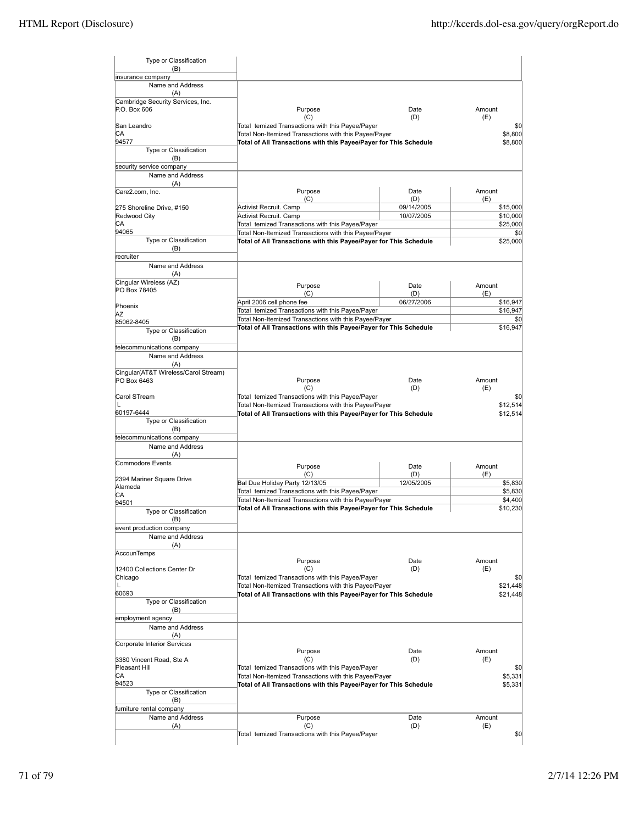| Type or Classification<br>(B)                       |                                                                                                                            |             |                              |
|-----------------------------------------------------|----------------------------------------------------------------------------------------------------------------------------|-------------|------------------------------|
| insurance company                                   |                                                                                                                            |             |                              |
| Name and Address<br>(A)                             |                                                                                                                            |             |                              |
| Cambridge Security Services, Inc.<br>P.O. Box 606   | Purpose                                                                                                                    | Date        | Amount                       |
|                                                     | (C)                                                                                                                        | (D)         | (E)                          |
| San Leandro<br>СA                                   | Total temized Transactions with this Payee/Payer                                                                           |             | \$0                          |
| 94577                                               | Total Non-Itemized Transactions with this Payee/Payer<br>Total of All Transactions with this Payee/Payer for This Schedule |             | \$8,800<br>\$8,800           |
| Type or Classification<br>(B)                       |                                                                                                                            |             |                              |
| security service company                            |                                                                                                                            |             |                              |
| Name and Address                                    |                                                                                                                            |             |                              |
| (A)                                                 |                                                                                                                            |             |                              |
| Care2.com, Inc.                                     | Purpose<br>(C)                                                                                                             | Date<br>(D) | Amount<br>(E)                |
| 275 Shoreline Drive, #150                           | Activist Recruit. Camp                                                                                                     | 09/14/2005  | \$15,000                     |
| Redwood City<br>СA                                  | Activist Recruit. Camp                                                                                                     | 10/07/2005  | \$10,000                     |
| 94065                                               | Total temized Transactions with this Payee/Payer<br>Total Non-Itemized Transactions with this Payee/Payer                  |             | \$25,000<br>\$0              |
| Type or Classification                              | Total of All Transactions with this Payee/Payer for This Schedule                                                          |             | \$25,000                     |
| (B)                                                 |                                                                                                                            |             |                              |
| recruiter                                           |                                                                                                                            |             |                              |
| Name and Address<br>(A)                             |                                                                                                                            |             |                              |
| Cingular Wireless (AZ)                              |                                                                                                                            | Date        | Amount                       |
| PO Box 78405                                        | Purpose<br>(C)                                                                                                             | (D)         | (E)                          |
|                                                     | April 2006 cell phone fee                                                                                                  | 06/27/2006  | \$16,947                     |
| Phoenix                                             | Total temized Transactions with this Payee/Payer                                                                           |             | \$16,947                     |
| AZ                                                  | Total Non-Itemized Transactions with this Payee/Payer                                                                      |             | \$0                          |
| 85062-8405<br>Type or Classification                | Total of All Transactions with this Payee/Payer for This Schedule                                                          |             | \$16,947                     |
| (B)                                                 |                                                                                                                            |             |                              |
| telecommunications company                          |                                                                                                                            |             |                              |
| Name and Address                                    |                                                                                                                            |             |                              |
| (A)                                                 |                                                                                                                            |             |                              |
| Cingular(AT&T Wireless/Carol Stream)<br>PO Box 6463 | Purpose                                                                                                                    | Date        | Amount                       |
|                                                     | (C)                                                                                                                        | (D)         | (E)                          |
| Carol STream<br>L                                   | Total temized Transactions with this Payee/Payer<br>Total Non-Itemized Transactions with this Payee/Payer                  |             | \$0<br>\$12,514              |
| 60197-6444                                          | Total of All Transactions with this Payee/Payer for This Schedule                                                          |             | \$12,514                     |
| Type or Classification<br>(B)                       |                                                                                                                            |             |                              |
| telecommunications company                          |                                                                                                                            |             |                              |
| Name and Address<br>(A)                             |                                                                                                                            |             |                              |
| Commodore Events                                    | Purpose                                                                                                                    | Date        | Amount                       |
| 2394 Mariner Square Drive                           | (C)                                                                                                                        | (D)         | (E)                          |
| Alameda                                             | Bal Due Holiday Party 12/13/05                                                                                             | 12/05/2005  | \$5,830                      |
| СA                                                  | Total temized Transactions with this Payee/Payer                                                                           |             | \$5,830                      |
| 94501                                               | Total Non-Itemized Transactions with this Payee/Payer<br>Total of All Transactions with this Payee/Payer for This Schedule |             | \$4,400<br>\$10,230          |
| Type or Classification<br>(B)                       |                                                                                                                            |             |                              |
| event production company                            |                                                                                                                            |             |                              |
| Name and Address                                    |                                                                                                                            |             |                              |
| (A)<br>AccounTemps                                  |                                                                                                                            |             |                              |
|                                                     | Purpose                                                                                                                    | Date        | Amount                       |
| 12400 Collections Center Dr                         | (C)                                                                                                                        | (D)         | (E)                          |
| Chicago                                             | Total temized Transactions with this Payee/Payer                                                                           |             | \$0                          |
| Г                                                   | Total Non-Itemized Transactions with this Payee/Payer                                                                      |             | \$21,448                     |
| 60693<br>Type or Classification                     | Total of All Transactions with this Payee/Payer for This Schedule                                                          |             | \$21,448                     |
| (B)                                                 |                                                                                                                            |             |                              |
| employment agency                                   |                                                                                                                            |             |                              |
| Name and Address<br>(A)                             |                                                                                                                            |             |                              |
|                                                     |                                                                                                                            |             |                              |
|                                                     |                                                                                                                            |             |                              |
| Corporate Interior Services                         | Purpose                                                                                                                    | Date        | Amount                       |
| 3380 Vincent Road, Ste A                            | (C)                                                                                                                        | (D)         | (E)                          |
| Pleasant Hill                                       | Total temized Transactions with this Payee/Payer                                                                           |             |                              |
| СA                                                  | Total Non-Itemized Transactions with this Payee/Payer                                                                      |             |                              |
| 94523                                               | Total of All Transactions with this Payee/Payer for This Schedule                                                          |             |                              |
| Type or Classification<br>(B)                       |                                                                                                                            |             | \$5,331                      |
| furniture rental company                            |                                                                                                                            |             |                              |
| Name and Address                                    | Purpose                                                                                                                    | Date        | Amount                       |
| (A)                                                 | (C)<br>Total temized Transactions with this Payee/Payer                                                                    | (D)         | \$0<br>\$5,331<br>(E)<br>\$0 |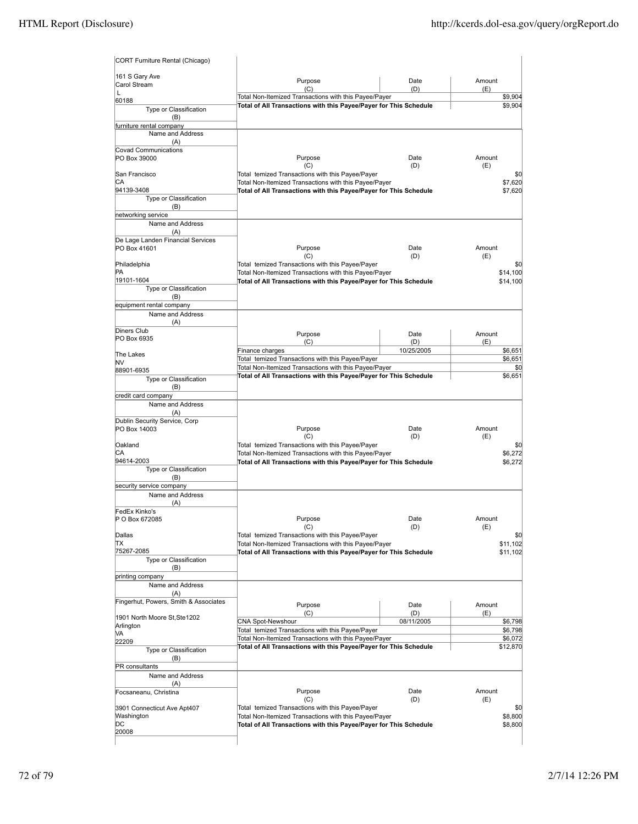| 161 S Gary Ave                                | Purpose                                                                                                   | Date        | Amount                                               |
|-----------------------------------------------|-----------------------------------------------------------------------------------------------------------|-------------|------------------------------------------------------|
| Carol Stream                                  | (C)                                                                                                       | (D)         | (E)                                                  |
| $\mathbf{L}$<br>60188                         | Total Non-Itemized Transactions with this Payee/Payer                                                     |             | \$9,904                                              |
| Type or Classification                        | Total of All Transactions with this Payee/Payer for This Schedule                                         |             | \$9,904                                              |
| (B)<br>furniture rental company               |                                                                                                           |             |                                                      |
| Name and Address<br>(A)                       |                                                                                                           |             |                                                      |
| Covad Communications                          |                                                                                                           |             |                                                      |
| PO Box 39000                                  | Purpose<br>(C)                                                                                            | Date<br>(D) | Amount<br>(E)                                        |
| San Francisco                                 | Total temized Transactions with this Payee/Payer                                                          |             | \$0                                                  |
| СA<br>94139-3408                              | Total Non-Itemized Transactions with this Payee/Payer                                                     |             | \$7,620                                              |
| Type or Classification                        | Total of All Transactions with this Payee/Payer for This Schedule                                         |             | \$7,620                                              |
| (B)                                           |                                                                                                           |             |                                                      |
| networking service                            |                                                                                                           |             |                                                      |
| Name and Address<br>(A)                       |                                                                                                           |             |                                                      |
| De Lage Landen Financial Services             |                                                                                                           |             |                                                      |
| PO Box 41601                                  | Purpose                                                                                                   | Date        | Amount                                               |
| Philadelphia                                  | (C)<br>Total temized Transactions with this Payee/Payer                                                   | (D)         | (E)<br>\$0                                           |
| PA                                            | Total Non-Itemized Transactions with this Payee/Payer                                                     |             | \$14,100                                             |
| 19101-1604                                    | Total of All Transactions with this Payee/Payer for This Schedule                                         |             | \$14,100                                             |
| Type or Classification<br>(B)                 |                                                                                                           |             |                                                      |
| equipment rental company                      |                                                                                                           |             |                                                      |
| Name and Address                              |                                                                                                           |             |                                                      |
| (A)<br>Diners Club                            |                                                                                                           |             |                                                      |
| PO Box 6935                                   | Purpose<br>(C)                                                                                            | Date<br>(D) | Amount<br>(E)                                        |
|                                               | Finance charges                                                                                           | 10/25/2005  | \$6,651                                              |
| The Lakes<br>NV                               | Total temized Transactions with this Payee/Payer                                                          |             | \$6,651                                              |
| 88901-6935                                    | Total Non-Itemized Transactions with this Payee/Payer                                                     |             | \$0                                                  |
| Type or Classification                        | Total of All Transactions with this Payee/Payer for This Schedule                                         |             | \$6,651                                              |
| (B)<br>credit card company                    |                                                                                                           |             |                                                      |
| Name and Address                              |                                                                                                           |             |                                                      |
| (A)                                           |                                                                                                           |             |                                                      |
| Dublin Security Service, Corp<br>PO Box 14003 | Purpose                                                                                                   | Date        | Amount                                               |
|                                               | (C)                                                                                                       | (D)         | (E)                                                  |
| Oakland                                       | Total temized Transactions with this Payee/Payer                                                          |             | \$0                                                  |
| СA<br>94614-2003                              | Total Non-Itemized Transactions with this Payee/Payer                                                     |             | \$6,272                                              |
| Type or Classification                        | Total of All Transactions with this Payee/Payer for This Schedule                                         |             | \$6,272                                              |
| (B)                                           |                                                                                                           |             |                                                      |
| security service company                      |                                                                                                           |             |                                                      |
| Name and Address<br>(A)                       |                                                                                                           |             |                                                      |
| FedEx Kinko's                                 |                                                                                                           |             |                                                      |
|                                               | Purpose                                                                                                   | Date        | Amount                                               |
| P O Box 672085                                |                                                                                                           |             | (E)                                                  |
|                                               | (C)                                                                                                       | (D)         |                                                      |
| Dallas<br>ΠX                                  | Total temized Transactions with this Payee/Payer<br>Total Non-Itemized Transactions with this Payee/Payer |             | \$0                                                  |
| 75267-2085                                    | Total of All Transactions with this Payee/Payer for This Schedule                                         |             |                                                      |
| Type or Classification                        |                                                                                                           |             |                                                      |
| (B)<br>printing company                       |                                                                                                           |             |                                                      |
| Name and Address                              |                                                                                                           |             |                                                      |
| (A)                                           |                                                                                                           |             |                                                      |
| Fingerhut, Powers, Smith & Associates         | Purpose                                                                                                   | Date        | Amount                                               |
| 1901 North Moore St, Ste1202                  | (C)                                                                                                       | (D)         | (E)                                                  |
| Arlington                                     | CNA Spot-Newshour<br>Total temized Transactions with this Payee/Payer                                     | 08/11/2005  |                                                      |
| MА<br>22209                                   | Total Non-Itemized Transactions with this Payee/Payer                                                     |             | \$6,072                                              |
| Type or Classification                        | Total of All Transactions with this Payee/Payer for This Schedule                                         |             |                                                      |
| (B)                                           |                                                                                                           |             |                                                      |
| PR consultants                                |                                                                                                           |             |                                                      |
| Name and Address<br>(A)                       |                                                                                                           |             |                                                      |
| Focsaneanu, Christina                         | Purpose                                                                                                   | Date        | \$11,102<br>\$6,798<br>\$6,798<br>\$12,870<br>Amount |
|                                               | (C)                                                                                                       | (D)         | \$11,102<br>(E)                                      |
| 3901 Connecticut Ave Apt407<br>Washington     | Total temized Transactions with this Payee/Payer<br>Total Non-Itemized Transactions with this Payee/Payer |             | \$0<br>\$8,800                                       |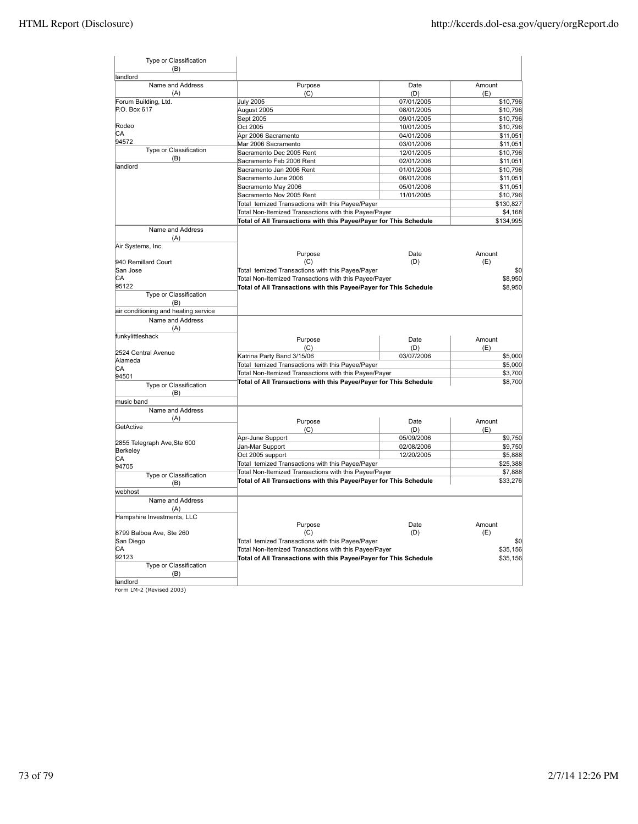| Type or Classification<br>(B)                |                                                                                                           |                          |                      |
|----------------------------------------------|-----------------------------------------------------------------------------------------------------------|--------------------------|----------------------|
| landlord                                     |                                                                                                           |                          |                      |
| Name and Address                             | Purpose                                                                                                   | Date                     | Amount               |
| (A)                                          | (C)<br><b>July 2005</b>                                                                                   | (D)<br>07/01/2005        | (E)                  |
| Forum Building, Ltd.<br>P.O. Box 617         |                                                                                                           |                          | \$10,796             |
|                                              | August 2005                                                                                               | 08/01/2005<br>09/01/2005 | \$10,796<br>\$10,796 |
| Rodeo                                        | Sept 2005                                                                                                 |                          |                      |
| СA                                           | Oct 2005                                                                                                  | 10/01/2005               | \$10,796             |
| 94572                                        | Apr 2006 Sacramento                                                                                       | 04/01/2006               | \$11,051             |
| Type or Classification                       | Mar 2006 Sacramento                                                                                       | 03/01/2006               | \$11,051             |
| (B)                                          | Sacramento Dec 2005 Rent                                                                                  | 12/01/2005               | \$10,796             |
| landlord                                     | Sacramento Feb 2006 Rent                                                                                  | 02/01/2006               | \$11,051             |
|                                              | Sacramento Jan 2006 Rent                                                                                  | 01/01/2006               | \$10,796             |
|                                              | Sacramento June 2006                                                                                      | 06/01/2006               | \$11,051             |
|                                              | Sacramento May 2006                                                                                       | 05/01/2006               | \$11,051             |
|                                              | Sacramento Nov 2005 Rent                                                                                  | 11/01/2005               | \$10,796             |
|                                              | Total temized Transactions with this Payee/Payer                                                          |                          | \$130,827            |
|                                              | Total Non-Itemized Transactions with this Payee/Payer                                                     |                          | \$4,168              |
|                                              | Total of All Transactions with this Payee/Payer for This Schedule                                         |                          | \$134,995            |
| Name and Address<br>(A)<br>Air Systems, Inc. |                                                                                                           |                          |                      |
|                                              | Purpose                                                                                                   | Date                     | Amount               |
| 940 Remillard Court                          | (C)                                                                                                       | (D)                      | (E)                  |
| San Jose                                     | Total temized Transactions with this Payee/Payer                                                          |                          | \$0                  |
| СA                                           | Total Non-Itemized Transactions with this Payee/Payer                                                     |                          | \$8,950              |
| 95122                                        | Total of All Transactions with this Payee/Payer for This Schedule                                         |                          | \$8,950              |
| Type or Classification<br>(B)                |                                                                                                           |                          |                      |
| air conditioning and heating service         |                                                                                                           |                          |                      |
| Name and Address<br>(A)                      |                                                                                                           |                          |                      |
| funkylittleshack                             | Purpose                                                                                                   | Date                     | Amount               |
|                                              | (C)                                                                                                       | (D)                      | (E)                  |
| 2524 Central Avenue                          | Katrina Party Band 3/15/06                                                                                | 03/07/2006               | \$5,000              |
| Alameda                                      |                                                                                                           |                          | \$5,000              |
| СA                                           | Total temized Transactions with this Payee/Payer<br>Total Non-Itemized Transactions with this Payee/Payer |                          |                      |
| 94501                                        |                                                                                                           |                          | \$3,700              |
| Type or Classification<br>(B)                | Total of All Transactions with this Payee/Payer for This Schedule                                         |                          | \$8,700              |
| music band                                   |                                                                                                           |                          |                      |
| Name and Address                             |                                                                                                           |                          |                      |
| (A)                                          | Purpose                                                                                                   | Date                     | Amount               |
| GetActive                                    | (C)                                                                                                       | (D)                      | (E)                  |
|                                              | Apr-June Support                                                                                          | 05/09/2006               | \$9,750              |
| 2855 Telegraph Ave, Ste 600                  | Jan-Mar Support                                                                                           | 02/08/2006               | \$9,750              |
| Berkeley                                     | Oct 2005 support                                                                                          | 12/20/2005               | \$5,888              |
| СA                                           | Total temized Transactions with this Payee/Payer                                                          |                          | \$25,388             |
| 94705                                        | Total Non-Itemized Transactions with this Payee/Payer                                                     |                          | \$7,888              |
| Type or Classification<br>(B)                | Total of All Transactions with this Payee/Payer for This Schedule                                         |                          | \$33,276             |
| webhost                                      |                                                                                                           |                          |                      |
| Name and Address                             |                                                                                                           |                          |                      |
| (A)<br>Hampshire Investments, LLC            |                                                                                                           |                          |                      |
|                                              | Purpose                                                                                                   | Date                     | Amount               |
| 8799 Balboa Ave, Ste 260                     | (C)                                                                                                       | (D)                      | (E)                  |
| San Diego                                    | Total temized Transactions with this Payee/Payer                                                          |                          | \$0                  |
| CА                                           | Total Non-Itemized Transactions with this Payee/Payer                                                     |                          | \$35,156             |
| 92123                                        | Total of All Transactions with this Payee/Payer for This Schedule                                         |                          | \$35,156             |
| Type or Classification<br>(B)                |                                                                                                           |                          |                      |
| landlord                                     |                                                                                                           |                          |                      |

landlord Form LM-2 (Revised 2003)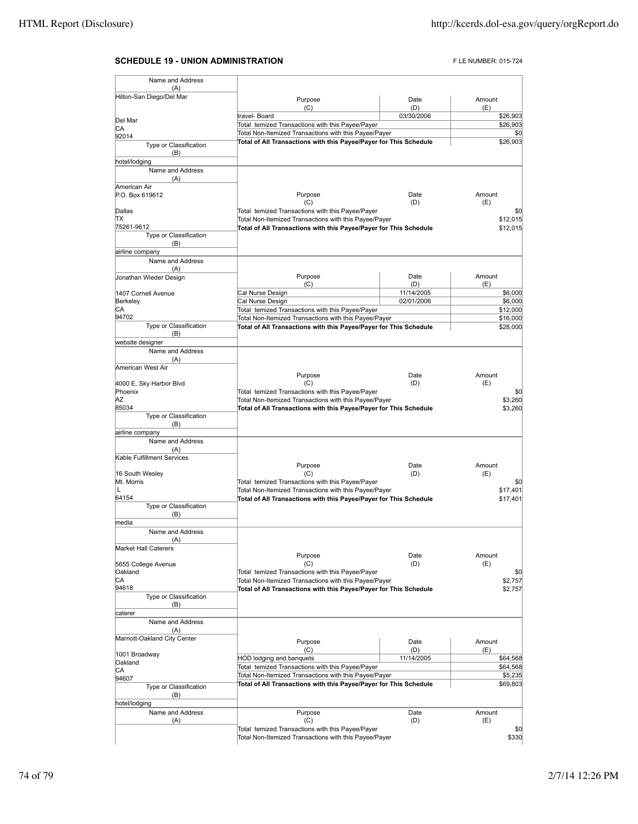## **SCHEDULE 19 - UNION ADMINISTRATION FLE NUMBER: 015-724**

| Name and Address                        |                                                                                                                            |             |                      |
|-----------------------------------------|----------------------------------------------------------------------------------------------------------------------------|-------------|----------------------|
| (A)<br>Hilton-San Diego/Del Mar         |                                                                                                                            |             |                      |
|                                         | Purpose<br>(C)                                                                                                             | Date<br>(D) | Amount<br>(E)        |
|                                         | travel- Board                                                                                                              | 03/30/2006  | \$26,903             |
| Del Mar<br>CА                           | Total temized Transactions with this Payee/Payer                                                                           |             | \$26,903             |
| 92014                                   | Total Non-Itemized Transactions with this Payee/Payer                                                                      |             | \$0                  |
| Type or Classification<br>(B)           | Total of All Transactions with this Payee/Payer for This Schedule                                                          |             | \$26,903             |
| hotel/lodging                           |                                                                                                                            |             |                      |
| Name and Address<br>(A)<br>American Air |                                                                                                                            |             |                      |
| P.O. Box 619612                         | Purpose<br>(C)                                                                                                             | Date<br>(D) | Amount<br>(E)        |
| Dallas                                  | Total temized Transactions with this Payee/Payer                                                                           |             | \$0                  |
| lΤX                                     | Total Non-Itemized Transactions with this Payee/Payer                                                                      |             | \$12,015             |
| 75261-9612<br>Type or Classification    | Total of All Transactions with this Payee/Payer for This Schedule                                                          |             | \$12.015             |
| (B)                                     |                                                                                                                            |             |                      |
| airline company                         |                                                                                                                            |             |                      |
| Name and Address                        |                                                                                                                            |             |                      |
| (A)<br>Jonathan Wieder Design           | Purpose                                                                                                                    | Date        | Amount               |
|                                         | (C)                                                                                                                        | (D)         | (E)                  |
| 1407 Cornell Avenue                     | Cal Nurse Design                                                                                                           | 11/14/2005  | \$6,000              |
| Berkeley                                | Cal Nurse Design                                                                                                           | 02/01/2006  | \$6,000              |
| CА<br>94702                             | Total temized Transactions with this Payee/Payer<br>Total Non-Itemized Transactions with this Payee/Payer                  |             | \$12,000<br>\$16,000 |
| Type or Classification                  | Total of All Transactions with this Payee/Payer for This Schedule                                                          |             | \$28,000             |
| (B)                                     |                                                                                                                            |             |                      |
| website designer                        |                                                                                                                            |             |                      |
| Name and Address                        |                                                                                                                            |             |                      |
| (A)<br>American West Air                |                                                                                                                            |             |                      |
|                                         | Purpose                                                                                                                    | Date        | Amount               |
| 4000 E. Sky Harbor Blvd                 | (C)                                                                                                                        | (D)         | (E)                  |
| Phoenix<br>ΙAΖ                          | Total temized Transactions with this Payee/Payer                                                                           |             | \$0                  |
| 85034                                   | Total Non-Itemized Transactions with this Payee/Payer<br>Total of All Transactions with this Payee/Payer for This Schedule |             | \$3,260<br>\$3,260   |
| Type or Classification                  |                                                                                                                            |             |                      |
| (B)                                     |                                                                                                                            |             |                      |
| airline company                         |                                                                                                                            |             |                      |
| Name and Address<br>(A)                 |                                                                                                                            |             |                      |
| Kable Fulfillment Services              |                                                                                                                            |             |                      |
|                                         | Purpose                                                                                                                    | Date        | Amount               |
| 16 South Wesley<br>Mt. Morris           | (C)                                                                                                                        | (D)         | (E)<br>\$0           |
| L                                       | Total temized Transactions with this Payee/Payer<br>Total Non-Itemized Transactions with this Payee/Payer                  |             | \$17,401             |
| 64154                                   | Total of All Transactions with this Payee/Payer for This Schedule                                                          |             | \$17,401             |
| Type or Classification<br>(B)           |                                                                                                                            |             |                      |
| media                                   |                                                                                                                            |             |                      |
| Name and Address<br>(A)                 |                                                                                                                            |             |                      |
| <b>Market Hall Caterers</b>             |                                                                                                                            |             |                      |
|                                         | Purpose                                                                                                                    | Date        | Amount               |
| 5655 College Avenue                     | (C)                                                                                                                        | (D)         | (E)                  |
| Oakland<br>IСA                          | Total temized Transactions with this Payee/Payer<br>Total Non-Itemized Transactions with this Payee/Payer                  |             | \$0<br>\$2,757       |
| 94618                                   | Total of All Transactions with this Payee/Payer for This Schedule                                                          |             | \$2,757              |
| Type or Classification                  |                                                                                                                            |             |                      |
| (B)                                     |                                                                                                                            |             |                      |
| caterer<br>Name and Address             |                                                                                                                            |             |                      |
| (A)                                     |                                                                                                                            |             |                      |
| Marriott-Oakland City Center            | Purpose                                                                                                                    | Date        | Amount               |
|                                         | (C)                                                                                                                        | (D)         | (E)                  |
| 1001 Broadway<br>Oakland                | HOD lodging and banquets                                                                                                   | 11/14/2005  | \$64,568             |
| CА                                      | Total temized Transactions with this Payee/Payer                                                                           |             | \$64,568             |
| 94607                                   | Total Non-Itemized Transactions with this Payee/Payer<br>Total of All Transactions with this Payee/Payer for This Schedule |             | \$5,235<br>\$69,803  |
| Type or Classification                  |                                                                                                                            |             |                      |
| (B)<br>hotel/lodging                    |                                                                                                                            |             |                      |
| Name and Address                        | Purpose                                                                                                                    | Date        | Amount               |
| (A)                                     | (C)                                                                                                                        | (D)         | (E)                  |
|                                         |                                                                                                                            |             |                      |
|                                         | Total temized Transactions with this Payee/Payer<br>Total Non-Itemized Transactions with this Payee/Payer                  |             | \$0<br>\$330         |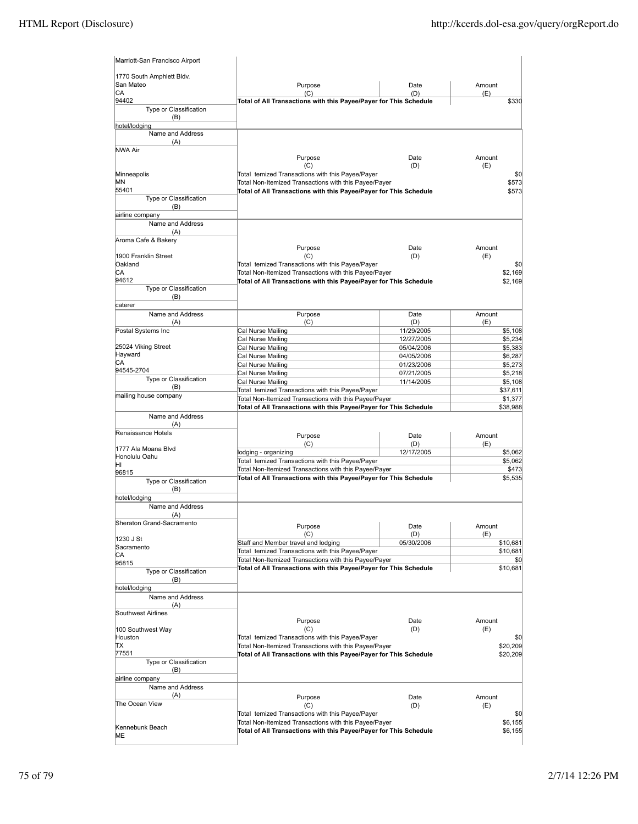| Marriott-San Francisco Airport      |                                                                                                           |                          |               |                     |
|-------------------------------------|-----------------------------------------------------------------------------------------------------------|--------------------------|---------------|---------------------|
| 1770 South Amphlett Bldv.           |                                                                                                           |                          |               |                     |
| San Mateo                           | Purpose                                                                                                   | Date                     | Amount        |                     |
| CA<br>94402                         | (C)<br>Total of All Transactions with this Payee/Payer for This Schedule                                  | (D)                      | (E)           | \$330               |
| Type or Classification              |                                                                                                           |                          |               |                     |
| (B)                                 |                                                                                                           |                          |               |                     |
| hotel/lodging<br>Name and Address   |                                                                                                           |                          |               |                     |
| (A)                                 |                                                                                                           |                          |               |                     |
| NWA Air                             |                                                                                                           | Date                     |               |                     |
|                                     | Purpose<br>(C)                                                                                            | (D)                      | Amount<br>(E) |                     |
| Minneapolis                         | Total temized Transactions with this Payee/Payer                                                          |                          |               | \$0                 |
| ΜN                                  | Total Non-Itemized Transactions with this Payee/Payer                                                     |                          |               | \$573               |
| 55401<br>Type or Classification     | Total of All Transactions with this Payee/Payer for This Schedule                                         |                          |               | \$573               |
| (B)                                 |                                                                                                           |                          |               |                     |
| airline company                     |                                                                                                           |                          |               |                     |
| Name and Address                    |                                                                                                           |                          |               |                     |
| (A)<br>Aroma Cafe & Bakery          |                                                                                                           |                          |               |                     |
|                                     | Purpose                                                                                                   | Date                     | Amount        |                     |
| 1900 Franklin Street                | (C)                                                                                                       | (D)                      | (E)           |                     |
| Oakland<br>СA                       | Total temized Transactions with this Payee/Payer<br>Total Non-Itemized Transactions with this Payee/Payer |                          |               | \$0<br>\$2,169      |
| 94612                               | Total of All Transactions with this Payee/Payer for This Schedule                                         |                          |               | \$2,169             |
| Type or Classification              |                                                                                                           |                          |               |                     |
| (B)                                 |                                                                                                           |                          |               |                     |
| caterer<br>Name and Address         | Purpose                                                                                                   | Date                     | Amount        |                     |
| (A)                                 | (C)                                                                                                       | (D)                      | (E)           |                     |
| Postal Systems Inc                  | Cal Nurse Mailing                                                                                         | 11/29/2005               |               | \$5,108             |
| 25024 Viking Street                 | Cal Nurse Mailing                                                                                         | 12/27/2005               |               | \$5,234             |
| Hayward                             | Cal Nurse Mailing<br>Cal Nurse Mailing                                                                    | 05/04/2006<br>04/05/2006 |               | \$5,383<br>\$6,287  |
| СA                                  | Cal Nurse Mailing                                                                                         | 01/23/2006               |               | \$5,273             |
| 94545-2704                          | Cal Nurse Mailing                                                                                         | 07/21/2005               |               | \$5,218             |
| Type or Classification<br>(B)       | Cal Nurse Mailing                                                                                         | 11/14/2005               |               | \$5,108             |
| mailing house company               | Total temized Transactions with this Payee/Payer<br>Total Non-Itemized Transactions with this Payee/Payer |                          |               | \$37,611<br>\$1,377 |
|                                     | Total of All Transactions with this Payee/Payer for This Schedule                                         |                          |               | \$38,988            |
| Name and Address                    |                                                                                                           |                          |               |                     |
| (A)<br>Renaissance Hotels           |                                                                                                           |                          |               |                     |
|                                     | Purpose                                                                                                   | Date                     | Amount        |                     |
| 1777 Ala Moana Blvd                 | (C)<br>lodging - organizing                                                                               | (D)<br>12/17/2005        | (E)           | \$5,062             |
| Honolulu Oahu<br>ΗI                 | Total temized Transactions with this Payee/Payer                                                          |                          |               | \$5,062             |
| 96815                               | Total Non-Itemized Transactions with this Payee/Payer                                                     |                          |               | \$473               |
| Type or Classification              | Total of All Transactions with this Payee/Payer for This Schedule                                         |                          |               | \$5,535             |
| (B)                                 |                                                                                                           |                          |               |                     |
| hotel/lodging<br>Name and Address   |                                                                                                           |                          |               |                     |
| (A)                                 |                                                                                                           |                          |               |                     |
| Sheraton Grand-Sacramento           | Purpose                                                                                                   | Date                     | Amount        |                     |
| 1230 J St                           | (C)                                                                                                       | (D)                      | (E)           |                     |
| Sacramento                          | Staff and Member travel and lodging                                                                       | 05/30/2006               |               | \$10,681            |
| СA                                  | Total temized Transactions with this Payee/Payer<br>Total Non-Itemized Transactions with this Payee/Payer |                          |               | \$10,681<br>\$0     |
| 95815                               | Total of All Transactions with this Payee/Payer for This Schedule                                         |                          |               | \$10,681            |
| Type or Classification<br>(B)       |                                                                                                           |                          |               |                     |
| hotel/lodging                       |                                                                                                           |                          |               |                     |
| Name and Address                    |                                                                                                           |                          |               |                     |
| (A)<br>Southwest Airlines           |                                                                                                           |                          |               |                     |
|                                     | Purpose                                                                                                   | Date                     | Amount        |                     |
| 100 Southwest Way                   | (C)                                                                                                       | (D)                      | (E)           |                     |
| Houston<br>TΧ                       | Total temized Transactions with this Payee/Payer<br>Total Non-Itemized Transactions with this Payee/Payer |                          |               | \$0<br>\$20,209     |
| 77551                               | Total of All Transactions with this Payee/Payer for This Schedule                                         |                          |               | \$20,209            |
| Type or Classification              |                                                                                                           |                          |               |                     |
| (B)                                 |                                                                                                           |                          |               |                     |
| airline company<br>Name and Address |                                                                                                           |                          |               |                     |
| (A)                                 | Purpose                                                                                                   | Date                     | Amount        |                     |
| The Ocean View                      | (C)                                                                                                       | (D)                      | (E)           |                     |
|                                     | Total temized Transactions with this Payee/Payer                                                          |                          |               | \$0                 |
| Kennebunk Beach                     | Total Non-Itemized Transactions with this Payee/Payer                                                     |                          |               | \$6,155             |
| MЕ                                  | Total of All Transactions with this Payee/Payer for This Schedule                                         |                          |               | \$6,155             |
|                                     |                                                                                                           |                          |               |                     |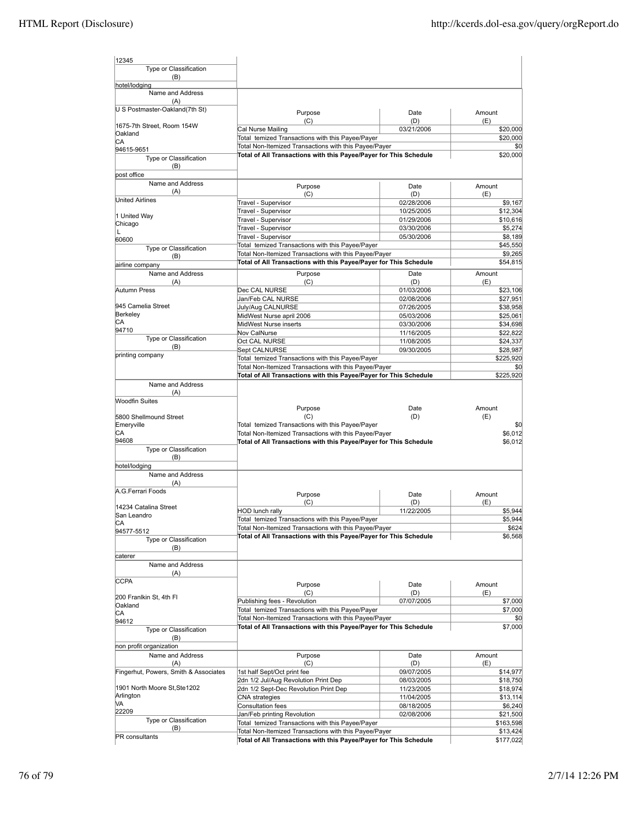| 12345                                                                                                  |                                                                                                                                                                                                  |             |                                                                                                                                                                                                             |
|--------------------------------------------------------------------------------------------------------|--------------------------------------------------------------------------------------------------------------------------------------------------------------------------------------------------|-------------|-------------------------------------------------------------------------------------------------------------------------------------------------------------------------------------------------------------|
| Type or Classification                                                                                 |                                                                                                                                                                                                  |             |                                                                                                                                                                                                             |
| (B)                                                                                                    |                                                                                                                                                                                                  |             |                                                                                                                                                                                                             |
| hotel/lodging                                                                                          |                                                                                                                                                                                                  |             |                                                                                                                                                                                                             |
| Name and Address                                                                                       |                                                                                                                                                                                                  |             |                                                                                                                                                                                                             |
| (A)<br>U S Postmaster-Oakland(7th St)                                                                  |                                                                                                                                                                                                  |             |                                                                                                                                                                                                             |
|                                                                                                        | Purpose                                                                                                                                                                                          | Date        | Amount                                                                                                                                                                                                      |
| 1675-7th Street, Room 154W                                                                             | (C)                                                                                                                                                                                              | (D)         | (E)                                                                                                                                                                                                         |
| Oakland                                                                                                | Cal Nurse Mailing                                                                                                                                                                                | 03/21/2006  | \$20,000                                                                                                                                                                                                    |
| СA                                                                                                     | Total temized Transactions with this Payee/Payer                                                                                                                                                 |             | \$20,000                                                                                                                                                                                                    |
| 94615-9651                                                                                             | Total Non-Itemized Transactions with this Payee/Payer                                                                                                                                            |             | \$0                                                                                                                                                                                                         |
| Type or Classification                                                                                 | Total of All Transactions with this Payee/Payer for This Schedule                                                                                                                                |             | \$20,000                                                                                                                                                                                                    |
| (B)                                                                                                    |                                                                                                                                                                                                  |             |                                                                                                                                                                                                             |
| post office                                                                                            |                                                                                                                                                                                                  |             |                                                                                                                                                                                                             |
| Name and Address                                                                                       | Purpose                                                                                                                                                                                          | Date        | Amount                                                                                                                                                                                                      |
| (A)<br><b>United Airlines</b>                                                                          | (C)                                                                                                                                                                                              | (D)         | (E)                                                                                                                                                                                                         |
|                                                                                                        | Travel - Supervisor                                                                                                                                                                              | 02/28/2006  | \$9,167                                                                                                                                                                                                     |
| 1 United Way                                                                                           | Travel - Supervisor                                                                                                                                                                              | 10/25/2005  | \$12,304                                                                                                                                                                                                    |
| Chicago                                                                                                | Travel - Supervisor                                                                                                                                                                              | 01/29/2006  | \$10,616                                                                                                                                                                                                    |
|                                                                                                        | Travel - Supervisor                                                                                                                                                                              | 03/30/2006  | \$5,274                                                                                                                                                                                                     |
| 60600                                                                                                  | Travel - Supervisor                                                                                                                                                                              | 05/30/2006  | \$8,189                                                                                                                                                                                                     |
| Type or Classification                                                                                 | Total temized Transactions with this Payee/Payer                                                                                                                                                 |             | \$45,550                                                                                                                                                                                                    |
| (B)                                                                                                    | Total Non-Itemized Transactions with this Payee/Payer                                                                                                                                            |             | \$9,265                                                                                                                                                                                                     |
| airline company                                                                                        | Total of All Transactions with this Payee/Payer for This Schedule                                                                                                                                |             | \$54,815                                                                                                                                                                                                    |
| Name and Address                                                                                       | Purpose                                                                                                                                                                                          | Date        | Amount                                                                                                                                                                                                      |
| (A)                                                                                                    | (C)                                                                                                                                                                                              | (D)         | (E)                                                                                                                                                                                                         |
| Autumn Press                                                                                           | Dec CAL NURSE                                                                                                                                                                                    | 01/03/2006  | \$23,106                                                                                                                                                                                                    |
|                                                                                                        | Jan/Feb CAL NURSE                                                                                                                                                                                | 02/08/2006  | \$27,951                                                                                                                                                                                                    |
| 945 Camelia Street                                                                                     | July/Aug CALNURSE                                                                                                                                                                                | 07/26/2005  | \$38,958                                                                                                                                                                                                    |
| Berkeley                                                                                               | MidWest Nurse april 2006                                                                                                                                                                         | 05/03/2006  | \$25,061                                                                                                                                                                                                    |
| CА                                                                                                     | MidWest Nurse inserts                                                                                                                                                                            | 03/30/2006  | \$34,698                                                                                                                                                                                                    |
| 94710                                                                                                  | Nov CalNurse                                                                                                                                                                                     | 11/16/2005  | \$22,822                                                                                                                                                                                                    |
| Type or Classification                                                                                 | Oct CAL NURSE                                                                                                                                                                                    | 11/08/2005  | \$24,337                                                                                                                                                                                                    |
| (B)                                                                                                    | Sept CALNURSE                                                                                                                                                                                    | 09/30/2005  | \$28,987                                                                                                                                                                                                    |
| printing company                                                                                       | Total temized Transactions with this Payee/Payer                                                                                                                                                 |             | \$225,920                                                                                                                                                                                                   |
|                                                                                                        | Total Non-Itemized Transactions with this Payee/Payer                                                                                                                                            |             | \$0                                                                                                                                                                                                         |
|                                                                                                        | Total of All Transactions with this Payee/Payer for This Schedule                                                                                                                                |             | \$225,920                                                                                                                                                                                                   |
| Name and Address<br>(A)                                                                                |                                                                                                                                                                                                  |             |                                                                                                                                                                                                             |
| <b>Woodfin Suites</b><br>5800 Shellmound Street<br>Emeryville<br>СA<br>94608<br>Type or Classification | Purpose<br>(C)<br>Total temized Transactions with this Payee/Payer<br>Total Non-Itemized Transactions with this Payee/Payer<br>Total of All Transactions with this Payee/Payer for This Schedule | Date<br>(D) | Amount<br>(E)                                                                                                                                                                                               |
| (B)                                                                                                    |                                                                                                                                                                                                  |             |                                                                                                                                                                                                             |
| hotel/lodging<br>Name and Address<br>(A)                                                               |                                                                                                                                                                                                  |             |                                                                                                                                                                                                             |
| A.G.Ferrari Foods                                                                                      |                                                                                                                                                                                                  |             |                                                                                                                                                                                                             |
|                                                                                                        | Purpose                                                                                                                                                                                          | Date        | Amount                                                                                                                                                                                                      |
| 14234 Catalina Street                                                                                  | (C)                                                                                                                                                                                              | (D)         | (E)                                                                                                                                                                                                         |
| San Leandro                                                                                            | <b>HOD lunch rally</b>                                                                                                                                                                           | 11/22/2005  |                                                                                                                                                                                                             |
| CA                                                                                                     | Total temized Transactions with this Payee/Payer                                                                                                                                                 |             |                                                                                                                                                                                                             |
| 94577-5512                                                                                             | Total Non-Itemized Transactions with this Payee/Payer                                                                                                                                            |             |                                                                                                                                                                                                             |
| Type or Classification<br>(B)                                                                          | Total of All Transactions with this Payee/Payer for This Schedule                                                                                                                                |             |                                                                                                                                                                                                             |
| caterer                                                                                                |                                                                                                                                                                                                  |             |                                                                                                                                                                                                             |
| Name and Address                                                                                       |                                                                                                                                                                                                  |             |                                                                                                                                                                                                             |
| (A)                                                                                                    |                                                                                                                                                                                                  |             |                                                                                                                                                                                                             |
| <b>CCPA</b>                                                                                            | Purpose                                                                                                                                                                                          | Date        | Amount                                                                                                                                                                                                      |
|                                                                                                        | (C)                                                                                                                                                                                              | (D)         | (E)                                                                                                                                                                                                         |
| 200 Franlkin St, 4th Fl                                                                                | Publishing fees - Revolution                                                                                                                                                                     | 07/07/2005  |                                                                                                                                                                                                             |
| Oakland                                                                                                | Total temized Transactions with this Payee/Payer                                                                                                                                                 |             |                                                                                                                                                                                                             |
| СA                                                                                                     | Total Non-Itemized Transactions with this Payee/Payer                                                                                                                                            |             |                                                                                                                                                                                                             |
| 94612<br>Type or Classification                                                                        | Total of All Transactions with this Payee/Payer for This Schedule                                                                                                                                |             |                                                                                                                                                                                                             |
| (B)                                                                                                    |                                                                                                                                                                                                  |             |                                                                                                                                                                                                             |
| non profit organization                                                                                |                                                                                                                                                                                                  |             |                                                                                                                                                                                                             |
| Name and Address                                                                                       | Purpose                                                                                                                                                                                          | Date        | Amount                                                                                                                                                                                                      |
| (A)                                                                                                    | (C)                                                                                                                                                                                              | (D)         | (E)                                                                                                                                                                                                         |
| Fingerhut, Powers, Smith & Associates                                                                  | 1st half Sept/Oct print fee                                                                                                                                                                      | 09/07/2005  |                                                                                                                                                                                                             |
|                                                                                                        | 2dn 1/2 Jul/Aug Revolution Print Dep                                                                                                                                                             | 08/03/2005  |                                                                                                                                                                                                             |
| 1901 North Moore St, Ste1202                                                                           | 2dn 1/2 Sept-Dec Revolution Print Dep                                                                                                                                                            | 11/23/2005  |                                                                                                                                                                                                             |
| Arlington<br>VA                                                                                        | <b>CNA</b> strategies                                                                                                                                                                            | 11/04/2005  |                                                                                                                                                                                                             |
| 22209                                                                                                  | Consultation fees                                                                                                                                                                                | 08/18/2005  |                                                                                                                                                                                                             |
| Type or Classification                                                                                 | Jan/Feb printing Revolution                                                                                                                                                                      | 02/08/2006  |                                                                                                                                                                                                             |
| (B)<br>PR consultants                                                                                  | Total temized Transactions with this Payee/Payer<br>Total Non-Itemized Transactions with this Payee/Payer                                                                                        |             | \$0<br>\$6,012<br>\$6,012<br>\$5,944<br>\$5,944<br>\$624<br>\$6,568<br>\$7,000<br>\$7,000<br>\$0<br>\$7,000<br>\$14,977<br>\$18,750<br>\$18,974<br>\$13,114<br>\$6,240<br>\$21,500<br>\$163,598<br>\$13,424 |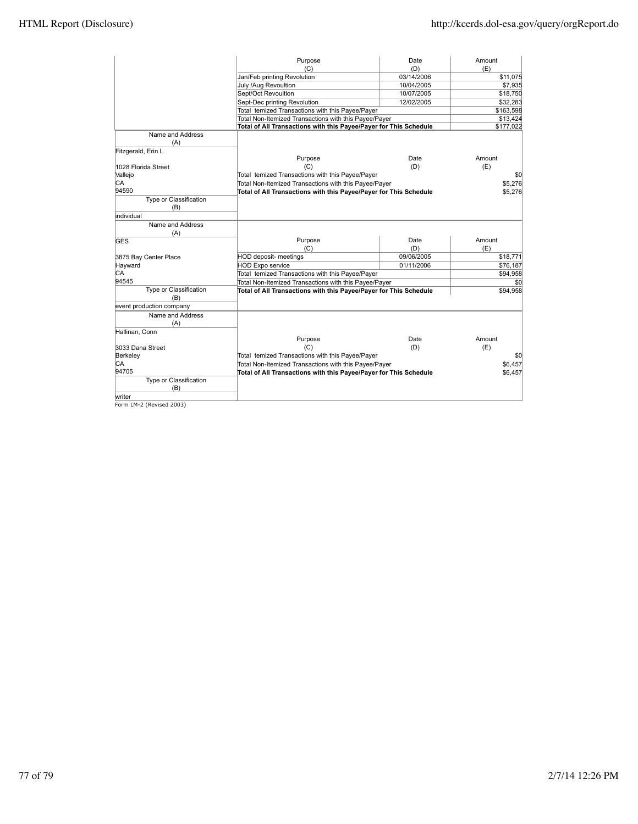|                          | Purpose                                                           | Date       | Amount    |
|--------------------------|-------------------------------------------------------------------|------------|-----------|
|                          | (C)                                                               | (D)        | (E)       |
|                          | Jan/Feb printing Revolution                                       | 03/14/2006 | \$11,075  |
|                          | July /Aug Revoultion                                              | 10/04/2005 | \$7,935   |
|                          | Sept/Oct Revoultion                                               | 10/07/2005 | \$18,750  |
|                          | Sept-Dec printing Revolution                                      | 12/02/2005 | \$32,283  |
|                          | Total temized Transactions with this Payee/Payer                  |            | \$163,598 |
|                          | Total Non-Itemized Transactions with this Payee/Payer             |            | \$13,424  |
|                          | Total of All Transactions with this Payee/Payer for This Schedule |            | \$177,022 |
| Name and Address         |                                                                   |            |           |
| (A)                      |                                                                   |            |           |
| Fitzgerald, Erin L       |                                                                   |            |           |
|                          | Purpose                                                           | Date       | Amount    |
| 1028 Florida Street      | (C)                                                               | (D)        | (E)       |
| Vallejo                  | Total temized Transactions with this Payee/Payer                  |            | \$0       |
| СA                       | Total Non-Itemized Transactions with this Payee/Payer             |            | \$5,276   |
| 94590                    | Total of All Transactions with this Payee/Payer for This Schedule |            | \$5,276   |
| Type or Classification   |                                                                   |            |           |
| (B)                      |                                                                   |            |           |
| individual               |                                                                   |            |           |
| Name and Address         |                                                                   |            |           |
| (A)                      |                                                                   |            |           |
| GES                      | Purpose                                                           | Date       | Amount    |
|                          | (C)                                                               | (D)        | (E)       |
| 3875 Bay Center Place    | HOD deposit- meetings                                             | 09/06/2005 | \$18,771  |
| Hayward                  | <b>HOD Expo service</b>                                           | 01/11/2006 | \$76,187  |
| CА                       | Total temized Transactions with this Payee/Payer                  |            | \$94.958  |
| 94545                    | Total Non-Itemized Transactions with this Payee/Payer             |            | \$0       |
| Type or Classification   | Total of All Transactions with this Payee/Payer for This Schedule |            | \$94,958  |
| (B)                      |                                                                   |            |           |
| event production company |                                                                   |            |           |
| Name and Address         |                                                                   |            |           |
| (A)                      |                                                                   |            |           |
| Hallinan, Conn           |                                                                   |            |           |
|                          | Purpose                                                           | Date       | Amount    |
| 3033 Dana Street         | (C)                                                               | (D)        | (E)       |
| Berkeley                 | Total temized Transactions with this Payee/Payer                  |            | \$0       |
| IСA                      | Total Non-Itemized Transactions with this Payee/Payer             |            | \$6,457   |
| 94705                    | Total of All Transactions with this Payee/Payer for This Schedule |            | \$6,457   |
| Type or Classification   |                                                                   |            |           |
| (B)                      |                                                                   |            |           |
| writer                   |                                                                   |            |           |

writer Form LM-2 (Revised 2003)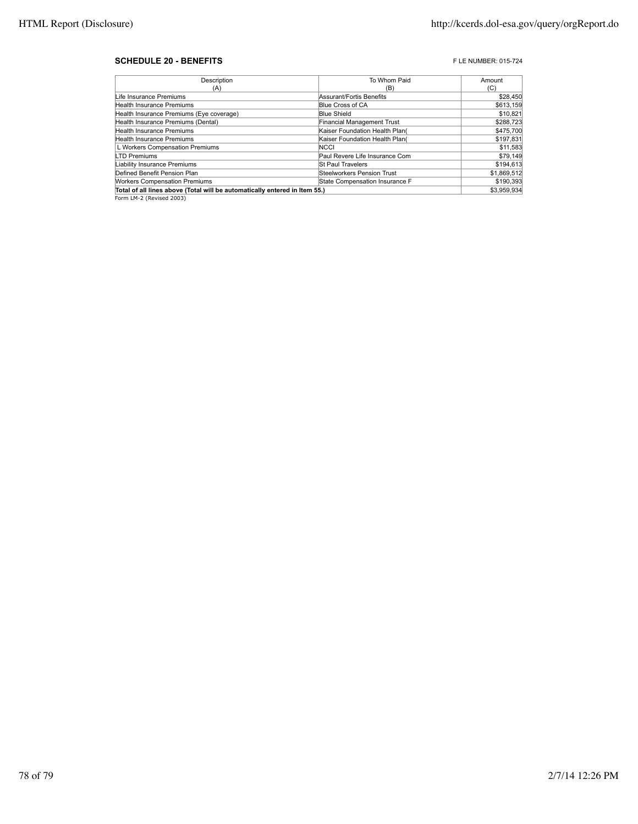## **SCHEDULE 20 - BENEFITS F** LE NUMBER: 015-724

| Description                                                                | To Whom Paid                   | Amount      |
|----------------------------------------------------------------------------|--------------------------------|-------------|
| (A)                                                                        | (B)                            | (C)         |
| Life Insurance Premiums                                                    | Assurant/Fortis Benefits       | \$28,450    |
| Health Insurance Premiums                                                  | Blue Cross of CA               | \$613,159   |
| Health Insurance Premiums (Eye coverage)                                   | <b>Blue Shield</b>             | \$10,821    |
| Health Insurance Premiums (Dental)                                         | Financial Management Trust     | \$288,723   |
| Health Insurance Premiums                                                  | Kaiser Foundation Health Plan( | \$475.700   |
| <b>Health Insurance Premiums</b>                                           | Kaiser Foundation Health Plan( | \$197,831   |
| L Workers Compensation Premiums                                            | <b>NCCI</b>                    | \$11,583    |
| <b>LTD Premiums</b>                                                        | Paul Revere Life Insurance Com | \$79,149    |
| Liability Insurance Premiums                                               | <b>St Paul Travelers</b>       | \$194,613   |
| Defined Benefit Pension Plan                                               | Steelworkers Pension Trust     | \$1,869,512 |
| <b>Workers Compensation Premiums</b>                                       | State Compensation Insurance F | \$190,393   |
| Total of all lines above (Total will be automatically entered in Item 55.) | \$3.959.934                    |             |
| Form LM-2 (Revised 2003)                                                   |                                |             |